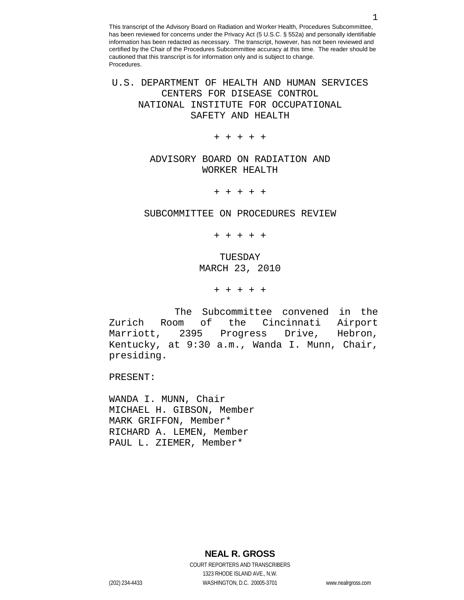U.S. DEPARTMENT OF HEALTH AND HUMAN SERVICES CENTERS FOR DISEASE CONTROL NATIONAL INSTITUTE FOR OCCUPATIONAL SAFETY AND HEALTH

+ + + + +

ADVISORY BOARD ON RADIATION AND WORKER HEALTH

+ + + + +

#### SUBCOMMITTEE ON PROCEDURES REVIEW

+ + + + +

# TUESDAY MARCH 23, 2010

+ + + + +

The Subcommittee convened in the<br>om of the Cincinnati Airport Zurich Room of the Cincinnati Marriott, 2395 Progress Drive, Hebron, Kentucky, at 9:30 a.m., Wanda I. Munn, Chair, presiding.

PRESENT:

WANDA I. MUNN, Chair MICHAEL H. GIBSON, Member MARK GRIFFON, Member\* RICHARD A. LEMEN, Member PAUL L. ZIEMER, Member\*

**NEAL R. GROSS**

COURT REPORTERS AND TRANSCRIBERS 1323 RHODE ISLAND AVE., N.W. (202) 234-4433 WASHINGTON, D.C. 20005-3701 www.nealrgross.com

1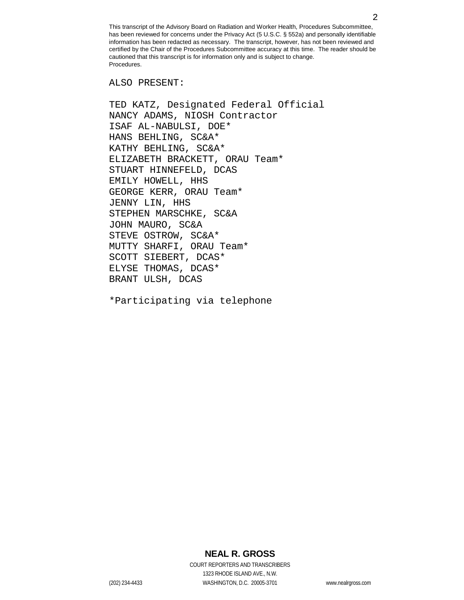ALSO PRESENT:

TED KATZ, Designated Federal Official NANCY ADAMS, NIOSH Contractor ISAF AL-NABULSI, DOE\* HANS BEHLING, SC&A\* KATHY BEHLING, SC&A\* ELIZABETH BRACKETT, ORAU Team\* STUART HINNEFELD, DCAS EMILY HOWELL, HHS GEORGE KERR, ORAU Team\* JENNY LIN, HHS STEPHEN MARSCHKE, SC&A JOHN MAURO, SC&A STEVE OSTROW, SC&A\* MUTTY SHARFI, ORAU Team\* SCOTT SIEBERT, DCAS\* ELYSE THOMAS, DCAS\* BRANT ULSH, DCAS

\*Participating via telephone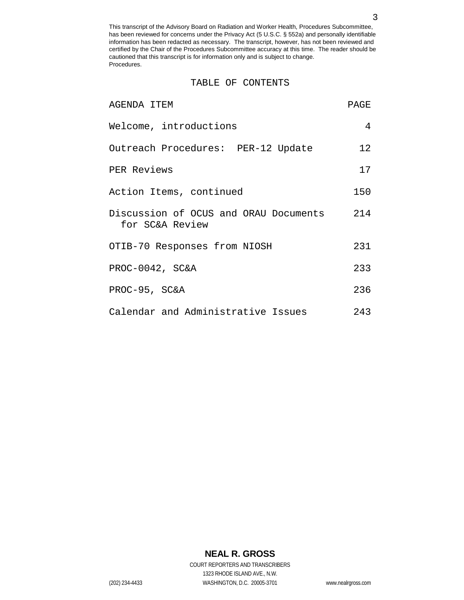#### TABLE OF CONTENTS

| AGENDA ITEM                                              | PAGE            |
|----------------------------------------------------------|-----------------|
| Welcome, introductions                                   | 4               |
| Outreach Procedures: PER-12 Update                       | 12 <sup>°</sup> |
| PER Reviews                                              | 17              |
| Action Items, continued                                  | 150             |
| Discussion of OCUS and ORAU Documents<br>for SC&A Review | 214             |
| OTIB-70 Responses from NIOSH                             | 231             |
| PROC-0042, SC&A                                          | 233             |
| PROC-95, SC&A                                            | 236             |
| Calendar and Administrative Issues                       | 243             |

# **NEAL R. GROSS**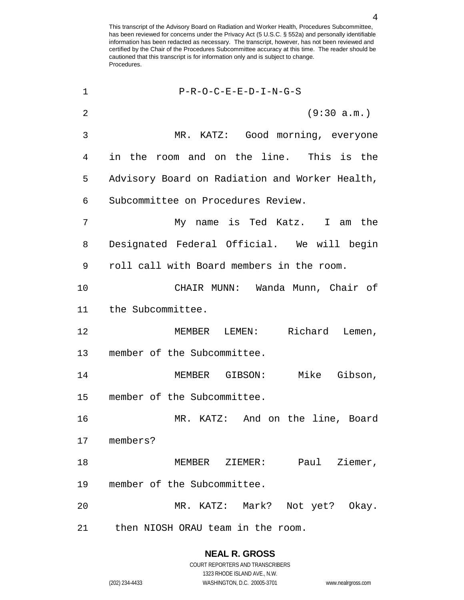| 1              | $P-R-O-C-E-E-D-I-N-G-S$                        |
|----------------|------------------------------------------------|
| $\overline{2}$ | (9:30 a.m.)                                    |
| 3              | MR. KATZ: Good morning, everyone               |
| 4              | in the room and on the line. This is the       |
| 5              | Advisory Board on Radiation and Worker Health, |
| 6              | Subcommittee on Procedures Review.             |
| 7              | My name is Ted Katz. I am the                  |
| 8              | Designated Federal Official. We will begin     |
| 9              | roll call with Board members in the room.      |
| 10             | CHAIR MUNN: Wanda Munn, Chair of               |
| 11             | the Subcommittee.                              |
| 12             | MEMBER LEMEN: Richard Lemen,                   |
| 13             | member of the Subcommittee.                    |
| 14             | MEMBER GIBSON: Mike Gibson,                    |
| 15             | member of the Subcommittee.                    |
| 16             | MR. KATZ: And on the line, Board               |
| 17             | members?                                       |
| 18             | Ziemer,<br>MEMBER ZIEMER: Paul                 |
| 19             | member of the Subcommittee.                    |
| 20             | MR. KATZ: Mark? Not yet? Okay.                 |
| 21             | then NIOSH ORAU team in the room.              |

# **NEAL R. GROSS**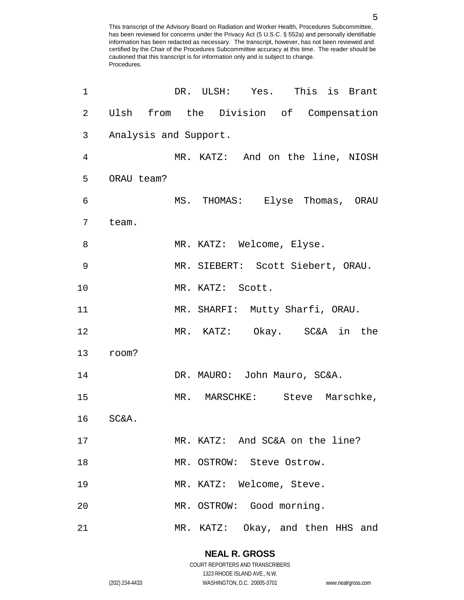| 1              |            | DR. ULSH: Yes. This is Brant           |
|----------------|------------|----------------------------------------|
| $\overline{2}$ |            | Ulsh from the Division of Compensation |
| 3              |            | Analysis and Support.                  |
| 4              |            | MR. KATZ: And on the line, NIOSH       |
| 5              | ORAU team? |                                        |
| 6              |            | MS. THOMAS: Elyse Thomas, ORAU         |
| 7              | team.      |                                        |
| 8              |            | MR. KATZ: Welcome, Elyse.              |
| 9              |            | MR. SIEBERT: Scott Siebert, ORAU.      |
| 10             |            | MR. KATZ: Scott.                       |
| 11             |            | MR. SHARFI: Mutty Sharfi, ORAU.        |
| 12             |            | MR. KATZ: Okay. SC&A in the            |
| 13             | room?      |                                        |
| 14             |            | DR. MAURO: John Mauro, SC&A.           |
| 15             |            | MR. MARSCHKE: Steve Marschke,          |
| 16             | SC&A.      |                                        |
| 17             |            | MR. KATZ: And SC&A on the line?        |
| 18             |            | MR. OSTROW: Steve Ostrow.              |
| 19             |            | MR. KATZ: Welcome, Steve.              |
| 20             |            | MR. OSTROW: Good morning.              |
| 21             |            | MR. KATZ: Okay, and then HHS and       |

**NEAL R. GROSS** COURT REPORTERS AND TRANSCRIBERS

1323 RHODE ISLAND AVE., N.W.

(202) 234-4433 WASHINGTON, D.C. 20005-3701 www.nealrgross.com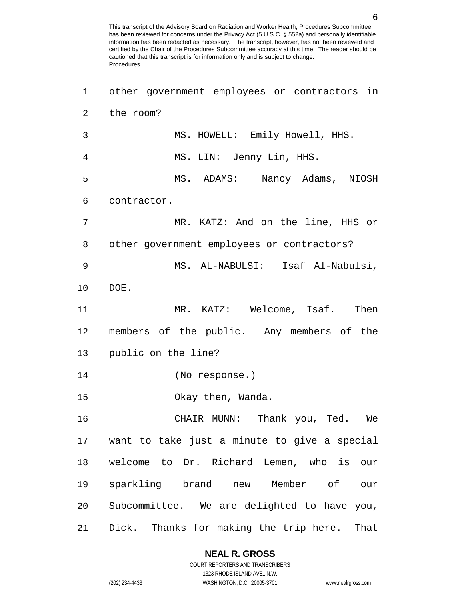| $\mathbf 1$    | other government employees or contractors in    |
|----------------|-------------------------------------------------|
| $\overline{a}$ | the room?                                       |
| $\mathfrak{Z}$ | MS. HOWELL: Emily Howell, HHS.                  |
| 4              | MS. LIN: Jenny Lin, HHS.                        |
| 5              | MS. ADAMS: Nancy Adams, NIOSH                   |
| 6              | contractor.                                     |
| 7              | MR. KATZ: And on the line, HHS or               |
| 8              | other government employees or contractors?      |
| 9              | MS. AL-NABULSI: Isaf Al-Nabulsi,                |
| 10             | DOE.                                            |
| 11             | MR. KATZ: Welcome, Isaf. Then                   |
| 12             | members of the public. Any members of the       |
| 13             | public on the line?                             |
| 14             | (No response.)                                  |
| 15             | Okay then, Wanda.                               |
| 16             | CHAIR MUNN: Thank you, Ted. We                  |
|                | 17 want to take just a minute to give a special |
| 18             | welcome to Dr. Richard Lemen, who is our        |
| 19             | sparkling brand new Member of our               |
| 20             | Subcommittee. We are delighted to have you,     |
| 21             | Dick. Thanks for making the trip here.<br>That  |

## **NEAL R. GROSS**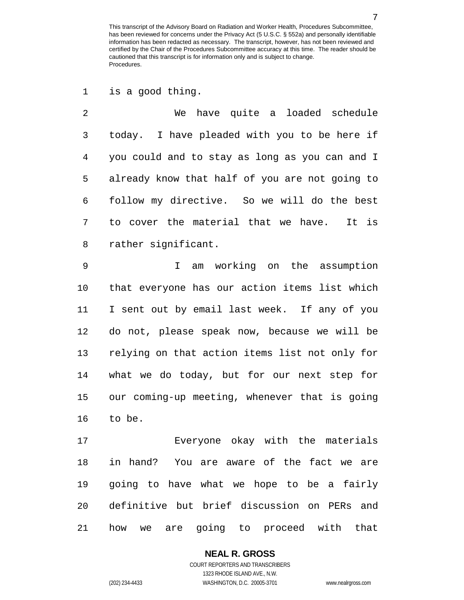is a good thing.

 We have quite a loaded schedule today. I have pleaded with you to be here if you could and to stay as long as you can and I already know that half of you are not going to follow my directive. So we will do the best to cover the material that we have. It is rather significant.

 I am working on the assumption that everyone has our action items list which I sent out by email last week. If any of you do not, please speak now, because we will be relying on that action items list not only for what we do today, but for our next step for our coming-up meeting, whenever that is going to be.

 Everyone okay with the materials in hand? You are aware of the fact we are going to have what we hope to be a fairly definitive but brief discussion on PERs and how we are going to proceed with that

### **NEAL R. GROSS** COURT REPORTERS AND TRANSCRIBERS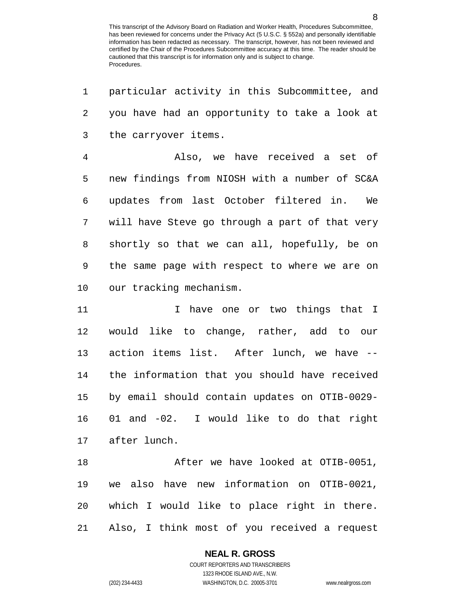| 1              | particular activity in this Subcommittee, and  |
|----------------|------------------------------------------------|
| 2              | you have had an opportunity to take a look at  |
| 3              | the carryover items.                           |
| $\overline{4}$ | Also, we have received a set of                |
| 5              | new findings from NIOSH with a number of SC&A  |
| 6              | updates from last October filtered in.<br>We   |
| 7              | will have Steve go through a part of that very |
| 8              | shortly so that we can all, hopefully, be on   |
| 9              | the same page with respect to where we are on  |
| 10             | our tracking mechanism.                        |
| 11             | I have one or two things that I                |
| 12             | would like to change, rather, add to our       |
| 13             | action items list. After lunch, we have --     |
| 14             | the information that you should have received  |
| 15             | by email should contain updates on OTIB-0029-  |
| 16             | 01 and -02. I would like to do that right      |
|                | 17 after lunch.                                |
| 18             | After we have looked at OTIB-0051,             |
| 19             | we also have new information on OTIB-0021,     |
| 20             | which I would like to place right in there.    |
| 21             | Also, I think most of you received a request   |

**NEAL R. GROSS**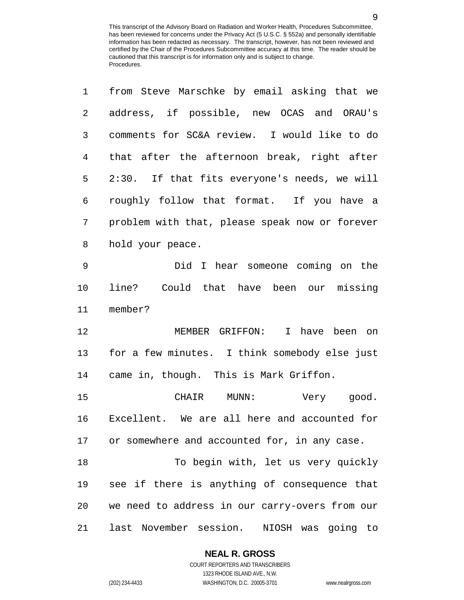| 1           | from Steve Marschke by email asking that we    |
|-------------|------------------------------------------------|
| 2           | address, if possible, new OCAS and ORAU's      |
| 3           | comments for SC&A review. I would like to do   |
| 4           | that after the afternoon break, right after    |
| 5           | 2:30. If that fits everyone's needs, we will   |
| 6           | roughly follow that format. If you have a      |
| 7           | problem with that, please speak now or forever |
| 8           | hold your peace.                               |
| $\mathsf 9$ | Did I hear someone coming on the               |
| 10          | line? Could that have been our missing         |
| 11          | member?                                        |
| 12          | MEMBER GRIFFON: I have been on                 |
| 13          | for a few minutes. I think somebody else just  |
| 14          | came in, though. This is Mark Griffon.         |
| 15          | CHAIR MUNN: Very good.                         |
| 16          | Excellent. We are all here and accounted for   |
| 17          | or somewhere and accounted for, in any case.   |
| 18          | To begin with, let us very quickly             |
| 19          | see if there is anything of consequence that   |
| 20          | we need to address in our carry-overs from our |
| 21          | last November session.<br>NIOSH was going to   |

**NEAL R. GROSS**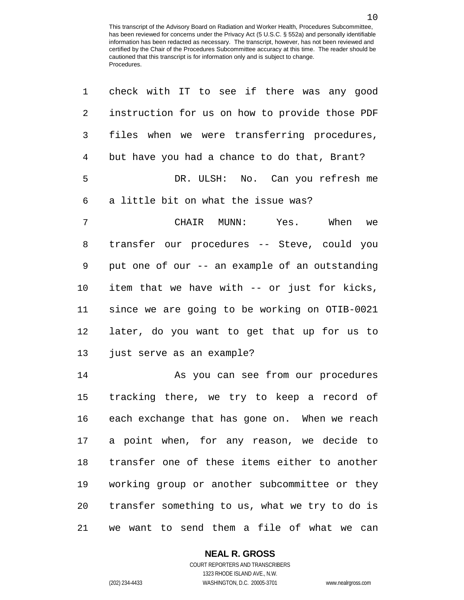| 1  | check with IT to see if there was any good     |
|----|------------------------------------------------|
| 2  | instruction for us on how to provide those PDF |
| 3  | files when we were transferring procedures,    |
| 4  | but have you had a chance to do that, Brant?   |
| 5  | DR. ULSH: No. Can you refresh me               |
| 6  | a little bit on what the issue was?            |
| 7  | CHAIR MUNN:<br>Yes. When<br>we                 |
| 8  | transfer our procedures -- Steve, could you    |
| 9  | put one of our -- an example of an outstanding |
| 10 | item that we have with -- or just for kicks,   |
| 11 | since we are going to be working on OTIB-0021  |
| 12 | later, do you want to get that up for us to    |
| 13 | just serve as an example?                      |
| 14 | As you can see from our procedures             |
| 15 | tracking there, we try to keep a record of     |
| 16 | each exchange that has gone on. When we reach  |
| 17 | a point when, for any reason, we decide to     |
| 18 | transfer one of these items either to another  |
| 19 | working group or another subcommittee or they  |
| 20 | transfer something to us, what we try to do is |
| 21 | we want to send them a file of what we can     |

# **NEAL R. GROSS**

COURT REPORTERS AND TRANSCRIBERS 1323 RHODE ISLAND AVE., N.W. (202) 234-4433 WASHINGTON, D.C. 20005-3701 www.nealrgross.com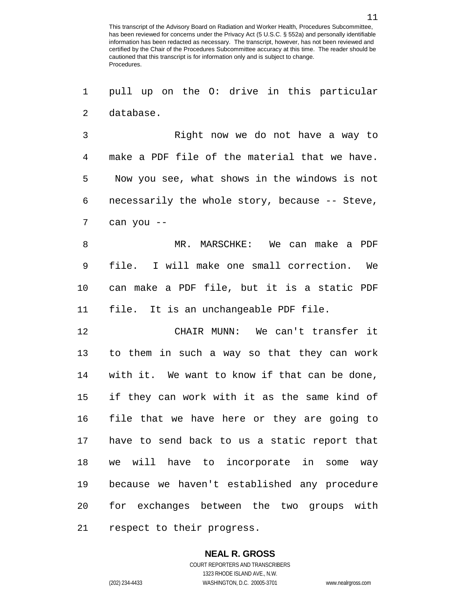pull up on the O: drive in this particular database.

 Right now we do not have a way to make a PDF file of the material that we have. Now you see, what shows in the windows is not necessarily the whole story, because -- Steve, can you --

 MR. MARSCHKE: We can make a PDF file. I will make one small correction. We can make a PDF file, but it is a static PDF file. It is an unchangeable PDF file.

 CHAIR MUNN: We can't transfer it to them in such a way so that they can work with it. We want to know if that can be done, if they can work with it as the same kind of file that we have here or they are going to have to send back to us a static report that we will have to incorporate in some way because we haven't established any procedure for exchanges between the two groups with respect to their progress.

### **NEAL R. GROSS**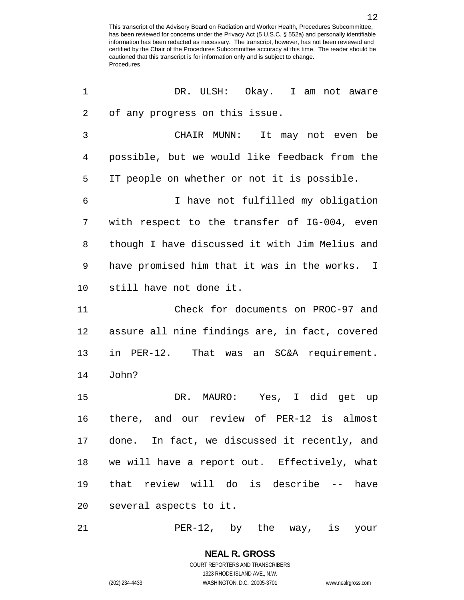| 1  | DR. ULSH: Okay. I am not aware                 |
|----|------------------------------------------------|
| 2  | of any progress on this issue.                 |
| 3  | CHAIR MUNN: It may not even be                 |
| 4  | possible, but we would like feedback from the  |
| 5  | IT people on whether or not it is possible.    |
| 6  | I have not fulfilled my obligation             |
| 7  | with respect to the transfer of IG-004, even   |
| 8  | though I have discussed it with Jim Melius and |
| 9  | have promised him that it was in the works. I  |
| 10 | still have not done it.                        |
| 11 | Check for documents on PROC-97 and             |
| 12 | assure all nine findings are, in fact, covered |
| 13 | in PER-12. That was an SC&A requirement.       |
| 14 | John?                                          |
| 15 | DR. MAURO: Yes, I did get up                   |
| 16 | there, and our review of PER-12 is almost      |
| 17 | done. In fact, we discussed it recently, and   |
| 18 | we will have a report out. Effectively, what   |
| 19 | that review will do is describe -- have        |
| 20 | several aspects to it.                         |

PER-12, by the way, is your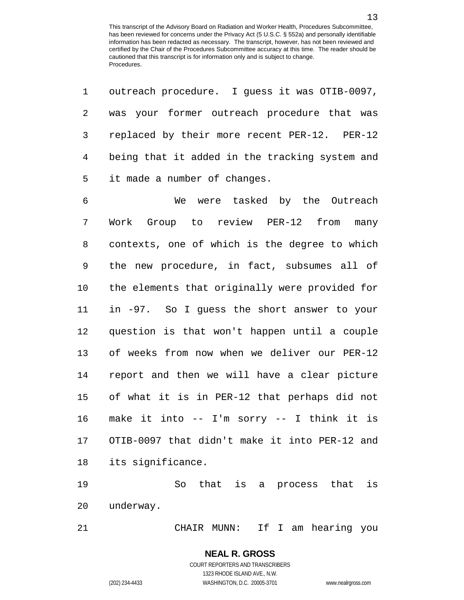outreach procedure. I guess it was OTIB-0097,

| $\overline{2}$ | was your former outreach procedure that was    |
|----------------|------------------------------------------------|
| 3              | replaced by their more recent PER-12. PER-12   |
| $\overline{4}$ | being that it added in the tracking system and |
| 5              | it made a number of changes.                   |
| 6              | were tasked by the Outreach<br>We              |
| 7              | Work Group to review PER-12 from<br>many       |
| 8              | contexts, one of which is the degree to which  |
| 9              | the new procedure, in fact, subsumes all of    |
| 10             | the elements that originally were provided for |
| 11             | in -97. So I guess the short answer to your    |
| 12             | question is that won't happen until a couple   |
| 13             | of weeks from now when we deliver our PER-12   |
| 14             | report and then we will have a clear picture   |
| 15             | of what it is in PER-12 that perhaps did not   |
| 16             | make it into -- I'm sorry -- I think it is     |
| 17             | OTIB-0097 that didn't make it into PER-12 and  |
| 18             | its significance.                              |
| 19             | that is<br>is<br>So.<br>that<br>a process      |

underway.

CHAIR MUNN: If I am hearing you

COURT REPORTERS AND TRANSCRIBERS 1323 RHODE ISLAND AVE., N.W. (202) 234-4433 WASHINGTON, D.C. 20005-3701 www.nealrgross.com

**NEAL R. GROSS**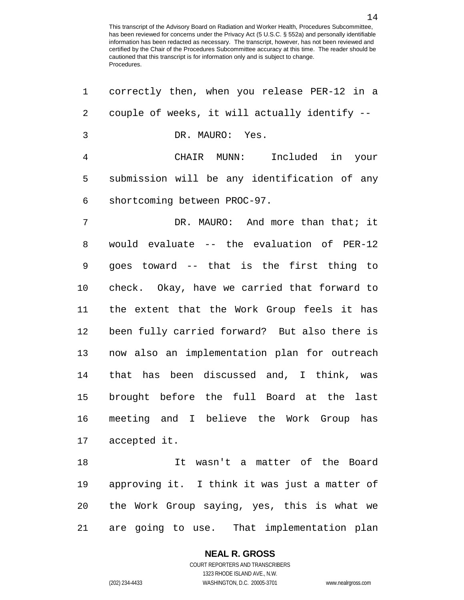| $\mathbf 1$    | correctly then, when you release PER-12 in a  |
|----------------|-----------------------------------------------|
| 2              | couple of weeks, it will actually identify -- |
| $\mathfrak{Z}$ | DR. MAURO: Yes.                               |
| $\overline{4}$ | CHAIR MUNN: Included in your                  |
| 5              | submission will be any identification of any  |
| 6              | shortcoming between PROC-97.                  |
| 7              | DR. MAURO: And more than that; it             |
| 8              | would evaluate -- the evaluation of PER-12    |
| 9              | goes toward -- that is the first thing to     |
| 10             | check. Okay, have we carried that forward to  |
| 11             | the extent that the Work Group feels it has   |
| 12             | been fully carried forward? But also there is |
| 13             | now also an implementation plan for outreach  |
| 14             | that has been discussed and, I think, was     |
| 15             | brought before the full Board at the last     |
| 16             | meeting and I believe the Work Group has      |
|                | 17 accepted it.                               |
| 18             | It wasn't a matter of the Board               |
| 19             | approving it. I think it was just a matter of |
| 20             | the Work Group saying, yes, this is what we   |
| 21             | are going to use. That implementation plan    |

**NEAL R. GROSS**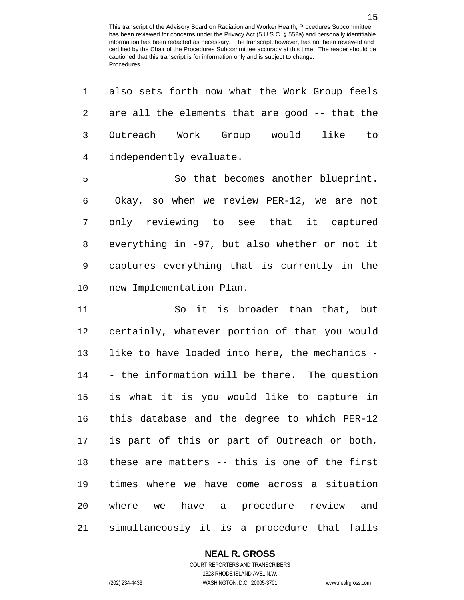also sets forth now what the Work Group feels are all the elements that are good -- that the Outreach Work Group would like to independently evaluate. So that becomes another blueprint. Okay, so when we review PER-12, we are not only reviewing to see that it captured

 everything in -97, but also whether or not it captures everything that is currently in the new Implementation Plan.

 So it is broader than that, but certainly, whatever portion of that you would like to have loaded into here, the mechanics - - the information will be there. The question is what it is you would like to capture in this database and the degree to which PER-12 is part of this or part of Outreach or both, these are matters -- this is one of the first times where we have come across a situation where we have a procedure review and simultaneously it is a procedure that falls

## **NEAL R. GROSS**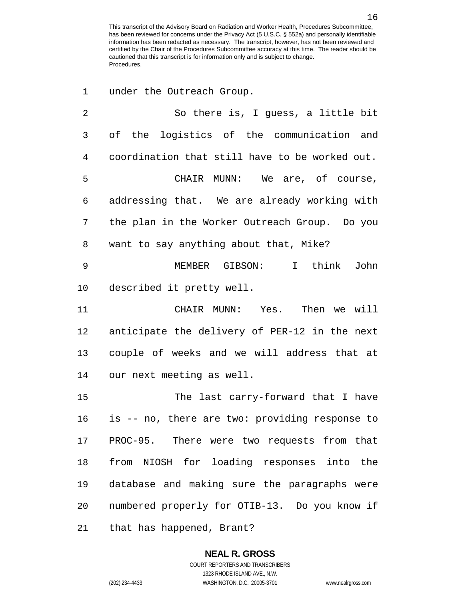| 1  | under the Outreach Group.                      |
|----|------------------------------------------------|
| 2  | So there is, I guess, a little bit             |
| 3  | of the logistics of the communication and      |
| 4  | coordination that still have to be worked out. |
| 5  | CHAIR MUNN: We are, of course,                 |
| 6  | addressing that. We are already working with   |
| 7  | the plan in the Worker Outreach Group. Do you  |
| 8  | want to say anything about that, Mike?         |
| 9  | MEMBER GIBSON: I think<br>John                 |
| 10 | described it pretty well.                      |
| 11 | CHAIR MUNN: Yes. Then we will                  |
| 12 | anticipate the delivery of PER-12 in the next  |
| 13 | couple of weeks and we will address that at    |
| 14 | our next meeting as well.                      |
| 15 | The last carry-forward that I have             |
| 16 | is -- no, there are two: providing response to |
|    | 17 PROC-95. There were two requests from that  |
| 18 | from NIOSH for loading responses into the      |
| 19 | database and making sure the paragraphs were   |
| 20 | numbered properly for OTIB-13. Do you know if  |
| 21 | that has happened, Brant?                      |

1323 RHODE ISLAND AVE., N.W.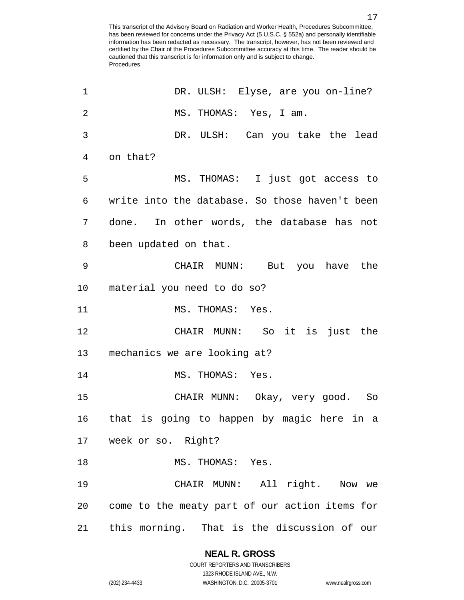| 1              | DR. ULSH: Elyse, are you on-line?              |
|----------------|------------------------------------------------|
| $\overline{2}$ | MS. THOMAS: Yes, I am.                         |
| 3              | DR. ULSH: Can you take the lead                |
| $\overline{4}$ | on that?                                       |
| 5              | MS. THOMAS: I just got access to               |
| 6              | write into the database. So those haven't been |
| 7              | done. In other words, the database has not     |
| 8              | been updated on that.                          |
| 9              | CHAIR MUNN: But you have the                   |
| 10             | material you need to do so?                    |
| 11             | MS. THOMAS: Yes.                               |
| 12             | CHAIR MUNN: So it is just the                  |
| 13             | mechanics we are looking at?                   |
| 14             | MS. THOMAS: Yes.                               |
| 15             | CHAIR MUNN: Okay, very good. So                |
| 16             | that is going to happen by magic here in a     |
|                | 17 week or so. Right?                          |
| 18             | MS. THOMAS: Yes.                               |
| 19             | CHAIR MUNN: All right. Now we                  |
| 20             | come to the meaty part of our action items for |
| 21             | this morning. That is the discussion of our    |

# **NEAL R. GROSS**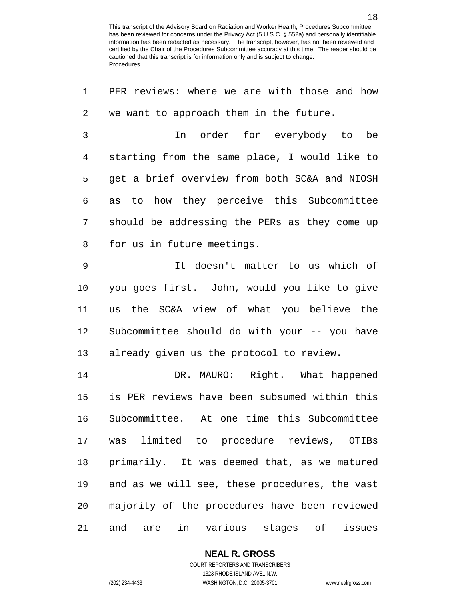| 1              | PER reviews: where we are with those and how   |
|----------------|------------------------------------------------|
| 2              | we want to approach them in the future.        |
| $\mathfrak{Z}$ | In order for everybody to<br>be                |
| 4              | starting from the same place, I would like to  |
| 5              | get a brief overview from both SC&A and NIOSH  |
| 6              | to how they perceive this Subcommittee<br>as   |
| 7              | should be addressing the PERs as they come up  |
| 8              | for us in future meetings.                     |
| 9              | It doesn't matter to us which of               |
| 10             | you goes first. John, would you like to give   |
| 11             | us the SC&A view of what you believe the       |
| 12             | Subcommittee should do with your -- you have   |
| 13             | already given us the protocol to review.       |
| 14             | DR. MAURO: Right. What happened                |
| 15             | is PER reviews have been subsumed within this  |
| 16             | Subcommittee. At one time this Subcommittee    |
| 17             | was limited to procedure reviews, OTIBs        |
| 18             | primarily. It was deemed that, as we matured   |
| 19             | and as we will see, these procedures, the vast |
| 20             | majority of the procedures have been reviewed  |
| 21             | in various stages of issues<br>and<br>are      |

**NEAL R. GROSS**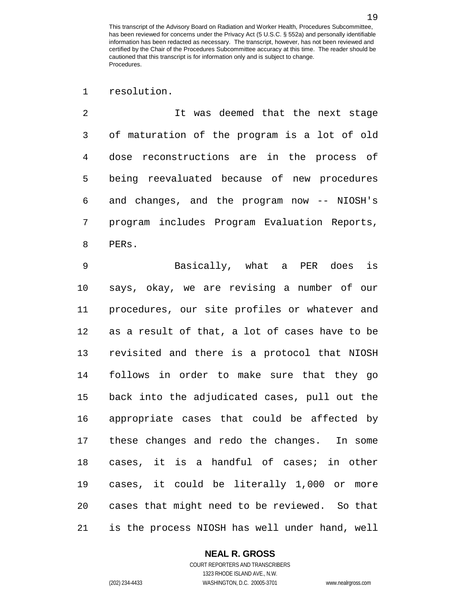resolution.

 It was deemed that the next stage of maturation of the program is a lot of old dose reconstructions are in the process of being reevaluated because of new procedures and changes, and the program now -- NIOSH's program includes Program Evaluation Reports, PERs.

 Basically, what a PER does is says, okay, we are revising a number of our procedures, our site profiles or whatever and as a result of that, a lot of cases have to be revisited and there is a protocol that NIOSH follows in order to make sure that they go back into the adjudicated cases, pull out the appropriate cases that could be affected by these changes and redo the changes. In some cases, it is a handful of cases; in other cases, it could be literally 1,000 or more cases that might need to be reviewed. So that is the process NIOSH has well under hand, well

## **NEAL R. GROSS**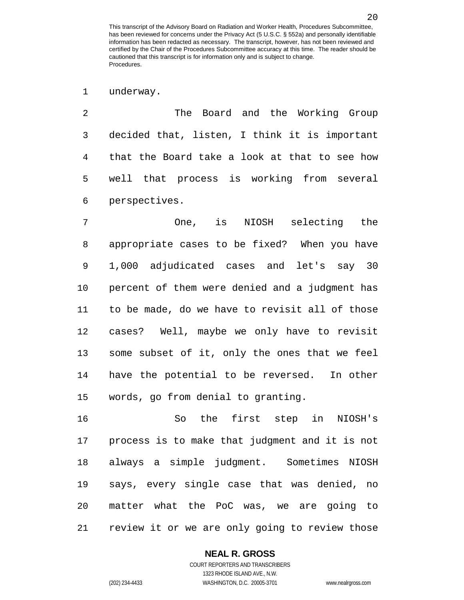underway.

 The Board and the Working Group decided that, listen, I think it is important that the Board take a look at that to see how well that process is working from several perspectives.

 One, is NIOSH selecting the appropriate cases to be fixed? When you have 1,000 adjudicated cases and let's say 30 percent of them were denied and a judgment has to be made, do we have to revisit all of those cases? Well, maybe we only have to revisit some subset of it, only the ones that we feel have the potential to be reversed. In other words, go from denial to granting.

 So the first step in NIOSH's process is to make that judgment and it is not always a simple judgment. Sometimes NIOSH says, every single case that was denied, no matter what the PoC was, we are going to review it or we are only going to review those

## **NEAL R. GROSS**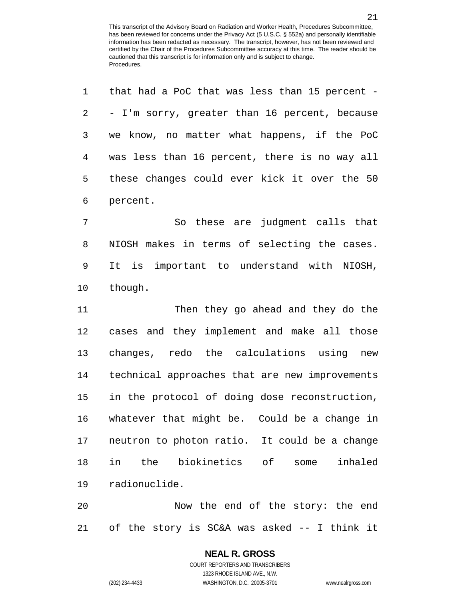| $\mathbf 1$    | that had a PoC that was less than 15 percent - |
|----------------|------------------------------------------------|
| 2              | - I'm sorry, greater than 16 percent, because  |
| 3              | we know, no matter what happens, if the PoC    |
| $\overline{4}$ | was less than 16 percent, there is no way all  |
| 5              | these changes could ever kick it over the 50   |
| 6              | percent.                                       |
| 7              | So these are judgment calls that               |
| 8              | NIOSH makes in terms of selecting the cases.   |
| 9              | It is important to understand with NIOSH,      |
| 10             | though.                                        |
| 11             | Then they go ahead and they do the             |
| 12             | cases and they implement and make all those    |
|                |                                                |
| 13             | changes, redo the calculations using new       |
| 14             | technical approaches that are new improvements |
| 15             | in the protocol of doing dose reconstruction,  |
| 16             | whatever that might be. Could be a change in   |
| 17             | neutron to photon ratio. It could be a change  |
| 18             | the biokinetics of<br>in<br>inhaled<br>some    |
| 19             | radionuclide.                                  |

of the story is SC&A was asked -- I think it

# **NEAL R. GROSS**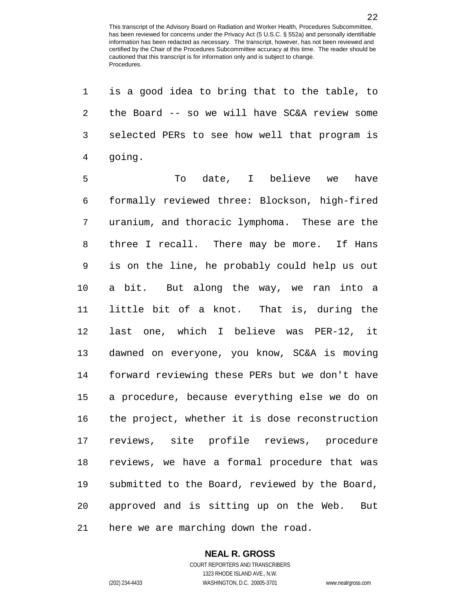is a good idea to bring that to the table, to the Board -- so we will have SC&A review some selected PERs to see how well that program is going.

5 To date, I believe we have formally reviewed three: Blockson, high-fired uranium, and thoracic lymphoma. These are the three I recall. There may be more. If Hans is on the line, he probably could help us out a bit. But along the way, we ran into a little bit of a knot. That is, during the last one, which I believe was PER-12, it dawned on everyone, you know, SC&A is moving forward reviewing these PERs but we don't have a procedure, because everything else we do on the project, whether it is dose reconstruction reviews, site profile reviews, procedure reviews, we have a formal procedure that was submitted to the Board, reviewed by the Board, approved and is sitting up on the Web. But here we are marching down the road.

# **NEAL R. GROSS**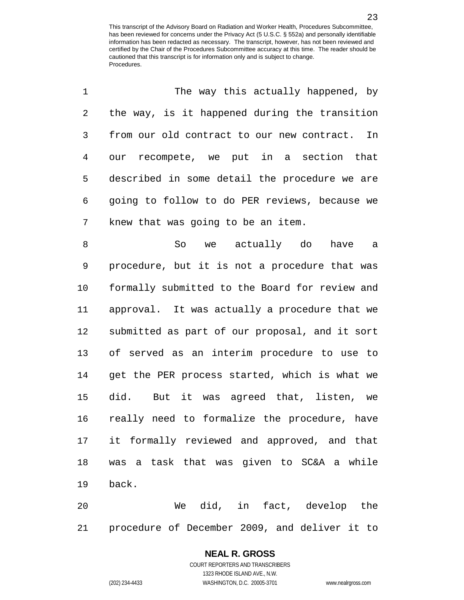| 1              | The way this actually happened, by             |
|----------------|------------------------------------------------|
| 2              | the way, is it happened during the transition  |
| 3              | from our old contract to our new contract. In  |
| $\overline{4}$ | our recompete, we put in a section that        |
| 5              | described in some detail the procedure we are  |
| 6              | going to follow to do PER reviews, because we  |
| 7              | knew that was going to be an item.             |
| 8              | So we actually do<br>have<br>a a               |
| 9              | procedure, but it is not a procedure that was  |
| 10             | formally submitted to the Board for review and |
| 11             | approval. It was actually a procedure that we  |
| 12             | submitted as part of our proposal, and it sort |
| 13             | of served as an interim procedure to use to    |
| 14             | get the PER process started, which is what we  |
| 15             | did. But it was agreed that, listen, we        |
| 16             | really need to formalize the procedure, have   |
| 17             | it formally reviewed and approved, and that    |
| 18             | was a task that was given to SC&A a while      |
| 19             | back.                                          |
| 20             | did, in fact, develop the<br>We                |

procedure of December 2009, and deliver it to

# **NEAL R. GROSS**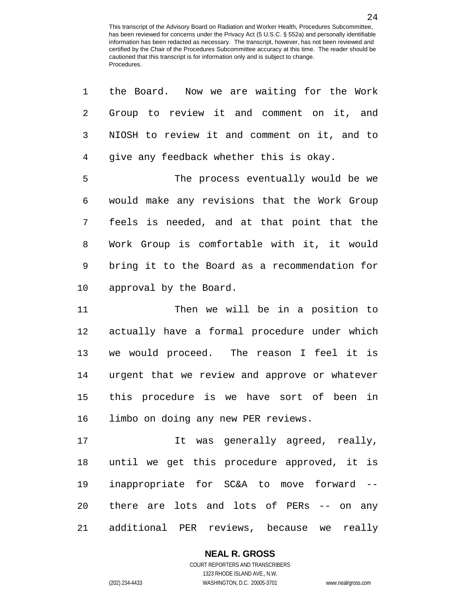| $\mathbf 1$ | the Board. Now we are waiting for the Work    |
|-------------|-----------------------------------------------|
| 2           | Group to review it and comment on it, and     |
| 3           | NIOSH to review it and comment on it, and to  |
| 4           | give any feedback whether this is okay.       |
| 5           | The process eventually would be we            |
| 6           | would make any revisions that the Work Group  |
| 7           | feels is needed, and at that point that the   |
| 8           | Work Group is comfortable with it, it would   |
| 9           | bring it to the Board as a recommendation for |
| 10          | approval by the Board.                        |
| 11          | Then we will be in a position to              |
| 12          | actually have a formal procedure under which  |
| 13          | we would proceed. The reason I feel it is     |
| 14          | urgent that we review and approve or whatever |
| 15          | this procedure is we have sort of been in     |
| 16          | limbo on doing any new PER reviews.           |
| 17          | It was generally agreed, really,              |
| 18          | until we get this procedure approved, it is   |
| 19          | inappropriate for SC&A to move forward --     |
| 20          | there are lots and lots of PERs -- on any     |
| 21          | additional PER reviews, because we really     |

## **NEAL R. GROSS**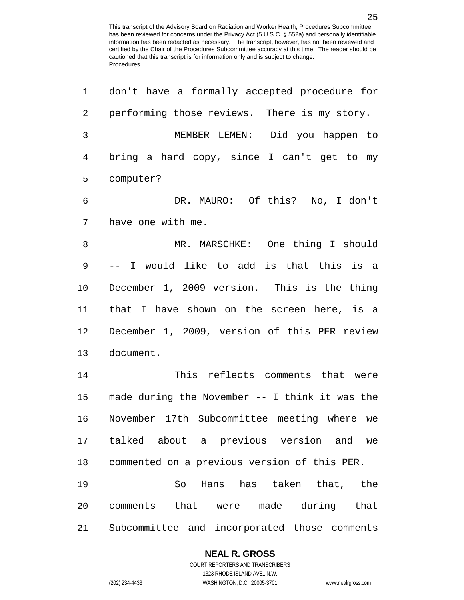| 1  | don't have a formally accepted procedure for     |
|----|--------------------------------------------------|
| 2  | performing those reviews. There is my story.     |
| 3  | MEMBER LEMEN: Did you happen to                  |
| 4  | bring a hard copy, since I can't get to my       |
| 5  | computer?                                        |
| 6  | DR. MAURO: Of this? No, I don't                  |
| 7  | have one with me.                                |
| 8  | MR. MARSCHKE: One thing I should                 |
| 9  | -- I would like to add is that this is a         |
| 10 | December 1, 2009 version. This is the thing      |
| 11 | that I have shown on the screen here, is a       |
| 12 | December 1, 2009, version of this PER review     |
| 13 | document.                                        |
| 14 | This reflects comments that were                 |
| 15 | made during the November $--$ I think it was the |
| 16 | November 17th Subcommittee meeting where we      |
| 17 | talked about a previous version and we           |
| 18 | commented on a previous version of this PER.     |
| 19 | So Hans has taken that, the                      |
| 20 | comments that were made during that              |
| 21 | Subcommittee and incorporated those comments     |

## **NEAL R. GROSS**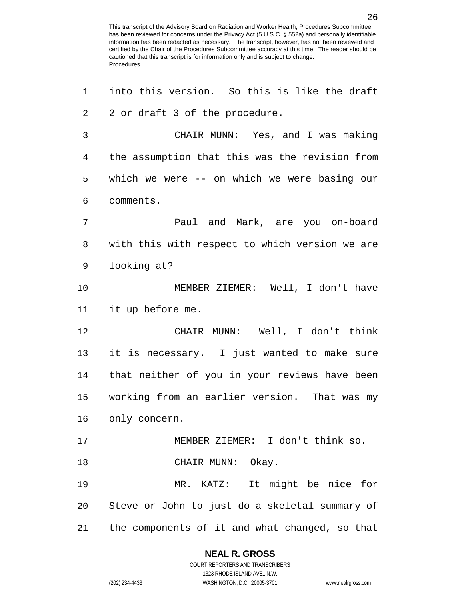into this version. So this is like the draft 2 2 or draft 3 of the procedure. CHAIR MUNN: Yes, and I was making the assumption that this was the revision from which we were -- on which we were basing our comments. Paul and Mark, are you on-board with this with respect to which version we are looking at? MEMBER ZIEMER: Well, I don't have it up before me. CHAIR MUNN: Well, I don't think it is necessary. I just wanted to make sure that neither of you in your reviews have been working from an earlier version. That was my only concern. MEMBER ZIEMER: I don't think so. 18 CHAIR MUNN: Okay. MR. KATZ: It might be nice for Steve or John to just do a skeletal summary of the components of it and what changed, so that

## **NEAL R. GROSS**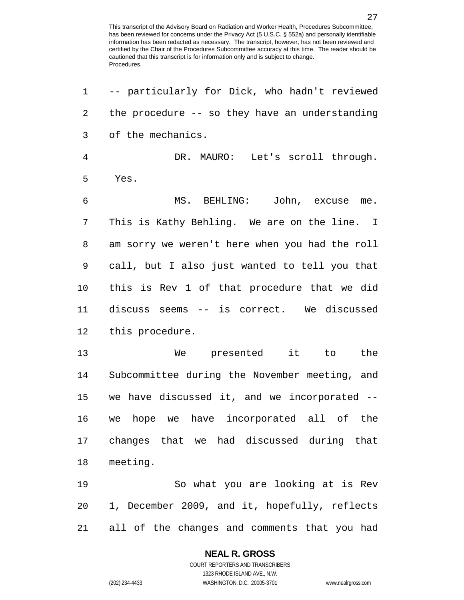-- particularly for Dick, who hadn't reviewed the procedure -- so they have an understanding of the mechanics. DR. MAURO: Let's scroll through. Yes. MS. BEHLING: John, excuse me. This is Kathy Behling. We are on the line. I am sorry we weren't here when you had the roll call, but I also just wanted to tell you that this is Rev 1 of that procedure that we did discuss seems -- is correct. We discussed this procedure. We presented it to the Subcommittee during the November meeting, and we have discussed it, and we incorporated -- we hope we have incorporated all of the changes that we had discussed during that meeting. So what you are looking at is Rev 1, December 2009, and it, hopefully, reflects all of the changes and comments that you had

### **NEAL R. GROSS**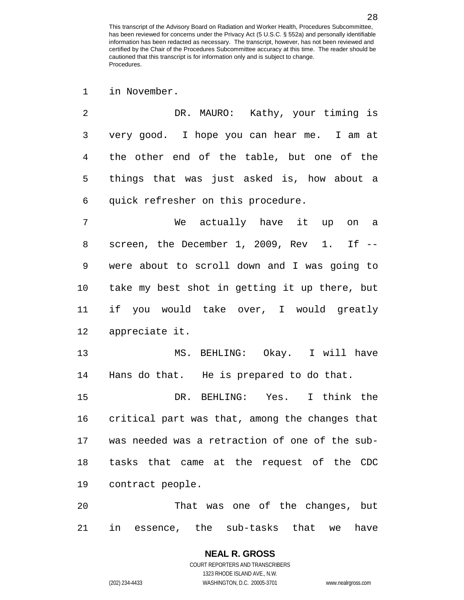in November.

| 2 | DR. MAURO: Kathy, your timing is                 |
|---|--------------------------------------------------|
| 3 | very good. I hope you can hear me. I am at       |
| 4 | the other end of the table, but one of the       |
| 5 | things that was just asked is, how about a       |
| 6 | quick refresher on this procedure.               |
| 7 | We actually have it up on a                      |
| 8 | screen, the December 1, 2009, Rev 1. If --       |
| 9 | were about to scroll down and I was going to     |
|   | 10 take my best shot in getting it up there, but |
|   |                                                  |

 if you would take over, I would greatly appreciate it.

 MS. BEHLING: Okay. I will have Hans do that. He is prepared to do that.

 DR. BEHLING: Yes. I think the critical part was that, among the changes that was needed was a retraction of one of the sub- tasks that came at the request of the CDC contract people.

 That was one of the changes, but in essence, the sub-tasks that we have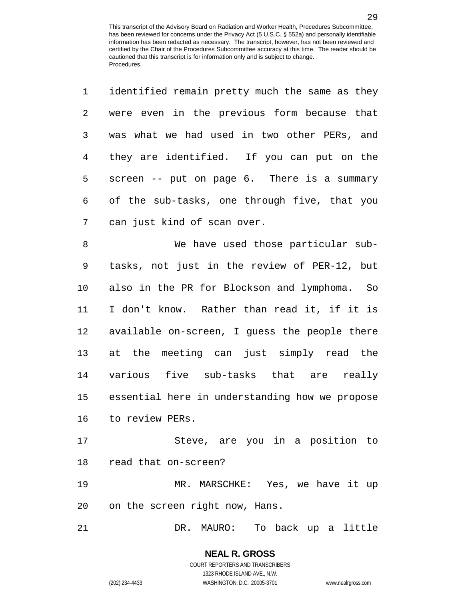| 1  | identified remain pretty much the same as they |
|----|------------------------------------------------|
| 2  | were even in the previous form because that    |
| 3  | was what we had used in two other PERs, and    |
| 4  | they are identified. If you can put on the     |
| 5  | screen -- put on page 6. There is a summary    |
| 6  | of the sub-tasks, one through five, that you   |
| 7  | can just kind of scan over.                    |
| 8  | We have used those particular sub-             |
| 9  | tasks, not just in the review of PER-12, but   |
| 10 | also in the PR for Blockson and lymphoma. So   |
| 11 | I don't know. Rather than read it, if it is    |
| 12 | available on-screen, I guess the people there  |
| 13 | at the meeting can just simply read the        |
| 14 | various five sub-tasks that are really         |
| 15 | essential here in understanding how we propose |
| 16 | to review PERs.                                |
|    |                                                |
| 17 | Steve, are you in a position to                |
| 18 | read that on-screen?                           |

on the screen right now, Hans.

DR. MAURO: To back up a little

**NEAL R. GROSS** COURT REPORTERS AND TRANSCRIBERS

1323 RHODE ISLAND AVE., N.W.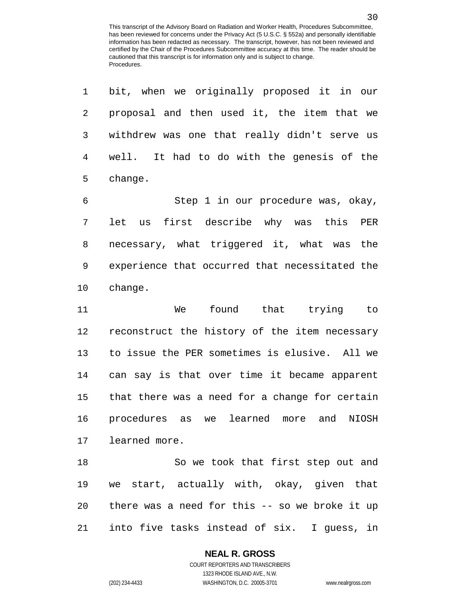| 1              | bit, when we originally proposed it in our      |
|----------------|-------------------------------------------------|
| $\overline{2}$ | proposal and then used it, the item that we     |
| 3              | withdrew was one that really didn't serve us    |
| 4              | well. It had to do with the genesis of the      |
| 5              | change.                                         |
| 6              | Step 1 in our procedure was, okay,              |
| 7              | first describe why was this<br>let<br>PER<br>us |
| 8              | necessary, what triggered it, what was the      |
| 9              | experience that occurred that necessitated the  |
| 10             | change.                                         |
| 11             | found that trying<br>We<br>to to                |
| 12             | reconstruct the history of the item necessary   |
| 13             | to issue the PER sometimes is elusive. All we   |
| 14             | can say is that over time it became apparent    |
| 15             | that there was a need for a change for certain  |
| 16             | procedures as we learned more and<br>NIOSH      |
| 17             | learned more.                                   |
| 18             | So we took that first step out and              |
| 19             | we start, actually with, okay, given that       |
| 20             | there was a need for this -- so we broke it up  |
| 21             | into five tasks instead of six. I guess, in     |

### **NEAL R. GROSS**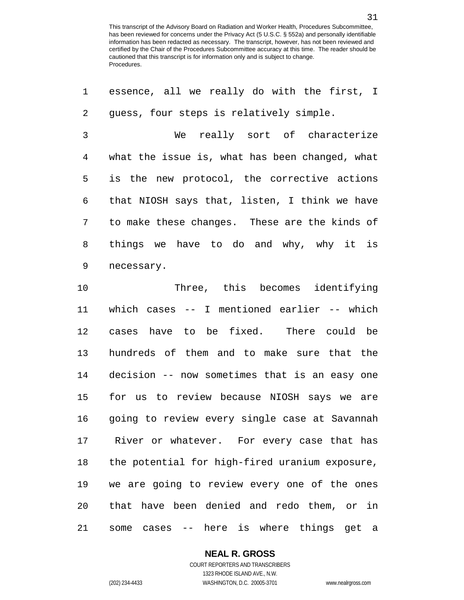essence, all we really do with the first, I

 guess, four steps is relatively simple. We really sort of characterize what the issue is, what has been changed, what is the new protocol, the corrective actions that NIOSH says that, listen, I think we have to make these changes. These are the kinds of things we have to do and why, why it is necessary. Three, this becomes identifying which cases -- I mentioned earlier -- which cases have to be fixed. There could be hundreds of them and to make sure that the decision -- now sometimes that is an easy one for us to review because NIOSH says we are going to review every single case at Savannah River or whatever. For every case that has the potential for high-fired uranium exposure, we are going to review every one of the ones that have been denied and redo them, or in some cases -- here is where things get a

**NEAL R. GROSS**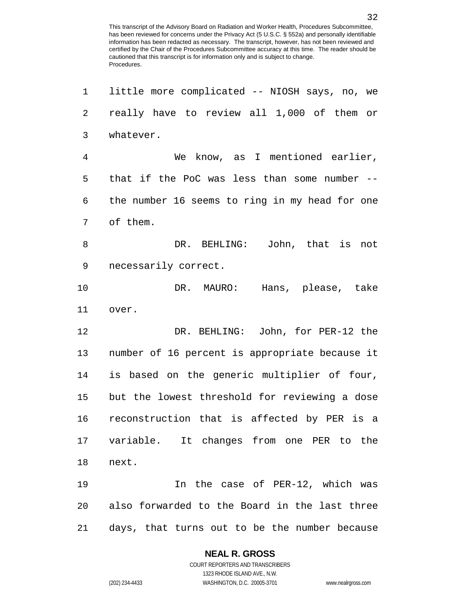little more complicated -- NIOSH says, no, we really have to review all 1,000 of them or whatever. We know, as I mentioned earlier, that if the PoC was less than some number -- the number 16 seems to ring in my head for one of them. DR. BEHLING: John, that is not necessarily correct. DR. MAURO: Hans, please, take over. DR. BEHLING: John, for PER-12 the number of 16 percent is appropriate because it is based on the generic multiplier of four, but the lowest threshold for reviewing a dose reconstruction that is affected by PER is a variable. It changes from one PER to the next. In the case of PER-12, which was also forwarded to the Board in the last three days, that turns out to be the number because

**NEAL R. GROSS**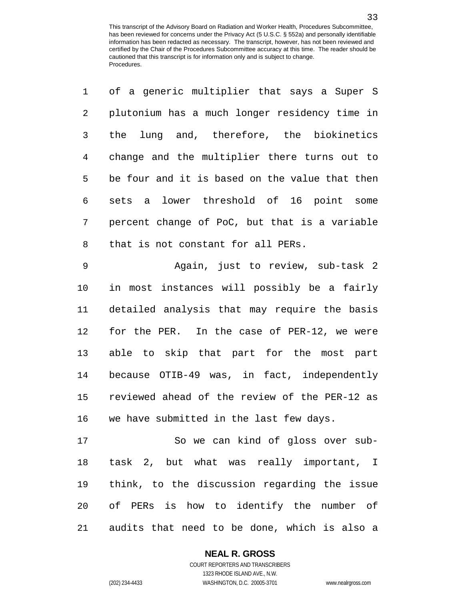| $\mathbf 1$    | of a generic multiplier that says a Super S    |
|----------------|------------------------------------------------|
| $\overline{2}$ | plutonium has a much longer residency time in  |
| 3              | the lung and, therefore, the biokinetics       |
| $\overline{4}$ | change and the multiplier there turns out to   |
| 5              | be four and it is based on the value that then |
| 6              | sets a lower threshold of 16 point some        |
| 7              | percent change of PoC, but that is a variable  |
| 8              | that is not constant for all PERs.             |
| 9              | Again, just to review, sub-task 2              |
| 10             | in most instances will possibly be a fairly    |
| 11             | detailed analysis that may require the basis   |
| 12             | for the PER. In the case of PER-12, we were    |
| 13             | able to skip that part for the most part       |
|                |                                                |

 reviewed ahead of the review of the PER-12 as we have submitted in the last few days.

because OTIB-49 was, in fact, independently

 So we can kind of gloss over sub- task 2, but what was really important, I think, to the discussion regarding the issue of PERs is how to identify the number of audits that need to be done, which is also a

## **NEAL R. GROSS**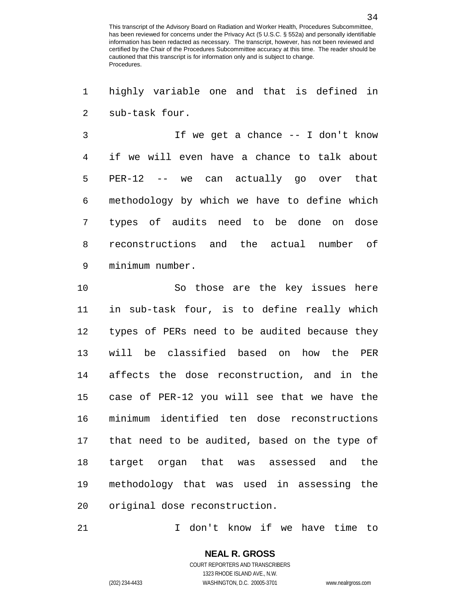highly variable one and that is defined in sub-task four.

 If we get a chance -- I don't know if we will even have a chance to talk about PER-12 -- we can actually go over that methodology by which we have to define which types of audits need to be done on dose reconstructions and the actual number of minimum number.

 So those are the key issues here in sub-task four, is to define really which types of PERs need to be audited because they will be classified based on how the PER affects the dose reconstruction, and in the case of PER-12 you will see that we have the minimum identified ten dose reconstructions that need to be audited, based on the type of target organ that was assessed and the methodology that was used in assessing the original dose reconstruction.

I don't know if we have time to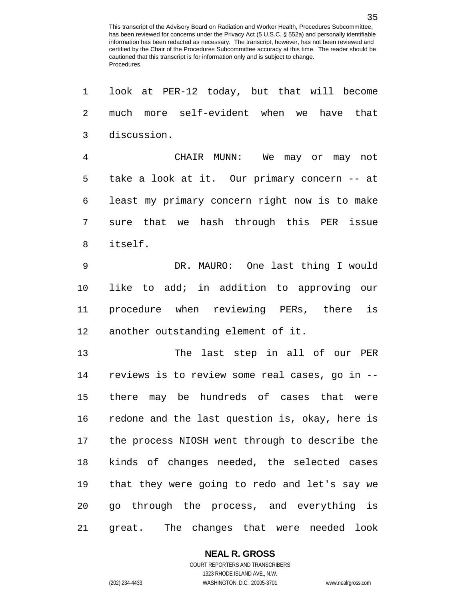look at PER-12 today, but that will become much more self-evident when we have that discussion. CHAIR MUNN: We may or may not take a look at it. Our primary concern -- at least my primary concern right now is to make sure that we hash through this PER issue itself. DR. MAURO: One last thing I would like to add; in addition to approving our procedure when reviewing PERs, there is another outstanding element of it. The last step in all of our PER reviews is to review some real cases, go in -- there may be hundreds of cases that were redone and the last question is, okay, here is the process NIOSH went through to describe the kinds of changes needed, the selected cases that they were going to redo and let's say we go through the process, and everything is great. The changes that were needed look

### **NEAL R. GROSS**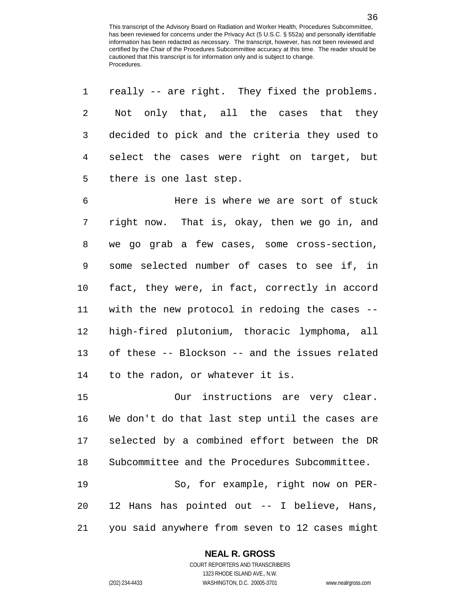| 1  | really -- are right. They fixed the problems.  |
|----|------------------------------------------------|
| 2  | Not only that, all the cases that they         |
| 3  | decided to pick and the criteria they used to  |
| 4  | select the cases were right on target, but     |
| 5  | there is one last step.                        |
| 6  | Here is where we are sort of stuck             |
| 7  | right now. That is, okay, then we go in, and   |
| 8  | we go grab a few cases, some cross-section,    |
| 9  | some selected number of cases to see if, in    |
| 10 | fact, they were, in fact, correctly in accord  |
| 11 | with the new protocol in redoing the cases --  |
| 12 | high-fired plutonium, thoracic lymphoma, all   |
| 13 | of these -- Blockson -- and the issues related |
| 14 | to the radon, or whatever it is.               |
| 15 | Our instructions are very clear.               |
| 16 | We don't do that last step until the cases are |
| 17 | selected by a combined effort between the DR   |
| 18 | Subcommittee and the Procedures Subcommittee.  |
| 19 | So, for example, right now on PER-             |
| 20 | 12 Hans has pointed out -- I believe, Hans,    |
| 21 | you said anywhere from seven to 12 cases might |

### **NEAL R. GROSS**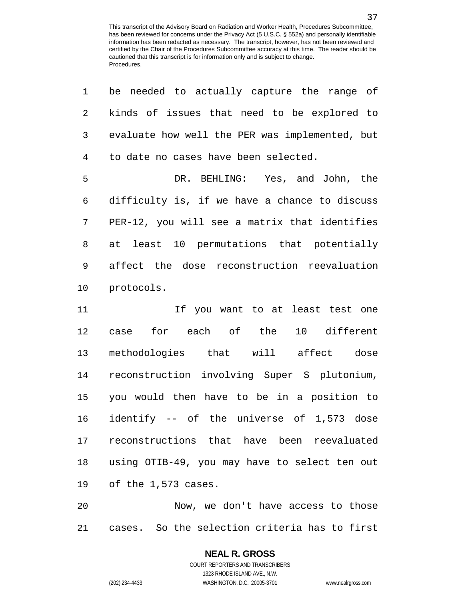be needed to actually capture the range of

| 2  | kinds of issues that need to be explored to    |
|----|------------------------------------------------|
| 3  | evaluate how well the PER was implemented, but |
| 4  | to date no cases have been selected.           |
| 5  | DR. BEHLING: Yes, and John, the                |
| 6  | difficulty is, if we have a chance to discuss  |
| 7  | PER-12, you will see a matrix that identifies  |
| 8  | at least 10 permutations that potentially      |
| 9  | affect the dose reconstruction reevaluation    |
| 10 | protocols.                                     |
| 11 | If you want to at least test one               |
| 12 | case for each of the 10 different              |
| 13 | methodologies that will affect dose            |
| 14 | reconstruction involving Super S plutonium,    |
| 15 | you would then have to be in a position to     |
| 16 | identify -- of the universe of 1,573 dose      |
| 17 | reconstructions that have been reevaluated     |
| 18 | using OTIB-49, you may have to select ten out  |
|    | 19 of the 1,573 cases.                         |
| 20 | Now, we don't have access to those             |
|    |                                                |

cases. So the selection criteria has to first

# **NEAL R. GROSS**

COURT REPORTERS AND TRANSCRIBERS 1323 RHODE ISLAND AVE., N.W. (202) 234-4433 WASHINGTON, D.C. 20005-3701 www.nealrgross.com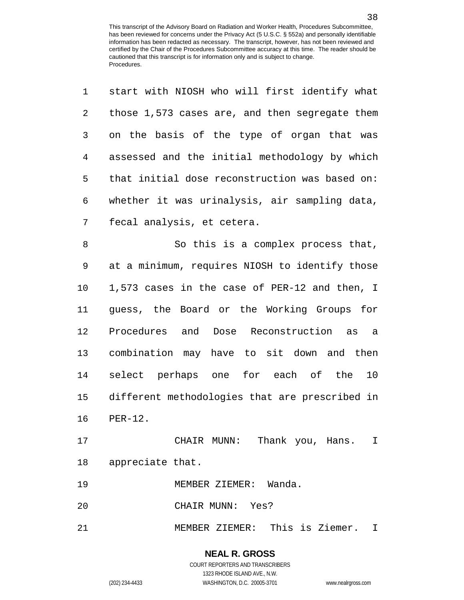| 1              | start with NIOSH who will first identify what  |
|----------------|------------------------------------------------|
| $\overline{c}$ | those 1,573 cases are, and then segregate them |
| 3              | on the basis of the type of organ that was     |
| $\overline{4}$ | assessed and the initial methodology by which  |
| 5              | that initial dose reconstruction was based on: |
| 6              | whether it was urinalysis, air sampling data,  |
| 7              | fecal analysis, et cetera.                     |
| 8              | So this is a complex process that,             |
| $\mathsf 9$    | at a minimum, requires NIOSH to identify those |
| 10             | 1,573 cases in the case of PER-12 and then, I  |
| 11             | guess, the Board or the Working Groups for     |
| 12             | Procedures and Dose Reconstruction as<br>a a   |
| 13             | combination may have to sit down and then      |
| 14             | select perhaps one for each of the 10          |
| 15             | different methodologies that are prescribed in |
| 16             | $PER-12.$                                      |
| 17             | Thank you, Hans.<br>CHAIR MUNN:<br>I.          |
| 18             | appreciate that.                               |
| 19             | Wanda.<br>MEMBER ZIEMER:                       |
|                |                                                |

CHAIR MUNN: Yes?

MEMBER ZIEMER: This is Ziemer. I

COURT REPORTERS AND TRANSCRIBERS 1323 RHODE ISLAND AVE., N.W. (202) 234-4433 WASHINGTON, D.C. 20005-3701 www.nealrgross.com

**NEAL R. GROSS**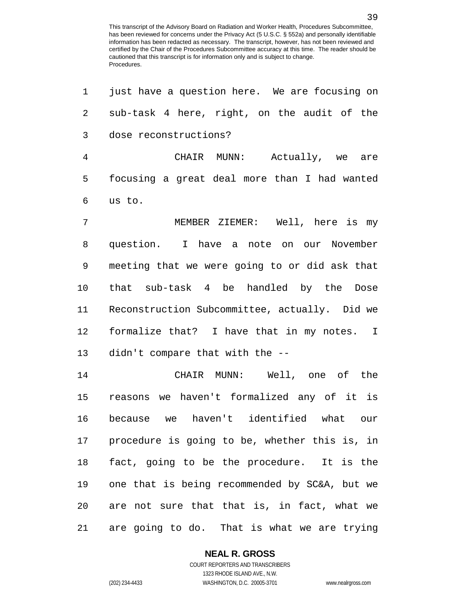just have a question here. We are focusing on sub-task 4 here, right, on the audit of the dose reconstructions? CHAIR MUNN: Actually, we are focusing a great deal more than I had wanted us to. MEMBER ZIEMER: Well, here is my question. I have a note on our November meeting that we were going to or did ask that that sub-task 4 be handled by the Dose Reconstruction Subcommittee, actually. Did we formalize that? I have that in my notes. I didn't compare that with the -- CHAIR MUNN: Well, one of the reasons we haven't formalized any of it is because we haven't identified what our procedure is going to be, whether this is, in fact, going to be the procedure. It is the one that is being recommended by SC&A, but we are not sure that that is, in fact, what we are going to do. That is what we are trying

**NEAL R. GROSS**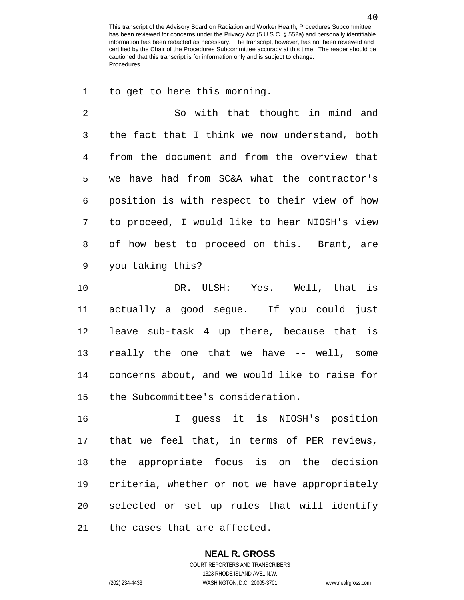to get to here this morning.

 So with that thought in mind and the fact that I think we now understand, both from the document and from the overview that we have had from SC&A what the contractor's position is with respect to their view of how to proceed, I would like to hear NIOSH's view of how best to proceed on this. Brant, are you taking this?

 DR. ULSH: Yes. Well, that is actually a good segue. If you could just leave sub-task 4 up there, because that is really the one that we have -- well, some concerns about, and we would like to raise for the Subcommittee's consideration.

 I guess it is NIOSH's position that we feel that, in terms of PER reviews, the appropriate focus is on the decision criteria, whether or not we have appropriately selected or set up rules that will identify the cases that are affected.

## **NEAL R. GROSS**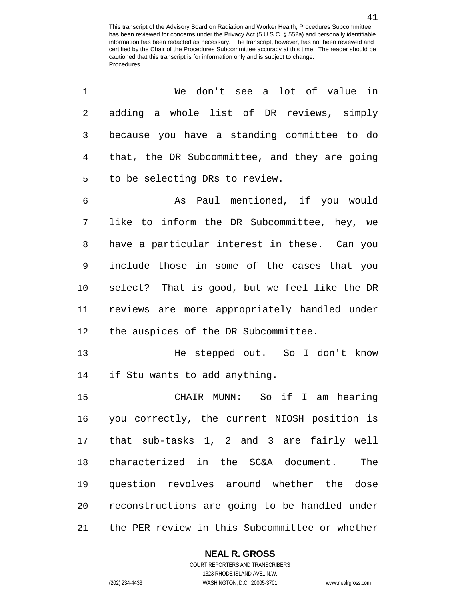| 1           | We don't see a lot of value in                 |
|-------------|------------------------------------------------|
| 2           | adding a whole list of DR reviews, simply      |
| 3           | because you have a standing committee to do    |
| 4           | that, the DR Subcommittee, and they are going  |
| 5           | to be selecting DRs to review.                 |
| 6           | As Paul mentioned, if you would                |
| 7           | like to inform the DR Subcommittee, hey, we    |
| 8           | have a particular interest in these. Can you   |
| $\mathsf 9$ | include those in some of the cases that you    |
| 10          | select? That is good, but we feel like the DR  |
| 11          | reviews are more appropriately handled under   |
| 12          | the auspices of the DR Subcommittee.           |
| 13          | He stepped out. So I don't know                |
| 14          | if Stu wants to add anything.                  |
| 15          | CHAIR MUNN: So if I am hearing                 |
| 16          | you correctly, the current NIOSH position is   |
| 17          | that sub-tasks 1, 2 and 3 are fairly well      |
| 18          | characterized in the SC&A document.<br>The     |
| 19          | question revolves around whether the<br>dose   |
| 20          | reconstructions are going to be handled under  |
| 21          | the PER review in this Subcommittee or whether |

**NEAL R. GROSS**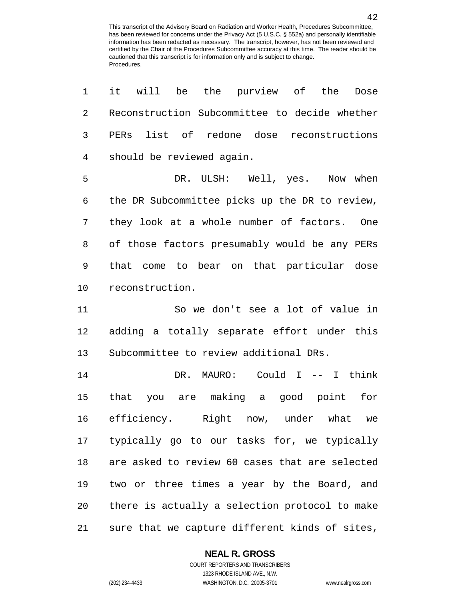| 1  | be the purview of the<br>it<br>will<br>Dose    |
|----|------------------------------------------------|
| 2  | Reconstruction Subcommittee to decide whether  |
| 3  | PERs list of redone dose reconstructions       |
| 4  | should be reviewed again.                      |
| 5  | DR. ULSH: Well, yes. Now when                  |
| 6  | the DR Subcommittee picks up the DR to review, |
| 7  | they look at a whole number of factors. One    |
| 8  | of those factors presumably would be any PERs  |
| 9  | that come to bear on that particular dose      |
| 10 | reconstruction.                                |
| 11 | So we don't see a lot of value in              |
| 12 | adding a totally separate effort under this    |
| 13 | Subcommittee to review additional DRs.         |
| 14 | DR. MAURO: Could I -- I think                  |
| 15 | that you are making a good point<br>for        |
| 16 | efficiency. Right now, under what we           |
| 17 | typically go to our tasks for, we typically    |
| 18 | are asked to review 60 cases that are selected |
| 19 | two or three times a year by the Board, and    |
| 20 | there is actually a selection protocol to make |
| 21 | sure that we capture different kinds of sites, |

#### **NEAL R. GROSS**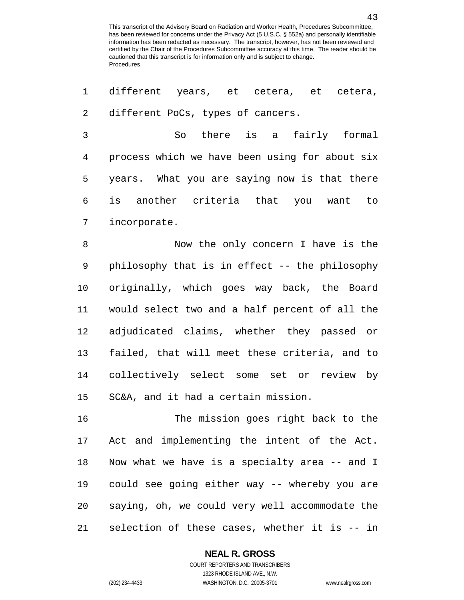different years, et cetera, et cetera, different PoCs, types of cancers. So there is a fairly formal process which we have been using for about six years. What you are saying now is that there is another criteria that you want to incorporate. Now the only concern I have is the philosophy that is in effect -- the philosophy originally, which goes way back, the Board would select two and a half percent of all the adjudicated claims, whether they passed or

 collectively select some set or review by SC&A, and it had a certain mission.

failed, that will meet these criteria, and to

 The mission goes right back to the Act and implementing the intent of the Act. Now what we have is a specialty area -- and I could see going either way -- whereby you are saying, oh, we could very well accommodate the selection of these cases, whether it is -- in

#### **NEAL R. GROSS**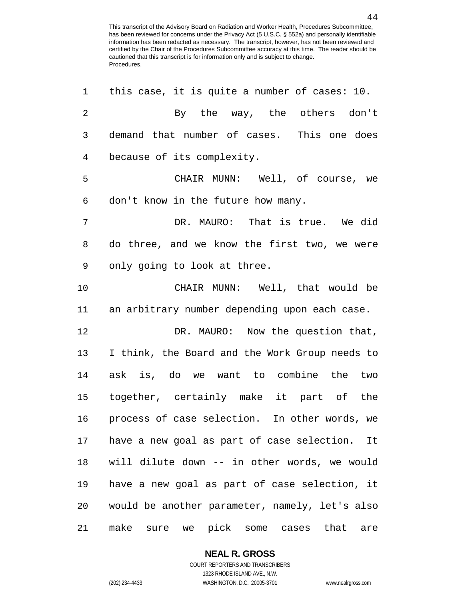| 1              | this case, it is quite a number of cases: 10.           |
|----------------|---------------------------------------------------------|
| $\overline{2}$ | By the way, the others don't                            |
| $\mathfrak{Z}$ | demand that number of cases. This one does              |
| 4              | because of its complexity.                              |
| 5              | CHAIR MUNN: Well, of course, we                         |
| 6              | don't know in the future how many.                      |
| 7              | DR. MAURO: That is true. We did                         |
| 8              | do three, and we know the first two, we were            |
| 9              | only going to look at three.                            |
| 10             | CHAIR MUNN: Well, that would be                         |
| 11             | an arbitrary number depending upon each case.           |
| 12             | DR. MAURO: Now the question that,                       |
| 13             | I think, the Board and the Work Group needs to          |
| 14             | ask is, do we want to combine the two                   |
| 15             | together, certainly make it part of the                 |
| 16             | process of case selection. In other words, we           |
| 17             | have a new goal as part of case selection. It           |
| 18             | will dilute down -- in other words, we would            |
| 19             | have a new goal as part of case selection, it           |
| 20             | would be another parameter, namely, let's also          |
| 21             | make<br>pick<br>that<br>sure<br>we<br>some cases<br>are |

**NEAL R. GROSS**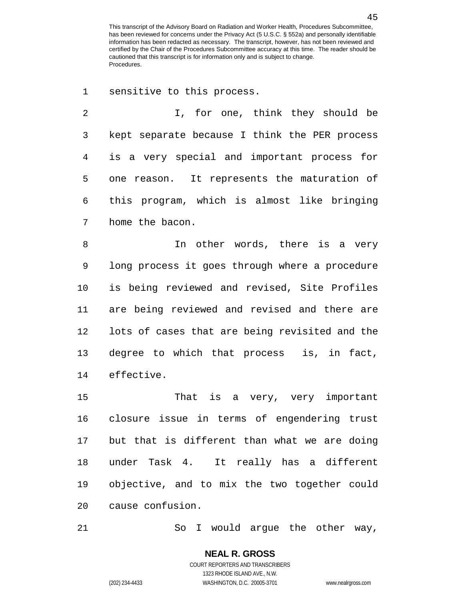sensitive to this process.

 I, for one, think they should be kept separate because I think the PER process is a very special and important process for one reason. It represents the maturation of this program, which is almost like bringing home the bacon.

8 1n other words, there is a very long process it goes through where a procedure is being reviewed and revised, Site Profiles are being reviewed and revised and there are lots of cases that are being revisited and the degree to which that process is, in fact, effective.

 That is a very, very important closure issue in terms of engendering trust but that is different than what we are doing under Task 4. It really has a different objective, and to mix the two together could cause confusion.

So I would argue the other way,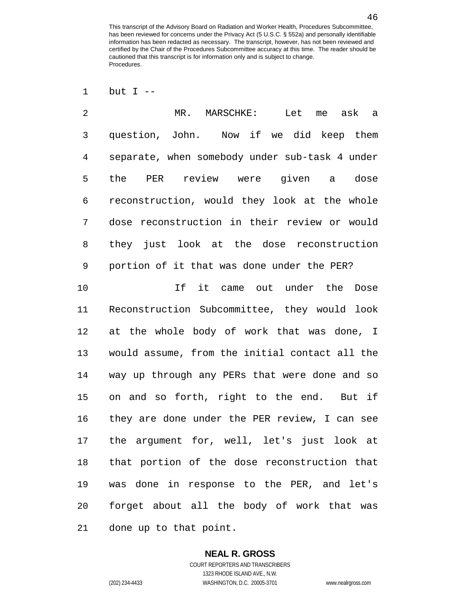but I --

 MR. MARSCHKE: Let me ask a question, John. Now if we did keep them separate, when somebody under sub-task 4 under the PER review were given a dose reconstruction, would they look at the whole dose reconstruction in their review or would they just look at the dose reconstruction portion of it that was done under the PER?

 If it came out under the Dose Reconstruction Subcommittee, they would look at the whole body of work that was done, I would assume, from the initial contact all the way up through any PERs that were done and so on and so forth, right to the end. But if they are done under the PER review, I can see the argument for, well, let's just look at that portion of the dose reconstruction that was done in response to the PER, and let's forget about all the body of work that was done up to that point.

### **NEAL R. GROSS**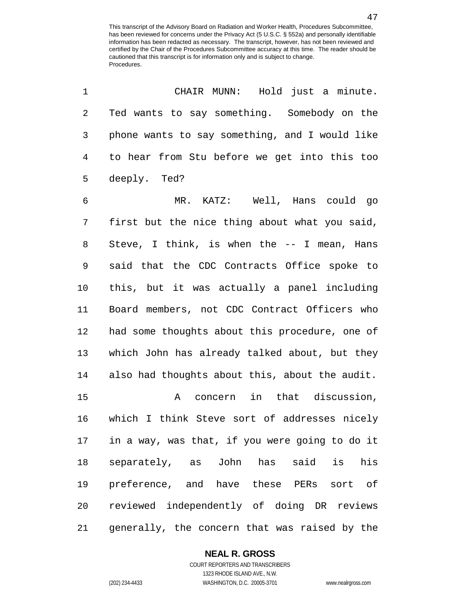| 1              | CHAIR MUNN: Hold just a minute.                |
|----------------|------------------------------------------------|
| $\sqrt{2}$     | Ted wants to say something. Somebody on the    |
| 3              | phone wants to say something, and I would like |
| $\overline{4}$ | to hear from Stu before we get into this too   |
| 5              | deeply. Ted?                                   |
| 6              | MR. KATZ: Well, Hans could go                  |
| 7              | first but the nice thing about what you said,  |
| 8              | Steve, I think, is when the $-$ - I mean, Hans |
| $\mathsf 9$    | said that the CDC Contracts Office spoke to    |
| 10             | this, but it was actually a panel including    |
| 11             | Board members, not CDC Contract Officers who   |
| 12             | had some thoughts about this procedure, one of |
| 13             | which John has already talked about, but they  |
| 14             | also had thoughts about this, about the audit. |
| 15             | concern in that discussion,<br>Α               |
| 16             | which I think Steve sort of addresses nicely   |
| 17             | in a way, was that, if you were going to do it |
| 18             | separately, as John has said is<br>his         |
| 19             | preference, and have these PERs sort of        |
| 20             | reviewed independently of doing DR reviews     |
| 21             | generally, the concern that was raised by the  |

**NEAL R. GROSS**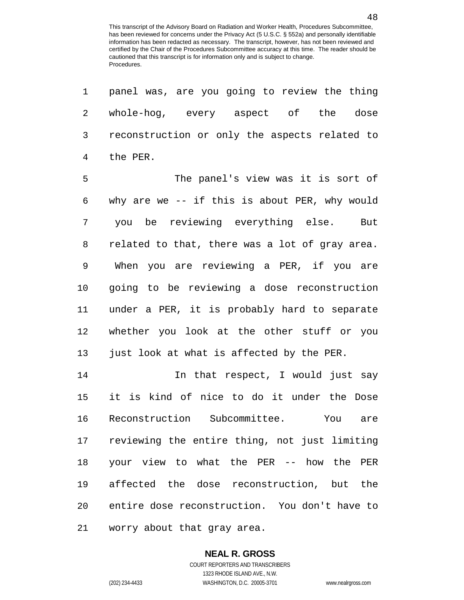panel was, are you going to review the thing

 whole-hog, every aspect of the dose reconstruction or only the aspects related to the PER. The panel's view was it is sort of why are we -- if this is about PER, why would you be reviewing everything else. But related to that, there was a lot of gray area. When you are reviewing a PER, if you are going to be reviewing a dose reconstruction under a PER, it is probably hard to separate whether you look at the other stuff or you just look at what is affected by the PER. 14 14 In that respect, I would just say it is kind of nice to do it under the Dose Reconstruction Subcommittee. You are reviewing the entire thing, not just limiting your view to what the PER -- how the PER affected the dose reconstruction, but the entire dose reconstruction. You don't have to

worry about that gray area.

#### **NEAL R. GROSS**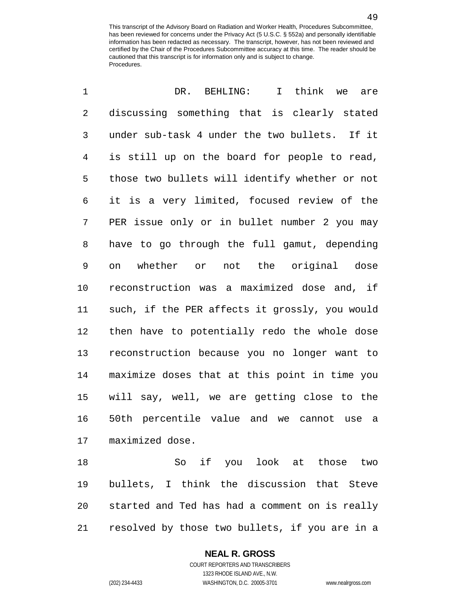| $\mathbf 1$    | I think we<br>DR. BEHLING:<br>are              |
|----------------|------------------------------------------------|
| $\overline{2}$ | discussing something that is clearly stated    |
| 3              | under sub-task 4 under the two bullets. If it  |
| $\overline{4}$ | is still up on the board for people to read,   |
| 5              | those two bullets will identify whether or not |
| 6              | it is a very limited, focused review of the    |
| 7              | PER issue only or in bullet number 2 you may   |
| 8              | have to go through the full gamut, depending   |
| $\mathsf 9$    | whether or not the original dose<br>on         |
| 10             | reconstruction was a maximized dose and, if    |
| 11             | such, if the PER affects it grossly, you would |
| 12             | then have to potentially redo the whole dose   |
| 13             | reconstruction because you no longer want to   |
| 14             | maximize doses that at this point in time you  |
| 15             | will say, well, we are getting close to the    |
| 16             | 50th percentile value and we cannot use a      |
| 17             | maximized dose.                                |
| 18             | So if you look at those<br>two                 |

 bullets, I think the discussion that Steve started and Ted has had a comment on is really resolved by those two bullets, if you are in a

#### **NEAL R. GROSS**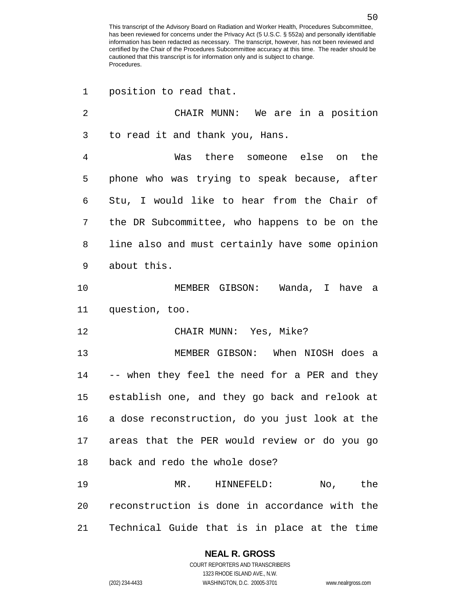position to read that.

| 2  | CHAIR MUNN: We are in a position                 |
|----|--------------------------------------------------|
| 3  | to read it and thank you, Hans.                  |
| 4  | Was there someone else on the                    |
| 5  | phone who was trying to speak because, after     |
| 6  | Stu, I would like to hear from the Chair of      |
| 7  | the DR Subcommittee, who happens to be on the    |
| 8  | line also and must certainly have some opinion   |
| 9  | about this.                                      |
| 10 | MEMBER GIBSON: Wanda, I have a                   |
| 11 | question, too.                                   |
| 12 | CHAIR MUNN: Yes, Mike?                           |
| 13 | MEMBER GIBSON: When NIOSH does a                 |
| 14 | -- when they feel the need for a PER and they    |
|    | 15 establish one, and they go back and relook at |
| 16 | a dose reconstruction, do you just look at the   |
| 17 | areas that the PER would review or do you go     |
| 18 | back and redo the whole dose?                    |
| 19 | MR. HINNEFELD: No, the                           |
| 20 | reconstruction is done in accordance with the    |
| 21 | Technical Guide that is in place at the time     |

## **NEAL R. GROSS**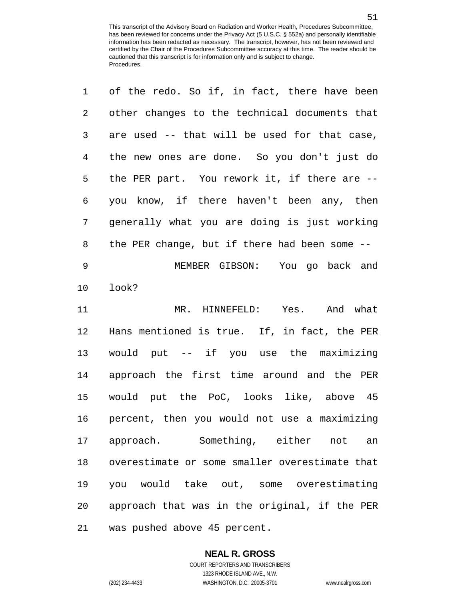| 1              | of the redo. So if, in fact, there have been   |
|----------------|------------------------------------------------|
| $\overline{a}$ | other changes to the technical documents that  |
| 3              | are used -- that will be used for that case,   |
| 4              | the new ones are done. So you don't just do    |
| 5              | the PER part. You rework it, if there are --   |
| 6              | you know, if there haven't been any, then      |
| 7              | generally what you are doing is just working   |
| 8              | the PER change, but if there had been some --  |
| $\mathsf 9$    | MEMBER GIBSON: You go back and                 |
| 10             | look?                                          |
| 11             | MR. HINNEFELD: Yes. And what                   |
| 12             | Hans mentioned is true. If, in fact, the PER   |
| 13             | would put -- if you use the maximizing         |
| 14             | approach the first time around and the PER     |
| 15             | would put the PoC, looks like, above 45        |
| 16             | percent, then you would not use a maximizing   |
| 17             | approach. Something, either not<br>an          |
| 18             | overestimate or some smaller overestimate that |
| 19             | you would take out, some overestimating        |
| 20             | approach that was in the original, if the PER  |
| 21             | was pushed above 45 percent.                   |

### **NEAL R. GROSS** COURT REPORTERS AND TRANSCRIBERS

1323 RHODE ISLAND AVE., N.W. (202) 234-4433 WASHINGTON, D.C. 20005-3701 www.nealrgross.com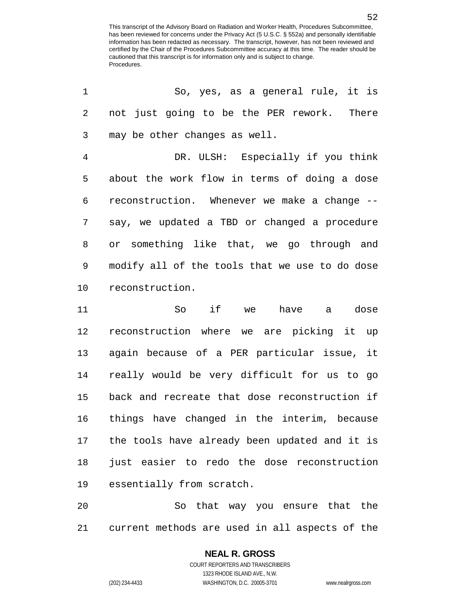| 1              | So, yes, as a general rule, it is              |
|----------------|------------------------------------------------|
| 2              | not just going to be the PER rework. There     |
| 3              | may be other changes as well.                  |
| $\overline{4}$ | DR. ULSH: Especially if you think              |
| 5              | about the work flow in terms of doing a dose   |
| 6              | reconstruction. Whenever we make a change --   |
| 7              | say, we updated a TBD or changed a procedure   |
| 8              | or something like that, we go through and      |
| 9              | modify all of the tools that we use to do dose |
| 10             | reconstruction.                                |
| 11             | if we have a dose<br>So                        |
| 12             | reconstruction where we are picking it up      |
| 13             | again because of a PER particular issue, it    |
| 14             | really would be very difficult for us to go    |
| 15             | back and recreate that dose reconstruction if  |
| 16             | things have changed in the interim, because    |
| 17             | the tools have already been updated and it is  |
| 18             | just easier to redo the dose reconstruction    |
| 19             | essentially from scratch.                      |

 So that way you ensure that the current methods are used in all aspects of the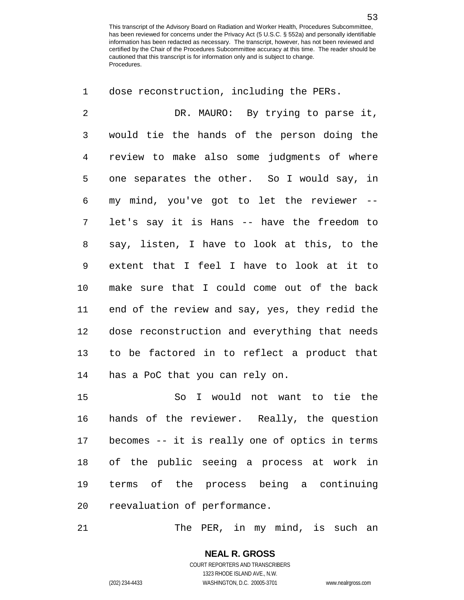dose reconstruction, including the PERs.

 DR. MAURO: By trying to parse it, would tie the hands of the person doing the review to make also some judgments of where one separates the other. So I would say, in my mind, you've got to let the reviewer -- let's say it is Hans -- have the freedom to say, listen, I have to look at this, to the extent that I feel I have to look at it to make sure that I could come out of the back end of the review and say, yes, they redid the dose reconstruction and everything that needs to be factored in to reflect a product that has a PoC that you can rely on. So I would not want to tie the hands of the reviewer. Really, the question becomes -- it is really one of optics in terms of the public seeing a process at work in terms of the process being a continuing reevaluation of performance.

The PER, in my mind, is such an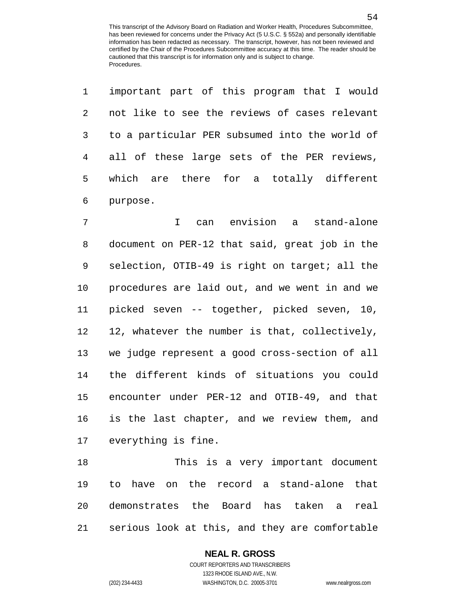|           | 1 important part of this program that I would  |
|-----------|------------------------------------------------|
| $2 \quad$ | not like to see the reviews of cases relevant  |
| $3 \sim$  | to a particular PER subsumed into the world of |
|           | 4 all of these large sets of the PER reviews,  |
|           | 5 which are there for a totally different      |
|           | 6 purpose.                                     |

 I can envision a stand-alone document on PER-12 that said, great job in the selection, OTIB-49 is right on target; all the procedures are laid out, and we went in and we picked seven -- together, picked seven, 10, 12, whatever the number is that, collectively, we judge represent a good cross-section of all the different kinds of situations you could encounter under PER-12 and OTIB-49, and that is the last chapter, and we review them, and everything is fine.

 This is a very important document to have on the record a stand-alone that demonstrates the Board has taken a real serious look at this, and they are comfortable

### **NEAL R. GROSS**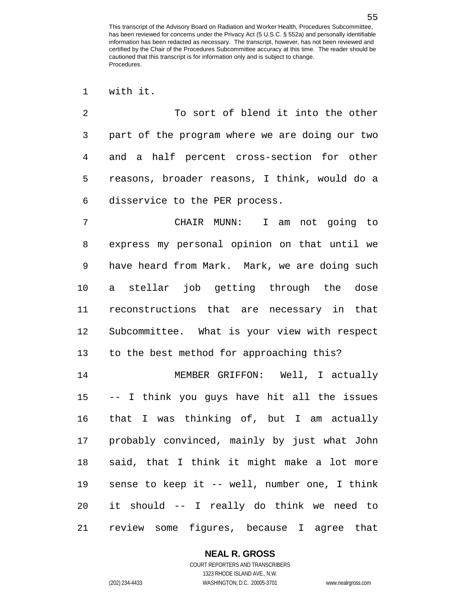To sort of blend it into the other part of the program where we are doing our two and a half percent cross-section for other reasons, broader reasons, I think, would do a disservice to the PER process.

 CHAIR MUNN: I am not going to express my personal opinion on that until we have heard from Mark. Mark, we are doing such a stellar job getting through the dose reconstructions that are necessary in that Subcommittee. What is your view with respect to the best method for approaching this?

 MEMBER GRIFFON: Well, I actually -- I think you guys have hit all the issues that I was thinking of, but I am actually probably convinced, mainly by just what John said, that I think it might make a lot more sense to keep it -- well, number one, I think it should -- I really do think we need to review some figures, because I agree that

### **NEAL R. GROSS**

with it.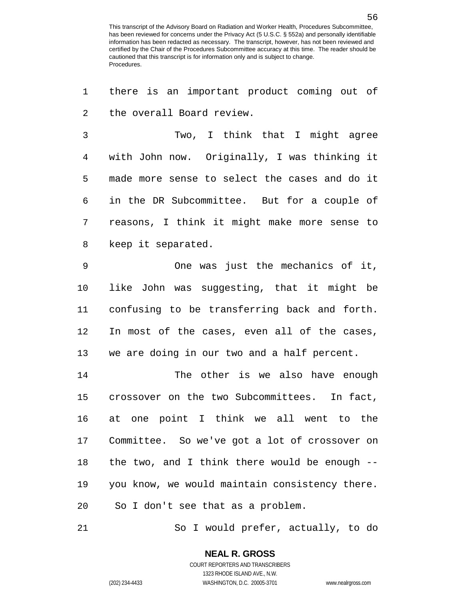there is an important product coming out of the overall Board review.

 Two, I think that I might agree with John now. Originally, I was thinking it made more sense to select the cases and do it in the DR Subcommittee. But for a couple of reasons, I think it might make more sense to keep it separated.

 One was just the mechanics of it, like John was suggesting, that it might be confusing to be transferring back and forth. In most of the cases, even all of the cases, we are doing in our two and a half percent.

 The other is we also have enough crossover on the two Subcommittees. In fact, at one point I think we all went to the Committee. So we've got a lot of crossover on the two, and I think there would be enough -- you know, we would maintain consistency there. So I don't see that as a problem.

So I would prefer, actually, to do

1323 RHODE ISLAND AVE., N.W.

(202) 234-4433 WASHINGTON, D.C. 20005-3701 www.nealrgross.com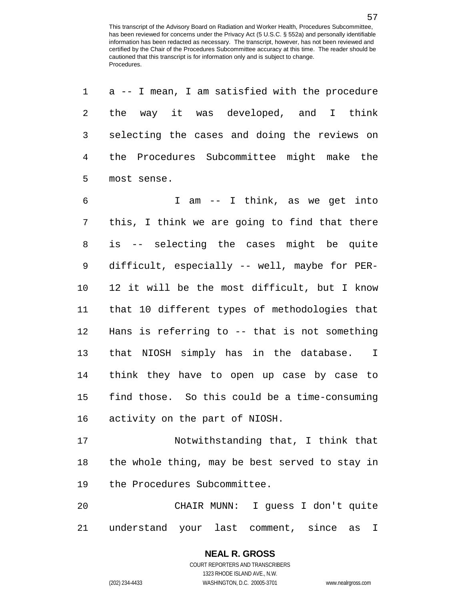| 1              | a -- I mean, I am satisfied with the procedure |
|----------------|------------------------------------------------|
| $\overline{2}$ | the way it was developed, and I think          |
| 3              | selecting the cases and doing the reviews on   |
| $\overline{4}$ | the Procedures Subcommittee might make the     |
| 5              | most sense.                                    |
| 6              | I am -- I think, as we get into                |
| 7              | this, I think we are going to find that there  |
| 8              | is -- selecting the cases might be quite       |
| 9              | difficult, especially -- well, maybe for PER-  |
| 10             | 12 it will be the most difficult, but I know   |
| 11             | that 10 different types of methodologies that  |
| 12             | Hans is referring to -- that is not something  |
| 13             | that NIOSH simply has in the database. I       |
| 14             | think they have to open up case by case to     |
| 15             | find those. So this could be a time-consuming  |
| 16             | activity on the part of NIOSH.                 |
| 17             | Notwithstanding that, I think that             |
| 18             | the whole thing, may be best served to stay in |
| 19             | the Procedures Subcommittee.                   |
| 20             | CHAIR MUNN: I guess I don't quite              |
| 21             | understand your last comment, since as I       |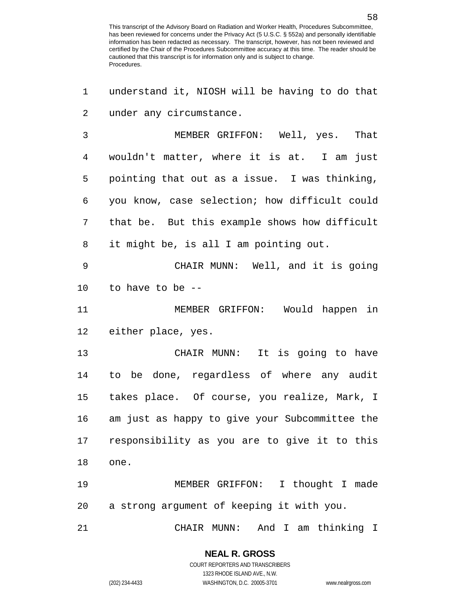understand it, NIOSH will be having to do that under any circumstance. MEMBER GRIFFON: Well, yes. That wouldn't matter, where it is at. I am just pointing that out as a issue. I was thinking, you know, case selection; how difficult could that be. But this example shows how difficult it might be, is all I am pointing out. CHAIR MUNN: Well, and it is going to have to be -- MEMBER GRIFFON: Would happen in either place, yes. CHAIR MUNN: It is going to have to be done, regardless of where any audit takes place. Of course, you realize, Mark, I am just as happy to give your Subcommittee the responsibility as you are to give it to this one. MEMBER GRIFFON: I thought I made a strong argument of keeping it with you. CHAIR MUNN: And I am thinking I

1323 RHODE ISLAND AVE., N.W.

(202) 234-4433 WASHINGTON, D.C. 20005-3701 www.nealrgross.com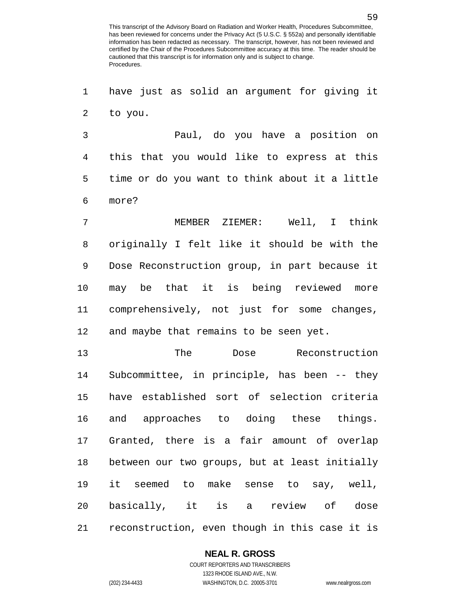have just as solid an argument for giving it to you.

 Paul, do you have a position on this that you would like to express at this time or do you want to think about it a little more?

 MEMBER ZIEMER: Well, I think originally I felt like it should be with the Dose Reconstruction group, in part because it may be that it is being reviewed more comprehensively, not just for some changes, and maybe that remains to be seen yet.

 The Dose Reconstruction Subcommittee, in principle, has been -- they have established sort of selection criteria and approaches to doing these things. Granted, there is a fair amount of overlap between our two groups, but at least initially it seemed to make sense to say, well, basically, it is a review of dose reconstruction, even though in this case it is

### **NEAL R. GROSS**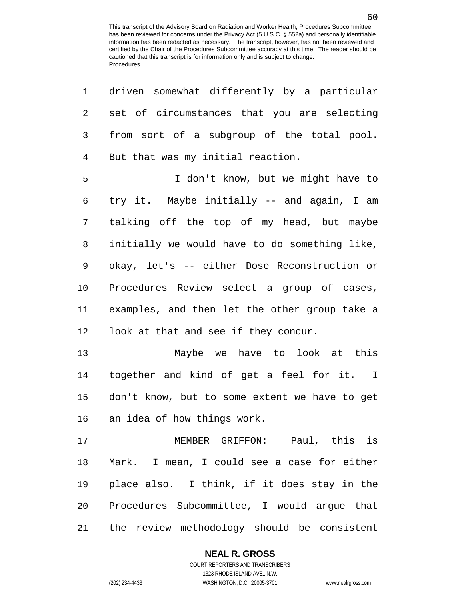| 1            | driven somewhat differently by a particular   |
|--------------|-----------------------------------------------|
| 2            | set of circumstances that you are selecting   |
| $\mathsf{3}$ | from sort of a subgroup of the total pool.    |
| 4            | But that was my initial reaction.             |
| 5            | I don't know, but we might have to            |
| 6            | try it. Maybe initially -- and again, I am    |
| 7            | talking off the top of my head, but maybe     |
| 8            | initially we would have to do something like, |
| 9            | okay, let's -- either Dose Reconstruction or  |
| 10           | Procedures Review select a group of cases,    |
| 11           | examples, and then let the other group take a |
| 12           | look at that and see if they concur.          |
| 13           | Maybe we have to look at this                 |
| 14           | together and kind of get a feel for it. I     |
| 15           | don't know, but to some extent we have to get |
| 16           | an idea of how things work.                   |
| 17           | MEMBER GRIFFON: Paul, this is                 |
| 18           | Mark. I mean, I could see a case for either   |
| 19           | place also. I think, if it does stay in the   |
| 20           | Procedures Subcommittee, I would argue that   |
| 21           | the review methodology should be consistent   |

### **NEAL R. GROSS**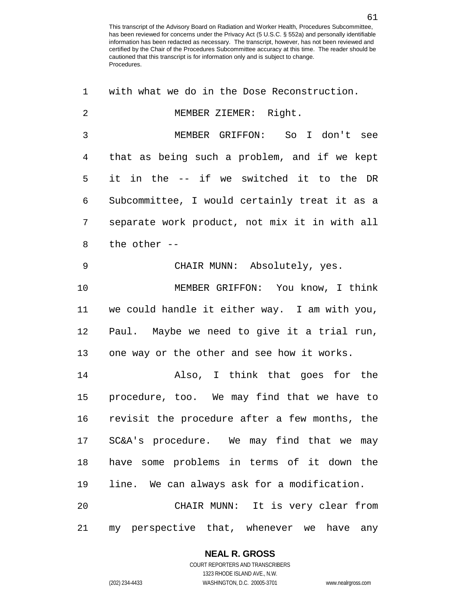| 1  | with what we do in the Dose Reconstruction.   |
|----|-----------------------------------------------|
| 2  | MEMBER ZIEMER: Right.                         |
| 3  | MEMBER GRIFFON: So I don't see                |
| 4  | that as being such a problem, and if we kept  |
| 5  | it in the -- if we switched it to the DR      |
| 6  | Subcommittee, I would certainly treat it as a |
| 7  | separate work product, not mix it in with all |
| 8  | the other --                                  |
| 9  | CHAIR MUNN: Absolutely, yes.                  |
| 10 | MEMBER GRIFFON: You know, I think             |
| 11 | we could handle it either way. I am with you, |
| 12 | Paul. Maybe we need to give it a trial run,   |
| 13 | one way or the other and see how it works.    |
| 14 | Also, I think that goes for the               |
| 15 | procedure, too. We may find that we have to   |
| 16 | revisit the procedure after a few months, the |
|    | 17 SC&A's procedure. We may find that we may  |
| 18 | have some problems in terms of it down the    |
| 19 | line. We can always ask for a modification.   |
| 20 | CHAIR MUNN: It is very clear from             |
| 21 | my perspective that, whenever we have<br>any  |

### **NEAL R. GROSS**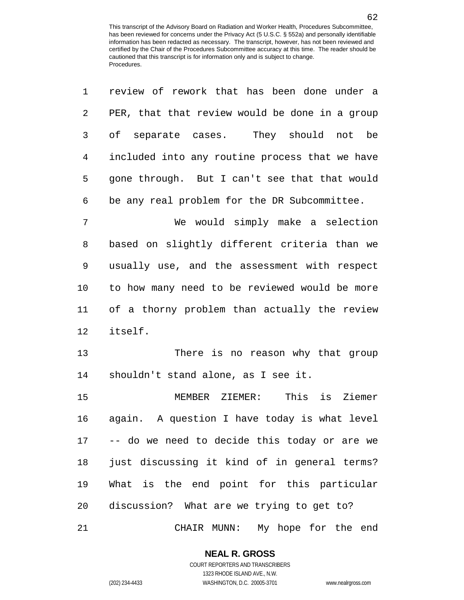review of rework that has been done under a

| 2  | PER, that that review would be done in a group |
|----|------------------------------------------------|
| 3  | of separate cases. They should not be          |
| 4  | included into any routine process that we have |
| 5  | gone through. But I can't see that that would  |
| 6  | be any real problem for the DR Subcommittee.   |
| 7  | We would simply make a selection               |
| 8  | based on slightly different criteria than we   |
| 9  | usually use, and the assessment with respect   |
| 10 | to how many need to be reviewed would be more  |
| 11 | of a thorny problem than actually the review   |
| 12 | itself.                                        |
| 13 | There is no reason why that group              |
| 14 | shouldn't stand alone, as I see it.            |
| 15 | MEMBER ZIEMER: This is Ziemer                  |
| 16 | again. A question I have today is what level   |
| 17 | -- do we need to decide this today or are we   |
| 18 | just discussing it kind of in general terms?   |
| 19 | What is the end point for this particular      |
| 20 | discussion? What are we trying to get to?      |
| 21 | CHAIR MUNN: My hope for the end                |

**NEAL R. GROSS** COURT REPORTERS AND TRANSCRIBERS

1323 RHODE ISLAND AVE., N.W.

(202) 234-4433 WASHINGTON, D.C. 20005-3701 www.nealrgross.com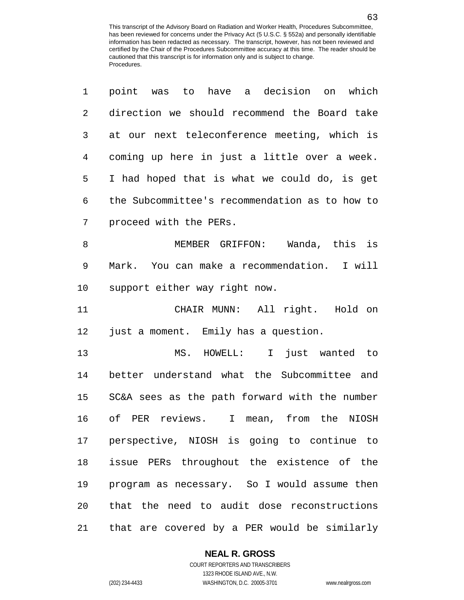| $\mathbf 1$ | point was to have a decision on which          |
|-------------|------------------------------------------------|
| 2           | direction we should recommend the Board take   |
| 3           | at our next teleconference meeting, which is   |
| 4           | coming up here in just a little over a week.   |
| 5           | I had hoped that is what we could do, is get   |
| 6           | the Subcommittee's recommendation as to how to |
| 7           | proceed with the PERs.                         |
| 8           | MEMBER GRIFFON: Wanda, this is                 |
| $\mathsf 9$ | Mark. You can make a recommendation. I will    |
| 10          | support either way right now.                  |
| 11          | CHAIR MUNN: All right. Hold on                 |
| 12          | just a moment. Emily has a question.           |
| 13          | MS. HOWELL: I just wanted to                   |
| 14          | better understand what the Subcommittee and    |
| 15          | SC&A sees as the path forward with the number  |
| 16          | of PER reviews. I mean, from the NIOSH         |
| 17          | perspective, NIOSH is going to continue to     |
| 18          | issue PERs throughout the existence of the     |
| 19          | program as necessary. So I would assume then   |
| 20          | that the need to audit dose reconstructions    |
| 21          | that are covered by a PER would be similarly   |

### **NEAL R. GROSS**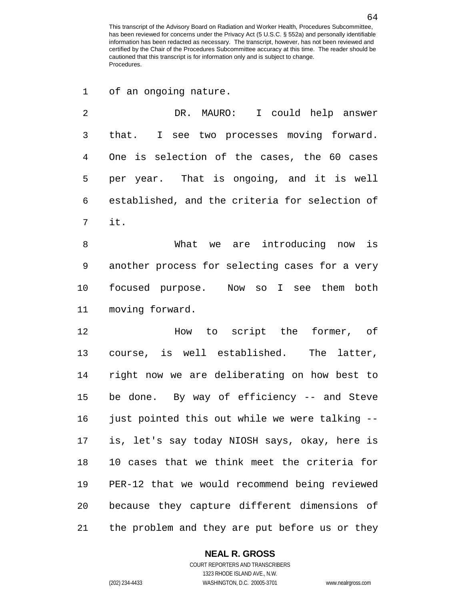of an ongoing nature.

 DR. MAURO: I could help answer that. I see two processes moving forward. One is selection of the cases, the 60 cases per year. That is ongoing, and it is well established, and the criteria for selection of it. What we are introducing now is another process for selecting cases for a very focused purpose. Now so I see them both moving forward. How to script the former, of course, is well established. The latter, right now we are deliberating on how best to be done. By way of efficiency -- and Steve 16 just pointed this out while we were talking -- is, let's say today NIOSH says, okay, here is 10 cases that we think meet the criteria for PER-12 that we would recommend being reviewed because they capture different dimensions of the problem and they are put before us or they

### **NEAL R. GROSS**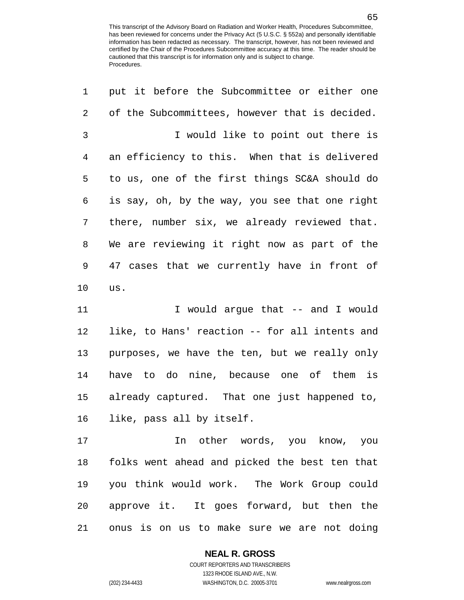| 1              | put it before the Subcommittee or either one   |
|----------------|------------------------------------------------|
| 2              | of the Subcommittees, however that is decided. |
| $\mathfrak{Z}$ | I would like to point out there is             |
| 4              | an efficiency to this. When that is delivered  |
| 5              | to us, one of the first things SC&A should do  |
| 6              | is say, oh, by the way, you see that one right |
| 7              | there, number six, we already reviewed that.   |
| 8              | We are reviewing it right now as part of the   |
| 9              | 47 cases that we currently have in front of    |
| 10             | us.                                            |
| 11             | I would argue that -- and I would              |
| 12             | like, to Hans' reaction -- for all intents and |
| 13             | purposes, we have the ten, but we really only  |
| 14             | have to do nine, because one of them is        |
| 15             | already captured. That one just happened to,   |
| 16             | like, pass all by itself.                      |
| 17             | In other words, you know, you                  |
| 18             | folks went ahead and picked the best ten that  |
| 19             | you think would work. The Work Group could     |
| 20             | approve it. It goes forward, but then the      |
| 21             | onus is on us to make sure we are not doing    |

**NEAL R. GROSS**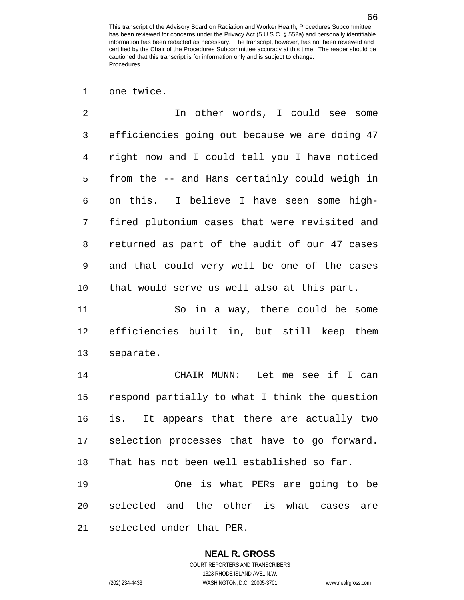one twice.

 In other words, I could see some efficiencies going out because we are doing 47 right now and I could tell you I have noticed from the -- and Hans certainly could weigh in on this. I believe I have seen some high- fired plutonium cases that were revisited and returned as part of the audit of our 47 cases and that could very well be one of the cases that would serve us well also at this part.

 So in a way, there could be some efficiencies built in, but still keep them separate.

 CHAIR MUNN: Let me see if I can respond partially to what I think the question is. It appears that there are actually two selection processes that have to go forward. That has not been well established so far.

 One is what PERs are going to be selected and the other is what cases are selected under that PER.

# **NEAL R. GROSS**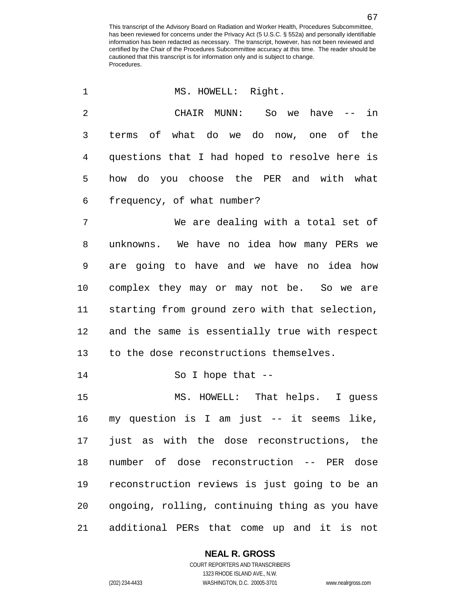| 1  | MS. HOWELL: Right.                             |
|----|------------------------------------------------|
| 2  | CHAIR MUNN: So we have $--$ in                 |
| 3  | terms of what do we do now, one of the         |
| 4  | questions that I had hoped to resolve here is  |
| 5  | how do you choose the PER and with what        |
| 6  | frequency, of what number?                     |
| 7  | We are dealing with a total set of             |
| 8  | unknowns. We have no idea how many PERs we     |
| 9  | are going to have and we have no idea how      |
| 10 | complex they may or may not be. So we are      |
| 11 | starting from ground zero with that selection, |
| 12 | and the same is essentially true with respect  |
| 13 | to the dose reconstructions themselves.        |
| 14 | So I hope that $-$                             |
| 15 | MS. HOWELL: That helps. I guess                |
| 16 | my question is I am just -- it seems like,     |
| 17 | just as with the dose reconstructions, the     |
| 18 | number of dose reconstruction -- PER dose      |
| 19 | reconstruction reviews is just going to be an  |
| 20 | ongoing, rolling, continuing thing as you have |
| 21 | additional PERs that come up and it is not     |

### **NEAL R. GROSS** COURT REPORTERS AND TRANSCRIBERS

1323 RHODE ISLAND AVE., N.W. (202) 234-4433 WASHINGTON, D.C. 20005-3701 www.nealrgross.com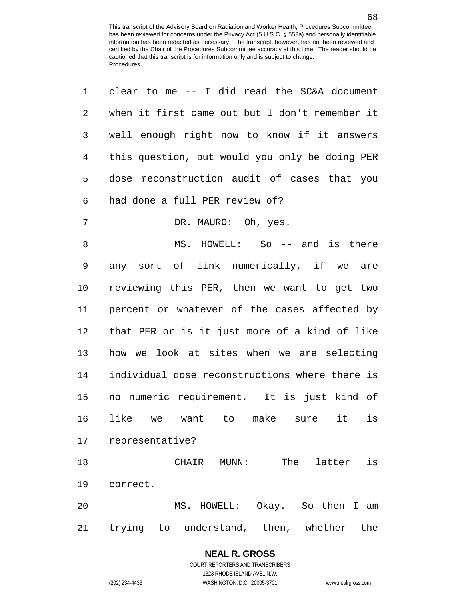| 1              | clear to me $-$ I did read the SC&A document        |
|----------------|-----------------------------------------------------|
| $\overline{2}$ | when it first came out but I don't remember it      |
| 3              | well enough right now to know if it answers         |
| $\overline{4}$ | this question, but would you only be doing PER      |
| 5              | dose reconstruction audit of cases that you         |
| 6              | had done a full PER review of?                      |
| 7              | DR. MAURO: Oh, yes.                                 |
| 8              | MS. HOWELL: So -- and is there                      |
| 9              | any sort of link numerically, if we are             |
| 10             | reviewing this PER, then we want to get two         |
| 11             | percent or whatever of the cases affected by        |
| 12             | that PER or is it just more of a kind of like       |
| 13             | how we look at sites when we are selecting          |
| 14             | individual dose reconstructions where there is      |
| 15             | no numeric requirement. It is just kind of          |
| 16             | like<br>is<br>want to make sure<br>it<br>we         |
| 17             | representative?                                     |
| 18             | MUNN:<br>The<br>latter<br>is<br>CHAIR               |
| 19             | correct.                                            |
| 20             | MS. HOWELL:<br>Okay. So then I<br>am                |
| 21             | trying<br>understand, then,<br>whether<br>the<br>to |

**NEAL R. GROSS** COURT REPORTERS AND TRANSCRIBERS

1323 RHODE ISLAND AVE., N.W.

(202) 234-4433 WASHINGTON, D.C. 20005-3701 www.nealrgross.com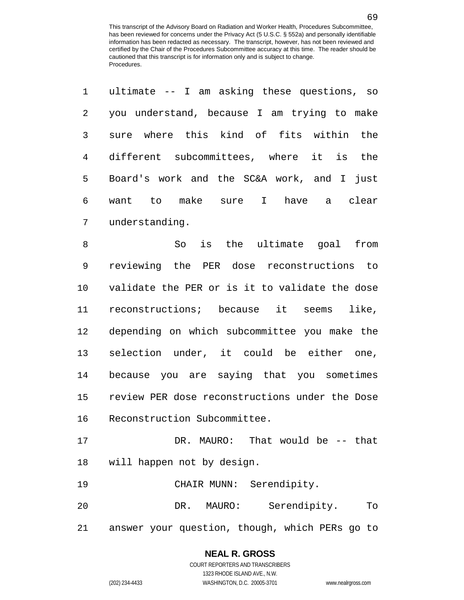| $\mathbf 1$    | ultimate -- I am asking these questions, so    |
|----------------|------------------------------------------------|
| $\overline{2}$ | you understand, because I am trying to make    |
| 3              | where this kind of fits within<br>the<br>sure  |
| 4              | different subcommittees, where it is<br>the    |
| 5              | Board's work and the SC&A work, and I<br>just  |
| 6              | want to make sure I have<br>a clear            |
| 7              | understanding.                                 |
| 8              | is the ultimate goal from<br>So                |
| 9              | reviewing the PER dose reconstructions to      |
| 10             | validate the PER or is it to validate the dose |
| 11             | reconstructions; because it<br>like,<br>seems  |
| 12             | depending on which subcommittee you make the   |
| 13             | selection under, it could be either one,       |
| 14             | because you are saying that you sometimes      |
| 15             | review PER dose reconstructions under the Dose |
| 16             | Reconstruction Subcommittee.                   |
| 17             | DR. MAURO: That would be -- that               |
| 18             | will happen not by design.                     |
| 19             | CHAIR MUNN: Serendipity.                       |
| 20             | DR. MAURO: Serendipity.<br>To                  |
| 21             | answer your question, though, which PERs go to |

# **NEAL R. GROSS**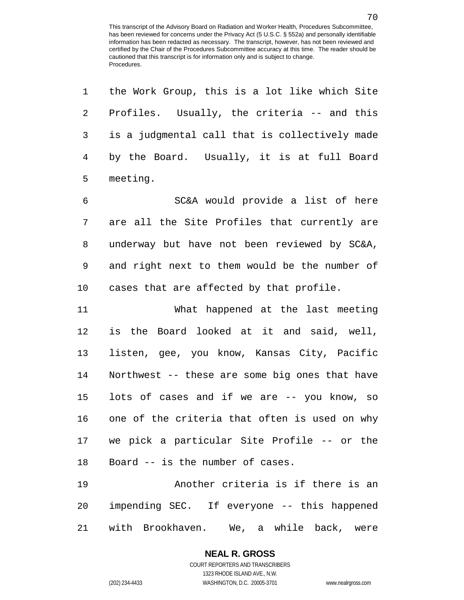| 1       | the Work Group, this is a lot like which Site  |
|---------|------------------------------------------------|
| 2       | Profiles. Usually, the criteria -- and this    |
| 3       | is a judgmental call that is collectively made |
| 4       | by the Board. Usually, it is at full Board     |
| 5       | meeting.                                       |
| 6       | SC&A would provide a list of here              |
| 7       | are all the Site Profiles that currently are   |
| 8       | underway but have not been reviewed by SC&A,   |
| 9       | and right next to them would be the number of  |
| $10 \,$ | cases that are affected by that profile.       |
|         |                                                |
| 11      | What happened at the last meeting              |
| 12      | is the Board looked at it and said, well,      |
| 13      | listen, gee, you know, Kansas City, Pacific    |
| 14      | Northwest -- these are some big ones that have |
| 15      | lots of cases and if we are -- you know, so    |
| 16      | one of the criteria that often is used on why  |
|         | 17 we pick a particular Site Profile -- or the |
| 18      | Board -- is the number of cases.               |
| 19      | Another criteria is if there is an             |

with Brookhaven. We, a while back, were

# **NEAL R. GROSS**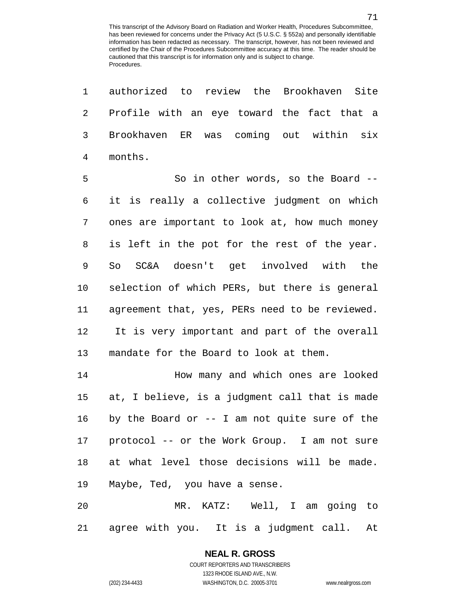authorized to review the Brookhaven Site Profile with an eye toward the fact that a Brookhaven ER was coming out within six months.

5 So in other words, so the Board -- it is really a collective judgment on which ones are important to look at, how much money is left in the pot for the rest of the year. So SC&A doesn't get involved with the selection of which PERs, but there is general agreement that, yes, PERs need to be reviewed. It is very important and part of the overall mandate for the Board to look at them.

**How many and which ones are looked**  at, I believe, is a judgment call that is made by the Board or -- I am not quite sure of the protocol -- or the Work Group. I am not sure at what level those decisions will be made. Maybe, Ted, you have a sense.

 MR. KATZ: Well, I am going to agree with you. It is a judgment call. At

# **NEAL R. GROSS**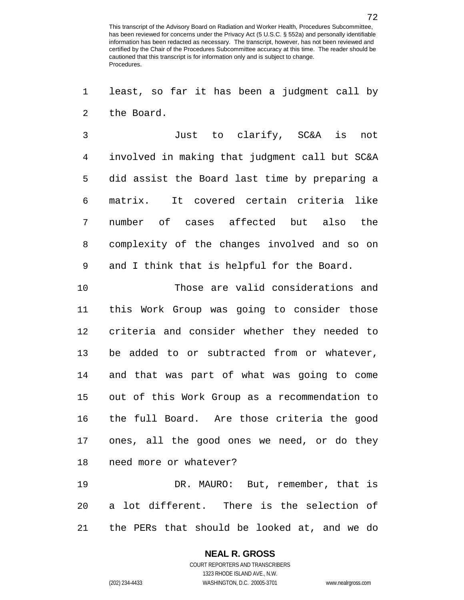least, so far it has been a judgment call by the Board.

 Just to clarify, SC&A is not involved in making that judgment call but SC&A did assist the Board last time by preparing a matrix. It covered certain criteria like number of cases affected but also the complexity of the changes involved and so on and I think that is helpful for the Board.

 Those are valid considerations and this Work Group was going to consider those criteria and consider whether they needed to be added to or subtracted from or whatever, and that was part of what was going to come out of this Work Group as a recommendation to the full Board. Are those criteria the good ones, all the good ones we need, or do they need more or whatever?

 DR. MAURO: But, remember, that is a lot different. There is the selection of the PERs that should be looked at, and we do

### **NEAL R. GROSS**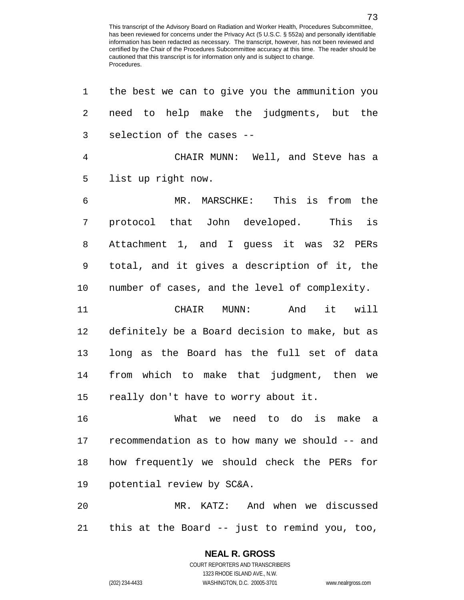| $\mathbf 1$ | the best we can to give you the ammunition you |
|-------------|------------------------------------------------|
| 2           | need to help make the judgments, but the       |
| 3           | selection of the cases --                      |
| 4           | CHAIR MUNN: Well, and Steve has a              |
| 5           | list up right now.                             |
| 6           | MR. MARSCHKE: This is from the                 |
| 7           | protocol that John developed.<br>This is       |
| 8           | Attachment 1, and I guess it was 32 PERs       |
| 9           | total, and it gives a description of it, the   |
| 10          | number of cases, and the level of complexity.  |
| 11          | And it will<br>CHAIR MUNN:                     |
| 12          | definitely be a Board decision to make, but as |
| 13          | long as the Board has the full set of data     |
| 14          | from which to make that judgment, then we      |
| 15          | really don't have to worry about it.           |
| 16          | need to do is make a<br>What we                |
| 17          | recommendation as to how many we should -- and |
| 18          | how frequently we should check the PERs for    |
| 19          | potential review by SC&A.                      |
| 20          | MR. KATZ: And when we discussed                |
| 21          | this at the Board -- just to remind you, too,  |

# **NEAL R. GROSS**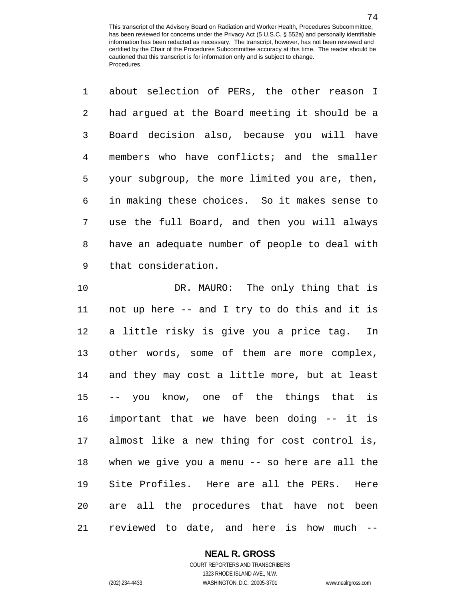about selection of PERs, the other reason I had argued at the Board meeting it should be a Board decision also, because you will have members who have conflicts; and the smaller your subgroup, the more limited you are, then, in making these choices. So it makes sense to use the full Board, and then you will always have an adequate number of people to deal with that consideration.

 DR. MAURO: The only thing that is not up here -- and I try to do this and it is a little risky is give you a price tag. In other words, some of them are more complex, and they may cost a little more, but at least -- you know, one of the things that is important that we have been doing -- it is almost like a new thing for cost control is, when we give you a menu -- so here are all the Site Profiles. Here are all the PERs. Here are all the procedures that have not been reviewed to date, and here is how much --

### **NEAL R. GROSS**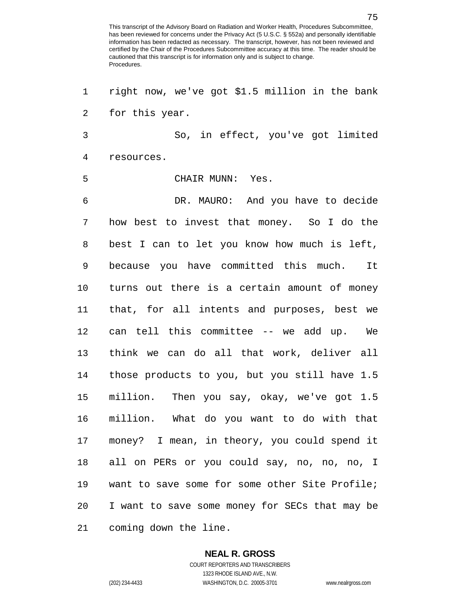right now, we've got \$1.5 million in the bank for this year. So, in effect, you've got limited resources. CHAIR MUNN: Yes. DR. MAURO: And you have to decide how best to invest that money. So I do the best I can to let you know how much is left, because you have committed this much. It turns out there is a certain amount of money that, for all intents and purposes, best we can tell this committee -- we add up. We think we can do all that work, deliver all those products to you, but you still have 1.5 million. Then you say, okay, we've got 1.5 million. What do you want to do with that money? I mean, in theory, you could spend it all on PERs or you could say, no, no, no, I want to save some for some other Site Profile; I want to save some money for SECs that may be coming down the line.

#### **NEAL R. GROSS**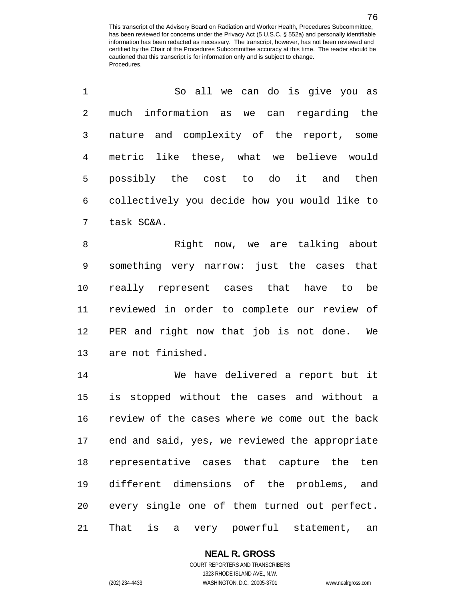| $\mathbf{1}$    | So all we can do is give you as                 |
|-----------------|-------------------------------------------------|
| $2^{\circ}$     | much information as we can regarding the        |
| $\mathbf{3}$    | nature and complexity of the report, some       |
| $4\overline{ }$ | metric like these, what we believe would        |
| 5.              | possibly the cost to do it and then             |
|                 | 6 collectively you decide how you would like to |
| 7               | task SC&A.                                      |

8 Right now, we are talking about something very narrow: just the cases that really represent cases that have to be reviewed in order to complete our review of PER and right now that job is not done. We are not finished.

 We have delivered a report but it is stopped without the cases and without a review of the cases where we come out the back end and said, yes, we reviewed the appropriate representative cases that capture the ten different dimensions of the problems, and every single one of them turned out perfect. That is a very powerful statement, an

## **NEAL R. GROSS**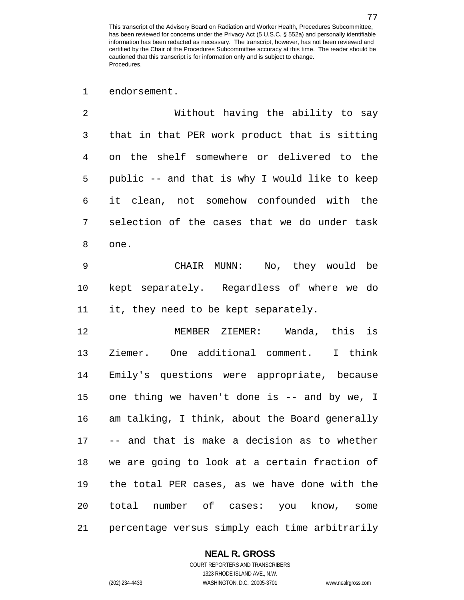endorsement.

 Without having the ability to say that in that PER work product that is sitting on the shelf somewhere or delivered to the public -- and that is why I would like to keep it clean, not somehow confounded with the selection of the cases that we do under task one.

 CHAIR MUNN: No, they would be kept separately. Regardless of where we do it, they need to be kept separately.

 MEMBER ZIEMER: Wanda, this is Ziemer. One additional comment. I think Emily's questions were appropriate, because one thing we haven't done is -- and by we, I am talking, I think, about the Board generally -- and that is make a decision as to whether we are going to look at a certain fraction of the total PER cases, as we have done with the total number of cases: you know, some percentage versus simply each time arbitrarily

#### **NEAL R. GROSS** COURT REPORTERS AND TRANSCRIBERS

1323 RHODE ISLAND AVE., N.W. (202) 234-4433 WASHINGTON, D.C. 20005-3701 www.nealrgross.com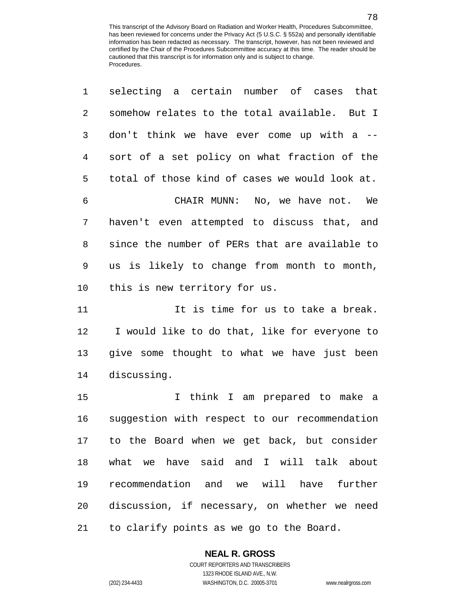| 1  | selecting a certain number of cases that       |
|----|------------------------------------------------|
| 2  | somehow relates to the total available. But I  |
| 3  | don't think we have ever come up with a --     |
| 4  | sort of a set policy on what fraction of the   |
| 5  | total of those kind of cases we would look at. |
| 6  | CHAIR MUNN: No, we have not. We                |
| 7  | haven't even attempted to discuss that, and    |
| 8  | since the number of PERs that are available to |
| 9  | us is likely to change from month to month,    |
| 10 | this is new territory for us.                  |
| 11 | It is time for us to take a break.             |
| 12 | I would like to do that, like for everyone to  |
| 13 | give some thought to what we have just been    |
| 14 | discussing.                                    |
| 15 | I think I am prepared to make a                |
| 16 | suggestion with respect to our recommendation  |
| 17 | to the Board when we get back, but consider    |
| 18 | what we have said and I will talk about        |
| 19 | recommendation and we will have<br>further     |
| 20 | discussion, if necessary, on whether we need   |
| 21 | to clarify points as we go to the Board.       |

## **NEAL R. GROSS**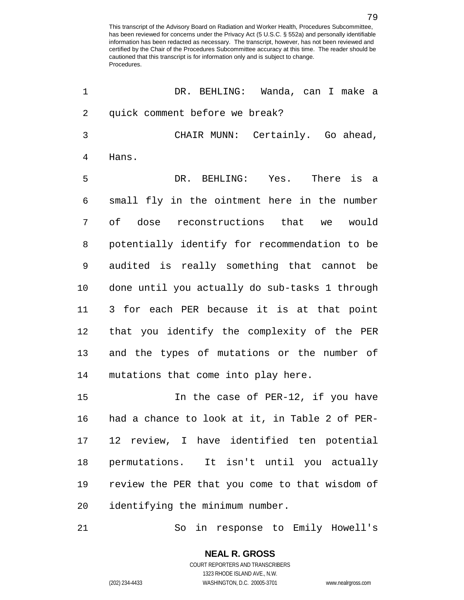| 1  | DR. BEHLING: Wanda, can I make a               |
|----|------------------------------------------------|
| 2  | quick comment before we break?                 |
| 3  | CHAIR MUNN: Certainly. Go ahead,               |
| 4  | Hans.                                          |
| 5  | DR. BEHLING: Yes. There is a                   |
| 6  | small fly in the ointment here in the number   |
| 7  | of dose reconstructions that we would          |
| 8  | potentially identify for recommendation to be  |
| 9  | audited is really something that cannot be     |
| 10 | done until you actually do sub-tasks 1 through |
| 11 | 3 for each PER because it is at that point     |
| 12 | that you identify the complexity of the PER    |
| 13 | and the types of mutations or the number of    |
| 14 | mutations that come into play here.            |
| 15 | In the case of PER-12, if you have             |
| 16 | had a chance to look at it, in Table 2 of PER- |
| 17 | 12 review, I have identified ten potential     |
| 18 | permutations. It isn't until you actually      |
| 19 | review the PER that you come to that wisdom of |
| 20 | identifying the minimum number.                |
| 21 | in response to Emily Howell's<br>So            |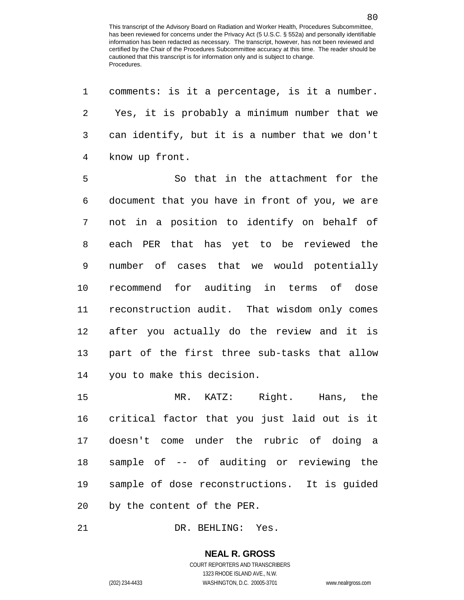comments: is it a percentage, is it a number. Yes, it is probably a minimum number that we can identify, but it is a number that we don't know up front.

 So that in the attachment for the document that you have in front of you, we are not in a position to identify on behalf of each PER that has yet to be reviewed the number of cases that we would potentially recommend for auditing in terms of dose reconstruction audit. That wisdom only comes after you actually do the review and it is part of the first three sub-tasks that allow you to make this decision.

 MR. KATZ: Right. Hans, the critical factor that you just laid out is it doesn't come under the rubric of doing a sample of -- of auditing or reviewing the sample of dose reconstructions. It is guided by the content of the PER.

DR. BEHLING: Yes.

#### **NEAL R. GROSS** COURT REPORTERS AND TRANSCRIBERS

1323 RHODE ISLAND AVE., N.W. (202) 234-4433 WASHINGTON, D.C. 20005-3701 www.nealrgross.com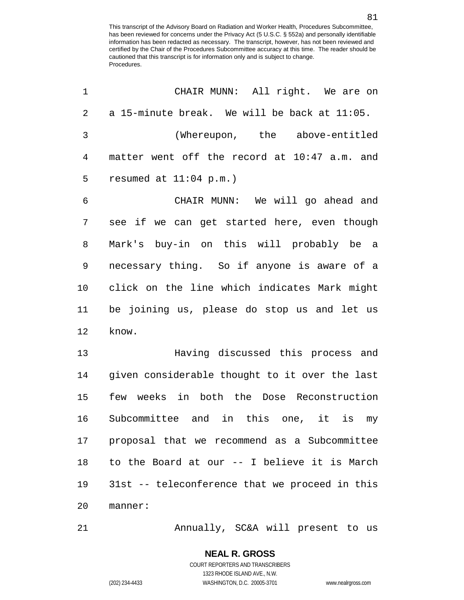| 1              | CHAIR MUNN: All right. We are on               |
|----------------|------------------------------------------------|
| $\overline{2}$ | a 15-minute break. We will be back at 11:05.   |
| 3              | (Whereupon, the above-entitled                 |
| 4              | matter went off the record at 10:47 a.m. and   |
| 5              | resumed at $11:04$ p.m.)                       |
| 6              | CHAIR MUNN: We will go ahead and               |
| 7              | see if we can get started here, even though    |
| 8              | Mark's buy-in on this will probably be a       |
| 9              | necessary thing. So if anyone is aware of a    |
| 10             | click on the line which indicates Mark might   |
| 11             | be joining us, please do stop us and let us    |
| 12             | know.                                          |
| 13             | Having discussed this process and              |
| 14             | given considerable thought to it over the last |
| 15             | few weeks in both the Dose Reconstruction      |
| 16             | Subcommittee and in this one, it is<br>my      |
| 17             | proposal that we recommend as a Subcommittee   |
| 18             | to the Board at our -- I believe it is March   |
| 19             | 31st -- teleconference that we proceed in this |
| 20             | manner:                                        |
| 21             | Annually, SC&A will present to us              |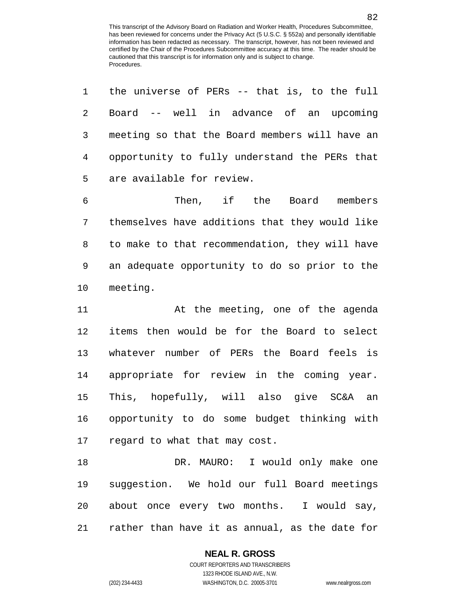the universe of PERs -- that is, to the full Board -- well in advance of an upcoming meeting so that the Board members will have an opportunity to fully understand the PERs that are available for review.

 Then, if the Board members themselves have additions that they would like to make to that recommendation, they will have an adequate opportunity to do so prior to the meeting.

 At the meeting, one of the agenda items then would be for the Board to select whatever number of PERs the Board feels is appropriate for review in the coming year. This, hopefully, will also give SC&A an opportunity to do some budget thinking with regard to what that may cost.

18 DR. MAURO: I would only make one suggestion. We hold our full Board meetings about once every two months. I would say, rather than have it as annual, as the date for

### **NEAL R. GROSS**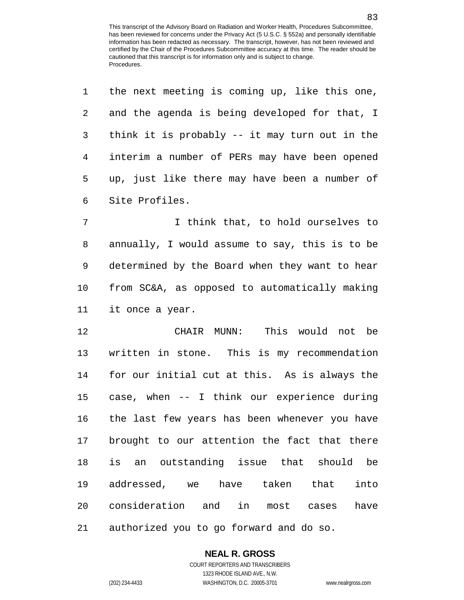the next meeting is coming up, like this one,

| 2              | and the agenda is being developed for that, I  |
|----------------|------------------------------------------------|
| 3              | think it is probably -- it may turn out in the |
| $\overline{4}$ | interim a number of PERs may have been opened  |
| 5              | up, just like there may have been a number of  |
| 6              | Site Profiles.                                 |
| 7              | I think that, to hold ourselves to             |
| 8              | annually, I would assume to say, this is to be |
| 9              | determined by the Board when they want to hear |
| 10             | from SC&A, as opposed to automatically making  |
| 11             | it once a year.                                |
| 12             | CHAIR MUNN: This would not be                  |
| 13             | written in stone. This is my recommendation    |
| 14             | for our initial cut at this. As is always the  |
| 15             | case, when -- I think our experience during    |
| 16             | the last few years has been whenever you have  |
| 17             | brought to our attention the fact that there   |
| 18             | is an outstanding issue that should be         |
| 19             | addressed, we have taken that<br>into          |
|                | 20 consideration and in most cases<br>have     |
| 21             | authorized you to go forward and do so.        |

### **NEAL R. GROSS**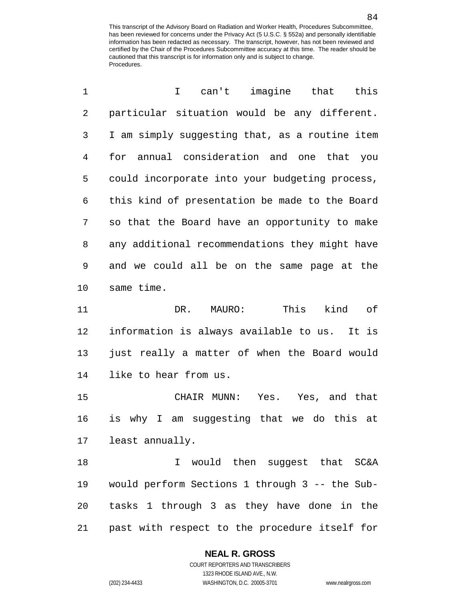| 1              | can't imagine that<br>this<br>I.                |
|----------------|-------------------------------------------------|
| $\overline{2}$ | particular situation would be any different.    |
| 3              | I am simply suggesting that, as a routine item  |
| 4              | annual consideration and one that you<br>for    |
| 5              | could incorporate into your budgeting process,  |
| 6              | this kind of presentation be made to the Board  |
| 7              | so that the Board have an opportunity to make   |
| 8              | any additional recommendations they might have  |
| 9              | and we could all be on the same page at the     |
| 10             | same time.                                      |
| 11             | This<br>kind<br>оf<br>DR.<br>MAURO:             |
| 12             | information is always available to us.<br>It is |
| 13             | just really a matter of when the Board would    |
| 14             | like to hear from us.                           |
| 15             | CHAIR MUNN:<br>Yes. Yes, and that               |
| 16             | is why I am suggesting that we do this at       |
| 17             | least annually.                                 |
| 18             | would then suggest that SC&A<br>T.              |
| 19             | would perform Sections 1 through 3 -- the Sub-  |
| 20             | tasks 1 through 3 as they have done in the      |
|                |                                                 |

past with respect to the procedure itself for

### **NEAL R. GROSS**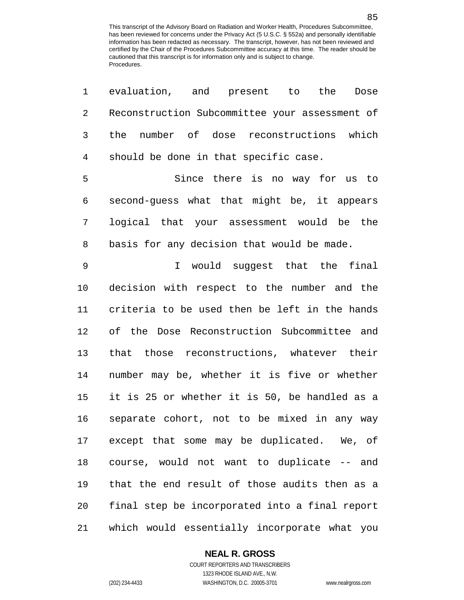| 1              | evaluation, and present to<br>the<br>Dose      |
|----------------|------------------------------------------------|
| $\overline{2}$ | Reconstruction Subcommittee your assessment of |
| $\mathfrak{Z}$ | the number of dose reconstructions which       |
| 4              | should be done in that specific case.          |
| 5              | Since there is no way for us to                |
| 6              | second-guess what that might be, it appears    |
| 7              | logical that your assessment would be the      |
| 8              | basis for any decision that would be made.     |
| 9              | I would suggest that the final                 |
| 10             | decision with respect to the number and the    |
| 11             | criteria to be used then be left in the hands  |
| 12             | of the Dose Reconstruction Subcommittee and    |
| 13             | that those reconstructions, whatever their     |
| 14             | number may be, whether it is five or whether   |
| 15             | it is 25 or whether it is 50, be handled as a  |
| 16             | separate cohort, not to be mixed in any way    |
| 17             | except that some may be duplicated. We, of     |
| 18             | course, would not want to duplicate -- and     |
| 19             | that the end result of those audits then as a  |
| 20             | final step be incorporated into a final report |
| 21             | which would essentially incorporate what you   |

### **NEAL R. GROSS**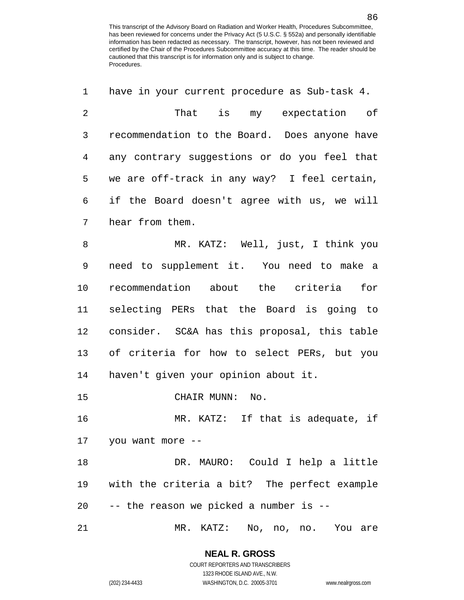| $\mathbf 1$    | have in your current procedure as Sub-task 4. |
|----------------|-----------------------------------------------|
| $\overline{2}$ | That is my expectation of                     |
| 3              | recommendation to the Board. Does anyone have |
| 4              | any contrary suggestions or do you feel that  |
| 5              | we are off-track in any way? I feel certain,  |
| 6              | if the Board doesn't agree with us, we will   |
| 7              | hear from them.                               |
| 8              | MR. KATZ: Well, just, I think you             |
| 9              | need to supplement it. You need to make a     |
| 10             | recommendation about the criteria<br>for      |
| 11             | selecting PERs that the Board is going to     |
| 12             | consider. SC&A has this proposal, this table  |
| 13             | of criteria for how to select PERs, but you   |
| 14             | haven't given your opinion about it.          |
| 15             | CHAIR MUNN:<br>No.                            |
| 16             | MR. KATZ: If that is adequate, if             |
|                | 17 you want more --                           |
| 18             | DR. MAURO: Could I help a little              |
| 19             | with the criteria a bit? The perfect example  |
| 20             | -- the reason we picked a number is --        |
| 21             | MR. KATZ: No, no, no. You are                 |

**NEAL R. GROSS** COURT REPORTERS AND TRANSCRIBERS

1323 RHODE ISLAND AVE., N.W.

(202) 234-4433 WASHINGTON, D.C. 20005-3701 www.nealrgross.com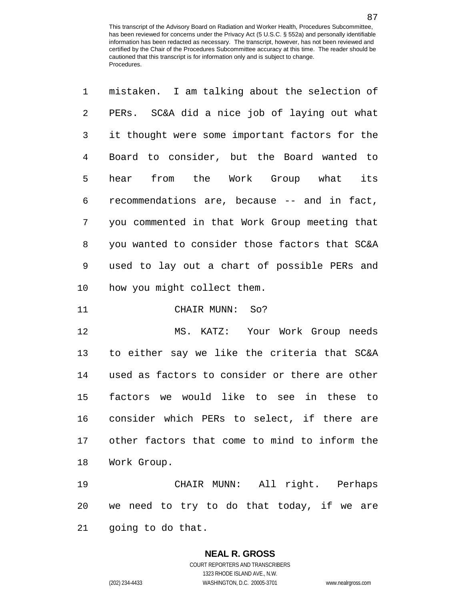| $\mathbf{1}$   | mistaken. I am talking about the selection of  |
|----------------|------------------------------------------------|
| $\overline{2}$ | PERs. SC&A did a nice job of laying out what   |
| $\mathbf{3}$   | it thought were some important factors for the |
| $\overline{4}$ | Board to consider, but the Board wanted to     |
| 5              | hear from the Work Group what its              |
| 6              | recommendations are, because -- and in fact,   |
| 7              | you commented in that Work Group meeting that  |
| 8              | you wanted to consider those factors that SC&A |
| 9              | used to lay out a chart of possible PERs and   |
| 10             | how you might collect them.                    |

CHAIR MUNN: So?

 MS. KATZ: Your Work Group needs to either say we like the criteria that SC&A used as factors to consider or there are other factors we would like to see in these to consider which PERs to select, if there are other factors that come to mind to inform the Work Group.

 CHAIR MUNN: All right. Perhaps we need to try to do that today, if we are going to do that.

## **NEAL R. GROSS**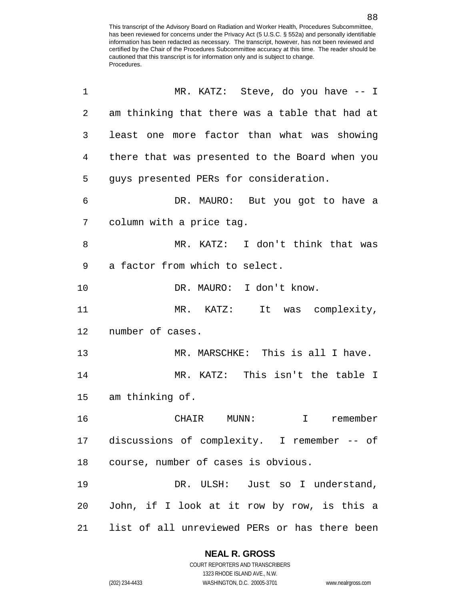| 1              | MR. KATZ: Steve, do you have -- I              |
|----------------|------------------------------------------------|
| $\overline{2}$ | am thinking that there was a table that had at |
| 3              | least one more factor than what was showing    |
| 4              | there that was presented to the Board when you |
| 5              | guys presented PERs for consideration.         |
| 6              | DR. MAURO: But you got to have a               |
| 7              | column with a price tag.                       |
| 8              | MR. KATZ: I don't think that was               |
| 9              | a factor from which to select.                 |
| 10             | DR. MAURO: I don't know.                       |
| 11             | MR. KATZ: It was complexity,                   |
| 12             | number of cases.                               |
| 13             | MR. MARSCHKE: This is all I have.              |
| 14             | MR. KATZ: This isn't the table I               |
| 15             | am thinking of.                                |
| 16             | $MUNN$ :<br>$\mathbf{I}$<br>remember<br>CHAIR  |
| 17             | discussions of complexity. I remember -- of    |
| 18             | course, number of cases is obvious.            |
| 19             | DR. ULSH: Just so I understand,                |
| 20             | John, if I look at it row by row, is this a    |
| 21             | list of all unreviewed PERs or has there been  |

### **NEAL R. GROSS**

COURT REPORTERS AND TRANSCRIBERS 1323 RHODE ISLAND AVE., N.W. (202) 234-4433 WASHINGTON, D.C. 20005-3701 www.nealrgross.com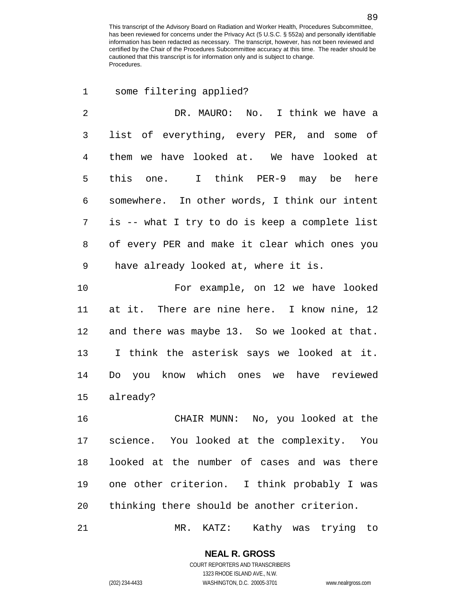some filtering applied? DR. MAURO: No. I think we have a list of everything, every PER, and some of them we have looked at. We have looked at this one. I think PER-9 may be here somewhere. In other words, I think our intent is -- what I try to do is keep a complete list of every PER and make it clear which ones you have already looked at, where it is. For example, on 12 we have looked at it. There are nine here. I know nine, 12 and there was maybe 13. So we looked at that. I think the asterisk says we looked at it. Do you know which ones we have reviewed already?

 CHAIR MUNN: No, you looked at the science. You looked at the complexity. You looked at the number of cases and was there one other criterion. I think probably I was thinking there should be another criterion.

MR. KATZ: Kathy was trying to

**NEAL R. GROSS** COURT REPORTERS AND TRANSCRIBERS

1323 RHODE ISLAND AVE., N.W.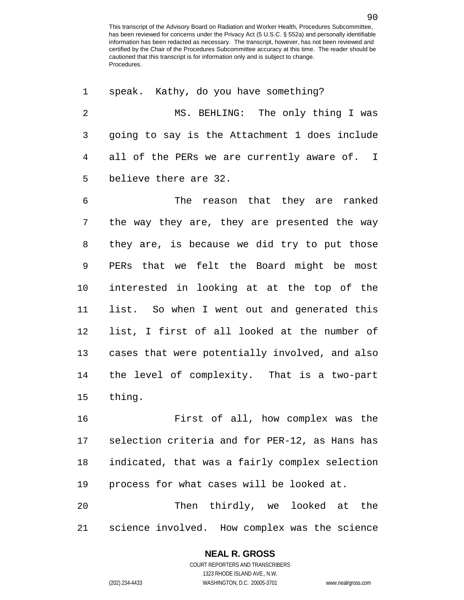speak. Kathy, do you have something? MS. BEHLING: The only thing I was going to say is the Attachment 1 does include all of the PERs we are currently aware of. I believe there are 32. The reason that they are ranked the way they are, they are presented the way they are, is because we did try to put those PERs that we felt the Board might be most interested in looking at at the top of the list. So when I went out and generated this list, I first of all looked at the number of cases that were potentially involved, and also the level of complexity. That is a two-part thing. First of all, how complex was the selection criteria and for PER-12, as Hans has indicated, that was a fairly complex selection process for what cases will be looked at.

 Then thirdly, we looked at the science involved. How complex was the science

## **NEAL R. GROSS**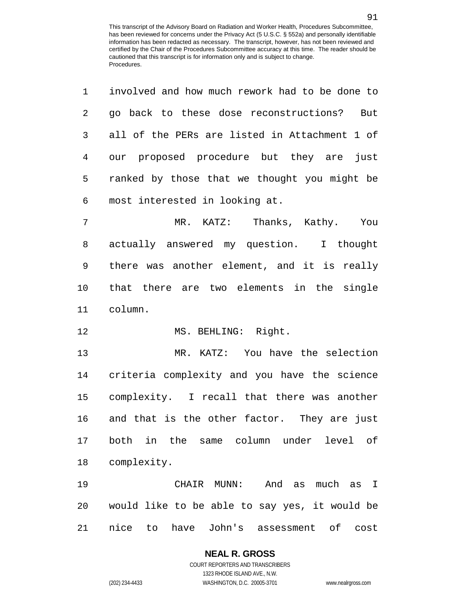| $\mathbf{1}$  | involved and how much rework had to be done to |
|---------------|------------------------------------------------|
| $\mathcal{L}$ | go back to these dose reconstructions?<br>But  |
| 3             | all of the PERs are listed in Attachment 1 of  |
| 4             | our proposed procedure but they are<br>just    |
| 5             | ranked by those that we thought you might be   |
| 6             | most interested in looking at.                 |
|               |                                                |

7 MR. KATZ: Thanks, Kathy. You actually answered my question. I thought there was another element, and it is really that there are two elements in the single column.

12 MS. BEHLING: Right.

 MR. KATZ: You have the selection criteria complexity and you have the science complexity. I recall that there was another and that is the other factor. They are just both in the same column under level of complexity.

 CHAIR MUNN: And as much as I would like to be able to say yes, it would be nice to have John's assessment of cost

# **NEAL R. GROSS**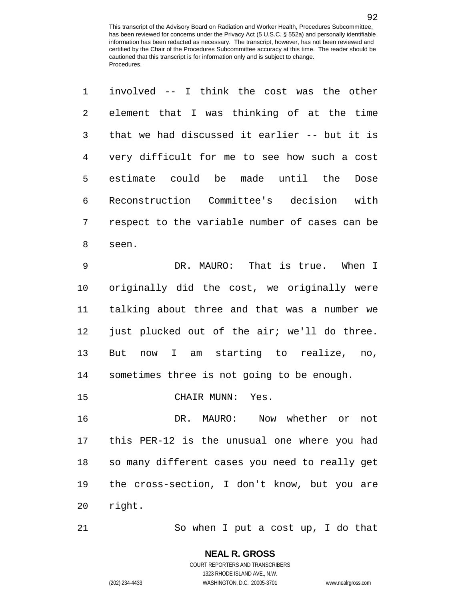| $1 \quad \blacksquare$ | involved -- I think the cost was the other               |
|------------------------|----------------------------------------------------------|
| $\overline{2}$         | element that I was thinking of at the time               |
| 3                      | that we had discussed it earlier -- but it is            |
|                        | 4 very difficult for me to see how such a cost           |
| 5                      | estimate could be made until the Dose                    |
| 6                      | Reconstruction Committee's decision with                 |
| 7                      | respect to the variable number of cases can be           |
| 8                      | seen.                                                    |
| ⌒                      | $MATIDO: Tho+ 1a + x110$ $Mhon$ T<br>תחיים להתוכנית המוד |

 DR. MAURO: That is true. When I originally did the cost, we originally were talking about three and that was a number we just plucked out of the air; we'll do three. But now I am starting to realize, no, sometimes three is not going to be enough.

CHAIR MUNN: Yes.

 DR. MAURO: Now whether or not this PER-12 is the unusual one where you had so many different cases you need to really get the cross-section, I don't know, but you are right.

So when I put a cost up, I do that

COURT REPORTERS AND TRANSCRIBERS 1323 RHODE ISLAND AVE., N.W. (202) 234-4433 WASHINGTON, D.C. 20005-3701 www.nealrgross.com

**NEAL R. GROSS**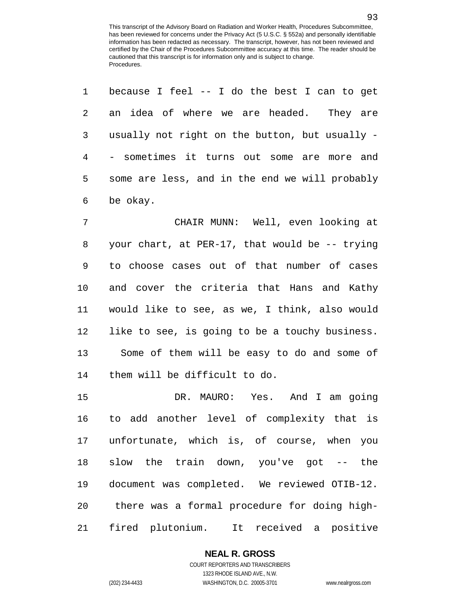because I feel -- I do the best I can to get

| 2  | an idea of where we are headed. They are       |
|----|------------------------------------------------|
| 3  | usually not right on the button, but usually - |
| 4  | - sometimes it turns out some are more and     |
| 5  | some are less, and in the end we will probably |
| 6  | be okay.                                       |
| 7  | CHAIR MUNN: Well, even looking at              |
| 8  | your chart, at PER-17, that would be -- trying |
| 9  | to choose cases out of that number of cases    |
| 10 | and cover the criteria that Hans and Kathy     |
| 11 | would like to see, as we, I think, also would  |
| 12 | like to see, is going to be a touchy business. |
| 13 | Some of them will be easy to do and some of    |
| 14 | them will be difficult to do.                  |
| 15 | DR. MAURO: Yes. And I am going                 |
| 16 | to add another level of complexity that is     |
| 17 | unfortunate, which is, of course, when you     |
| 18 | slow the train down, you've got -- the         |
| 19 | document was completed. We reviewed OTIB-12.   |
| 20 | there was a formal procedure for doing high-   |
| 21 | fired plutonium. It received a positive        |

**NEAL R. GROSS**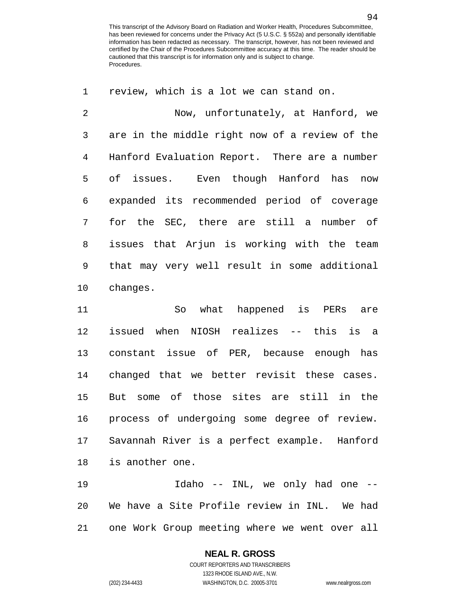Now, unfortunately, at Hanford, we are in the middle right now of a review of the Hanford Evaluation Report. There are a number of issues. Even though Hanford has now expanded its recommended period of coverage for the SEC, there are still a number of issues that Arjun is working with the team that may very well result in some additional changes.

review, which is a lot we can stand on.

 So what happened is PERs are issued when NIOSH realizes -- this is a constant issue of PER, because enough has changed that we better revisit these cases. But some of those sites are still in the process of undergoing some degree of review. Savannah River is a perfect example. Hanford is another one.

 Idaho -- INL, we only had one -- We have a Site Profile review in INL. We had one Work Group meeting where we went over all

## **NEAL R. GROSS**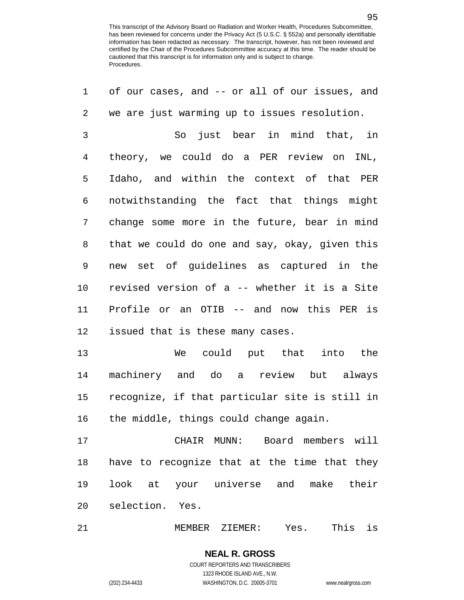| 1            | of our cases, and -- or all of our issues, and |
|--------------|------------------------------------------------|
| 2            | we are just warming up to issues resolution.   |
| $\mathsf{3}$ | So just bear in mind that, in                  |
| 4            | theory, we could do a PER review on INL,       |
| 5            | Idaho, and within the context of that PER      |
| 6            | notwithstanding the fact that things might     |
| 7            | change some more in the future, bear in mind   |
| 8            | that we could do one and say, okay, given this |
| 9            | new set of guidelines as captured in the       |
| 10           | revised version of a -- whether it is a Site   |
| 11           | Profile or an OTIB -- and now this PER is      |
| 12           | issued that is these many cases.               |
| 13           | could put that into the<br>We                  |
| 14           | machinery and do a review but always           |
| 15           | recognize, if that particular site is still in |
| 16           | the middle, things could change again.         |
| 17           | CHAIR MUNN: Board members will                 |
| 18           | have to recognize that at the time that they   |
| 19           | look at your universe and make their           |
| 20           | selection. Yes.                                |
|              |                                                |

MEMBER ZIEMER: Yes. This is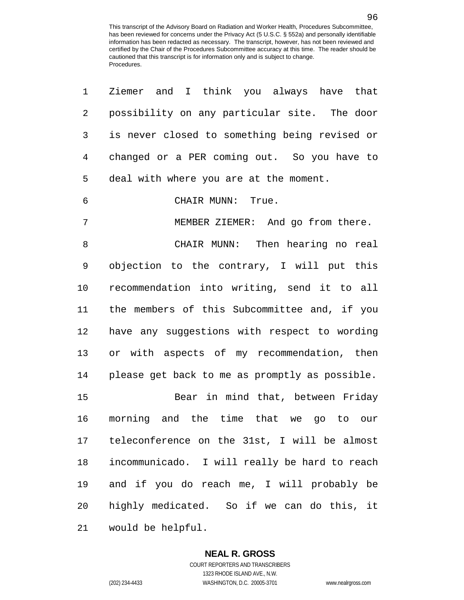| $\mathbf 1$ | Ziemer and I think you always have that        |
|-------------|------------------------------------------------|
| 2           | possibility on any particular site. The door   |
| 3           | is never closed to something being revised or  |
| 4           | changed or a PER coming out. So you have to    |
| 5           | deal with where you are at the moment.         |
| 6           | CHAIR MUNN: True.                              |
| 7           | MEMBER ZIEMER: And go from there.              |
| 8           | CHAIR MUNN: Then hearing no real               |
| 9           | objection to the contrary, I will put this     |
| 10          | recommendation into writing, send it to all    |
| 11          | the members of this Subcommittee and, if you   |
| 12          | have any suggestions with respect to wording   |
| 13          | or with aspects of my recommendation, then     |
| 14          | please get back to me as promptly as possible. |
| 15          | Bear in mind that, between Friday              |
| 16          | morning and the time that we go to our         |
| 17          | teleconference on the 31st, I will be almost   |
| 18          | incommunicado. I will really be hard to reach  |
| 19          | and if you do reach me, I will probably be     |
| 20          | highly medicated. So if we can do this, it     |
| 21          | would be helpful.                              |

1323 RHODE ISLAND AVE., N.W.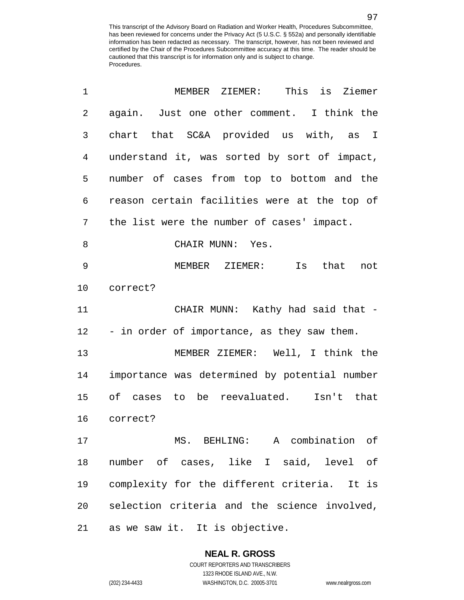| 1              | MEMBER ZIEMER: This is Ziemer                 |
|----------------|-----------------------------------------------|
| $\overline{2}$ | again. Just one other comment. I think the    |
| 3              | chart that SC&A provided us with, as I        |
| $\overline{4}$ | understand it, was sorted by sort of impact,  |
| 5              | number of cases from top to bottom and the    |
| 6              | reason certain facilities were at the top of  |
| 7              | the list were the number of cases' impact.    |
| 8              | CHAIR MUNN: Yes.                              |
| 9              | MEMBER ZIEMER: Is that<br>not                 |
| 10             | correct?                                      |
| 11             | CHAIR MUNN: Kathy had said that -             |
| 12             | - in order of importance, as they saw them.   |
| 13             | MEMBER ZIEMER: Well, I think the              |
| 14             | importance was determined by potential number |
| 15             | of cases to be reevaluated. Isn't that        |
| 16             | correct?                                      |
| 17             | MS. BEHLING: A combination of                 |
| 18             | number of cases, like I said, level of        |
| 19             | complexity for the different criteria. It is  |
| 20             | selection criteria and the science involved,  |
| 21             | as we saw it. It is objective.                |

**NEAL R. GROSS** COURT REPORTERS AND TRANSCRIBERS

1323 RHODE ISLAND AVE., N.W.

(202) 234-4433 WASHINGTON, D.C. 20005-3701 www.nealrgross.com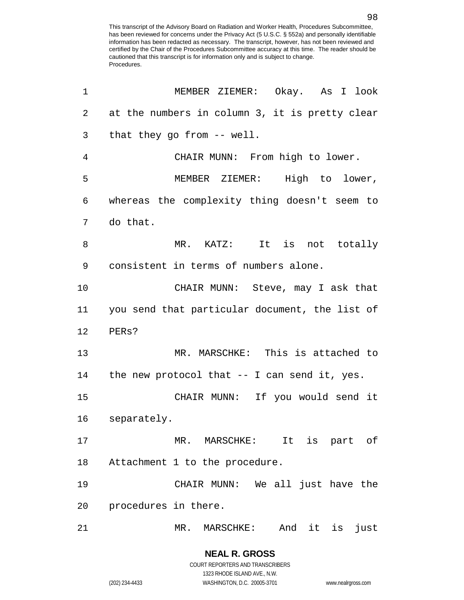| 1              | MEMBER ZIEMER: Okay. As I look                  |
|----------------|-------------------------------------------------|
| 2              | at the numbers in column 3, it is pretty clear  |
| 3              | that they go from -- well.                      |
| $\overline{4}$ | CHAIR MUNN: From high to lower.                 |
| 5              | MEMBER ZIEMER: High to lower,                   |
| 6              | whereas the complexity thing doesn't seem to    |
| 7              | do that.                                        |
| 8              | MR. KATZ: It is not totally                     |
| 9              | consistent in terms of numbers alone.           |
| 10             | CHAIR MUNN: Steve, may I ask that               |
| 11             | you send that particular document, the list of  |
| 12             | PERs?                                           |
| 13             | MR. MARSCHKE: This is attached to               |
| 14             | the new protocol that $-$ - I can send it, yes. |
| 15             | CHAIR MUNN: If you would send it                |
| 16             | separately.                                     |
| 17             | MR. MARSCHKE: It is part of                     |
| 18             | Attachment 1 to the procedure.                  |
| 19             | CHAIR MUNN: We all just have the                |
| 20             | procedures in there.                            |
| 21             | And it is<br>MR. MARSCHKE:<br>just              |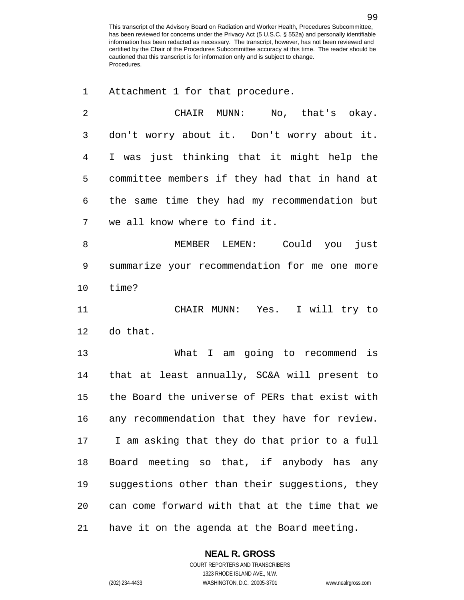Attachment 1 for that procedure.

 CHAIR MUNN: No, that's okay. don't worry about it. Don't worry about it. I was just thinking that it might help the committee members if they had that in hand at the same time they had my recommendation but we all know where to find it. MEMBER LEMEN: Could you just summarize your recommendation for me one more time? CHAIR MUNN: Yes. I will try to do that. What I am going to recommend is that at least annually, SC&A will present to the Board the universe of PERs that exist with any recommendation that they have for review. I am asking that they do that prior to a full Board meeting so that, if anybody has any suggestions other than their suggestions, they can come forward with that at the time that we have it on the agenda at the Board meeting.

**NEAL R. GROSS**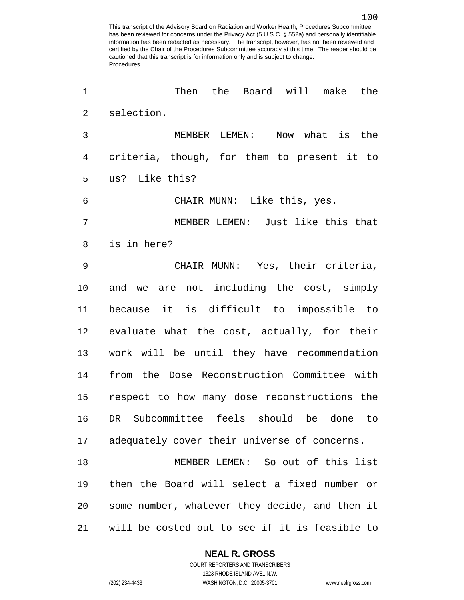| 1              | Then<br>the<br>Board will make the             |
|----------------|------------------------------------------------|
| $\overline{2}$ | selection.                                     |
| 3              | Now what is the<br>MEMBER LEMEN:               |
| 4              | criteria, though, for them to present it to    |
| 5              | us? Like this?                                 |
| 6              | CHAIR MUNN: Like this, yes.                    |
| 7              | MEMBER LEMEN: Just like this that              |
| 8              | is in here?                                    |
| 9              | CHAIR MUNN: Yes, their criteria,               |
| 10             | and we are not including the cost, simply      |
| 11             | because it is difficult to impossible to       |
| 12             | evaluate what the cost, actually, for their    |
| 13             | work will be until they have recommendation    |
| 14             | from the Dose Reconstruction Committee with    |
| 15             | respect to how many dose reconstructions the   |
| 16             | Subcommittee feels should be<br>DR<br>done to  |
| 17             | adequately cover their universe of concerns.   |
| 18             | MEMBER LEMEN: So out of this list              |
| 19             | then the Board will select a fixed number or   |
| 20             | some number, whatever they decide, and then it |
| 21             | will be costed out to see if it is feasible to |

#### **NEAL R. GROSS**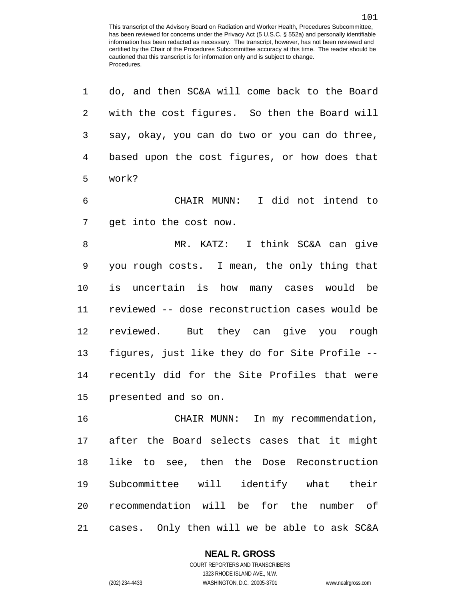| 1  | do, and then SC&A will come back to the Board  |
|----|------------------------------------------------|
| 2  | with the cost figures. So then the Board will  |
| 3  | say, okay, you can do two or you can do three, |
| 4  | based upon the cost figures, or how does that  |
| 5  | work?                                          |
| 6  | CHAIR MUNN: I did not intend to                |
| 7  | get into the cost now.                         |
| 8  | MR. KATZ: I think SC&A can give                |
| 9  | you rough costs. I mean, the only thing that   |
| 10 | is uncertain is how many cases would be        |
| 11 | reviewed -- dose reconstruction cases would be |
| 12 | reviewed. But they can give you rough          |
| 13 | figures, just like they do for Site Profile -- |
| 14 | recently did for the Site Profiles that were   |
| 15 | presented and so on.                           |
| 16 | CHAIR MUNN: In my recommendation,              |
|    | 17 after the Board selects cases that it might |
| 18 | like to see, then the Dose Reconstruction      |
| 19 | Subcommittee will identify what their          |
| 20 | recommendation will be for the number of       |
| 21 | cases. Only then will we be able to ask SC&A   |

### **NEAL R. GROSS**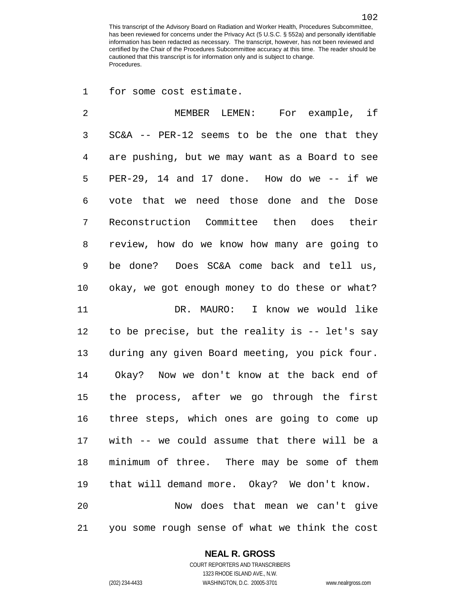for some cost estimate.

 MEMBER LEMEN: For example, if SC&A -- PER-12 seems to be the one that they are pushing, but we may want as a Board to see PER-29, 14 and 17 done. How do we -- if we vote that we need those done and the Dose Reconstruction Committee then does their review, how do we know how many are going to be done? Does SC&A come back and tell us, okay, we got enough money to do these or what? DR. MAURO: I know we would like to be precise, but the reality is -- let's say during any given Board meeting, you pick four. Okay? Now we don't know at the back end of the process, after we go through the first three steps, which ones are going to come up with -- we could assume that there will be a minimum of three. There may be some of them that will demand more. Okay? We don't know. Now does that mean we can't give you some rough sense of what we think the cost

### **NEAL R. GROSS**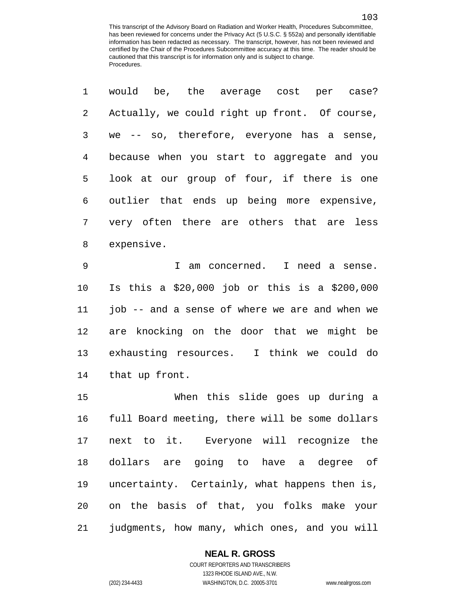| 1              | would be, the average cost per case?           |
|----------------|------------------------------------------------|
| 2              | Actually, we could right up front. Of course,  |
| $\mathsf{3}$   | we -- so, therefore, everyone has a sense,     |
| $\overline{4}$ | because when you start to aggregate and you    |
| 5              | look at our group of four, if there is one     |
| 6              | outlier that ends up being more expensive,     |
| 7              | very often there are others that are less      |
| 8              | expensive.                                     |
| 9              | I am concerned. I need a sense.                |
| 10             | Is this a \$20,000 job or this is a \$200,000  |
| 11             | job -- and a sense of where we are and when we |
| 12             | are knocking on the door that we might be      |
| 13             | exhausting resources. I think we could do      |
| 14             | that up front.                                 |
| 15             | When this slide goes up during a               |
| 16             | full Board meeting, there will be some dollars |
| 17             | next to it. Everyone will recognize the        |
| 18             | dollars are going to have a degree of          |
| 19             | uncertainty. Certainly, what happens then is,  |
| 20             | on the basis of that, you folks make your      |
| 21             | judgments, how many, which ones, and you will  |

### **NEAL R. GROSS**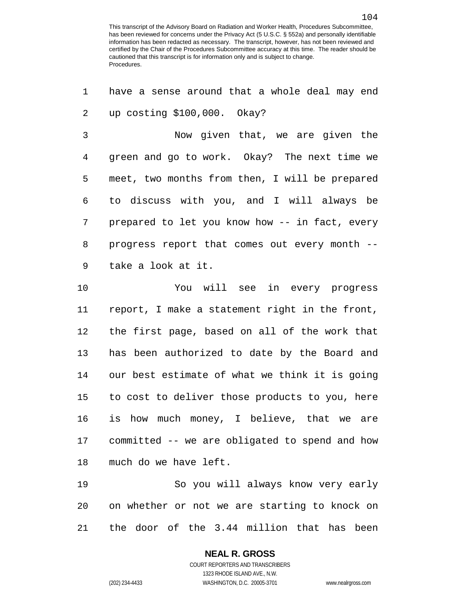have a sense around that a whole deal may end up costing \$100,000. Okay? Now given that, we are given the green and go to work. Okay? The next time we meet, two months from then, I will be prepared to discuss with you, and I will always be prepared to let you know how -- in fact, every progress report that comes out every month -- take a look at it. You will see in every progress report, I make a statement right in the front, the first page, based on all of the work that has been authorized to date by the Board and our best estimate of what we think it is going to cost to deliver those products to you, here is how much money, I believe, that we are committed -- we are obligated to spend and how much do we have left. So you will always know very early on whether or not we are starting to knock on

the door of the 3.44 million that has been

**NEAL R. GROSS** COURT REPORTERS AND TRANSCRIBERS

1323 RHODE ISLAND AVE., N.W.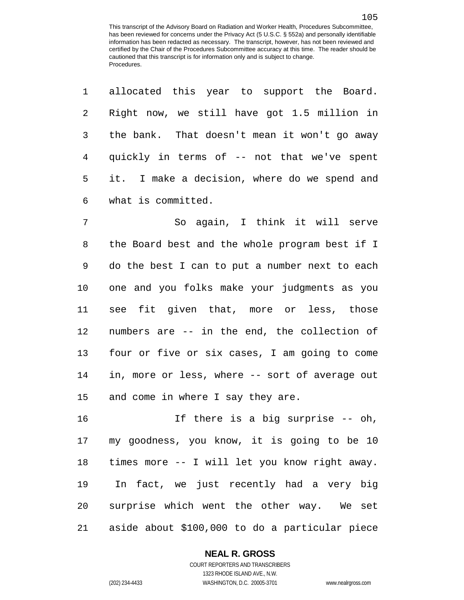| $\mathbf 1$ | allocated this year to support the Board.      |
|-------------|------------------------------------------------|
| 2           | Right now, we still have got 1.5 million in    |
| 3           | the bank. That doesn't mean it won't go away   |
| 4           | quickly in terms of -- not that we've spent    |
| 5           | it. I make a decision, where do we spend and   |
| 6           | what is committed.                             |
| 7           | So again, I think it will serve                |
| 8           | the Board best and the whole program best if I |
| 9           | do the best I can to put a number next to each |
| 10          | one and you folks make your judgments as you   |
| 11          | see fit given that, more or less, those        |
| 12          | numbers are -- in the end, the collection of   |
| 13          | four or five or six cases, I am going to come  |
| 14          | in, more or less, where -- sort of average out |
| 15          | and come in where I say they are.              |
| 16          | If there is a big surprise -- oh,              |
| 17          | my goodness, you know, it is going to be 10    |
| 18          | times more -- I will let you know right away.  |
| 19          | In fact, we just recently had a very big       |
| 20          | surprise which went the other way. We set      |
| 21          | aside about \$100,000 to do a particular piece |

#### **NEAL R. GROSS**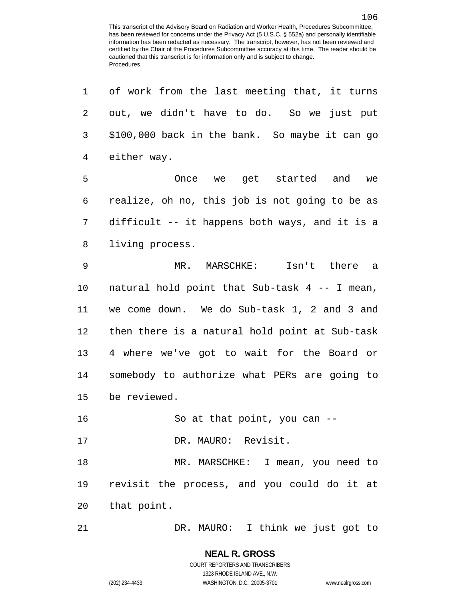| $\mathbf 1$ | of work from the last meeting that, it turns   |
|-------------|------------------------------------------------|
| 2           | out, we didn't have to do. So we just put      |
| 3           | \$100,000 back in the bank. So maybe it can go |
| 4           | either way.                                    |
| 5           | Once we get started and we                     |
| 6           | realize, oh no, this job is not going to be as |
| 7           | difficult -- it happens both ways, and it is a |
| 8           | living process.                                |
| $\mathsf 9$ | MR. MARSCHKE: Isn't there a                    |
| 10          | natural hold point that Sub-task 4 -- I mean,  |
| 11          | we come down. We do Sub-task 1, 2 and 3 and    |
| 12          | then there is a natural hold point at Sub-task |
| 13          | 4 where we've got to wait for the Board or     |
| 14          | somebody to authorize what PERs are going to   |
| 15          | be reviewed.                                   |
| 16          | So at that point, you can $-$                  |
| 17          | DR. MAURO: Revisit.                            |
| 18          | MR. MARSCHKE: I mean, you need to              |
| 19          | revisit the process, and you could do it at    |
| 20          | that point.                                    |
| 21          | DR. MAURO: I think we just got to              |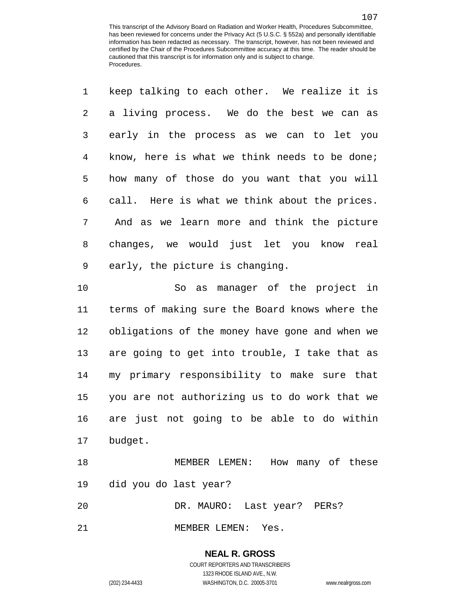|            | 1 keep talking to each other. We realize it is |
|------------|------------------------------------------------|
|            | 2 a living process. We do the best we can as   |
|            | 3 early in the process as we can to let you    |
| $4\degree$ | know, here is what we think needs to be done;  |
| 5          | how many of those do you want that you will    |
| 6          | call. Here is what we think about the prices.  |
| 7          | And as we learn more and think the picture     |
| 8          | changes, we would just let you know real       |
| 9          | early, the picture is changing.                |

 So as manager of the project in terms of making sure the Board knows where the obligations of the money have gone and when we are going to get into trouble, I take that as my primary responsibility to make sure that you are not authorizing us to do work that we are just not going to be able to do within budget.

 MEMBER LEMEN: How many of these did you do last year?

DR. MAURO: Last year? PERs?

MEMBER LEMEN: Yes.

# **NEAL R. GROSS**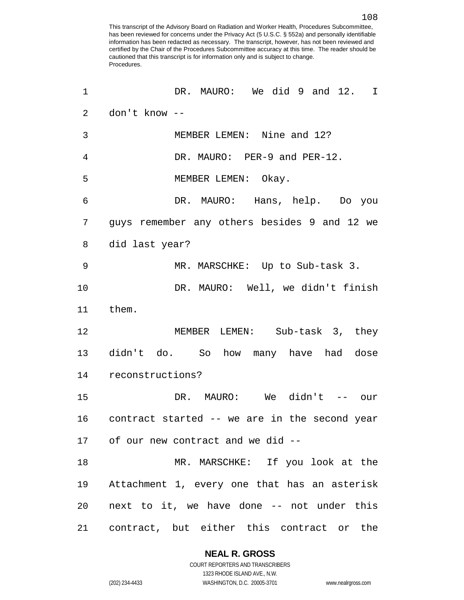| 1              | DR. MAURO: We did 9 and 12. I                 |
|----------------|-----------------------------------------------|
| $\overline{2}$ | don't know --                                 |
| 3              | MEMBER LEMEN: Nine and 12?                    |
| 4              | DR. MAURO: PER-9 and PER-12.                  |
| 5              | MEMBER LEMEN: Okay.                           |
| 6              | DR. MAURO: Hans, help. Do you                 |
| 7              | guys remember any others besides 9 and 12 we  |
| 8              | did last year?                                |
| 9              | MR. MARSCHKE: Up to Sub-task 3.               |
| 10             | DR. MAURO: Well, we didn't finish             |
| 11             | them.                                         |
| 12             | MEMBER LEMEN: Sub-task 3, they                |
|                | 13 didn't do. So how many have had dose       |
|                | 14 reconstructions?                           |
| 15             | DR. MAURO: We didn't -- our                   |
| 16             | contract started -- we are in the second year |
|                | 17 of our new contract and we did --          |
| 18             | MR. MARSCHKE: If you look at the              |
| 19             | Attachment 1, every one that has an asterisk  |
| 20             | next to it, we have done -- not under this    |
| 21             | contract, but either this contract or the     |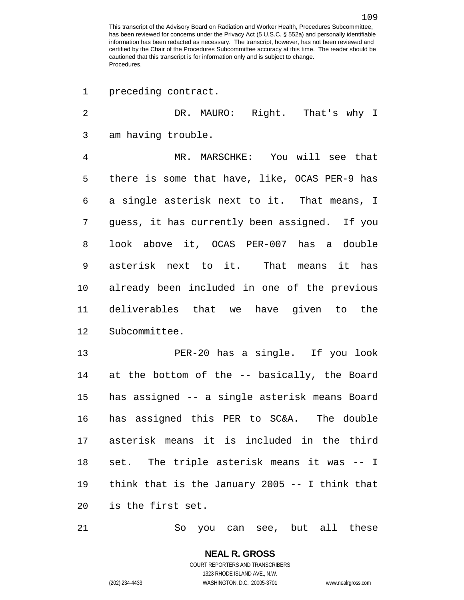preceding contract.

 DR. MAURO: Right. That's why I am having trouble. MR. MARSCHKE: You will see that there is some that have, like, OCAS PER-9 has a single asterisk next to it. That means, I guess, it has currently been assigned. If you look above it, OCAS PER-007 has a double asterisk next to it. That means it has already been included in one of the previous deliverables that we have given to the Subcommittee. PER-20 has a single. If you look at the bottom of the -- basically, the Board has assigned -- a single asterisk means Board has assigned this PER to SC&A. The double asterisk means it is included in the third set. The triple asterisk means it was -- I think that is the January 2005 -- I think that is the first set.

So you can see, but all these

COURT REPORTERS AND TRANSCRIBERS 1323 RHODE ISLAND AVE., N.W. (202) 234-4433 WASHINGTON, D.C. 20005-3701 www.nealrgross.com

**NEAL R. GROSS**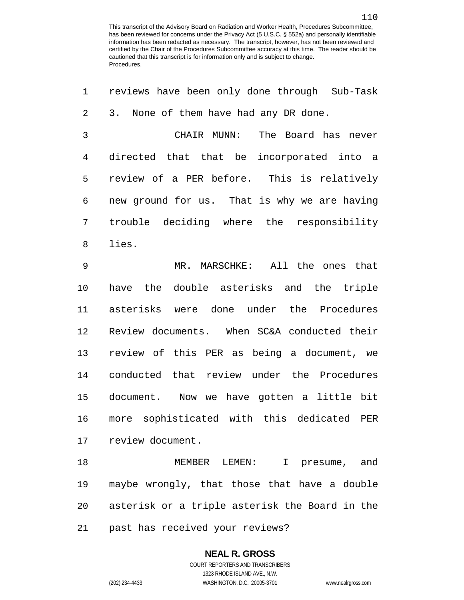| 1  | reviews have been only done through Sub-Task   |
|----|------------------------------------------------|
| 2  | 3. None of them have had any DR done.          |
| 3  | The Board has never<br>CHAIR MUNN:             |
| 4  | directed that that be incorporated into a      |
| 5  | review of a PER before. This is relatively     |
| 6  | new ground for us. That is why we are having   |
| 7  | trouble deciding where the responsibility      |
| 8  | lies.                                          |
| 9  | All the ones that<br>$MR$ .<br>MARSCHKE:       |
| 10 | the double asterisks and the triple<br>have    |
| 11 | asterisks were done under the Procedures       |
| 12 | Review documents. When SC&A conducted their    |
| 13 | review of this PER as being a document, we     |
| 14 | conducted that review under the Procedures     |
| 15 | document. Now we have gotten a little bit      |
| 16 | more sophisticated with this dedicated<br>PER  |
| 17 | review document.                               |
| 18 | MEMBER LEMEN: I presume, and                   |
| 19 | maybe wrongly, that those that have a double   |
| 20 | asterisk or a triple asterisk the Board in the |

**NEAL R. GROSS**

past has received your reviews?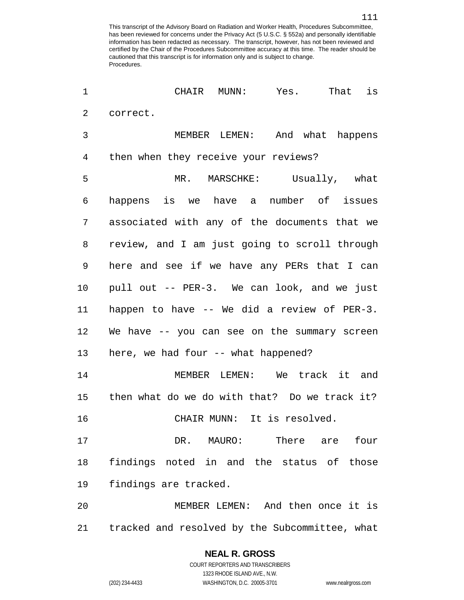CHAIR MUNN: Yes. That is correct. MEMBER LEMEN: And what happens then when they receive your reviews? MR. MARSCHKE: Usually, what happens is we have a number of issues associated with any of the documents that we review, and I am just going to scroll through here and see if we have any PERs that I can pull out -- PER-3. We can look, and we just happen to have -- We did a review of PER-3. We have -- you can see on the summary screen here, we had four -- what happened? MEMBER LEMEN: We track it and then what do we do with that? Do we track it? CHAIR MUNN: It is resolved. 17 DR. MAURO: There are four findings noted in and the status of those findings are tracked. MEMBER LEMEN: And then once it is tracked and resolved by the Subcommittee, what

1323 RHODE ISLAND AVE., N.W. (202) 234-4433 WASHINGTON, D.C. 20005-3701 www.nealrgross.com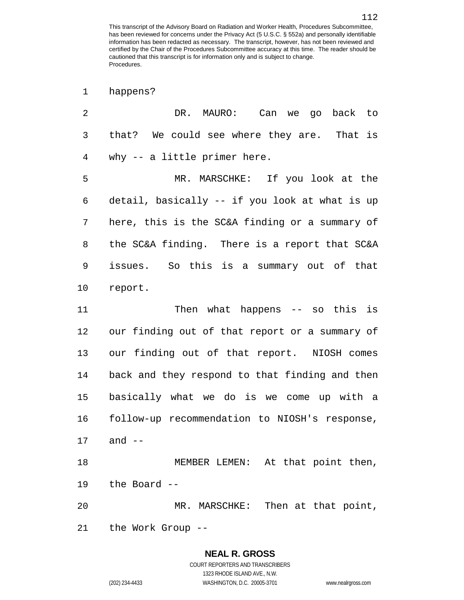| happens? |
|----------|
|----------|

| 2              | DR. MAURO: Can we go back to                   |
|----------------|------------------------------------------------|
| 3              | that? We could see where they are. That is     |
| $\overline{4}$ | why $-$ a little primer here.                  |
| 5              | MR. MARSCHKE: If you look at the               |
| 6              | detail, basically -- if you look at what is up |
| 7              | here, this is the SC&A finding or a summary of |
| 8              | the SC&A finding. There is a report that SC&A  |
| 9              | issues. So this is a summary out of that       |
| 10             | report.                                        |
| 11             | Then what happens $--$ so this is              |
| 12             | our finding out of that report or a summary of |
| 13             | our finding out of that report. NIOSH comes    |
| 14             | back and they respond to that finding and then |
| 15             | basically what we do is we come up with a      |
| 16             | follow-up recommendation to NIOSH's response,  |
| 17             | and $--$                                       |
| 18             | MEMBER LEMEN: At that point then,              |
| 19             | the Board --                                   |
| 20             | MR. MARSCHKE: Then at that point,              |
| 21             | the Work Group --                              |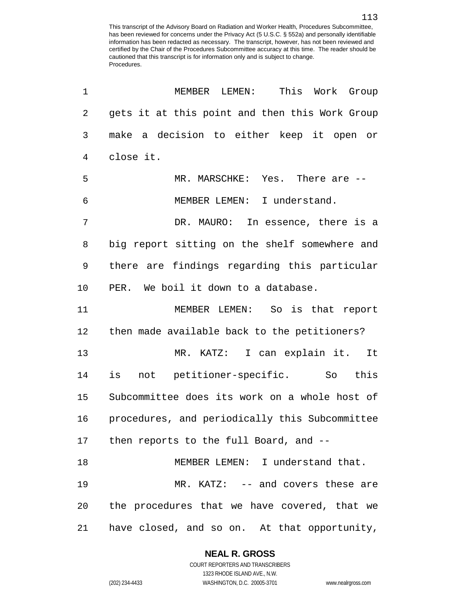| 1              | MEMBER LEMEN:<br>This Work Group               |
|----------------|------------------------------------------------|
| $\overline{2}$ | gets it at this point and then this Work Group |
| $\mathfrak{Z}$ | make a decision to either keep it open or      |
| 4              | close it.                                      |
| 5              | MR. MARSCHKE: Yes. There are --                |
| 6              | MEMBER LEMEN: I understand.                    |
| 7              | DR. MAURO: In essence, there is a              |
| 8              | big report sitting on the shelf somewhere and  |
| 9              | there are findings regarding this particular   |
| 10             | PER. We boil it down to a database.            |
| 11             | MEMBER LEMEN: So is that report                |
| 12             | then made available back to the petitioners?   |
| 13             | MR. KATZ: I can explain it. It                 |
| 14             | not petitioner-specific. So this<br>is         |
| 15             | Subcommittee does its work on a whole host of  |
| 16             | procedures, and periodically this Subcommittee |
|                | 17 then reports to the full Board, and --      |
| 18             | MEMBER LEMEN: I understand that.               |
| 19             | MR. KATZ: -- and covers these are              |
| 20             | the procedures that we have covered, that we   |
| 21             | have closed, and so on. At that opportunity,   |

#### **NEAL R. GROSS**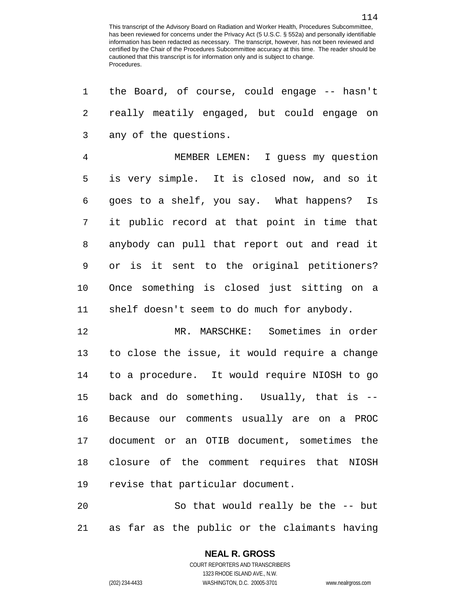| 1  | the Board, of course, could engage -- hasn't    |
|----|-------------------------------------------------|
| 2  | really meatily engaged, but could engage on     |
| 3  | any of the questions.                           |
| 4  | MEMBER LEMEN: I guess my question               |
| 5  | is very simple. It is closed now, and so it     |
| 6  | goes to a shelf, you say. What happens? Is      |
| 7  | it public record at that point in time that     |
| 8  | anybody can pull that report out and read it    |
| 9  | or is it sent to the original petitioners?      |
| 10 | Once something is closed just sitting on a      |
| 11 | shelf doesn't seem to do much for anybody.      |
| 12 | MR. MARSCHKE: Sometimes in order                |
| 13 | to close the issue, it would require a change   |
| 14 | to a procedure. It would require NIOSH to go    |
| 15 | back and do something. Usually, that is --      |
| 16 | Because our comments usually are on a PROC      |
| 17 | document or an OTIB document, sometimes the     |
| 18 | closure of the comment requires that NIOSH      |
| 19 | revise that particular document.                |
| 20 | So that would really be the -- but              |
| 21 | far as the public or the claimants having<br>as |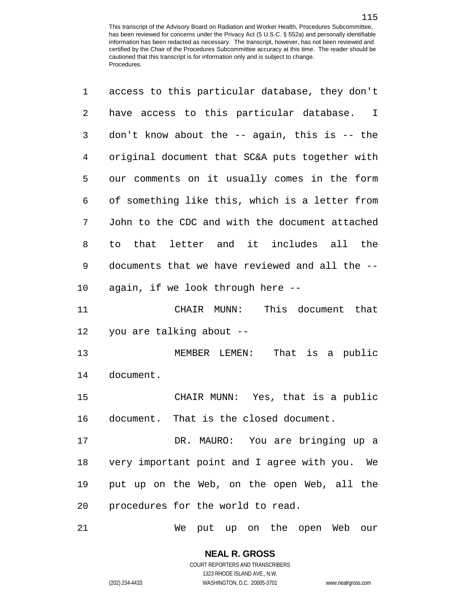| 1              | access to this particular database, they don't   |
|----------------|--------------------------------------------------|
| $\overline{a}$ | have access to this particular database. I       |
| 3              | don't know about the $-$ again, this is $-$ the  |
| $\overline{4}$ | original document that SC&A puts together with   |
| 5              | our comments on it usually comes in the form     |
| 6              | of something like this, which is a letter from   |
| 7              | John to the CDC and with the document attached   |
| 8              | that letter and it includes all the<br>to        |
| 9              | documents that we have reviewed and all the --   |
| 10             | again, if we look through here --                |
| 11             | This document that<br>CHAIR MUNN:                |
| 12             | you are talking about --                         |
| 13             | MEMBER LEMEN:<br>That is a public                |
| 14             | document.                                        |
| 15             | CHAIR MUNN: Yes, that is a public                |
| 16             | document. That is the closed document.           |
| 17             | DR. MAURO: You are bringing up a                 |
| 18             | very important point and I agree with you.<br>We |
| 19             | put up on the Web, on the open Web, all the      |
| 20             | procedures for the world to read.                |
| 21             | We put up on the open Web our                    |

**NEAL R. GROSS** COURT REPORTERS AND TRANSCRIBERS

1323 RHODE ISLAND AVE., N.W.

(202) 234-4433 WASHINGTON, D.C. 20005-3701 www.nealrgross.com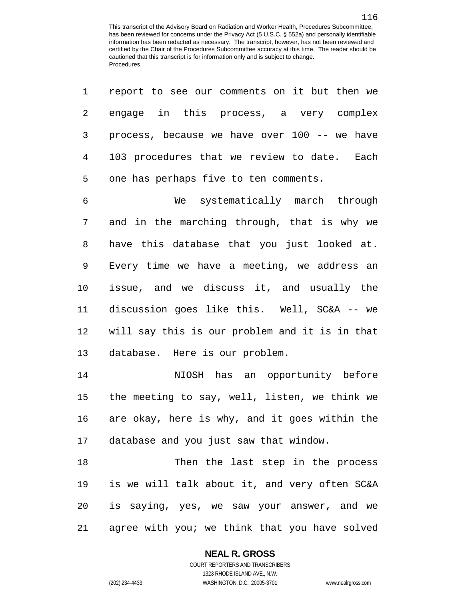| 1  | report to see our comments on it but then we   |
|----|------------------------------------------------|
| 2  | engage in this process, a very complex         |
| 3  | process, because we have over 100 -- we have   |
| 4  | 103 procedures that we review to date. Each    |
| 5  | one has perhaps five to ten comments.          |
| 6  | We systematically march through                |
| 7  | and in the marching through, that is why we    |
| 8  | have this database that you just looked at.    |
| 9  | Every time we have a meeting, we address an    |
| 10 | issue, and we discuss it, and usually the      |
| 11 | discussion goes like this. Well, SC&A -- we    |
| 12 | will say this is our problem and it is in that |
| 13 | database. Here is our problem.                 |
| 14 | NIOSH has an opportunity before                |
| 15 | the meeting to say, well, listen, we think we  |
| 16 | are okay, here is why, and it goes within the  |
| 17 | database and you just saw that window.         |
| 18 | Then the last step in the process              |
| 19 | is we will talk about it, and very often SC&A  |
| 20 | is saying, yes, we saw your answer, and we     |
| 21 | agree with you; we think that you have solved  |

**NEAL R. GROSS**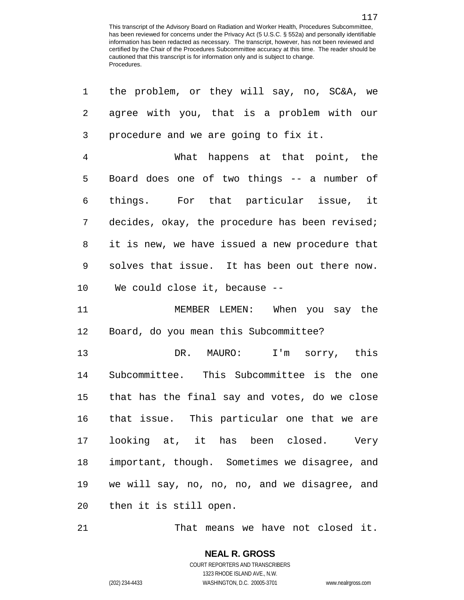| $\mathbf 1$    | the problem, or they will say, no, SC&A, we    |
|----------------|------------------------------------------------|
| 2              | agree with you, that is a problem with our     |
| 3              | procedure and we are going to fix it.          |
| $\overline{4}$ | What happens at that point, the                |
| 5              | Board does one of two things -- a number of    |
| 6              | things. For that particular issue, it          |
| 7              | decides, okay, the procedure has been revised; |
| 8              | it is new, we have issued a new procedure that |
| 9              | solves that issue. It has been out there now.  |
| 10             | We could close it, because --                  |
| 11             | MEMBER LEMEN: When you say the                 |
| 12             | Board, do you mean this Subcommittee?          |
| 13             | DR. MAURO: I'm sorry, this                     |
| 14             | Subcommittee. This Subcommittee is the one     |
| 15             | that has the final say and votes, do we close  |
| 16             | that issue. This particular one that we are    |
| 17             | looking at, it has been closed. Very           |
| 18             | important, though. Sometimes we disagree, and  |
| 19             | we will say, no, no, no, and we disagree, and  |
| 20             | then it is still open.                         |

That means we have not closed it.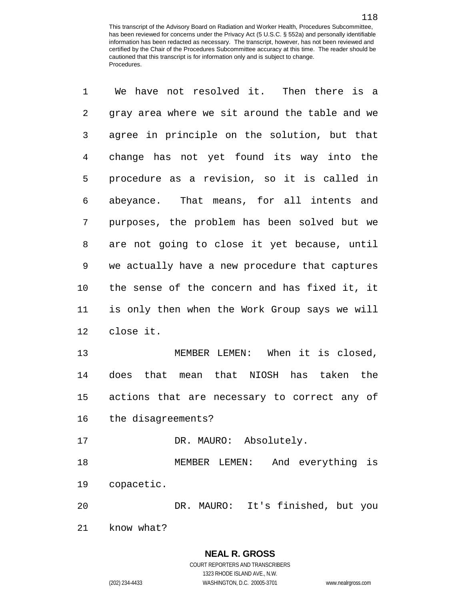| 1  | We have not resolved it. Then there is a       |
|----|------------------------------------------------|
| 2  | gray area where we sit around the table and we |
| 3  | agree in principle on the solution, but that   |
| 4  | change has not yet found its way into the      |
| 5  | procedure as a revision, so it is called in    |
| 6  | abeyance. That means, for all intents and      |
| 7  | purposes, the problem has been solved but we   |
| 8  | are not going to close it yet because, until   |
| 9  | we actually have a new procedure that captures |
| 10 | the sense of the concern and has fixed it, it  |
| 11 | is only then when the Work Group says we will  |
| 12 | close it.                                      |
| 13 | MEMBER LEMEN: When it is closed,               |
| 14 | does that mean that NIOSH has taken the        |
| 15 | actions that are necessary to correct any of   |
| 16 | the disagreements?                             |
| 17 | DR. MAURO: Absolutely.                         |
| 18 | MEMBER LEMEN:<br>And everything is             |
| 19 | copacetic.                                     |
| 20 | DR. MAURO: It's finished, but you              |
|    |                                                |

know what?

## **NEAL R. GROSS**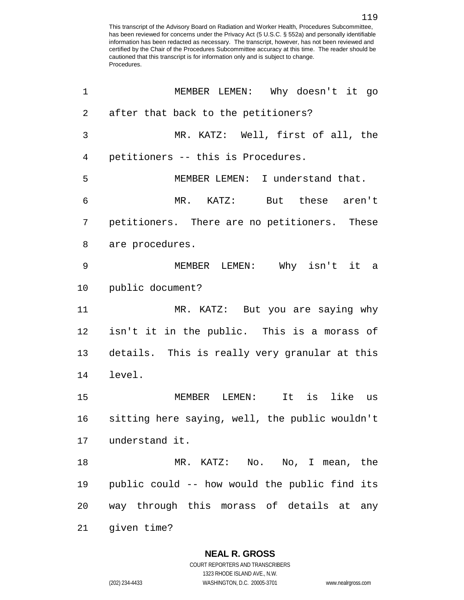| $\mathbf 1$  | MEMBER LEMEN: Why doesn't it go                |
|--------------|------------------------------------------------|
| $\mathbf{2}$ | after that back to the petitioners?            |
| 3            | MR. KATZ: Well, first of all, the              |
| 4            | petitioners -- this is Procedures.             |
| 5            | MEMBER LEMEN: I understand that.               |
| 6            | MR. KATZ: But these aren't                     |
| 7            | petitioners. There are no petitioners. These   |
| 8            | are procedures.                                |
| 9            | MEMBER LEMEN: Why isn't it a                   |
| 10           | public document?                               |
| 11           | MR. KATZ: But you are saying why               |
| 12           | isn't it in the public. This is a morass of    |
| 13           | details. This is really very granular at this  |
| 14           | level.                                         |
| 15           | is<br>It<br>MEMBER LEMEN:<br>like us           |
| 16           | sitting here saying, well, the public wouldn't |
| 17           | understand it.                                 |
| 18           | MR. KATZ: No. No, I mean, the                  |
| 19           | public could -- how would the public find its  |
| 20           | way through this morass of details at any      |
| 21           | given time?                                    |

**NEAL R. GROSS** COURT REPORTERS AND TRANSCRIBERS

1323 RHODE ISLAND AVE., N.W.

(202) 234-4433 WASHINGTON, D.C. 20005-3701 www.nealrgross.com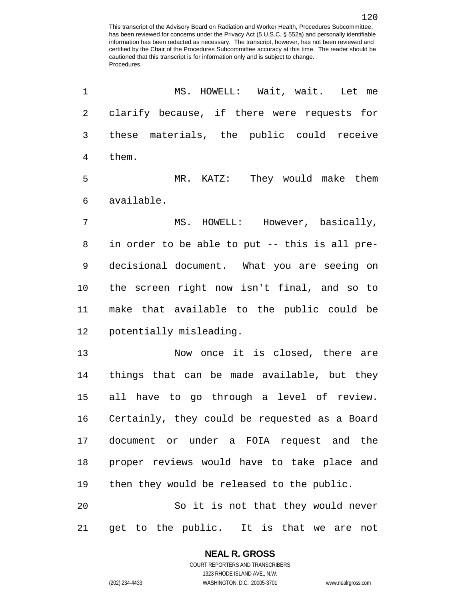MS. HOWELL: Wait, wait. Let me clarify because, if there were requests for these materials, the public could receive them. MR. KATZ: They would make them available. MS. HOWELL: However, basically, in order to be able to put -- this is all pre- decisional document. What you are seeing on the screen right now isn't final, and so to make that available to the public could be potentially misleading. Now once it is closed, there are things that can be made available, but they all have to go through a level of review. Certainly, they could be requested as a Board document or under a FOIA request and the proper reviews would have to take place and then they would be released to the public. So it is not that they would never get to the public. It is that we are not

1323 RHODE ISLAND AVE., N.W. (202) 234-4433 WASHINGTON, D.C. 20005-3701 www.nealrgross.com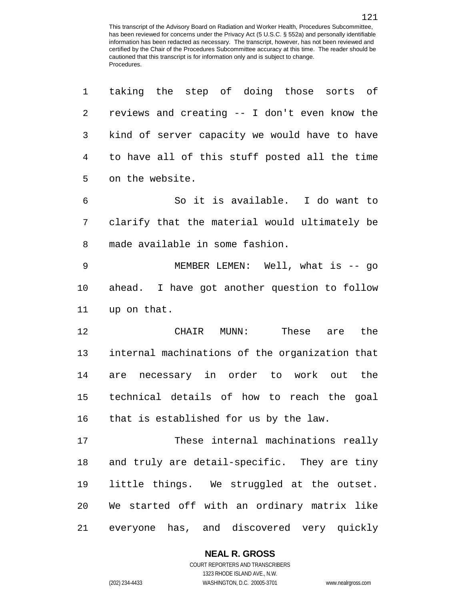| 1              | taking the step of doing those sorts of        |
|----------------|------------------------------------------------|
| $\overline{2}$ | reviews and creating -- I don't even know the  |
| 3              | kind of server capacity we would have to have  |
| 4              | to have all of this stuff posted all the time  |
| 5              | on the website.                                |
| 6              | So it is available. I do want to               |
| 7              | clarify that the material would ultimately be  |
| 8              | made available in some fashion.                |
| 9              | MEMBER LEMEN: Well, what is -- go              |
| 10             | ahead. I have got another question to follow   |
| 11             | up on that.                                    |
| 12             | CHAIR MUNN: These are the                      |
| 13             | internal machinations of the organization that |
| 14             | are necessary in order to work out the         |
| 15             | technical details of how to reach the goal     |
| 16             | that is established for us by the law.         |
| 17             | These internal machinations really             |
| 18             | and truly are detail-specific. They are tiny   |
| 19             | little things. We struggled at the outset.     |
| 20             | We started off with an ordinary matrix like    |
| 21             | everyone has, and discovered very quickly      |

#### **NEAL R. GROSS**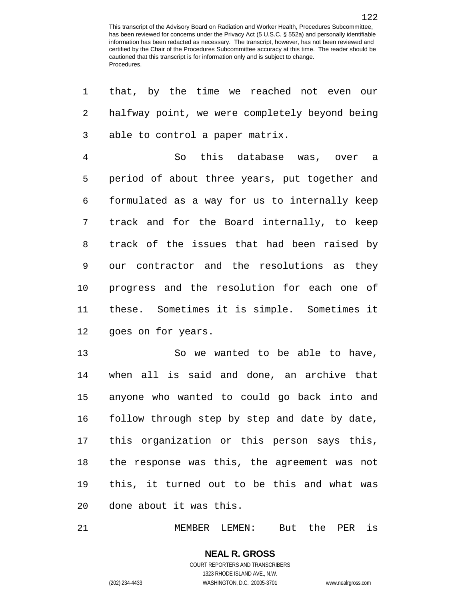| 1  | that, by the time we reached not even our      |
|----|------------------------------------------------|
| 2  | halfway point, we were completely beyond being |
| 3  | able to control a paper matrix.                |
| 4  | So this database was, over a                   |
| 5  | period of about three years, put together and  |
| 6  | formulated as a way for us to internally keep  |
| 7  | track and for the Board internally, to keep    |
| 8  | track of the issues that had been raised by    |
| 9  | our contractor and the resolutions as they     |
| 10 | progress and the resolution for each one of    |
| 11 | these. Sometimes it is simple. Sometimes it    |
| 12 | goes on for years.                             |
| 13 | So we wanted to be able to have,               |
| 14 | when all is said and done, an archive that     |
| 15 | anyone who wanted to could go back into and    |
| 16 | follow through step by step and date by date,  |
|    | 17 this organization or this person says this, |
| 18 | the response was this, the agreement was not   |
| 19 | this, it turned out to be this and what was    |
| 20 | done about it was this.                        |
|    |                                                |

MEMBER LEMEN: But the PER is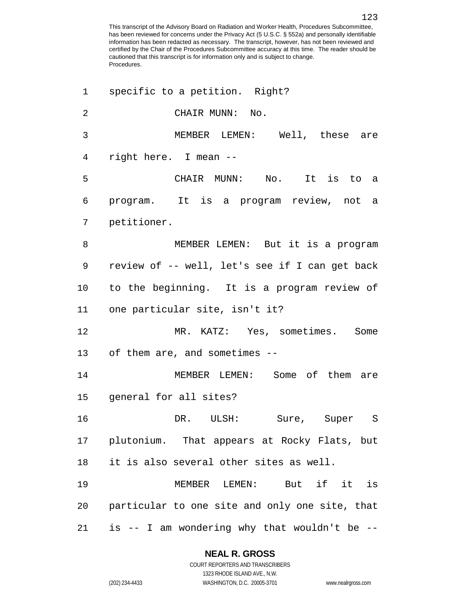specific to a petition. Right? CHAIR MUNN: No. MEMBER LEMEN: Well, these are right here. I mean -- CHAIR MUNN: No. It is to a program. It is a program review, not a petitioner. MEMBER LEMEN: But it is a program review of -- well, let's see if I can get back to the beginning. It is a program review of one particular site, isn't it? MR. KATZ: Yes, sometimes. Some of them are, and sometimes -- MEMBER LEMEN: Some of them are general for all sites? DR. ULSH: Sure, Super S plutonium. That appears at Rocky Flats, but it is also several other sites as well. MEMBER LEMEN: But if it is particular to one site and only one site, that is -- I am wondering why that wouldn't be --

#### **NEAL R. GROSS**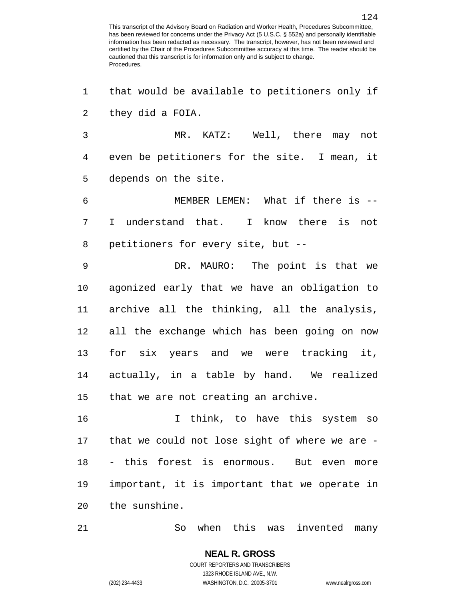that would be available to petitioners only if they did a FOIA. MR. KATZ: Well, there may not even be petitioners for the site. I mean, it depends on the site. MEMBER LEMEN: What if there is -- I understand that. I know there is not petitioners for every site, but -- DR. MAURO: The point is that we agonized early that we have an obligation to archive all the thinking, all the analysis, all the exchange which has been going on now for six years and we were tracking it, actually, in a table by hand. We realized that we are not creating an archive. I think, to have this system so that we could not lose sight of where we are - - this forest is enormous. But even more important, it is important that we operate in the sunshine. So when this was invented many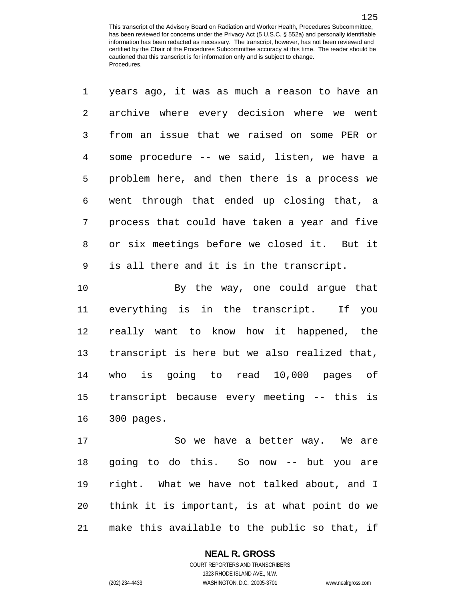| $\mathbf 1$    | years ago, it was as much a reason to have an |
|----------------|-----------------------------------------------|
| $\overline{a}$ | archive where every decision where we went    |
| 3              | from an issue that we raised on some PER or   |
| 4              | some procedure -- we said, listen, we have a  |
| 5              | problem here, and then there is a process we  |
| 6              | went through that ended up closing that, a    |
| $\overline{7}$ | process that could have taken a year and five |
| 8              | or six meetings before we closed it. But it   |
| 9              | is all there and it is in the transcript.     |
| 10             | By the way, one could argue that              |
| 11             | everything is in the transcript. If you       |
| 12             | really want to know how it happened, the      |
| 13             | transcript is here but we also realized that, |
| 14             | who is going to read 10,000 pages of          |

 transcript because every meeting -- this is 300 pages.

17 So we have a better way. We are going to do this. So now -- but you are right. What we have not talked about, and I think it is important, is at what point do we make this available to the public so that, if

#### **NEAL R. GROSS**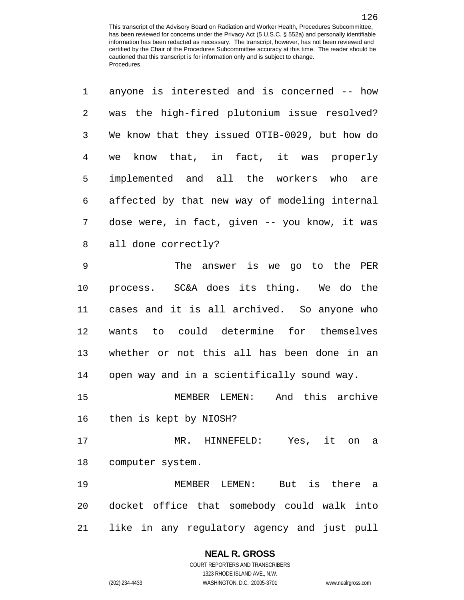| $\mathbf 1$    | anyone is interested and is concerned -- how   |
|----------------|------------------------------------------------|
| 2              | was the high-fired plutonium issue resolved?   |
| 3              | We know that they issued OTIB-0029, but how do |
| $\overline{4}$ | know that, in fact, it was properly<br>we      |
| 5              | implemented and all the workers who are        |
| $\epsilon$     | affected by that new way of modeling internal  |
| 7              | dose were, in fact, given -- you know, it was  |
| 8              | all done correctly?                            |
| 9              | The answer is we go to the PER                 |
| 10             | process. SC&A does its thing. We do the        |
| 11             | cases and it is all archived. So anyone who    |
| 12             | wants to could determine for themselves        |
| 13             | whether or not this all has been done in an    |
| 14             | open way and in a scientifically sound way.    |
| 15             | And this archive<br>MEMBER LEMEN:              |
| 16             | then is kept by NIOSH?                         |
| 17             | MR. HINNEFELD: Yes, it on<br>a                 |
| 18             | computer system.                               |
| 19             | MEMBER LEMEN: But is there a                   |
| 20             | docket office that somebody could walk into    |
| 21             | like in any regulatory agency and just pull    |

#### **NEAL R. GROSS**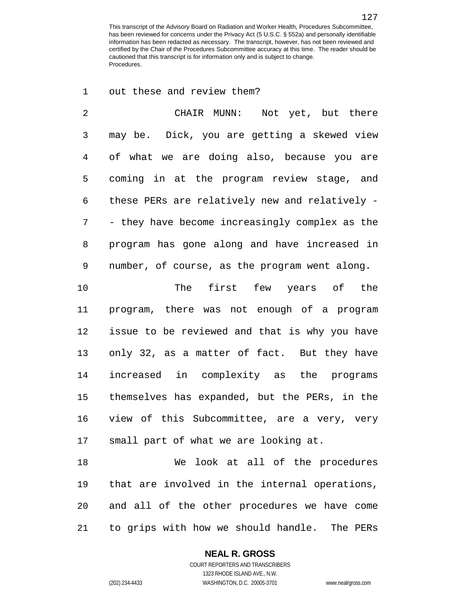out these and review them?

 CHAIR MUNN: Not yet, but there may be. Dick, you are getting a skewed view of what we are doing also, because you are coming in at the program review stage, and these PERs are relatively new and relatively - - they have become increasingly complex as the program has gone along and have increased in number, of course, as the program went along.

 The first few years of the program, there was not enough of a program issue to be reviewed and that is why you have only 32, as a matter of fact. But they have increased in complexity as the programs themselves has expanded, but the PERs, in the view of this Subcommittee, are a very, very small part of what we are looking at.

 We look at all of the procedures that are involved in the internal operations, and all of the other procedures we have come to grips with how we should handle. The PERs

#### **NEAL R. GROSS**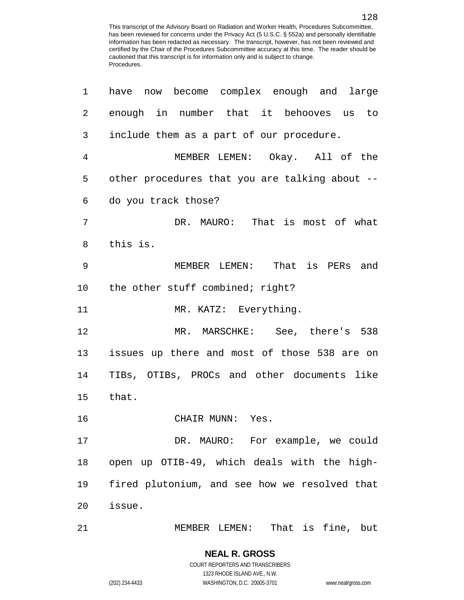| 1  | have now become complex enough and large       |
|----|------------------------------------------------|
| 2  | enough in number that it behooves us to        |
| 3  | include them as a part of our procedure.       |
| 4  | MEMBER LEMEN: Okay. All of the                 |
| 5  | other procedures that you are talking about -- |
| 6  | do you track those?                            |
| 7  | DR. MAURO: That is most of what                |
| 8  | this is.                                       |
| 9  | MEMBER LEMEN: That is PERs and                 |
| 10 | the other stuff combined; right?               |
| 11 | MR. KATZ: Everything.                          |
| 12 | MR. MARSCHKE: See, there's 538                 |
| 13 | issues up there and most of those 538 are on   |
| 14 | TIBs, OTIBs, PROCs and other documents like    |
| 15 | that.                                          |
| 16 | CHAIR MUNN: Yes.                               |
| 17 | DR. MAURO: For example, we could               |
| 18 | open up OTIB-49, which deals with the high-    |
| 19 | fired plutonium, and see how we resolved that  |
| 20 | issue.                                         |
| 21 | That is fine, but<br>MEMBER LEMEN:             |

COURT REPORTERS AND TRANSCRIBERS 1323 RHODE ISLAND AVE., N.W. (202) 234-4433 WASHINGTON, D.C. 20005-3701 www.nealrgross.com

**NEAL R. GROSS**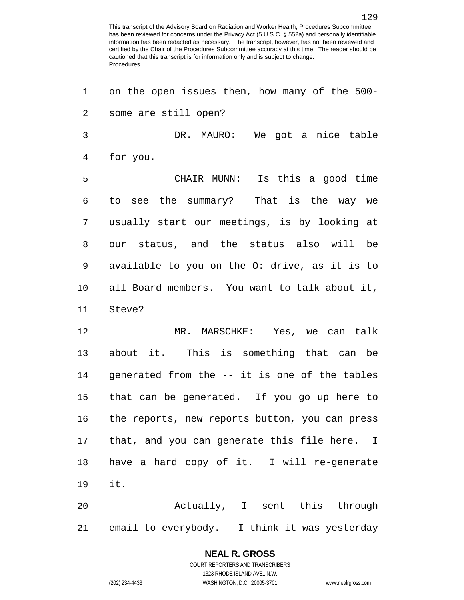on the open issues then, how many of the 500- some are still open? DR. MAURO: We got a nice table for you. CHAIR MUNN: Is this a good time to see the summary? That is the way we usually start our meetings, is by looking at our status, and the status also will be available to you on the O: drive, as it is to all Board members. You want to talk about it, Steve? MR. MARSCHKE: Yes, we can talk about it. This is something that can be generated from the -- it is one of the tables that can be generated. If you go up here to the reports, new reports button, you can press that, and you can generate this file here. I have a hard copy of it. I will re-generate it. Actually, I sent this through

email to everybody. I think it was yesterday

# **NEAL R. GROSS**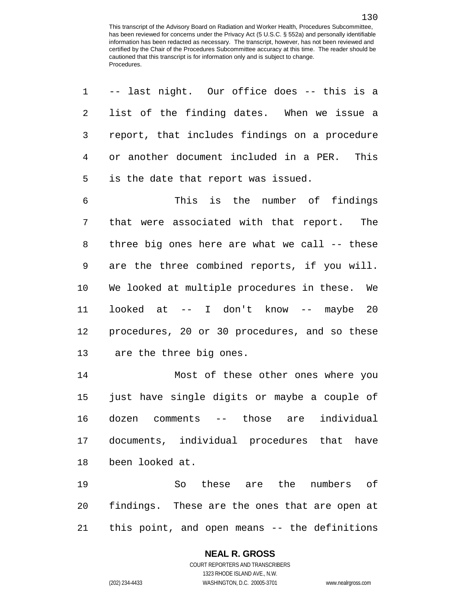| $\mathbf 1$ | -- last night. Our office does -- this is a   |
|-------------|-----------------------------------------------|
| 2           | list of the finding dates. When we issue a    |
| 3           | report, that includes findings on a procedure |
| 4           | or another document included in a PER. This   |
| 5           | is the date that report was issued.           |
| 6           | This is the number of findings                |
| 7           | that were associated with that report. The    |
| 8           | three big ones here are what we call -- these |
| $\mathsf 9$ | are the three combined reports, if you will.  |
| 10          | We looked at multiple procedures in these. We |
| 11          | looked at -- I don't know -- maybe 20         |
| 12          | procedures, 20 or 30 procedures, and so these |
| 13          | are the three big ones.                       |
| 14          | Most of these other ones where you            |
| 15          | just have single digits or maybe a couple of  |
| 16          | dozen comments -- those are individual        |
| 17          | documents, individual procedures that<br>have |
| 18          | been looked at.                               |
| 19          | So<br>these<br>the<br>numbers<br>оf<br>are    |

 findings. These are the ones that are open at this point, and open means -- the definitions

#### **NEAL R. GROSS**

COURT REPORTERS AND TRANSCRIBERS 1323 RHODE ISLAND AVE., N.W. (202) 234-4433 WASHINGTON, D.C. 20005-3701 www.nealrgross.com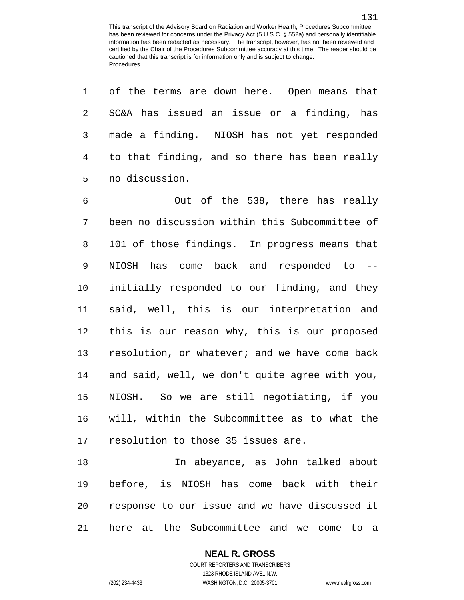of the terms are down here. Open means that SC&A has issued an issue or a finding, has made a finding. NIOSH has not yet responded to that finding, and so there has been really no discussion.

 Out of the 538, there has really been no discussion within this Subcommittee of 101 of those findings. In progress means that NIOSH has come back and responded to -- initially responded to our finding, and they said, well, this is our interpretation and this is our reason why, this is our proposed resolution, or whatever; and we have come back and said, well, we don't quite agree with you, NIOSH. So we are still negotiating, if you will, within the Subcommittee as to what the resolution to those 35 issues are.

 In abeyance, as John talked about before, is NIOSH has come back with their response to our issue and we have discussed it here at the Subcommittee and we come to a

**NEAL R. GROSS**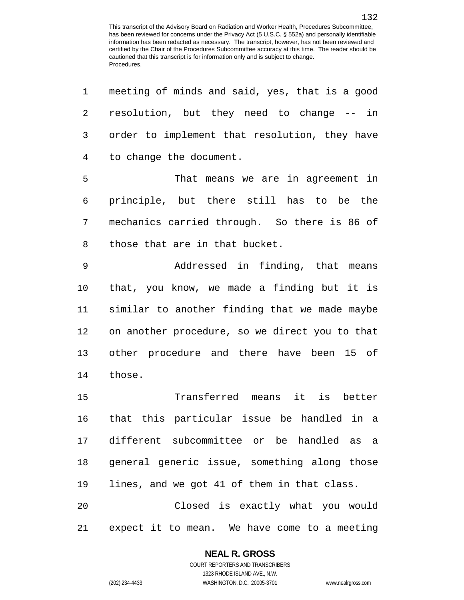| 1  | meeting of minds and said, yes, that is a good |
|----|------------------------------------------------|
| 2  | resolution, but they need to change -- in      |
| 3  | order to implement that resolution, they have  |
| 4  | to change the document.                        |
| 5  | That means we are in agreement in              |
| 6  | principle, but there still has to be the       |
| 7  | mechanics carried through. So there is 86 of   |
| 8  | those that are in that bucket.                 |
| 9  | Addressed in finding, that means               |
| 10 | that, you know, we made a finding but it is    |
| 11 | similar to another finding that we made maybe  |
| 12 | on another procedure, so we direct you to that |
| 13 | other procedure and there have been 15 of      |
| 14 | those.                                         |
| 15 | Transferred means it is better                 |
| 16 | that this particular issue be handled in a     |
| 17 | different subcommittee or be handled as a      |
| 18 | general generic issue, something along those   |
| 19 | lines, and we got 41 of them in that class.    |
| 20 | Closed is exactly what you would               |
| 21 | expect it to mean. We have come to a meeting   |

#### **NEAL R. GROSS**

COURT REPORTERS AND TRANSCRIBERS 1323 RHODE ISLAND AVE., N.W. (202) 234-4433 WASHINGTON, D.C. 20005-3701 www.nealrgross.com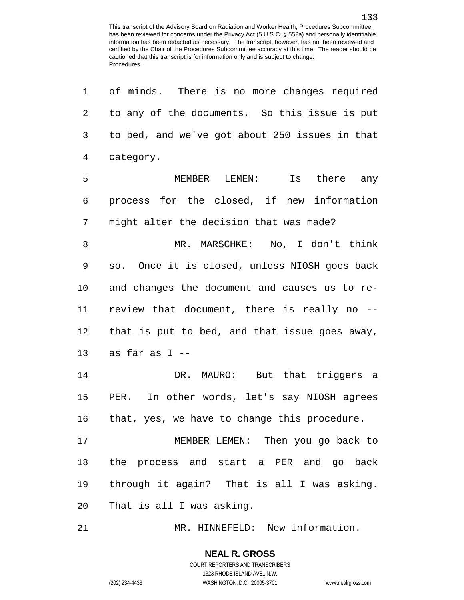of minds. There is no more changes required to any of the documents. So this issue is put to bed, and we've got about 250 issues in that category. MEMBER LEMEN: Is there any process for the closed, if new information might alter the decision that was made? MR. MARSCHKE: No, I don't think so. Once it is closed, unless NIOSH goes back and changes the document and causes us to re- review that document, there is really no -- that is put to bed, and that issue goes away, as far as I -- DR. MAURO: But that triggers a PER. In other words, let's say NIOSH agrees that, yes, we have to change this procedure. MEMBER LEMEN: Then you go back to the process and start a PER and go back through it again? That is all I was asking. That is all I was asking.

MR. HINNEFELD: New information.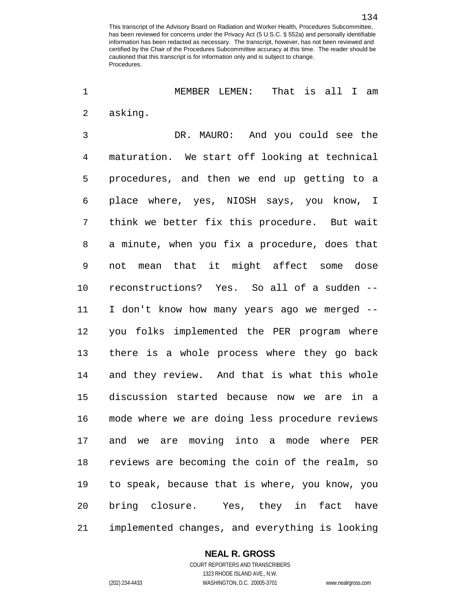MEMBER LEMEN: That is all I am asking.

 DR. MAURO: And you could see the maturation. We start off looking at technical procedures, and then we end up getting to a place where, yes, NIOSH says, you know, I think we better fix this procedure. But wait a minute, when you fix a procedure, does that not mean that it might affect some dose reconstructions? Yes. So all of a sudden -- I don't know how many years ago we merged -- you folks implemented the PER program where there is a whole process where they go back and they review. And that is what this whole discussion started because now we are in a mode where we are doing less procedure reviews and we are moving into a mode where PER reviews are becoming the coin of the realm, so to speak, because that is where, you know, you bring closure. Yes, they in fact have implemented changes, and everything is looking

#### **NEAL R. GROSS**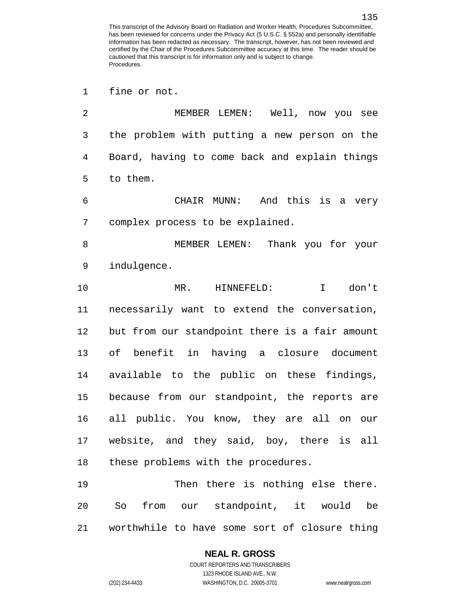fine or not.

 MEMBER LEMEN: Well, now you see the problem with putting a new person on the Board, having to come back and explain things to them. CHAIR MUNN: And this is a very complex process to be explained. MEMBER LEMEN: Thank you for your indulgence. MR. HINNEFELD: I don't necessarily want to extend the conversation, but from our standpoint there is a fair amount of benefit in having a closure document available to the public on these findings, because from our standpoint, the reports are all public. You know, they are all on our website, and they said, boy, there is all these problems with the procedures.

 Then there is nothing else there. So from our standpoint, it would be worthwhile to have some sort of closure thing

#### **NEAL R. GROSS**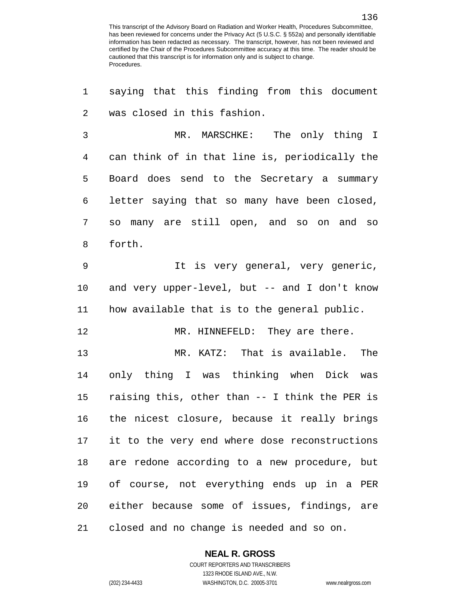saying that this finding from this document was closed in this fashion. MR. MARSCHKE: The only thing I can think of in that line is, periodically the Board does send to the Secretary a summary letter saying that so many have been closed, so many are still open, and so on and so forth. It is very general, very generic, and very upper-level, but -- and I don't know how available that is to the general public. MR. HINNEFELD: They are there. MR. KATZ: That is available. The only thing I was thinking when Dick was raising this, other than -- I think the PER is the nicest closure, because it really brings it to the very end where dose reconstructions are redone according to a new procedure, but of course, not everything ends up in a PER either because some of issues, findings, are closed and no change is needed and so on.

**NEAL R. GROSS**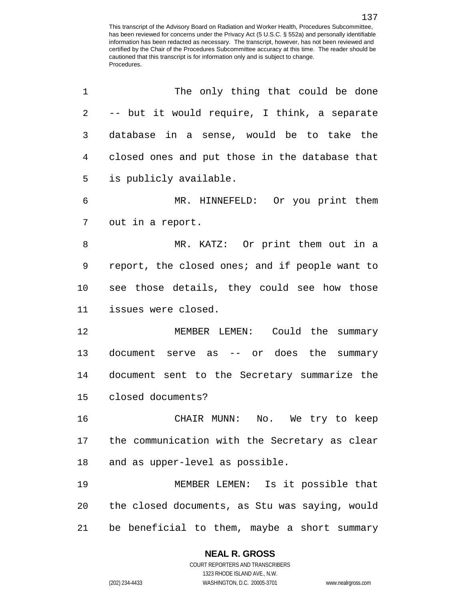| 1  | The only thing that could be done              |
|----|------------------------------------------------|
| 2  | -- but it would require, I think, a separate   |
| 3  | database in a sense, would be to take the      |
| 4  | closed ones and put those in the database that |
| 5  | is publicly available.                         |
| 6  | MR. HINNEFELD: Or you print them               |
| 7  | out in a report.                               |
| 8  | MR. KATZ: Or print them out in a               |
| 9  | report, the closed ones; and if people want to |
| 10 | see those details, they could see how those    |
| 11 | issues were closed.                            |
| 12 | MEMBER LEMEN: Could the summary                |
| 13 | document serve as -- or does the summary       |
| 14 | document sent to the Secretary summarize the   |
| 15 | closed documents?                              |
| 16 | CHAIR MUNN:<br>No. We try to keep              |
| 17 | the communication with the Secretary as clear  |
| 18 | and as upper-level as possible.                |
| 19 | MEMBER LEMEN: Is it possible that              |
| 20 | the closed documents, as Stu was saying, would |
| 21 | be beneficial to them, maybe a short summary   |

COURT REPORTERS AND TRANSCRIBERS 1323 RHODE ISLAND AVE., N.W. (202) 234-4433 WASHINGTON, D.C. 20005-3701 www.nealrgross.com

**NEAL R. GROSS**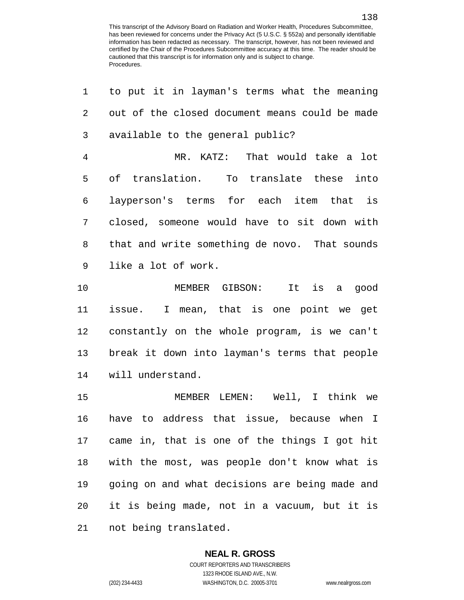| $\mathbf 1$ | to put it in layman's terms what the meaning   |
|-------------|------------------------------------------------|
| 2           | out of the closed document means could be made |
| 3           | available to the general public?               |
| 4           | MR. KATZ: That would take a lot                |
| 5           | translation. To translate these into<br>οf     |
| 6           | layperson's terms for each item that is        |
| 7           | closed, someone would have to sit down with    |
| 8           | that and write something de novo. That sounds  |
| 9           | like a lot of work.                            |
| 10          | MEMBER GIBSON: It is a<br>qood                 |
| 11          | issue. I mean, that is one point we get        |
| 12          | constantly on the whole program, is we can't   |
| 13          | break it down into layman's terms that people  |
| 14          | will understand.                               |
| 15          | MEMBER LEMEN: Well, I think we                 |
| 16          | have to address that issue, because when I     |
| 17          | came in, that is one of the things I got hit   |
| 18          | with the most, was people don't know what is   |
| 19          | going on and what decisions are being made and |
| 20          | it is being made, not in a vacuum, but it is   |

not being translated.

#### **NEAL R. GROSS**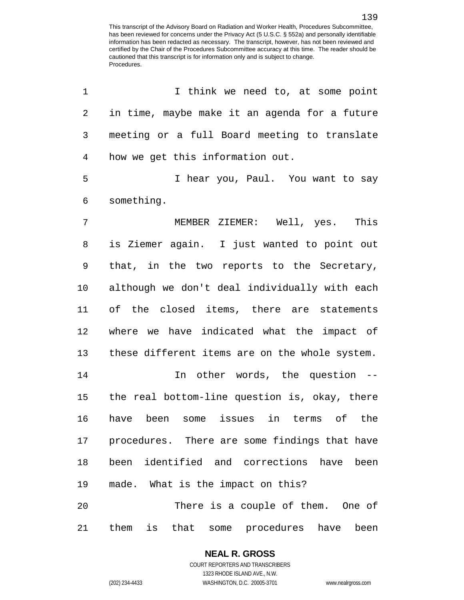| 1              | I think we need to, at some point                |
|----------------|--------------------------------------------------|
| 2              | in time, maybe make it an agenda for a future    |
| 3              | meeting or a full Board meeting to translate     |
| $\overline{4}$ | how we get this information out.                 |
| 5              | I hear you, Paul. You want to say                |
| 6              | something.                                       |
| 7              | MEMBER ZIEMER: Well, yes. This                   |
| 8              | is Ziemer again. I just wanted to point out      |
| 9              | that, in the two reports to the Secretary,       |
| 10             | although we don't deal individually with each    |
| 11             | of the closed items, there are statements        |
| 12             | where we have indicated what the impact of       |
| 13             | these different items are on the whole system.   |
| 14             | In other words, the question --                  |
|                | 15 the real bottom-line question is, okay, there |
| 16             | have been some issues in terms of the            |
| 17             | procedures. There are some findings that have    |
| 18             | been identified and corrections have<br>been     |
| 19             | made. What is the impact on this?                |
| 20             | There is a couple of them. One of                |
| 21             | them<br>is that some procedures have been        |

## **NEAL R. GROSS**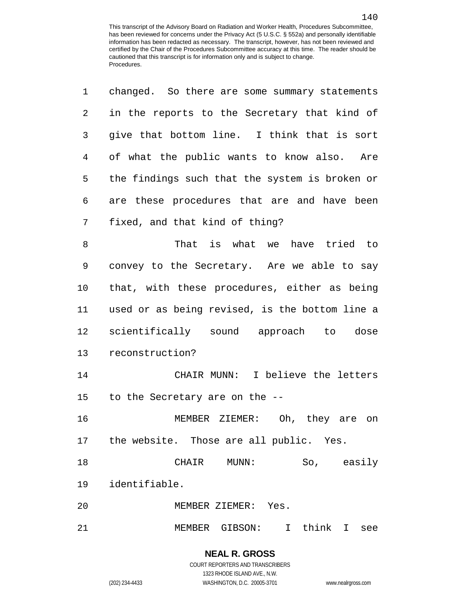| 1  | changed. So there are some summary statements  |
|----|------------------------------------------------|
| 2  | in the reports to the Secretary that kind of   |
| 3  | give that bottom line. I think that is sort    |
| 4  | of what the public wants to know also. Are     |
| 5  | the findings such that the system is broken or |
| 6  | are these procedures that are and have been    |
| 7  | fixed, and that kind of thing?                 |
| 8  | That is what we have tried to                  |
| 9  | convey to the Secretary. Are we able to say    |
| 10 | that, with these procedures, either as being   |
| 11 | used or as being revised, is the bottom line a |
| 12 | scientifically sound approach to dose          |
| 13 | reconstruction?                                |
| 14 | CHAIR MUNN: I believe the letters              |
|    | 15 to the Secretary are on the --              |
| 16 | MEMBER ZIEMER: Oh, they are on                 |
|    | 17 the website. Those are all public. Yes.     |
| 18 | So, easily<br>CHAIR MUNN:                      |
| 19 | identifiable.                                  |
| 20 | MEMBER ZIEMER: Yes.                            |
| 21 | MEMBER GIBSON: I think I see                   |

(202) 234-4433 WASHINGTON, D.C. 20005-3701 www.nealrgross.com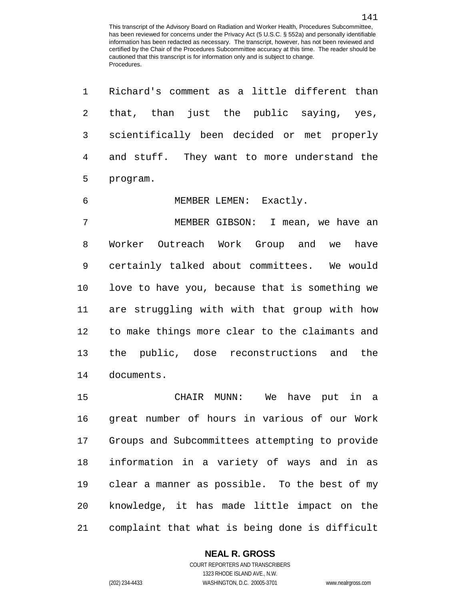| $\mathbf 1$    | Richard's comment as a little different than   |
|----------------|------------------------------------------------|
| $\overline{2}$ | that, than just the public saying, yes,        |
| 3              | scientifically been decided or met properly    |
| 4              | and stuff. They want to more understand the    |
| 5              | program.                                       |
| $\epsilon$     | MEMBER LEMEN: Exactly.                         |
| 7              | MEMBER GIBSON: I mean, we have an              |
| 8              | Worker Outreach Work Group and we have         |
| 9              | certainly talked about committees. We would    |
| 10             | love to have you, because that is something we |
| 11             | are struggling with with that group with how   |
| 12             | to make things more clear to the claimants and |
| 13             | the public, dose reconstructions and the       |
| 14             | documents.                                     |
| 15             | CHAIR MUNN: We have put in a                   |
| 16             | great number of hours in various of our Work   |
| 17             | Groups and Subcommittees attempting to provide |
| 18             | information in a variety of ways and in as     |
| 19             | clear a manner as possible. To the best of my  |
| 20             | knowledge, it has made little impact on the    |
|                |                                                |

complaint that what is being done is difficult

## **NEAL R. GROSS**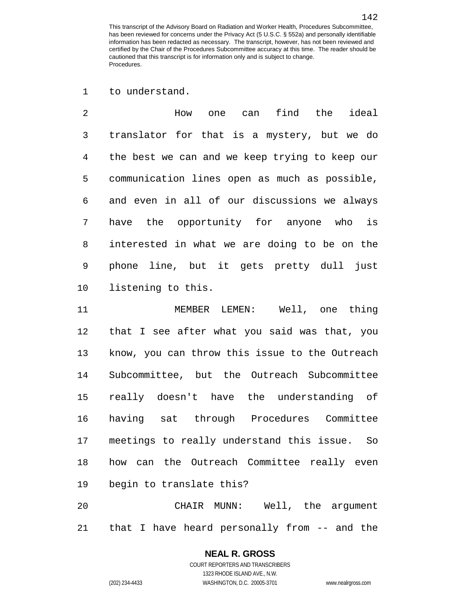to understand.

 How one can find the ideal translator for that is a mystery, but we do the best we can and we keep trying to keep our communication lines open as much as possible, and even in all of our discussions we always have the opportunity for anyone who is interested in what we are doing to be on the phone line, but it gets pretty dull just listening to this.

 MEMBER LEMEN: Well, one thing that I see after what you said was that, you know, you can throw this issue to the Outreach Subcommittee, but the Outreach Subcommittee really doesn't have the understanding of having sat through Procedures Committee meetings to really understand this issue. So how can the Outreach Committee really even begin to translate this?

 CHAIR MUNN: Well, the argument that I have heard personally from -- and the

> **NEAL R. GROSS** COURT REPORTERS AND TRANSCRIBERS 1323 RHODE ISLAND AVE., N.W.

(202) 234-4433 WASHINGTON, D.C. 20005-3701 www.nealrgross.com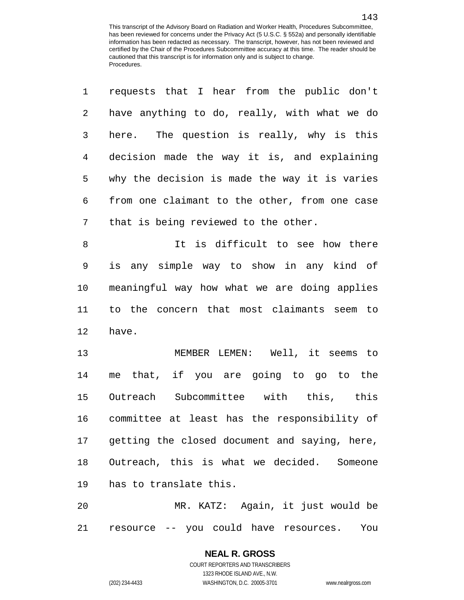requests that I hear from the public don't

| 2              | have anything to do, really, with what we do  |
|----------------|-----------------------------------------------|
| 3              | here. The question is really, why is this     |
| $\overline{4}$ | decision made the way it is, and explaining   |
| 5              | why the decision is made the way it is varies |
| 6              | from one claimant to the other, from one case |
| 7              | that is being reviewed to the other.          |
| 8              | It is difficult to see how there              |
| 9              | is any simple way to show in any kind of      |
| 10             | meaningful way how what we are doing applies  |
| 11             | to the concern that most claimants seem to    |
| 12             | have.                                         |
| 13             | MEMBER LEMEN: Well, it seems to               |
| 14             | me that, if you are going to go to the        |
| 15             | Outreach Subcommittee with this, this         |
| 16             | committee at least has the responsibility of  |
| 17             | getting the closed document and saying, here, |
| 18             | Outreach, this is what we decided. Someone    |
| 19             | has to translate this.                        |
| 20             | MR. KATZ: Again, it just would be             |
| 21             | resource -- you could have resources.<br>You  |

**NEAL R. GROSS** COURT REPORTERS AND TRANSCRIBERS 1323 RHODE ISLAND AVE., N.W.

(202) 234-4433 WASHINGTON, D.C. 20005-3701 www.nealrgross.com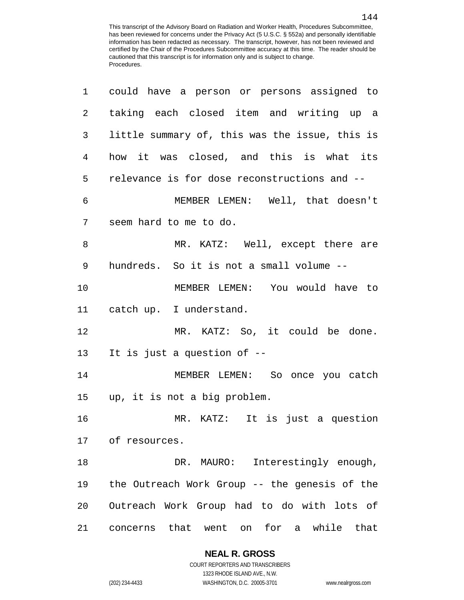| 1  | could have a person or persons assigned to            |
|----|-------------------------------------------------------|
| 2  | taking each closed item and writing up a              |
| 3  | little summary of, this was the issue, this is        |
| 4  | how it was closed, and this is what its               |
| 5  | relevance is for dose reconstructions and --          |
| 6  | MEMBER LEMEN: Well, that doesn't                      |
| 7  | seem hard to me to do.                                |
| 8  | MR. KATZ: Well, except there are                      |
| 9  | hundreds. So it is not a small volume --              |
| 10 | MEMBER LEMEN: You would have to                       |
| 11 | catch up. I understand.                               |
| 12 | MR. KATZ: So, it could be done.                       |
| 13 | It is just a question of --                           |
| 14 | MEMBER LEMEN: So once you catch                       |
|    | 15 up, it is not a big problem.                       |
| 16 | MR. KATZ: It is just a question                       |
|    | 17 of resources.                                      |
| 18 | Interestingly enough,<br>DR. MAURO:                   |
| 19 | the Outreach Work Group -- the genesis of the         |
| 20 | Outreach Work Group had to do with lots of            |
| 21 | for a<br>that<br>went<br>while that<br>on<br>concerns |

**NEAL R. GROSS**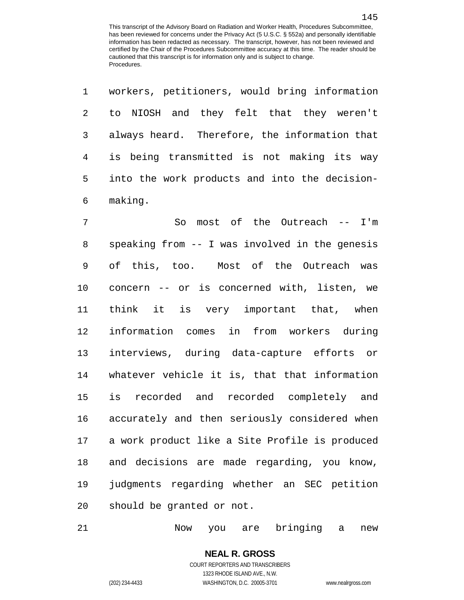workers, petitioners, would bring information

| 2              | to NIOSH and they felt that they weren't       |
|----------------|------------------------------------------------|
| 3              | always heard. Therefore, the information that  |
| $\overline{4}$ | is being transmitted is not making its way     |
| 5              | into the work products and into the decision-  |
| 6              | making.                                        |
| 7              | most of the Outreach -- I'm<br>So              |
| 8              | speaking from -- I was involved in the genesis |
| 9              | of this, too. Most of the Outreach was         |
| 10             | concern -- or is concerned with, listen, we    |
| 11             | think it is very important that, when          |
| 12             | information comes in from workers during       |
| 13             | interviews, during data-capture efforts or     |
| 14             | whatever vehicle it is, that that information  |
| 15             | is recorded and recorded completely and        |
| 16             | accurately and then seriously considered when  |
| 17             | a work product like a Site Profile is produced |
| 18             | and decisions are made regarding, you know,    |
| 19             | judgments regarding whether an SEC petition    |
| 20             | should be granted or not.                      |

Now you are bringing a new

(202) 234-4433 WASHINGTON, D.C. 20005-3701 www.nealrgross.com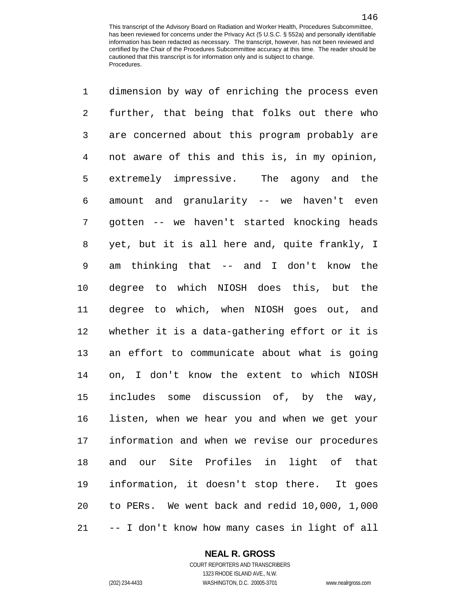dimension by way of enriching the process even further, that being that folks out there who are concerned about this program probably are not aware of this and this is, in my opinion, extremely impressive. The agony and the amount and granularity -- we haven't even gotten -- we haven't started knocking heads yet, but it is all here and, quite frankly, I am thinking that -- and I don't know the degree to which NIOSH does this, but the degree to which, when NIOSH goes out, and whether it is a data-gathering effort or it is an effort to communicate about what is going on, I don't know the extent to which NIOSH includes some discussion of, by the way, listen, when we hear you and when we get your information and when we revise our procedures and our Site Profiles in light of that information, it doesn't stop there. It goes to PERs. We went back and redid 10,000, 1,000 -- I don't know how many cases in light of all

**NEAL R. GROSS**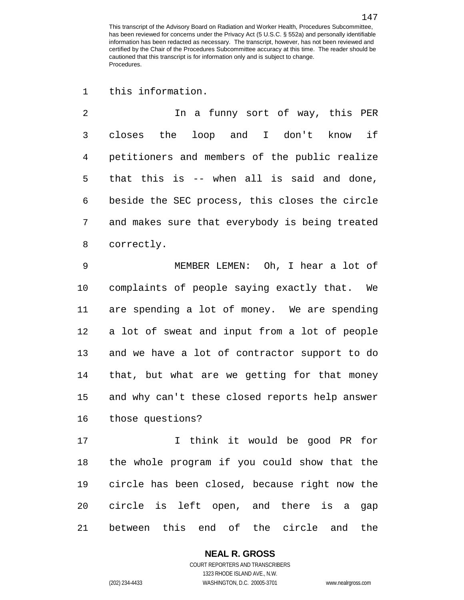this information.

 In a funny sort of way, this PER closes the loop and I don't know if petitioners and members of the public realize that this is -- when all is said and done, beside the SEC process, this closes the circle and makes sure that everybody is being treated correctly.

 MEMBER LEMEN: Oh, I hear a lot of complaints of people saying exactly that. We are spending a lot of money. We are spending a lot of sweat and input from a lot of people and we have a lot of contractor support to do that, but what are we getting for that money and why can't these closed reports help answer those questions?

 I think it would be good PR for the whole program if you could show that the circle has been closed, because right now the circle is left open, and there is a gap between this end of the circle and the

## **NEAL R. GROSS**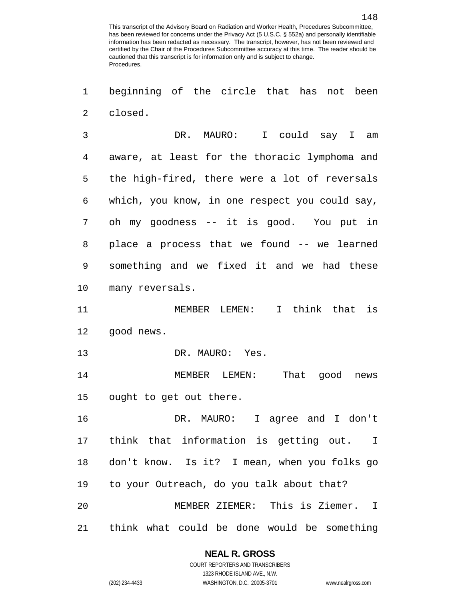beginning of the circle that has not been closed.

 DR. MAURO: I could say I am aware, at least for the thoracic lymphoma and the high-fired, there were a lot of reversals which, you know, in one respect you could say, oh my goodness -- it is good. You put in place a process that we found -- we learned something and we fixed it and we had these many reversals.

 MEMBER LEMEN: I think that is good news.

13 DR. MAURO: Yes.

 MEMBER LEMEN: That good news ought to get out there.

 DR. MAURO: I agree and I don't think that information is getting out. I don't know. Is it? I mean, when you folks go to your Outreach, do you talk about that? MEMBER ZIEMER: This is Ziemer. I think what could be done would be something

#### **NEAL R. GROSS**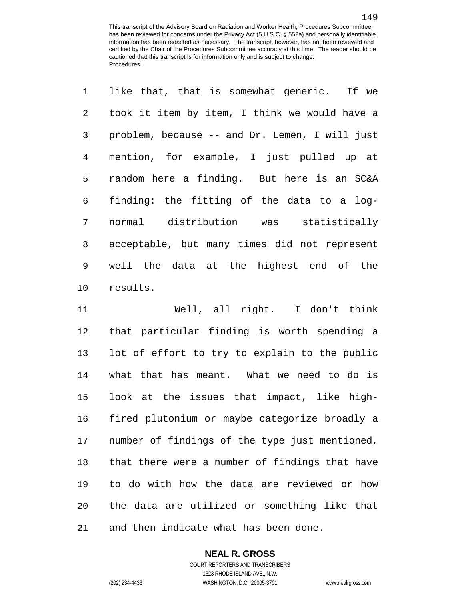| $\mathbf{1}$    | like that, that is somewhat generic. If we     |
|-----------------|------------------------------------------------|
| $\overline{2}$  | took it item by item, I think we would have a  |
| 3               | problem, because -- and Dr. Lemen, I will just |
| 4               | mention, for example, I just pulled up at      |
| 5               | random here a finding. But here is an SC&A     |
| 6               | finding: the fitting of the data to a log-     |
| 7               | normal distribution was statistically          |
| 8               | acceptable, but many times did not represent   |
| 9               | well the data at the highest end of the        |
| 10 <sub>1</sub> | results.                                       |

 Well, all right. I don't think that particular finding is worth spending a lot of effort to try to explain to the public what that has meant. What we need to do is look at the issues that impact, like high- fired plutonium or maybe categorize broadly a number of findings of the type just mentioned, that there were a number of findings that have to do with how the data are reviewed or how the data are utilized or something like that and then indicate what has been done.

## **NEAL R. GROSS**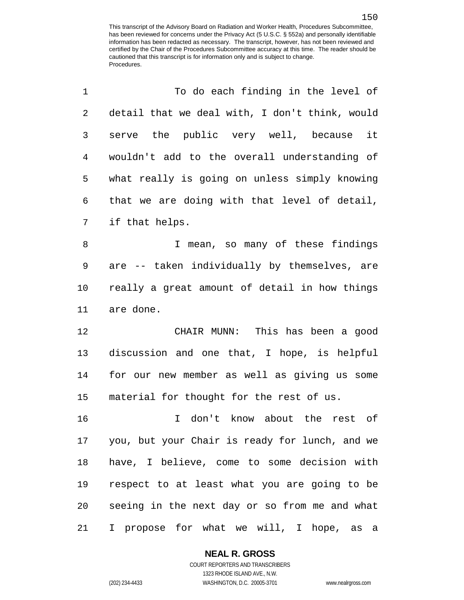| 1  | To do each finding in the level of             |
|----|------------------------------------------------|
| 2  | detail that we deal with, I don't think, would |
| 3  | serve the public very well, because it         |
| 4  | wouldn't add to the overall understanding of   |
| 5  | what really is going on unless simply knowing  |
| 6  | that we are doing with that level of detail,   |
| 7  | if that helps.                                 |
| 8  | I mean, so many of these findings              |
| 9  | are -- taken individually by themselves, are   |
| 10 | really a great amount of detail in how things  |
| 11 | are done.                                      |
| 12 | CHAIR MUNN: This has been a good               |
| 13 | discussion and one that, I hope, is helpful    |
| 14 | for our new member as well as giving us some   |
| 15 | material for thought for the rest of us.       |
| 16 | I don't know about the rest of                 |
| 17 | you, but your Chair is ready for lunch, and we |
| 18 | have, I believe, come to some decision with    |
| 19 | respect to at least what you are going to be   |
| 20 | seeing in the next day or so from me and what  |
| 21 | I propose for what we will, I hope, as a       |

**NEAL R. GROSS**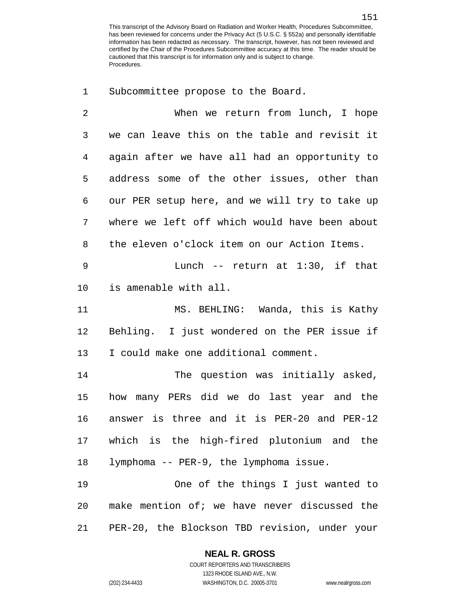Subcommittee propose to the Board.

 When we return from lunch, I hope we can leave this on the table and revisit it again after we have all had an opportunity to address some of the other issues, other than our PER setup here, and we will try to take up where we left off which would have been about the eleven o'clock item on our Action Items. Lunch -- return at 1:30, if that is amenable with all. MS. BEHLING: Wanda, this is Kathy Behling. I just wondered on the PER issue if I could make one additional comment. The question was initially asked, how many PERs did we do last year and the answer is three and it is PER-20 and PER-12

 which is the high-fired plutonium and the lymphoma -- PER-9, the lymphoma issue.

 One of the things I just wanted to make mention of; we have never discussed the PER-20, the Blockson TBD revision, under your

#### **NEAL R. GROSS**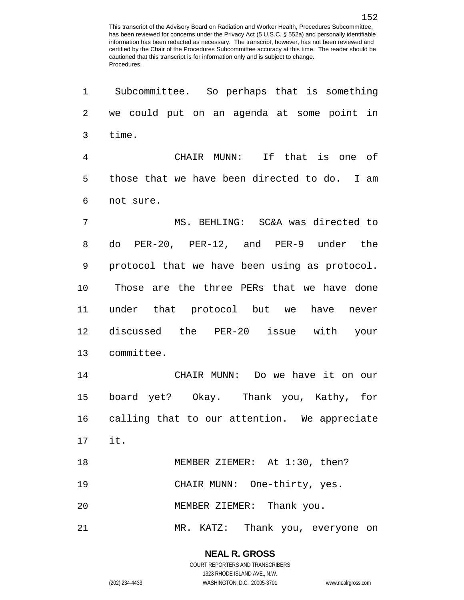Subcommittee. So perhaps that is something we could put on an agenda at some point in time. CHAIR MUNN: If that is one of those that we have been directed to do. I am not sure. MS. BEHLING: SC&A was directed to do PER-20, PER-12, and PER-9 under the protocol that we have been using as protocol. Those are the three PERs that we have done under that protocol but we have never discussed the PER-20 issue with your committee. CHAIR MUNN: Do we have it on our board yet? Okay. Thank you, Kathy, for calling that to our attention. We appreciate it. 18 MEMBER ZIEMER: At 1:30, then? CHAIR MUNN: One-thirty, yes. MEMBER ZIEMER: Thank you. MR. KATZ: Thank you, everyone on

> **NEAL R. GROSS** COURT REPORTERS AND TRANSCRIBERS

1323 RHODE ISLAND AVE., N.W. (202) 234-4433 WASHINGTON, D.C. 20005-3701 www.nealrgross.com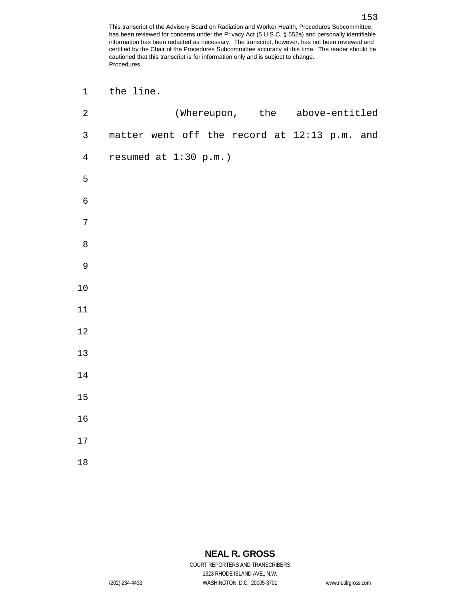| $\mathbf 1$    | the line.                                    |  |  |                                |  |
|----------------|----------------------------------------------|--|--|--------------------------------|--|
| $\sqrt{2}$     |                                              |  |  | (Whereupon, the above-entitled |  |
| $\mathsf{3}$   | matter went off the record at 12:13 p.m. and |  |  |                                |  |
| $\overline{4}$ | resumed at 1:30 p.m.)                        |  |  |                                |  |
| $\mathsf S$    |                                              |  |  |                                |  |
| $\epsilon$     |                                              |  |  |                                |  |
| $\sqrt{ }$     |                                              |  |  |                                |  |
| $\, 8$         |                                              |  |  |                                |  |
| $\mathsf 9$    |                                              |  |  |                                |  |
| $10$           |                                              |  |  |                                |  |
| $11\,$         |                                              |  |  |                                |  |
| $12\,$         |                                              |  |  |                                |  |
| $13$           |                                              |  |  |                                |  |
| $14\,$         |                                              |  |  |                                |  |
| 15             |                                              |  |  |                                |  |
| 16             |                                              |  |  |                                |  |
| $17\,$         |                                              |  |  |                                |  |
| 18             |                                              |  |  |                                |  |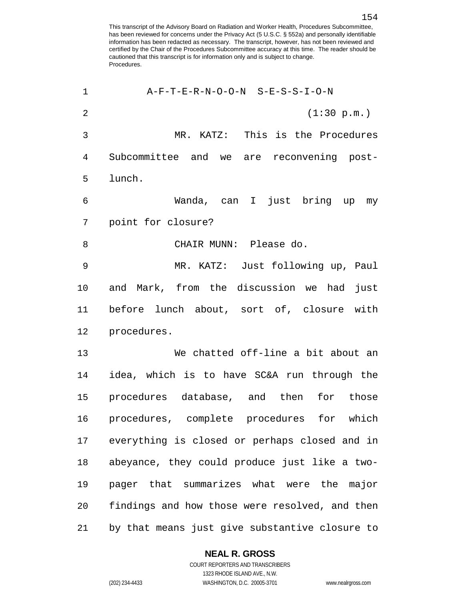| 1              | A-F-T-E-R-N-O-O-N S-E-S-S-I-O-N                |
|----------------|------------------------------------------------|
| $\overline{2}$ | (1:30 p.m.)                                    |
| 3              | MR. KATZ: This is the Procedures               |
| 4              | Subcommittee and we are reconvening post-      |
| 5              | lunch.                                         |
| 6              | Wanda, can I just bring up my                  |
| 7              | point for closure?                             |
| 8              | CHAIR MUNN: Please do.                         |
| 9              | MR. KATZ: Just following up, Paul              |
| 10             | and Mark, from the discussion we had<br>just   |
| 11             | before lunch about, sort of, closure with      |
| 12             | procedures.                                    |
| 13             | We chatted off-line a bit about an             |
| 14             | idea, which is to have SC&A run through the    |
| 15             | procedures database, and then for those        |
| 16             | procedures, complete procedures for which      |
| 17             | everything is closed or perhaps closed and in  |
| 18             | abeyance, they could produce just like a two-  |
| 19             | pager that summarizes what were the major      |
| 20             | findings and how those were resolved, and then |
| 21             | by that means just give substantive closure to |

**NEAL R. GROSS**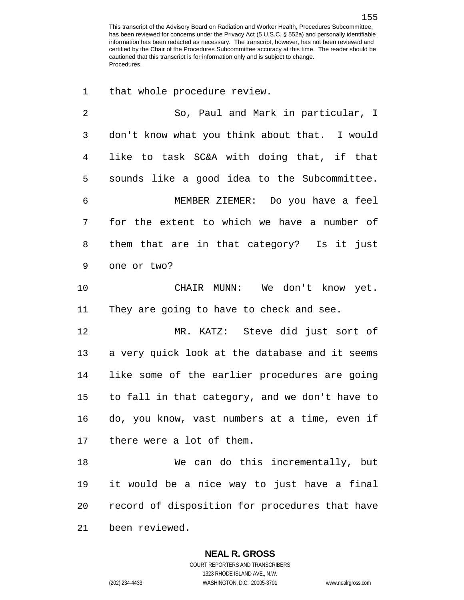that whole procedure review.

 So, Paul and Mark in particular, I don't know what you think about that. I would like to task SC&A with doing that, if that sounds like a good idea to the Subcommittee. MEMBER ZIEMER: Do you have a feel for the extent to which we have a number of them that are in that category? Is it just one or two? CHAIR MUNN: We don't know yet. They are going to have to check and see. MR. KATZ: Steve did just sort of a very quick look at the database and it seems like some of the earlier procedures are going to fall in that category, and we don't have to do, you know, vast numbers at a time, even if there were a lot of them. We can do this incrementally, but it would be a nice way to just have a final record of disposition for procedures that have been reviewed.

**NEAL R. GROSS**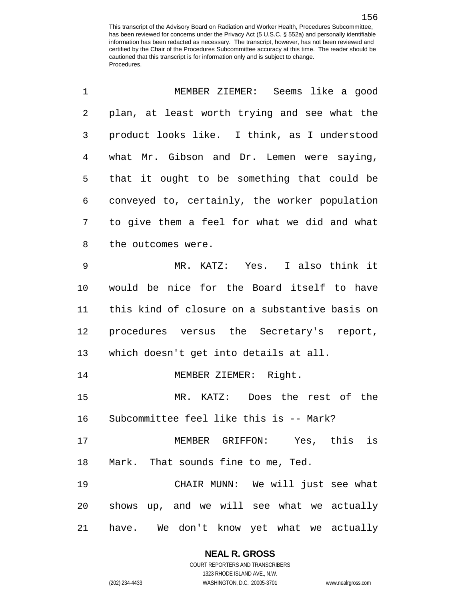| 1  | MEMBER ZIEMER: Seems like a good               |
|----|------------------------------------------------|
| 2  | plan, at least worth trying and see what the   |
| 3  | product looks like. I think, as I understood   |
| 4  | what Mr. Gibson and Dr. Lemen were saying,     |
| 5  | that it ought to be something that could be    |
| 6  | conveyed to, certainly, the worker population  |
| 7  | to give them a feel for what we did and what   |
| 8  | the outcomes were.                             |
| 9  | MR. KATZ: Yes. I also think it                 |
| 10 | would be nice for the Board itself to have     |
| 11 | this kind of closure on a substantive basis on |
| 12 | procedures versus the Secretary's report,      |
| 13 | which doesn't get into details at all.         |
| 14 | MEMBER ZIEMER: Right.                          |
| 15 | MR. KATZ: Does the rest of the                 |
| 16 | Subcommittee feel like this is -- Mark?        |
| 17 | MEMBER GRIFFON: Yes, this is                   |
| 18 | Mark. That sounds fine to me, Ted.             |
| 19 | CHAIR MUNN: We will just see what              |
| 20 | shows up, and we will see what we actually     |
| 21 | have. We don't know yet what we actually       |

## **NEAL R. GROSS**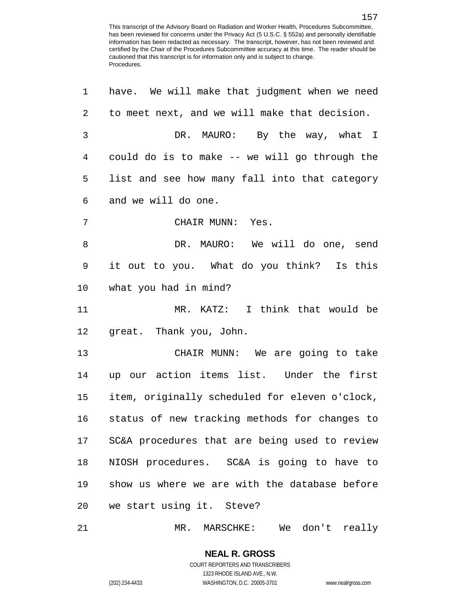| 1  | have. We will make that judgment when we need  |
|----|------------------------------------------------|
| 2  | to meet next, and we will make that decision.  |
| 3  | DR. MAURO: By the way, what I                  |
| 4  | could do is to make -- we will go through the  |
| 5  | list and see how many fall into that category  |
| 6  | and we will do one.                            |
| 7  | CHAIR MUNN: Yes.                               |
| 8  | DR. MAURO: We will do one, send                |
| 9  | it out to you. What do you think? Is this      |
| 10 | what you had in mind?                          |
| 11 | MR. KATZ: I think that would be                |
| 12 | great. Thank you, John.                        |
| 13 | CHAIR MUNN: We are going to take               |
| 14 | up our action items list. Under the first      |
| 15 | item, originally scheduled for eleven o'clock, |
| 16 | status of new tracking methods for changes to  |
| 17 | SC&A procedures that are being used to review  |
| 18 | NIOSH procedures. SC&A is going to have to     |
| 19 | show us where we are with the database before  |
| 20 | we start using it. Steve?                      |
| 21 | MR. MARSCHKE: We don't really                  |

COURT REPORTERS AND TRANSCRIBERS 1323 RHODE ISLAND AVE., N.W. (202) 234-4433 WASHINGTON, D.C. 20005-3701 www.nealrgross.com

**NEAL R. GROSS**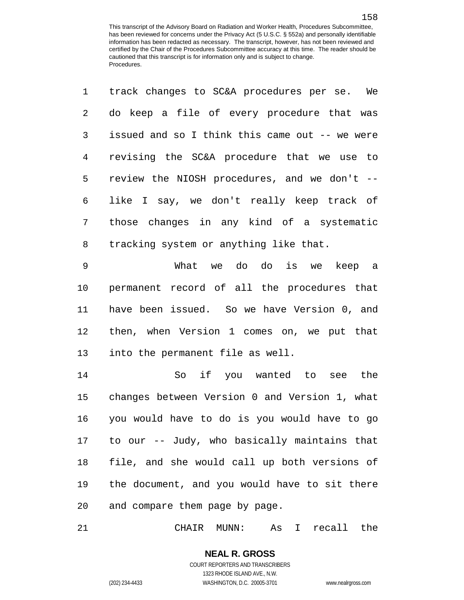| $\mathbf{1}$ | track changes to SC&A procedures per se. We    |
|--------------|------------------------------------------------|
| 2            | do keep a file of every procedure that was     |
| 3            | issued and so I think this came out -- we were |
| 4            | revising the SC&A procedure that we use to     |
| 5            | review the NIOSH procedures, and we don't --   |
| 6            | like I say, we don't really keep track of      |
| 7            | those changes in any kind of a systematic      |
| 8            | tracking system or anything like that.         |
| 9            | What we do do is we keep a                     |
| 10           | permanent record of all the procedures that    |
| 11           | have been issued. So we have Version 0, and    |
| 12           | then, when Version 1 comes on, we put that     |
| 13           | into the permanent file as well.               |

 So if you wanted to see the changes between Version 0 and Version 1, what you would have to do is you would have to go to our -- Judy, who basically maintains that file, and she would call up both versions of the document, and you would have to sit there and compare them page by page.

CHAIR MUNN: As I recall the

COURT REPORTERS AND TRANSCRIBERS 1323 RHODE ISLAND AVE., N.W. (202) 234-4433 WASHINGTON, D.C. 20005-3701 www.nealrgross.com

**NEAL R. GROSS**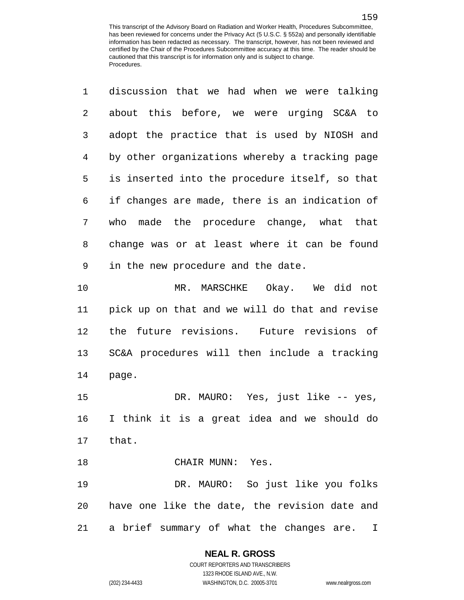| $1 -$ | discussion that we had when we were talking    |
|-------|------------------------------------------------|
| 2     | about this before, we were urging SC&A to      |
| 3     | adopt the practice that is used by NIOSH and   |
| 4     | by other organizations whereby a tracking page |
| 5     | is inserted into the procedure itself, so that |
| 6     | if changes are made, there is an indication of |
| 7     | who made the procedure change, what that       |
| 8     | change was or at least where it can be found   |
| 9     | in the new procedure and the date.             |
| 10    | MR. MARSCHKE Okay. We did not                  |
| 11    | pick up on that and we will do that and revise |
|       |                                                |

 the future revisions. Future revisions of SC&A procedures will then include a tracking page.

 DR. MAURO: Yes, just like -- yes, I think it is a great idea and we should do that.

18 CHAIR MUNN: Yes.

 DR. MAURO: So just like you folks have one like the date, the revision date and a brief summary of what the changes are. I

# **NEAL R. GROSS**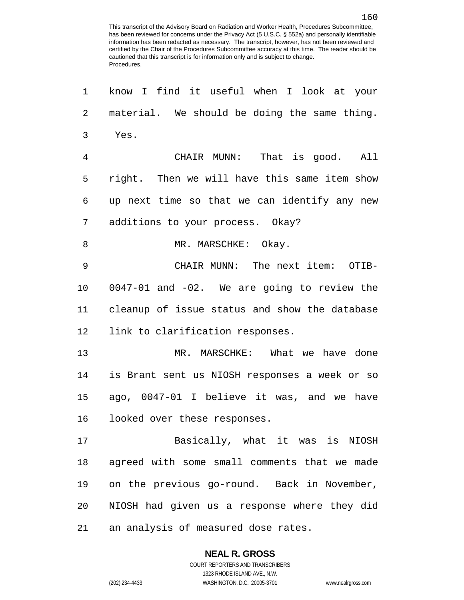| 1           | know I find it useful when I look at your     |
|-------------|-----------------------------------------------|
| 2           | material. We should be doing the same thing.  |
| 3           | Yes.                                          |
| 4           | CHAIR MUNN: That is good. All                 |
| 5           | right. Then we will have this same item show  |
| 6           | up next time so that we can identify any new  |
| 7           | additions to your process. Okay?              |
| 8           | MR. MARSCHKE: Okay.                           |
| $\mathsf 9$ | CHAIR MUNN: The next item: OTIB-              |
| 10          | 0047-01 and -02. We are going to review the   |
| 11          | cleanup of issue status and show the database |
| 12          | link to clarification responses.              |
| 13          | MR. MARSCHKE: What we have done               |
| 14          | is Brant sent us NIOSH responses a week or so |
| 15          | ago, 0047-01 I believe it was, and we have    |
| 16          | looked over these responses.                  |
| 17          | Basically, what it was is NIOSH               |
| 18          | agreed with some small comments that we made  |
| 19          | on the previous go-round. Back in November,   |
| 20          | NIOSH had given us a response where they did  |
| 21          | an analysis of measured dose rates.           |

### **NEAL R. GROSS**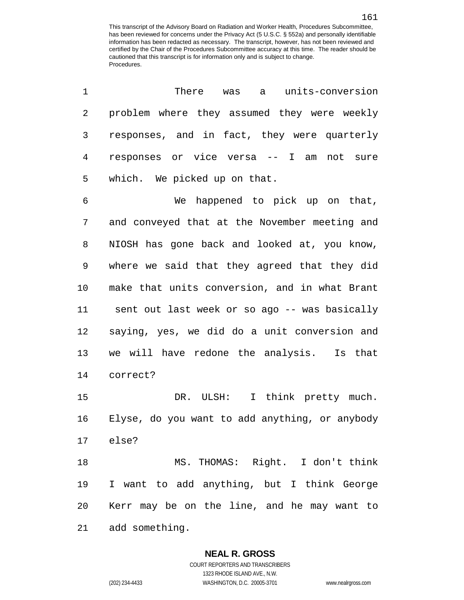| 1  | There was<br>units-conversion<br>$\mathsf{a}$  |
|----|------------------------------------------------|
| 2  | problem where they assumed they were weekly    |
| 3  | responses, and in fact, they were quarterly    |
| 4  | responses or vice versa -- I am<br>not sure    |
| 5  | which. We picked up on that.                   |
| 6  | We happened to pick up on that,                |
| 7  | and conveyed that at the November meeting and  |
| 8  | NIOSH has gone back and looked at, you know,   |
| 9  | where we said that they agreed that they did   |
| 10 | make that units conversion, and in what Brant  |
| 11 | sent out last week or so ago -- was basically  |
| 12 | saying, yes, we did do a unit conversion and   |
| 13 | we will have redone the analysis. Is that      |
| 14 | correct?                                       |
| 15 | DR. ULSH: I think pretty much.                 |
| 16 | Elyse, do you want to add anything, or anybody |
|    | 17 else?                                       |
| 18 | MS. THOMAS: Right. I don't think               |
| 19 | I want to add anything, but I think George     |
| 20 | Kerr may be on the line, and he may want to    |
| 21 | add something.                                 |

#### **NEAL R. GROSS**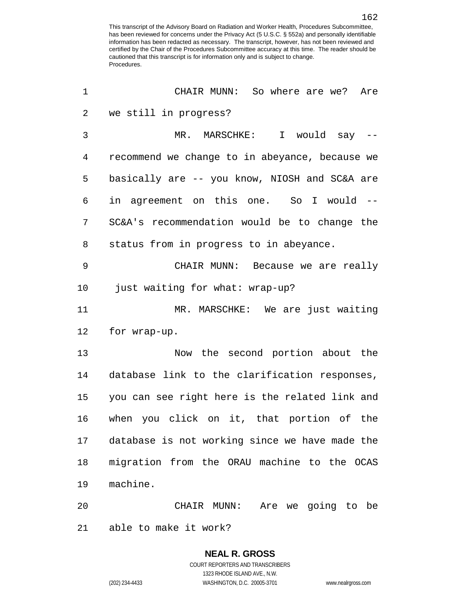| 1  | CHAIR MUNN: So where are we? Are               |
|----|------------------------------------------------|
| 2  | we still in progress?                          |
| 3  | MR. MARSCHKE: I would say --                   |
| 4  | recommend we change to in abeyance, because we |
| 5  | basically are -- you know, NIOSH and SC&A are  |
| 6  | in agreement on this one. So I would --        |
| 7  | SC&A's recommendation would be to change the   |
| 8  | status from in progress to in abeyance.        |
| 9  | CHAIR MUNN: Because we are really              |
| 10 | just waiting for what: wrap-up?                |
| 11 | MR. MARSCHKE: We are just waiting              |
| 12 | for wrap-up.                                   |
| 13 | Now the second portion about the               |
| 14 | database link to the clarification responses,  |
| 15 | you can see right here is the related link and |
| 16 | when you click on it, that portion of the      |
| 17 | database is not working since we have made the |
| 18 | migration from the ORAU machine to the OCAS    |
| 19 | machine.                                       |
| 20 | CHAIR MUNN:<br>Are we going to be              |
| 21 | able to make it work?                          |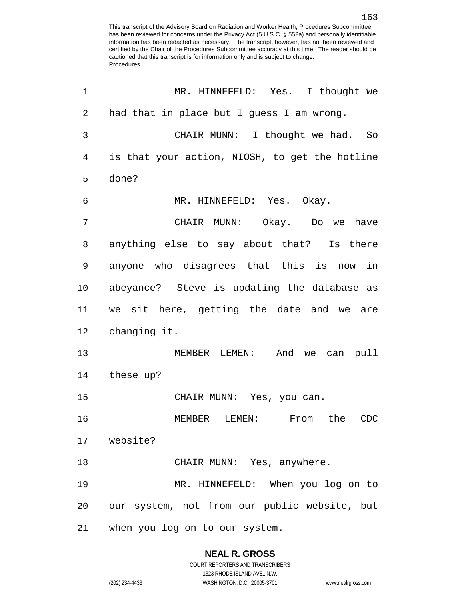| 1              | MR. HINNEFELD: Yes. I thought we               |
|----------------|------------------------------------------------|
| $\overline{2}$ | had that in place but I guess I am wrong.      |
| 3              | CHAIR MUNN: I thought we had. So               |
| $\overline{4}$ | is that your action, NIOSH, to get the hotline |
| 5              | done?                                          |
| 6              | MR. HINNEFELD: Yes. Okay.                      |
| 7              | CHAIR MUNN: Okay. Do we have                   |
| 8              | anything else to say about that? Is there      |
| 9              | anyone who disagrees that this is now in       |
| 10             | abeyance? Steve is updating the database as    |
| 11             | we sit here, getting the date and we are       |
| 12             | changing it.                                   |
| 13             | MEMBER LEMEN: And we can pull                  |
| 14             | these up?                                      |
| 15             | CHAIR MUNN: Yes, you can.                      |
| 16             | MEMBER<br>LEMEN:<br>From the<br><b>CDC</b>     |
|                | 17 website?                                    |
| 18             | CHAIR MUNN: Yes, anywhere.                     |
| 19             | MR. HINNEFELD: When you log on to              |
| 20             | our system, not from our public website, but   |
| 21             | when you log on to our system.                 |

# **NEAL R. GROSS**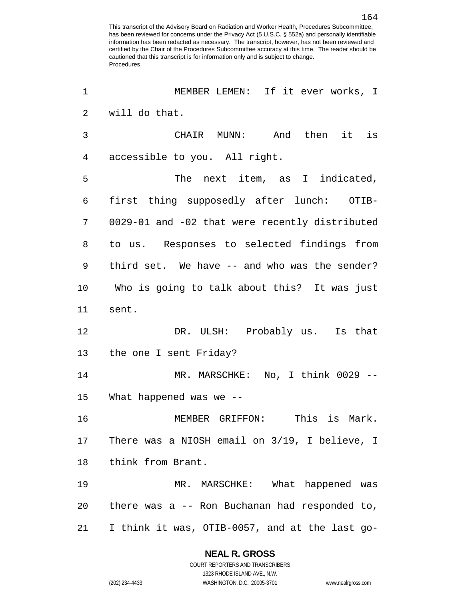| 1              | MEMBER LEMEN: If it ever works, I              |
|----------------|------------------------------------------------|
| 2              | will do that.                                  |
| 3              | CHAIR MUNN: And then it is                     |
| $\overline{4}$ | accessible to you. All right.                  |
| 5              | The next item, as I indicated,                 |
| 6              | first thing supposedly after lunch: OTIB-      |
| 7              | 0029-01 and -02 that were recently distributed |
| 8              | to us. Responses to selected findings from     |
| 9              | third set. We have -- and who was the sender?  |
| 10             | Who is going to talk about this? It was just   |
| 11             | sent.                                          |
| 12             | DR. ULSH: Probably us. Is that                 |
| 13             | the one I sent Friday?                         |
| 14             | MR. MARSCHKE: No, I think 0029 --              |
| 15             | What happened was we --                        |
| 16             | MEMBER GRIFFON: This is Mark.                  |
| 17             | There was a NIOSH email on 3/19, I believe, I  |
| 18             | think from Brant.                              |
| 19             | MR. MARSCHKE: What happened was                |
| 20             | there was a -- Ron Buchanan had responded to,  |
| 21             | I think it was, OTIB-0057, and at the last go- |

### **NEAL R. GROSS**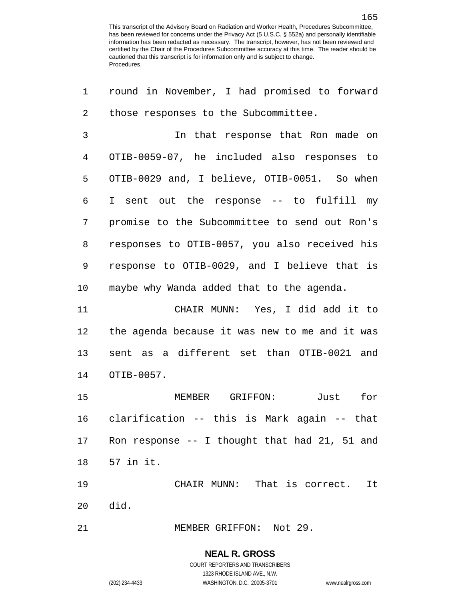round in November, I had promised to forward those responses to the Subcommittee. In that response that Ron made on OTIB-0059-07, he included also responses to OTIB-0029 and, I believe, OTIB-0051. So when I sent out the response -- to fulfill my promise to the Subcommittee to send out Ron's responses to OTIB-0057, you also received his response to OTIB-0029, and I believe that is maybe why Wanda added that to the agenda. CHAIR MUNN: Yes, I did add it to the agenda because it was new to me and it was sent as a different set than OTIB-0021 and OTIB-0057. MEMBER GRIFFON: Just for clarification -- this is Mark again -- that Ron response -- I thought that had 21, 51 and 57 in it. CHAIR MUNN: That is correct. It did. 21 MEMBER GRIFFON: Not 29.

### **NEAL R. GROSS**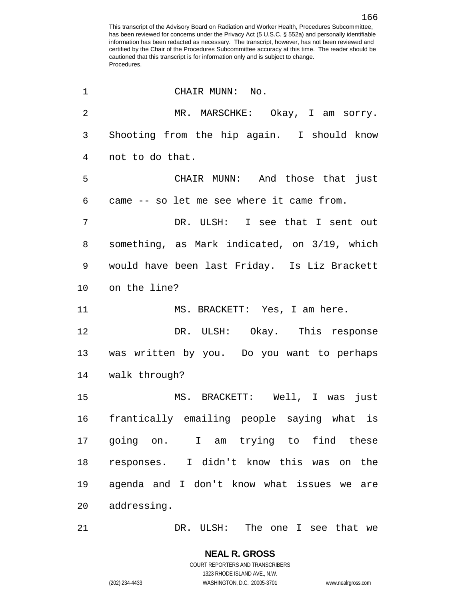| $\mathbf 1$    | CHAIR MUNN: No.                               |
|----------------|-----------------------------------------------|
| $\overline{2}$ | MR. MARSCHKE: Okay, I am sorry.               |
| 3              | Shooting from the hip again. I should know    |
| $\overline{4}$ | not to do that.                               |
| 5              | CHAIR MUNN: And those that just               |
| 6              | came -- so let me see where it came from.     |
| 7              | DR. ULSH: I see that I sent out               |
| 8              | something, as Mark indicated, on 3/19, which  |
| 9              | would have been last Friday. Is Liz Brackett  |
| 10             | on the line?                                  |
| 11             | MS. BRACKETT: Yes, I am here.                 |
| 12             | DR. ULSH: Okay. This response                 |
|                | 13 was written by you. Do you want to perhaps |
|                | 14 walk through?                              |
| 15             | MS. BRACKETT: Well, I was just                |
| 16             | frantically emailing people saying what is    |
| 17             | going on. I am trying to find these           |
| 18             | responses. I didn't know this was on the      |
| 19             | agenda and I don't know what issues we<br>are |
| 20             | addressing.                                   |
| 21             | DR. ULSH: The one I see that we               |

**NEAL R. GROSS** COURT REPORTERS AND TRANSCRIBERS 1323 RHODE ISLAND AVE., N.W.

(202) 234-4433 WASHINGTON, D.C. 20005-3701 www.nealrgross.com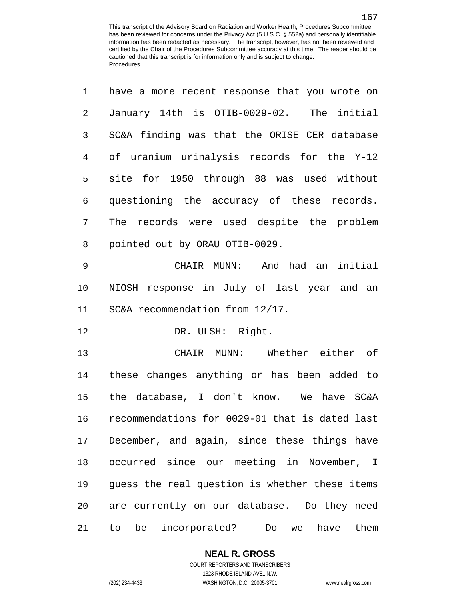have a more recent response that you wrote on

| 2           | January 14th is OTIB-0029-02. The initial          |
|-------------|----------------------------------------------------|
| 3           | SC&A finding was that the ORISE CER database       |
| 4           | of uranium urinalysis records for the Y-12         |
| 5           | site for 1950 through 88 was used without          |
| 6           | questioning the accuracy of these records.         |
| 7           | The records were used despite the problem          |
| 8           | pointed out by ORAU OTIB-0029.                     |
| $\mathsf 9$ | CHAIR MUNN: And had an<br>initial                  |
| 10          | NIOSH response in July of last year and an         |
| 11          | SC&A recommendation from 12/17.                    |
| 12          | DR. ULSH: Right.                                   |
| 13          | CHAIR MUNN: Whether either of                      |
| 14          | these changes anything or has been added to        |
| 15          | the database, I don't know. We have SC&A           |
| 16          | recommendations for 0029-01 that is dated last     |
| 17          | December, and again, since these things have       |
| 18          | occurred since our meeting in November, I          |
| 19          | guess the real question is whether these items     |
| 20          | are currently on our database. Do they need        |
| 21          | be incorporated?<br>them<br>have<br>to<br>Do<br>we |

COURT REPORTERS AND TRANSCRIBERS 1323 RHODE ISLAND AVE., N.W.

**NEAL R. GROSS**

(202) 234-4433 WASHINGTON, D.C. 20005-3701 www.nealrgross.com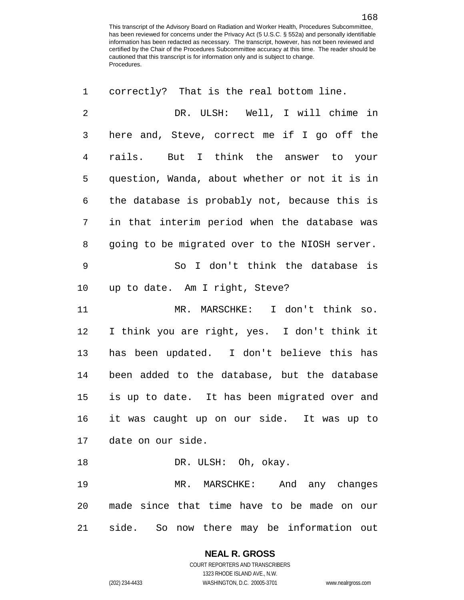| $\mathbf{1}$   | correctly? That is the real bottom line.       |
|----------------|------------------------------------------------|
| $\overline{c}$ | DR. ULSH: Well, I will chime in                |
| 3              | here and, Steve, correct me if I go off the    |
| $\overline{4}$ | rails. But I think the answer to your          |
| 5              | question, Wanda, about whether or not it is in |
| 6              | the database is probably not, because this is  |
| 7              | in that interim period when the database was   |
| 8              | going to be migrated over to the NIOSH server. |
| $\mathsf 9$    | So I don't think the database is               |
| 10             | up to date. Am I right, Steve?                 |
| 11             | MR. MARSCHKE: I don't think so.                |
| 12             | I think you are right, yes. I don't think it   |
| 13             | has been updated. I don't believe this has     |
| 14             | been added to the database, but the database   |
| 15             | is up to date. It has been migrated over and   |
| 16             | it was caught up on our side. It was up to     |
|                | 17 date on our side.                           |
| 18             | DR. ULSH: Oh, okay.                            |
| 19             | MR. MARSCHKE: And any changes                  |
| 20             | made since that time have to be made on our    |
| 21             | side. So now there may be information out      |

**NEAL R. GROSS**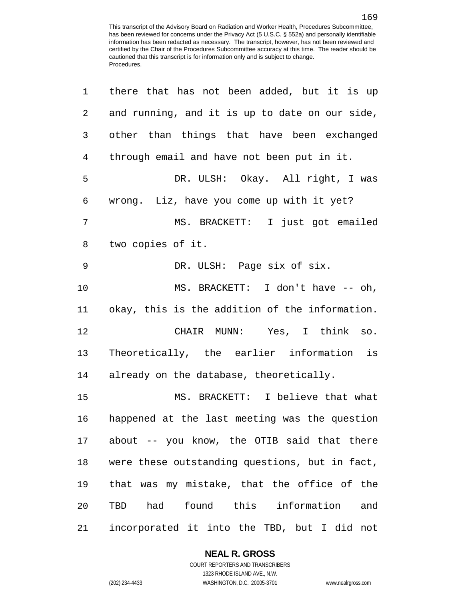| 1  | there that has not been added, but it is up    |
|----|------------------------------------------------|
| 2  | and running, and it is up to date on our side, |
| 3  | other than things that have been exchanged     |
| 4  | through email and have not been put in it.     |
| 5  | DR. ULSH: Okay. All right, I was               |
| 6  | wrong. Liz, have you come up with it yet?      |
| 7  | MS. BRACKETT: I just got emailed               |
| 8  | two copies of it.                              |
| 9  | DR. ULSH: Page six of six.                     |
| 10 | MS. BRACKETT: I don't have -- oh,              |
| 11 | okay, this is the addition of the information. |
| 12 | CHAIR MUNN: Yes, I think so.                   |
| 13 | Theoretically, the earlier information is      |
| 14 | already on the database, theoretically.        |
| 15 | MS. BRACKETT: I believe that what              |
| 16 | happened at the last meeting was the question  |
| 17 | about -- you know, the OTIB said that there    |
| 18 | were these outstanding questions, but in fact, |
| 19 | that was my mistake, that the office of the    |
| 20 | TBD had found this information<br>and          |
| 21 | incorporated it into the TBD, but I did not    |

### **NEAL R. GROSS**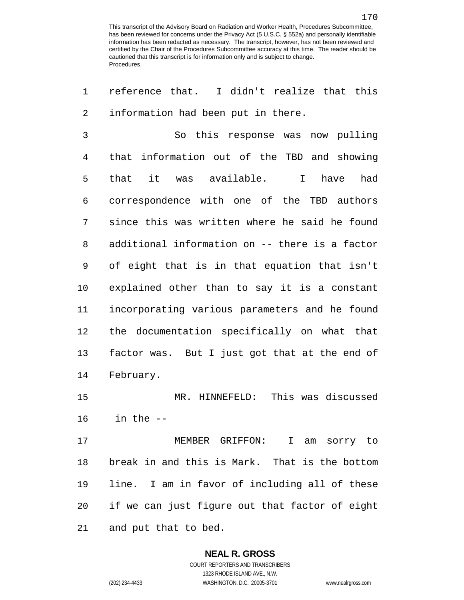reference that. I didn't realize that this information had been put in there.

 So this response was now pulling that information out of the TBD and showing that it was available. I have had correspondence with one of the TBD authors since this was written where he said he found additional information on -- there is a factor of eight that is in that equation that isn't explained other than to say it is a constant incorporating various parameters and he found the documentation specifically on what that factor was. But I just got that at the end of February.

 MR. HINNEFELD: This was discussed in the --

 MEMBER GRIFFON: I am sorry to break in and this is Mark. That is the bottom line. I am in favor of including all of these if we can just figure out that factor of eight and put that to bed.

#### **NEAL R. GROSS** COURT REPORTERS AND TRANSCRIBERS

1323 RHODE ISLAND AVE., N.W.

(202) 234-4433 WASHINGTON, D.C. 20005-3701 www.nealrgross.com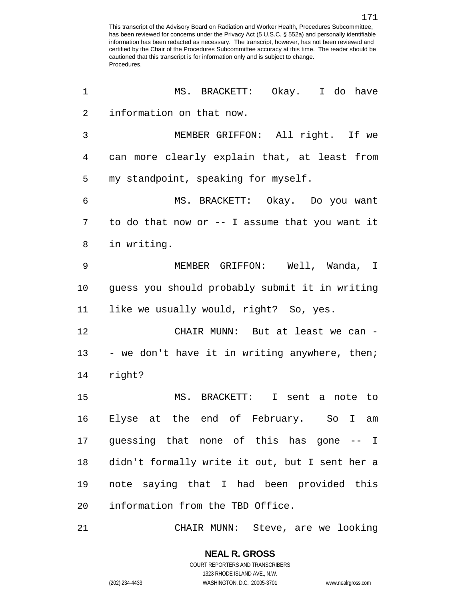| 1              | MS. BRACKETT: Okay. I do have                  |
|----------------|------------------------------------------------|
| $\overline{2}$ | information on that now.                       |
| 3              | MEMBER GRIFFON: All right. If we               |
| 4              | can more clearly explain that, at least from   |
| 5              | my standpoint, speaking for myself.            |
| 6              | MS. BRACKETT: Okay. Do you want                |
| 7              | to do that now or -- I assume that you want it |
| 8              | in writing.                                    |
| 9              | MEMBER GRIFFON: Well, Wanda, I                 |
| 10             | guess you should probably submit it in writing |
| 11             | like we usually would, right? So, yes.         |
| 12             | CHAIR MUNN: But at least we can -              |
| 13             | - we don't have it in writing anywhere, then;  |
| 14             | right?                                         |
| 15             | MS. BRACKETT:<br>I sent a note to              |
| 16             | Elyse at the end of February. So<br>I am       |
|                | 17 guessing that none of this has gone -- I    |
| 18             | didn't formally write it out, but I sent her a |
| 19             | note saying that I had been provided this      |
| 20             | information from the TBD Office.               |

CHAIR MUNN: Steve, are we looking

1323 RHODE ISLAND AVE., N.W.

(202) 234-4433 WASHINGTON, D.C. 20005-3701 www.nealrgross.com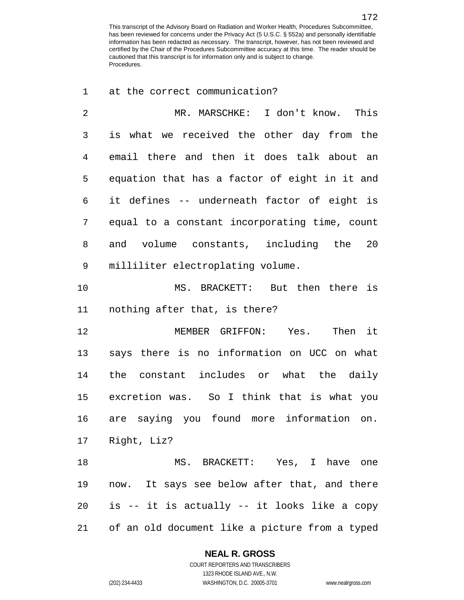at the correct communication?

 MR. MARSCHKE: I don't know. This is what we received the other day from the email there and then it does talk about an equation that has a factor of eight in it and it defines -- underneath factor of eight is equal to a constant incorporating time, count and volume constants, including the 20 milliliter electroplating volume. MS. BRACKETT: But then there is nothing after that, is there? MEMBER GRIFFON: Yes. Then it says there is no information on UCC on what the constant includes or what the daily excretion was. So I think that is what you are saying you found more information on. Right, Liz? MS. BRACKETT: Yes, I have one now. It says see below after that, and there is -- it is actually -- it looks like a copy

of an old document like a picture from a typed

## **NEAL R. GROSS**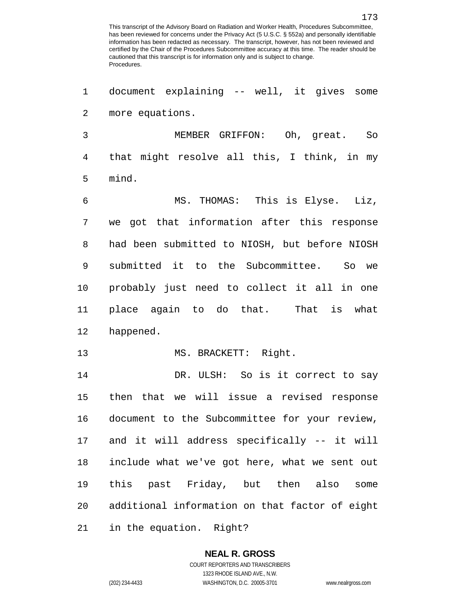document explaining -- well, it gives some more equations. MEMBER GRIFFON: Oh, great. So that might resolve all this, I think, in my mind. MS. THOMAS: This is Elyse. Liz, we got that information after this response had been submitted to NIOSH, but before NIOSH submitted it to the Subcommittee. So we probably just need to collect it all in one place again to do that. That is what happened. 13 MS. BRACKETT: Right. DR. ULSH: So is it correct to say then that we will issue a revised response document to the Subcommittee for your review, and it will address specifically -- it will include what we've got here, what we sent out this past Friday, but then also some additional information on that factor of eight

in the equation. Right?

# **NEAL R. GROSS**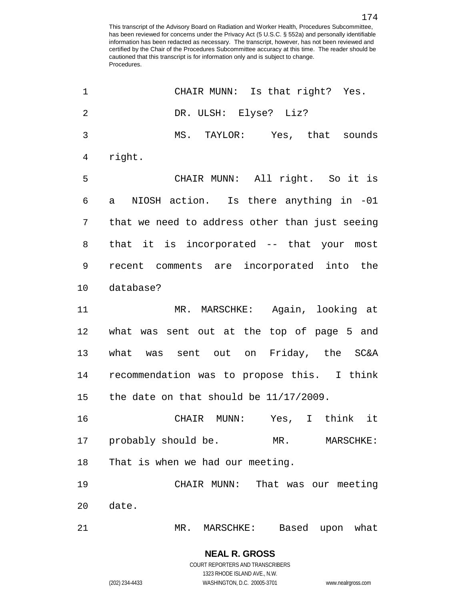| 1              | CHAIR MUNN: Is that right? Yes.                |
|----------------|------------------------------------------------|
| $\overline{2}$ | DR. ULSH: Elyse? Liz?                          |
| 3              | MS. TAYLOR: Yes, that sounds                   |
| 4              | right.                                         |
| 5              | CHAIR MUNN: All right. So it is                |
| 6              | NIOSH action. Is there anything in -01<br>a a  |
| 7              | that we need to address other than just seeing |
| 8              | that it is incorporated -- that your most      |
| 9              | recent comments are incorporated into the      |
| 10             | database?                                      |
| 11             | MR. MARSCHKE: Again, looking at                |
| 12             | what was sent out at the top of page 5 and     |
| 13             | what was sent out on Friday, the SC&A          |
| 14             | recommendation was to propose this. I think    |
| 15             | the date on that should be 11/17/2009.         |
| 16             | Yes, I think it<br>CHAIR<br>MUNN:              |
| 17             | probably should be.<br>$MR$ .<br>MARSCHKE:     |
| 18             | That is when we had our meeting.               |
| 19             | That was our meeting<br>CHAIR MUNN:            |
| 20             | date.                                          |
| 21             | Based<br>what<br>MR.<br>MARSCHKE:<br>upon      |

COURT REPORTERS AND TRANSCRIBERS 1323 RHODE ISLAND AVE., N.W. (202) 234-4433 WASHINGTON, D.C. 20005-3701 www.nealrgross.com

**NEAL R. GROSS**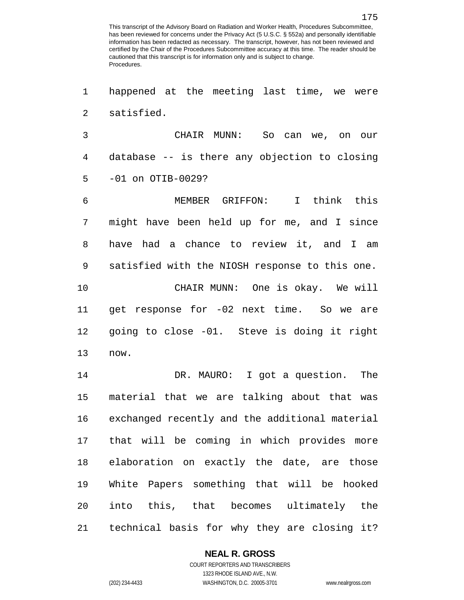happened at the meeting last time, we were satisfied.

 CHAIR MUNN: So can we, on our database -- is there any objection to closing -01 on OTIB-0029?

 MEMBER GRIFFON: I think this might have been held up for me, and I since have had a chance to review it, and I am satisfied with the NIOSH response to this one. CHAIR MUNN: One is okay. We will get response for -02 next time. So we are going to close -01. Steve is doing it right now.

 DR. MAURO: I got a question. The material that we are talking about that was exchanged recently and the additional material that will be coming in which provides more elaboration on exactly the date, are those White Papers something that will be hooked into this, that becomes ultimately the technical basis for why they are closing it?

### **NEAL R. GROSS**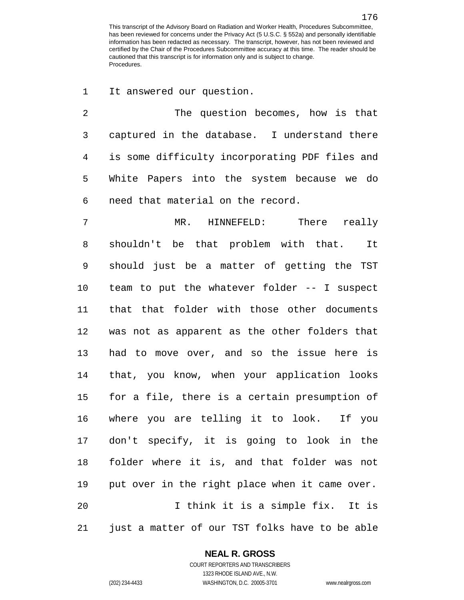It answered our question.

 The question becomes, how is that captured in the database. I understand there is some difficulty incorporating PDF files and White Papers into the system because we do need that material on the record.

 MR. HINNEFELD: There really shouldn't be that problem with that. It should just be a matter of getting the TST team to put the whatever folder -- I suspect that that folder with those other documents was not as apparent as the other folders that had to move over, and so the issue here is that, you know, when your application looks for a file, there is a certain presumption of where you are telling it to look. If you don't specify, it is going to look in the folder where it is, and that folder was not put over in the right place when it came over. I think it is a simple fix. It is just a matter of our TST folks have to be able

### **NEAL R. GROSS**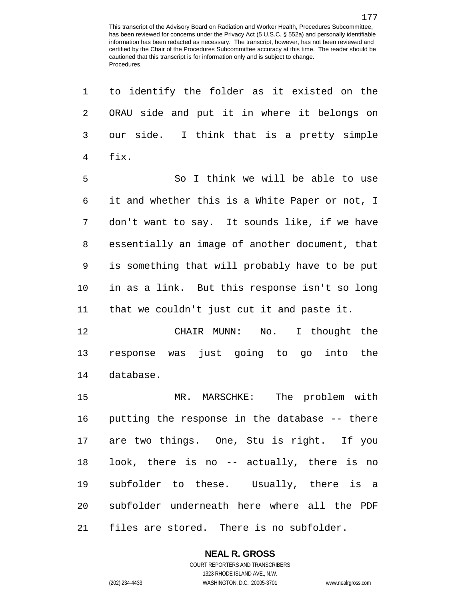| 1  | to identify the folder as it existed on the    |
|----|------------------------------------------------|
| 2  | ORAU side and put it in where it belongs on    |
| 3  | I think that is a pretty simple<br>our side.   |
| 4  | fix.                                           |
| 5  | So I think we will be able to use              |
| 6  | it and whether this is a White Paper or not, I |
| 7  | don't want to say. It sounds like, if we have  |
| 8  | essentially an image of another document, that |
| 9  | is something that will probably have to be put |
| 10 | in as a link. But this response isn't so long  |
| 11 | that we couldn't just cut it and paste it.     |
| 12 | CHAIR MUNN: No.<br>I thought the               |
| 13 | response was just going to go into the         |
| 14 | database.                                      |
| 15 | MR. MARSCHKE: The problem with                 |
| 16 | putting the response in the database -- there  |
|    | 17 are two things. One, Stu is right. If you   |
| 18 | look, there is no -- actually, there is no     |
| 19 | subfolder to these. Usually, there is a        |
| 20 | subfolder underneath here where all the PDF    |
| 21 | files are stored. There is no subfolder.       |

### **NEAL R. GROSS** COURT REPORTERS AND TRANSCRIBERS

1323 RHODE ISLAND AVE., N.W. (202) 234-4433 WASHINGTON, D.C. 20005-3701 www.nealrgross.com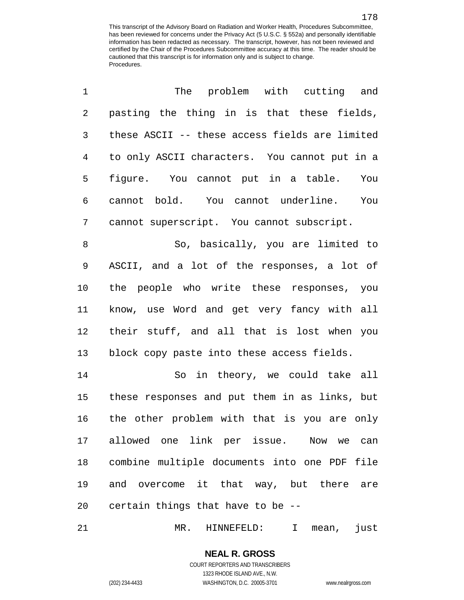| 1              | The problem with cutting and                    |
|----------------|-------------------------------------------------|
| 2              | pasting the thing in is that these fields,      |
| 3              | these ASCII -- these access fields are limited  |
| $\overline{4}$ | to only ASCII characters. You cannot put in a   |
| 5              | figure. You cannot put in a table.<br>You       |
| 6              | cannot bold. You cannot underline.<br>You       |
| 7              | cannot superscript. You cannot subscript.       |
| 8              | So, basically, you are limited to               |
| 9              | ASCII, and a lot of the responses, a lot of     |
| 10             | the people who write these responses, you       |
| 11             | know, use Word and get very fancy with all      |
| 12             | their stuff, and all that is lost when you      |
| 13             | block copy paste into these access fields.      |
| 14             | So in theory, we could take all                 |
| 15             | these responses and put them in as links, but   |
| 16             | the other problem with that is you are only     |
|                | 17 allowed one link per issue. Now we can       |
|                | 18 combine multiple documents into one PDF file |
|                | 19 and overcome it that way, but there are      |
|                | 20 certain things that have to be --            |

MR. HINNEFELD: I mean, just

**NEAL R. GROSS** COURT REPORTERS AND TRANSCRIBERS

1323 RHODE ISLAND AVE., N.W.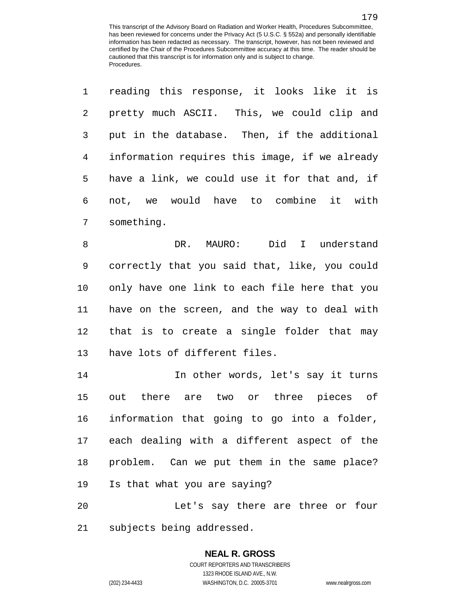reading this response, it looks like it is

| $\overline{2}$ | pretty much ASCII. This, we could clip and     |
|----------------|------------------------------------------------|
| 3              | put in the database. Then, if the additional   |
| 4              | information requires this image, if we already |
| 5              | have a link, we could use it for that and, if  |
| 6              | not, we would have to combine it with          |
| 7              | something.                                     |
| 8              | DR. MAURO: Did I understand                    |
| 9              | correctly that you said that, like, you could  |
| 10             | only have one link to each file here that you  |
| 11             | have on the screen, and the way to deal with   |
| 12             | that is to create a single folder that may     |
| 13             | have lots of different files.                  |
| 14             | In other words, let's say it turns             |
| 15             | out there are two or three pieces of           |
| 16             | information that going to go into a folder,    |
| 17             | each dealing with a different aspect of the    |
| 18             | problem. Can we put them in the same place?    |

Is that what you are saying?

 Let's say there are three or four subjects being addressed.

### **NEAL R. GROSS** COURT REPORTERS AND TRANSCRIBERS

1323 RHODE ISLAND AVE., N.W. (202) 234-4433 WASHINGTON, D.C. 20005-3701 www.nealrgross.com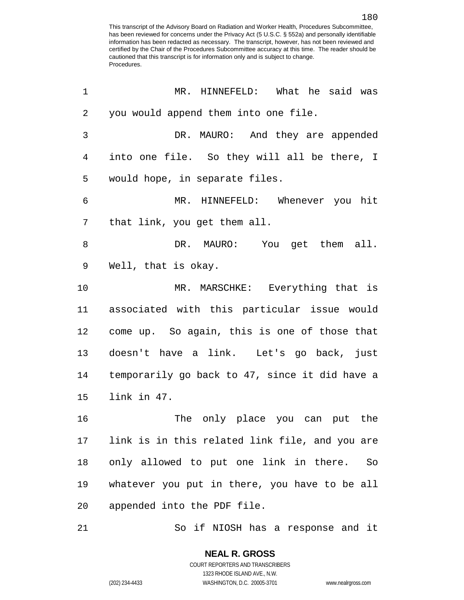| 1               | MR. HINNEFELD: What he said was                |
|-----------------|------------------------------------------------|
| $\overline{2}$  | you would append them into one file.           |
| 3               | DR. MAURO: And they are appended               |
| 4               | into one file. So they will all be there, I    |
| 5               | would hope, in separate files.                 |
| 6               | MR. HINNEFELD: Whenever you hit                |
| 7               | that link, you get them all.                   |
| 8               | DR. MAURO: You get them all.                   |
| 9               | Well, that is okay.                            |
| 10              | MR. MARSCHKE: Everything that is               |
| 11              | associated with this particular issue would    |
| 12              | come up. So again, this is one of those that   |
| 13              | doesn't have a link. Let's go back, just       |
| 14              | temporarily go back to 47, since it did have a |
| 15              | link in 47.                                    |
| 16              | The only place you can put the                 |
| 17 <sub>2</sub> | link is in this related link file, and you are |
| 18              | only allowed to put one link in there.<br>So   |
| 19              | whatever you put in there, you have to be all  |
| 20              | appended into the PDF file.                    |
| 21              | So if NIOSH has a response and it              |

COURT REPORTERS AND TRANSCRIBERS 1323 RHODE ISLAND AVE., N.W. (202) 234-4433 WASHINGTON, D.C. 20005-3701 www.nealrgross.com

**NEAL R. GROSS**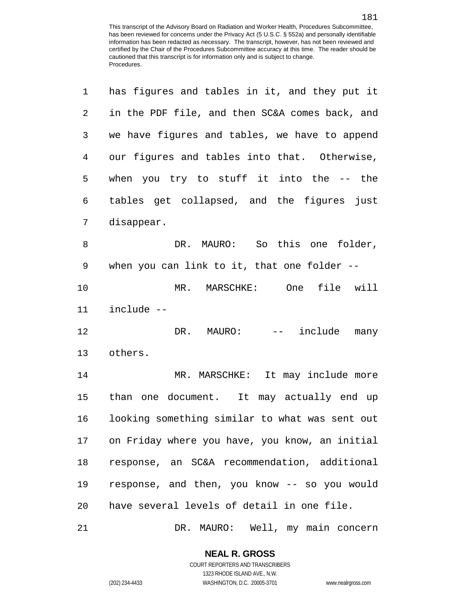| 1  | has figures and tables in it, and they put it  |
|----|------------------------------------------------|
| 2  | in the PDF file, and then SC&A comes back, and |
| 3  | we have figures and tables, we have to append  |
| 4  | our figures and tables into that. Otherwise,   |
| 5  | when you try to stuff it into the $-$ - the    |
| 6  | tables get collapsed, and the figures just     |
| 7  | disappear.                                     |
| 8  | DR. MAURO: So this one folder,                 |
| 9  | when you can link to it, that one folder --    |
| 10 | file will<br>MR. MARSCHKE: One                 |
| 11 | include --                                     |
| 12 | DR. MAURO:<br>include<br>many<br>$- \_$        |
| 13 | others.                                        |
| 14 | MR. MARSCHKE: It may include more              |
| 15 | than one document. It may actually end up      |
| 16 | looking something similar to what was sent out |
| 17 | on Friday where you have, you know, an initial |
| 18 | response, an SC&A recommendation, additional   |
| 19 | response, and then, you know -- so you would   |
| 20 | have several levels of detail in one file.     |
| 21 | DR. MAURO: Well, my main concern               |

**NEAL R. GROSS** COURT REPORTERS AND TRANSCRIBERS

1323 RHODE ISLAND AVE., N.W.

(202) 234-4433 WASHINGTON, D.C. 20005-3701 www.nealrgross.com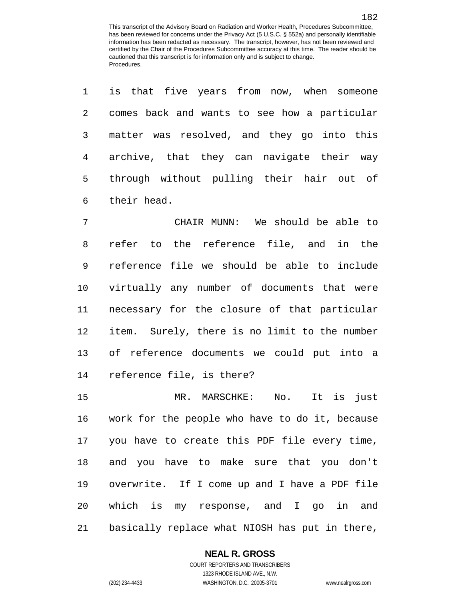is that five years from now, when someone

| 2              | comes back and wants to see how a particular     |
|----------------|--------------------------------------------------|
| 3              | matter was resolved, and they go into this       |
| $\overline{4}$ | archive, that they can navigate their way        |
| 5              | through without pulling their hair out of        |
| 6              | their head.                                      |
| 7              | CHAIR MUNN: We should be able to                 |
| 8              | refer to the reference file, and in the          |
| 9              | reference file we should be able to include      |
| 10             | virtually any number of documents that were      |
| 11             | necessary for the closure of that particular     |
| 12             | item. Surely, there is no limit to the number    |
| 13             | of reference documents we could put into a       |
| 14             | reference file, is there?                        |
| 15             | MR. MARSCHKE:<br>No.<br>It is just               |
| 16             | work for the people who have to do it, because   |
|                | 17 you have to create this PDF file every time,  |
|                | 18 and you have to make sure that you don't      |
|                | 19 overwrite. If I come up and I have a PDF file |
|                | 20 which is my response, and I go in and         |

basically replace what NIOSH has put in there,

#### **NEAL R. GROSS**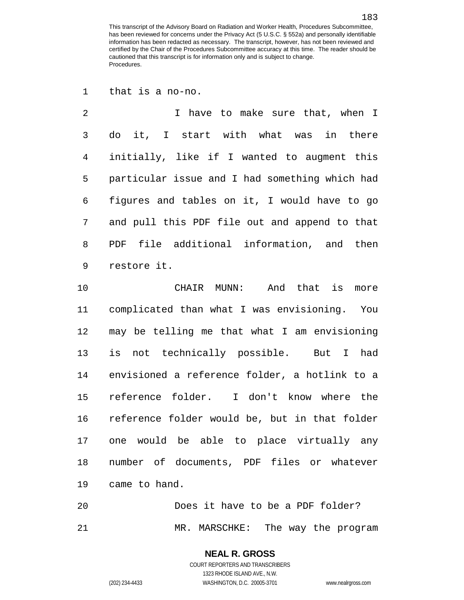that is a no-no.

 I have to make sure that, when I do it, I start with what was in there initially, like if I wanted to augment this particular issue and I had something which had figures and tables on it, I would have to go and pull this PDF file out and append to that PDF file additional information, and then restore it.

 CHAIR MUNN: And that is more complicated than what I was envisioning. You may be telling me that what I am envisioning is not technically possible. But I had envisioned a reference folder, a hotlink to a reference folder. I don't know where the reference folder would be, but in that folder one would be able to place virtually any number of documents, PDF files or whatever came to hand.

 Does it have to be a PDF folder? MR. MARSCHKE: The way the program

## **NEAL R. GROSS** COURT REPORTERS AND TRANSCRIBERS 1323 RHODE ISLAND AVE., N.W.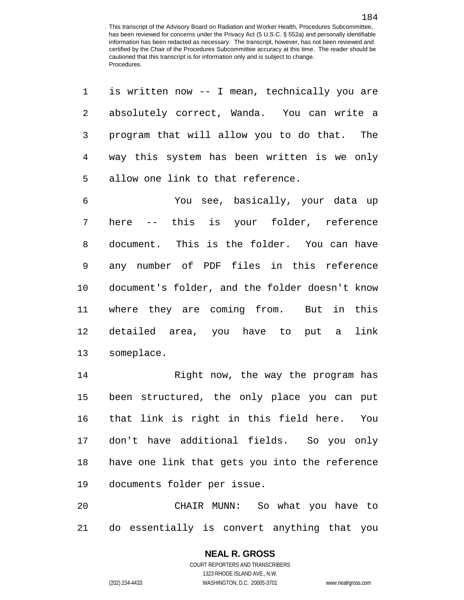is written now -- I mean, technically you are

| 2              | absolutely correct, Wanda. You can write a     |
|----------------|------------------------------------------------|
| $\mathfrak{Z}$ | program that will allow you to do that. The    |
| $\overline{4}$ | way this system has been written is we only    |
| 5              | allow one link to that reference.              |
| 6              | You see, basically, your data up               |
| 7              | here -- this is your folder, reference         |
| 8              | document. This is the folder. You can have     |
| 9              | any number of PDF files in this reference      |
| 10             | document's folder, and the folder doesn't know |
| 11             | where they are coming from. But in this        |
| 12             | detailed area, you have to put a<br>link       |
| 13             | someplace.                                     |
| 14             | Right now, the way the program has             |
| 15             | been structured, the only place you can put    |
| 16             | that link is right in this field here.<br>You  |
|                | 17 don't have additional fields. So you only   |
| 18             | have one link that gets you into the reference |
| 19             | documents folder per issue.                    |
| 20             | CHAIR MUNN: So what you have to                |

do essentially is convert anything that you

## **NEAL R. GROSS** COURT REPORTERS AND TRANSCRIBERS

1323 RHODE ISLAND AVE., N.W.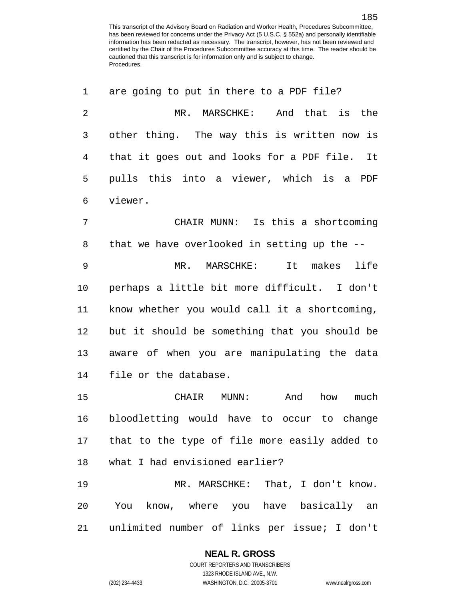| 1  | are going to put in there to a PDF file?         |
|----|--------------------------------------------------|
| 2  | And<br>that is<br>the<br>MR. MARSCHKE:           |
| 3  | other thing. The way this is written now is      |
| 4  | that it goes out and looks for a PDF file. It    |
| 5  | pulls this into a viewer, which is a PDF         |
| 6  | viewer.                                          |
| 7  | CHAIR MUNN: Is this a shortcoming                |
| 8  | that we have overlooked in setting up the --     |
| 9  | MR. MARSCHKE:<br>It makes life                   |
| 10 | perhaps a little bit more difficult. I don't     |
| 11 | know whether you would call it a shortcoming,    |
| 12 | but it should be something that you should be    |
| 13 | aware of when you are manipulating the data      |
| 14 | file or the database.                            |
| 15 | CHAIR<br>MUNN:<br>And<br>how<br>much             |
| 16 | bloodletting would have to occur to change       |
|    | 17 that to the type of file more easily added to |
| 18 | what I had envisioned earlier?                   |
| 19 | MR. MARSCHKE: That, I don't know.                |
| 20 | You know, where you have basically an            |
| 21 | unlimited number of links per issue; I don't     |

## **NEAL R. GROSS**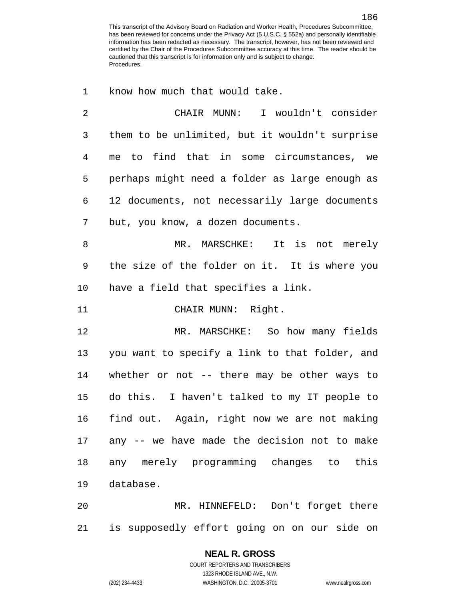know how much that would take.

| 2            | CHAIR MUNN: I wouldn't consider                |
|--------------|------------------------------------------------|
| $\mathsf{3}$ | them to be unlimited, but it wouldn't surprise |
| 4            | to find that in some circumstances, we<br>me   |
| 5            | perhaps might need a folder as large enough as |
| 6            | 12 documents, not necessarily large documents  |
| 7            | but, you know, a dozen documents.              |
| 8            | MR. MARSCHKE: It is not merely                 |
| $\mathsf 9$  | the size of the folder on it. It is where you  |
| 10           | have a field that specifies a link.            |
| 11           | CHAIR MUNN: Right.                             |
| 12           | MR. MARSCHKE: So how many fields               |
| 13           | you want to specify a link to that folder, and |
| 14           | whether or not -- there may be other ways to   |
| 15           | do this. I haven't talked to my IT people to   |
| 16           | find out. Again, right now we are not making   |
| 17           | any -- we have made the decision not to make   |
|              |                                                |
| 18           | any merely programming changes to this         |

 MR. HINNEFELD: Don't forget there is supposedly effort going on on our side on

## **NEAL R. GROSS**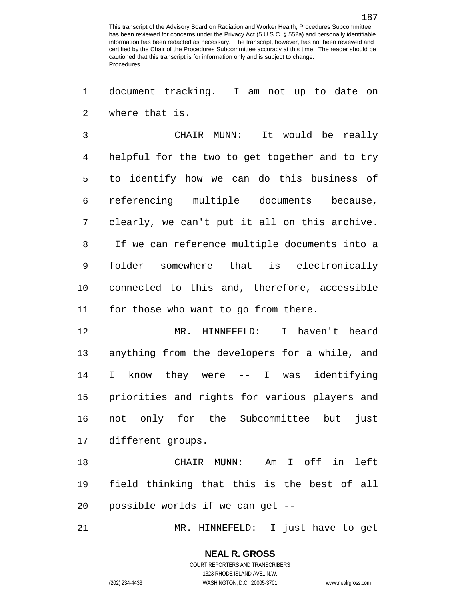document tracking. I am not up to date on where that is.

 CHAIR MUNN: It would be really helpful for the two to get together and to try to identify how we can do this business of referencing multiple documents because, clearly, we can't put it all on this archive. If we can reference multiple documents into a folder somewhere that is electronically connected to this and, therefore, accessible for those who want to go from there.

 MR. HINNEFELD: I haven't heard anything from the developers for a while, and I know they were -- I was identifying priorities and rights for various players and not only for the Subcommittee but just different groups.

 CHAIR MUNN: Am I off in left field thinking that this is the best of all possible worlds if we can get --

MR. HINNEFELD: I just have to get

# **NEAL R. GROSS**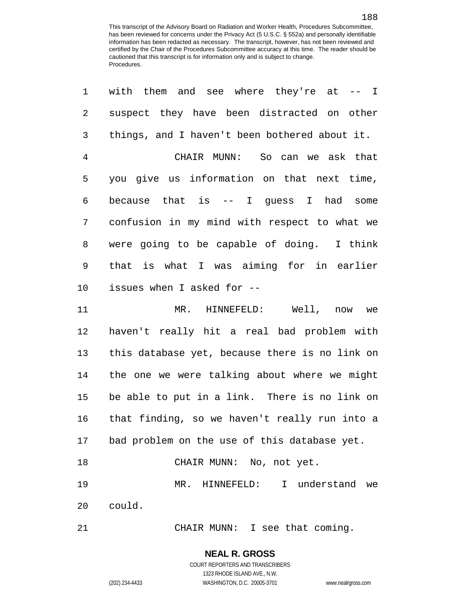| 1              | with them and see where they're at $-$ - I     |
|----------------|------------------------------------------------|
| 2              | suspect they have been distracted on other     |
| 3              | things, and I haven't been bothered about it.  |
| $\overline{4}$ | CHAIR MUNN: So can we ask that                 |
| 5              | you give us information on that next time,     |
| 6              | because that is $--$ I guess I had some        |
| 7              | confusion in my mind with respect to what we   |
| 8              | were going to be capable of doing. I think     |
| $\mathsf 9$    | that is what I was aiming for in earlier       |
| 10             | issues when I asked for --                     |
| 11             | MR. HINNEFELD: Well, now we                    |
| 12             | haven't really hit a real bad problem with     |
| 13             | this database yet, because there is no link on |
| 14             | the one we were talking about where we might   |
| 15             | be able to put in a link. There is no link on  |
| 16             | that finding, so we haven't really run into a  |
| 17             | bad problem on the use of this database yet.   |
| 18             | CHAIR MUNN: No, not yet.                       |
| 19             | I understand we<br>MR. HINNEFELD:              |
| 20             | could.                                         |
| 21             | CHAIR MUNN: I see that coming.                 |

**NEAL R. GROSS**

COURT REPORTERS AND TRANSCRIBERS

1323 RHODE ISLAND AVE., N.W. (202) 234-4433 WASHINGTON, D.C. 20005-3701 www.nealrgross.com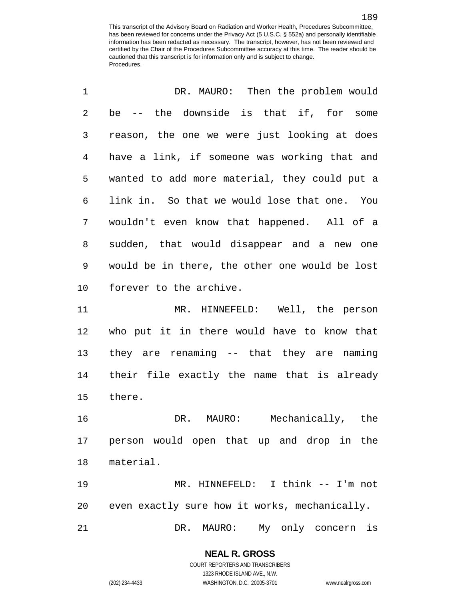| 1              | DR. MAURO: Then the problem would              |
|----------------|------------------------------------------------|
| $\overline{2}$ | be -- the downside is that if, for some        |
| 3              | reason, the one we were just looking at does   |
| 4              | have a link, if someone was working that and   |
| 5              | wanted to add more material, they could put a  |
| 6              | link in. So that we would lose that one. You   |
| 7              | wouldn't even know that happened. All of a     |
| 8              | sudden, that would disappear and a new one     |
| 9              | would be in there, the other one would be lost |
| 10             | forever to the archive.                        |
| 11             | MR. HINNEFELD: Well, the person                |
| 12             | who put it in there would have to know that    |
| 13             | they are renaming -- that they are naming      |
| 14             | their file exactly the name that is already    |
| 15             | there.                                         |
| 16             | DR. MAURO: Mechanically, the                   |
| 17             | person would open that up and drop in the      |
| 18             | material.                                      |
| 19             | MR. HINNEFELD: I think -- I'm not              |
| 20             | even exactly sure how it works, mechanically.  |
| 21             | MAURO:<br>DR.<br>My only concern is            |

(202) 234-4433 WASHINGTON, D.C. 20005-3701 www.nealrgross.com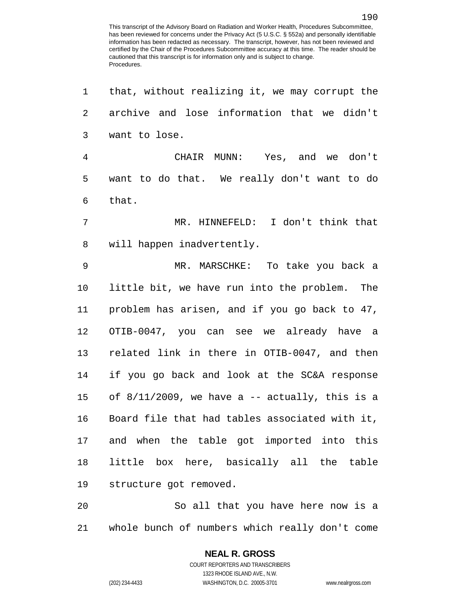| 1  | that, without realizing it, we may corrupt the    |
|----|---------------------------------------------------|
| 2  | archive and lose information that we didn't       |
| 3  | want to lose.                                     |
| 4  | CHAIR MUNN: Yes, and we don't                     |
| 5  | want to do that. We really don't want to do       |
| 6  | that.                                             |
| 7  | MR. HINNEFELD: I don't think that                 |
| 8  | will happen inadvertently.                        |
| 9  | MR. MARSCHKE: To take you back a                  |
| 10 | little bit, we have run into the problem. The     |
| 11 | problem has arisen, and if you go back to 47,     |
| 12 | OTIB-0047, you can see we already have a          |
| 13 | related link in there in OTIB-0047, and then      |
| 14 | if you go back and look at the SC&A response      |
| 15 | of $8/11/2009$ , we have a -- actually, this is a |
| 16 | Board file that had tables associated with it,    |
| 17 | and when the table got imported into this         |
| 18 | little box here, basically all the table          |
| 19 | structure got removed.                            |
| 20 | So all that you have here now is a                |
| 21 | whole bunch of numbers which really don't come    |

1323 RHODE ISLAND AVE., N.W.

(202) 234-4433 WASHINGTON, D.C. 20005-3701 www.nealrgross.com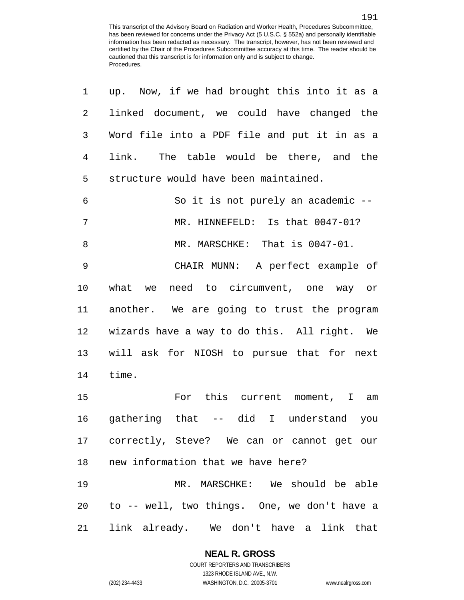| 1              | up. Now, if we had brought this into it as a  |
|----------------|-----------------------------------------------|
| $\overline{2}$ | linked document, we could have changed the    |
| 3              | Word file into a PDF file and put it in as a  |
| 4              | link. The table would be there, and the       |
| 5              | structure would have been maintained.         |
| 6              | So it is not purely an academic --            |
| 7              | MR. HINNEFELD: Is that 0047-01?               |
| 8              | MR. MARSCHKE: That is 0047-01.                |
| 9              | CHAIR MUNN: A perfect example of              |
| 10             | what we need to circumvent, one way or        |
| 11             | another. We are going to trust the program    |
| 12             | wizards have a way to do this. All right. We  |
| 13             | will ask for NIOSH to pursue that for next    |
| 14             | time.                                         |
| 15             | For this current moment, I am                 |
| 16             | gathering that -- did I understand you        |
|                | 17 correctly, Steve? We can or cannot get our |
| 18             | new information that we have here?            |
| 19             | MR. MARSCHKE: We should be able               |
| 20             | to -- well, two things. One, we don't have a  |
| 21             | link already. We don't have a link that       |

## **NEAL R. GROSS**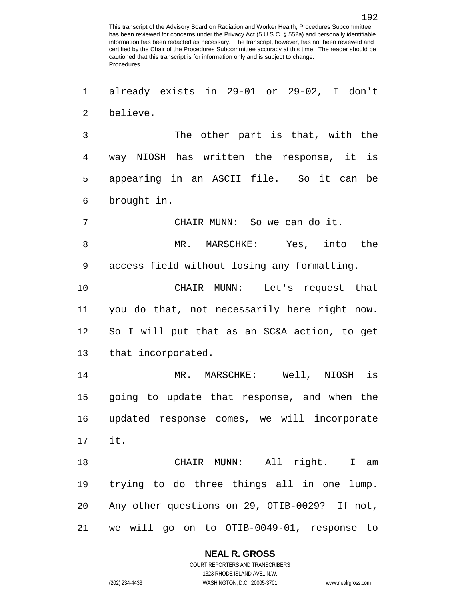already exists in 29-01 or 29-02, I don't believe.

 The other part is that, with the way NIOSH has written the response, it is appearing in an ASCII file. So it can be brought in.

CHAIR MUNN: So we can do it.

 MR. MARSCHKE: Yes, into the access field without losing any formatting.

 CHAIR MUNN: Let's request that you do that, not necessarily here right now. So I will put that as an SC&A action, to get that incorporated.

 MR. MARSCHKE: Well, NIOSH is going to update that response, and when the updated response comes, we will incorporate it.

 CHAIR MUNN: All right. I am trying to do three things all in one lump. Any other questions on 29, OTIB-0029? If not, we will go on to OTIB-0049-01, response to

## **NEAL R. GROSS**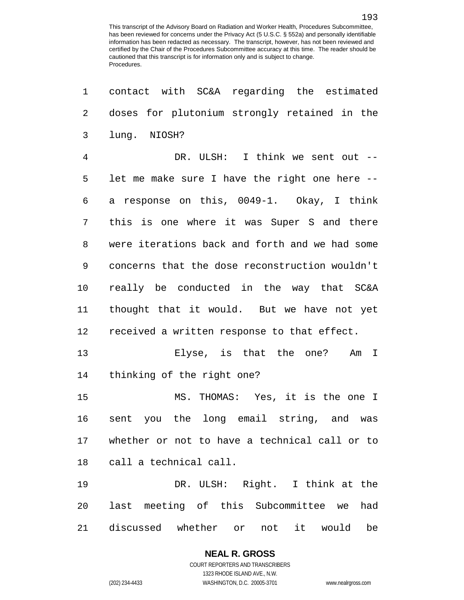| 1              | contact with SC&A regarding the estimated           |
|----------------|-----------------------------------------------------|
| 2              | doses for plutonium strongly retained in the        |
| 3              | lung. NIOSH?                                        |
| $\overline{4}$ | DR. ULSH: I think we sent out --                    |
| 5              | let me make sure I have the right one here --       |
| 6              | a response on this, 0049-1. Okay, I think           |
| 7              | this is one where it was Super S and there          |
| 8              | were iterations back and forth and we had some      |
| 9              | concerns that the dose reconstruction wouldn't      |
| 10             | really be conducted in the way that SC&A            |
| 11             | thought that it would. But we have not yet          |
| 12             | received a written response to that effect.         |
| 13             | Elyse, is that the one? Am I                        |
| 14             | thinking of the right one?                          |
| 15             | MS. THOMAS: Yes, it is the one I                    |
| 16             | sent you the long email string, and was             |
| 17             | whether or not to have a technical call or to       |
| 18             | call a technical call.                              |
| 19             | DR. ULSH: Right. I think at the                     |
| 20             | last meeting of this Subcommittee we<br>had         |
| 21             | discussed whether<br>be<br>or<br>not<br>would<br>it |

**NEAL R. GROSS** COURT REPORTERS AND TRANSCRIBERS

1323 RHODE ISLAND AVE., N.W. (202) 234-4433 WASHINGTON, D.C. 20005-3701 www.nealrgross.com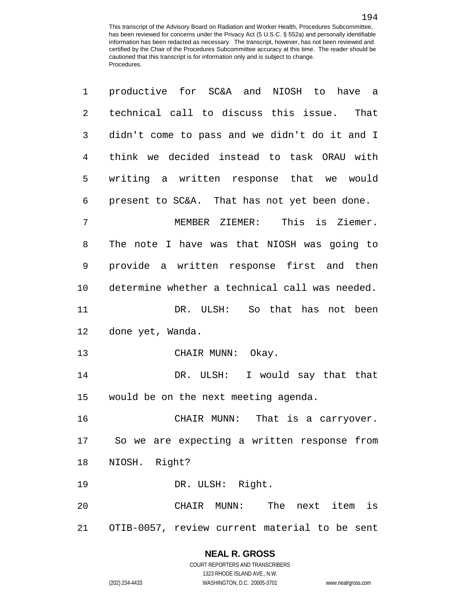| 1              | productive for SC&A and NIOSH to have a        |
|----------------|------------------------------------------------|
| $\overline{2}$ | technical call to discuss this issue. That     |
| 3              | didn't come to pass and we didn't do it and I  |
| 4              | think we decided instead to task ORAU with     |
| 5              | writing a written response that we would       |
| 6              | present to SC&A. That has not yet been done.   |
| 7              | This is Ziemer.<br>MEMBER ZIEMER:              |
| 8              | The note I have was that NIOSH was going to    |
| 9              | provide a written response first and then      |
| 10             | determine whether a technical call was needed. |
| 11             | DR. ULSH: So that has not been                 |
| 12             | done yet, Wanda.                               |
| 13             | CHAIR MUNN: Okay.                              |
| 14             | DR. ULSH: I would say that that                |
| 15             | would be on the next meeting agenda.           |
| 16             | CHAIR MUNN: That is a carryover.               |
|                | 17 So we are expecting a written response from |
| 18             | NIOSH. Right?                                  |
| 19             | DR. ULSH: Right.                               |
| 20             | CHAIR MUNN: The next item is                   |
| 21             | OTIB-0057, review current material to be sent  |

## **NEAL R. GROSS**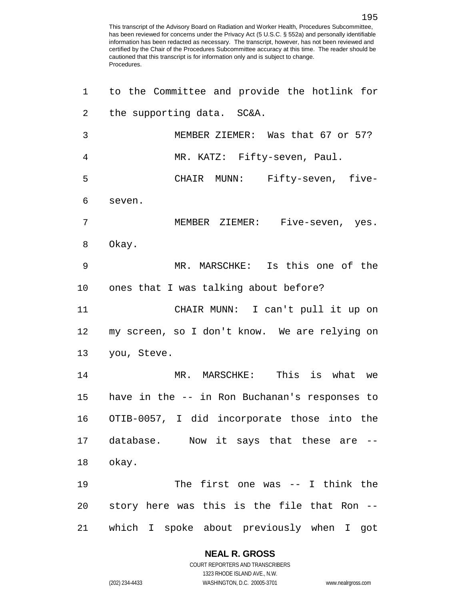| 1              | to the Committee and provide the hotlink for   |
|----------------|------------------------------------------------|
| 2              | the supporting data. SC&A.                     |
| $\mathbf{3}$   | MEMBER ZIEMER: Was that 67 or 57?              |
| $\overline{4}$ | MR. KATZ: Fifty-seven, Paul.                   |
| 5              | CHAIR MUNN: Fifty-seven, five-                 |
| 6              | seven.                                         |
| 7              | MEMBER ZIEMER: Five-seven, yes.                |
| 8              | Okay.                                          |
| 9              | MR. MARSCHKE: Is this one of the               |
| 10             | ones that I was talking about before?          |
| 11             | CHAIR MUNN: I can't pull it up on              |
| 12             | my screen, so I don't know. We are relying on  |
| 13             | you, Steve.                                    |
| 14             | MR. MARSCHKE: This is what we                  |
| 15             | have in the -- in Ron Buchanan's responses to  |
|                | 16 OTIB-0057, I did incorporate those into the |
|                | 17 database. Now it says that these are        |
| 18             | okay.                                          |
| 19             | The first one was $-$ - I think the            |
| 20             | story here was this is the file that Ron --    |
| 21             | which I spoke about previously when I got      |

## **NEAL R. GROSS**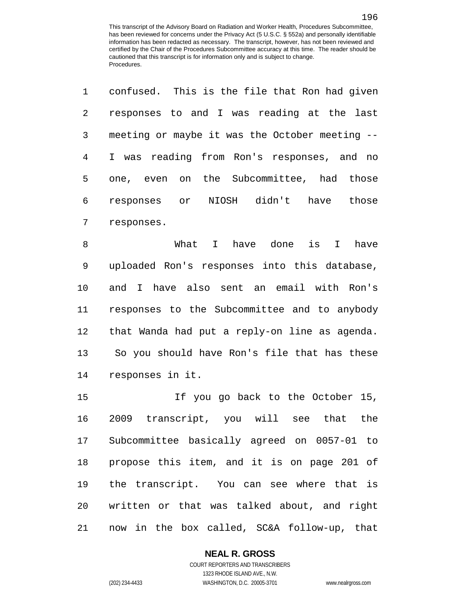|              | 1 confused. This is the file that Ron had given |
|--------------|-------------------------------------------------|
| $\mathbf{2}$ | responses to and I was reading at the last      |
| 3            | meeting or maybe it was the October meeting --  |
| 4            | I was reading from Ron's responses, and no      |
| 5            | one, even on the Subcommittee, had those        |
| 6            | responses or NIOSH didn't<br>have those         |
| 7            | responses.                                      |

 What I have done is I have uploaded Ron's responses into this database, and I have also sent an email with Ron's responses to the Subcommittee and to anybody that Wanda had put a reply-on line as agenda. So you should have Ron's file that has these responses in it.

 If you go back to the October 15, 2009 transcript, you will see that the Subcommittee basically agreed on 0057-01 to propose this item, and it is on page 201 of the transcript. You can see where that is written or that was talked about, and right now in the box called, SC&A follow-up, that

## **NEAL R. GROSS**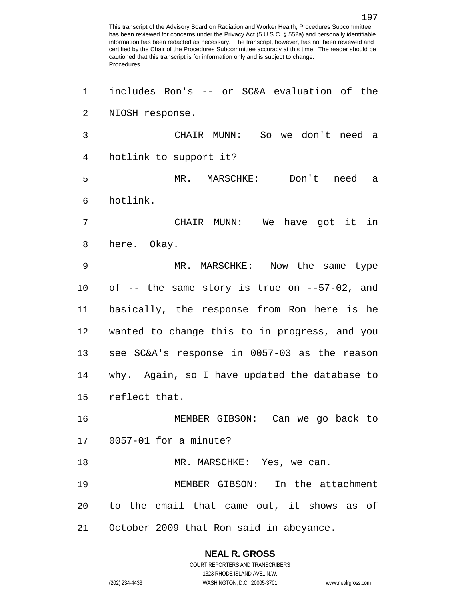includes Ron's -- or SC&A evaluation of the NIOSH response. CHAIR MUNN: So we don't need a hotlink to support it? MR. MARSCHKE: Don't need a hotlink. CHAIR MUNN: We have got it in here. Okay. MR. MARSCHKE: Now the same type of -- the same story is true on --57-02, and basically, the response from Ron here is he wanted to change this to in progress, and you see SC&A's response in 0057-03 as the reason why. Again, so I have updated the database to reflect that. MEMBER GIBSON: Can we go back to 0057-01 for a minute? 18 MR. MARSCHKE: Yes, we can. MEMBER GIBSON: In the attachment to the email that came out, it shows as of October 2009 that Ron said in abeyance.

## **NEAL R. GROSS**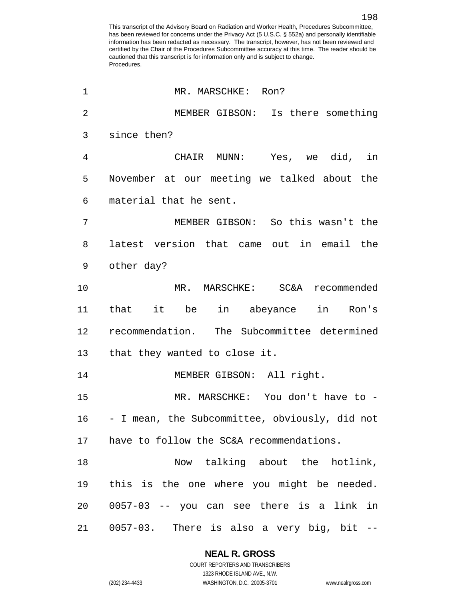| 1              | MR. MARSCHKE: Ron?                             |
|----------------|------------------------------------------------|
| $\overline{2}$ | MEMBER GIBSON: Is there something              |
| 3              | since then?                                    |
| $\overline{4}$ | CHAIR MUNN: Yes, we did, in                    |
| 5              | November at our meeting we talked about the    |
| 6              | material that he sent.                         |
| 7              | MEMBER GIBSON: So this wasn't the              |
| 8              | latest version that came out in email the      |
| 9              | other day?                                     |
| 10             | MR. MARSCHKE: SC&A recommended                 |
| 11             | that it be in abeyance in Ron's                |
| 12             | recommendation. The Subcommittee determined    |
| 13             | that they wanted to close it.                  |
| 14             | MEMBER GIBSON: All right.                      |
| 15             | MR. MARSCHKE: You don't have to -              |
| 16             | - I mean, the Subcommittee, obviously, did not |
| 17             | have to follow the SC&A recommendations.       |
| 18             | Now talking about the hotlink,                 |
| 19             | this is the one where you might be needed.     |
| 20             | 0057-03 -- you can see there is a link in      |
| 21             | 0057-03. There is also a very big, bit --      |

## **NEAL R. GROSS**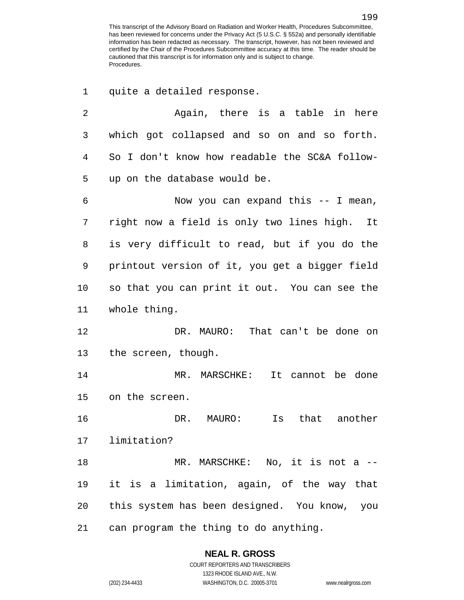quite a detailed response.

 Again, there is a table in here which got collapsed and so on and so forth. So I don't know how readable the SC&A follow- up on the database would be. Now you can expand this -- I mean, right now a field is only two lines high. It is very difficult to read, but if you do the printout version of it, you get a bigger field so that you can print it out. You can see the whole thing. DR. MAURO: That can't be done on the screen, though. MR. MARSCHKE: It cannot be done on the screen. DR. MAURO: Is that another limitation? MR. MARSCHKE: No, it is not a -- it is a limitation, again, of the way that this system has been designed. You know, you can program the thing to do anything.

**NEAL R. GROSS**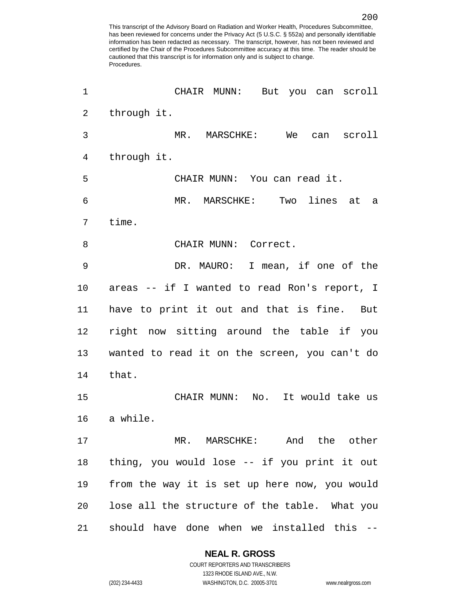| 1              | CHAIR MUNN: But you can scroll                |
|----------------|-----------------------------------------------|
| $\overline{a}$ | through it.                                   |
| 3              | MR. MARSCHKE: We can scroll                   |
| $\overline{4}$ | through it.                                   |
| 5              | CHAIR MUNN: You can read it.                  |
| 6              | MR. MARSCHKE: Two lines at a                  |
| 7              | time.                                         |
| 8              | CHAIR MUNN: Correct.                          |
| 9              | DR. MAURO: I mean, if one of the              |
| $10 \,$        | areas -- if I wanted to read Ron's report, I  |
| 11             | have to print it out and that is fine. But    |
| 12             | right now sitting around the table if you     |
| 13             | wanted to read it on the screen, you can't do |
| 14             | that.                                         |
| 15             | CHAIR MUNN: No. It would take us              |
| 16             | a while.                                      |
| 17             | MR. MARSCHKE: And the other                   |
| 18             | thing, you would lose -- if you print it out  |
| 19             | from the way it is set up here now, you would |
| 20             | lose all the structure of the table. What you |
| 21             | should have done when we installed this --    |

#### **NEAL R. GROSS**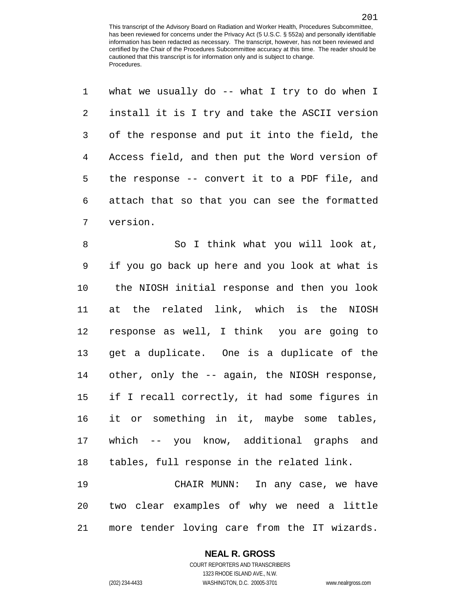|             | 1 what we usually do -- what I try to do when I  |
|-------------|--------------------------------------------------|
| $2^{\circ}$ | install it is I try and take the ASCII version   |
|             | 3 of the response and put it into the field, the |
| 4           | Access field, and then put the Word version of   |
| $5 -$       | the response -- convert it to a PDF file, and    |
|             | 6 attach that so that you can see the formatted  |
|             | 7 version.                                       |

8 So I think what you will look at, if you go back up here and you look at what is the NIOSH initial response and then you look at the related link, which is the NIOSH response as well, I think you are going to get a duplicate. One is a duplicate of the other, only the -- again, the NIOSH response, if I recall correctly, it had some figures in it or something in it, maybe some tables, which -- you know, additional graphs and tables, full response in the related link. CHAIR MUNN: In any case, we have

 two clear examples of why we need a little more tender loving care from the IT wizards.

## **NEAL R. GROSS**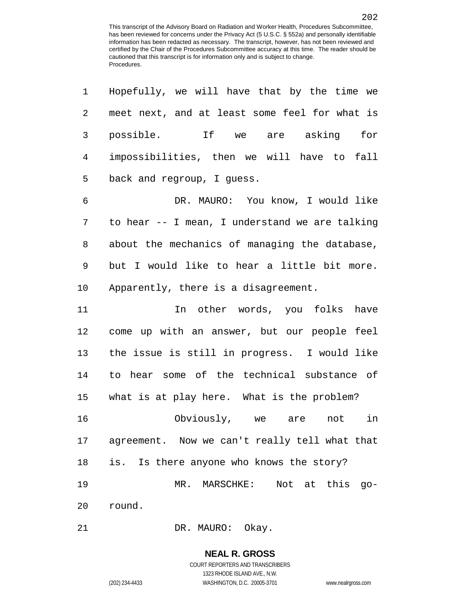| 1              | Hopefully, we will have that by the time we      |
|----------------|--------------------------------------------------|
| 2              | meet next, and at least some feel for what is    |
| 3              | possible. If we are asking for                   |
| $\overline{4}$ | impossibilities, then we will have to fall       |
| 5              | back and regroup, I guess.                       |
| 6              | DR. MAURO: You know, I would like                |
| 7              | to hear -- I mean, I understand we are talking   |
| 8              | about the mechanics of managing the database,    |
| 9              | but I would like to hear a little bit more.      |
| 10             | Apparently, there is a disagreement.             |
| 11             | In other words, you folks have                   |
| 12             | come up with an answer, but our people feel      |
| 13             | the issue is still in progress. I would like     |
| 14             | to hear some of the technical substance of       |
| 15             | what is at play here. What is the problem?       |
| 16             | Obviously, we are<br>in<br>not                   |
|                | 17 agreement. Now we can't really tell what that |
| 18             | is. Is there anyone who knows the story?         |
| 19             | MR. MARSCHKE: Not at this go-                    |
| 20             | round.                                           |

21 DR. MAURO: Okay.

## **NEAL R. GROSS**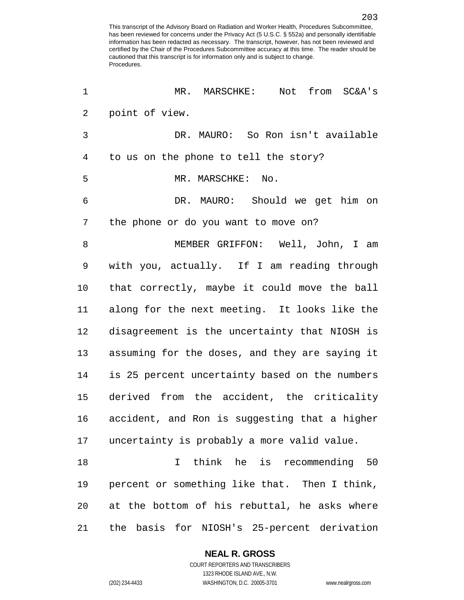MR. MARSCHKE: Not from SC&A's point of view. DR. MAURO: So Ron isn't available to us on the phone to tell the story? 5 MR. MARSCHKE: No. DR. MAURO: Should we get him on the phone or do you want to move on? MEMBER GRIFFON: Well, John, I am with you, actually. If I am reading through that correctly, maybe it could move the ball along for the next meeting. It looks like the disagreement is the uncertainty that NIOSH is assuming for the doses, and they are saying it is 25 percent uncertainty based on the numbers derived from the accident, the criticality accident, and Ron is suggesting that a higher uncertainty is probably a more valid value. I think he is recommending 50 percent or something like that. Then I think, at the bottom of his rebuttal, he asks where the basis for NIOSH's 25-percent derivation

## **NEAL R. GROSS**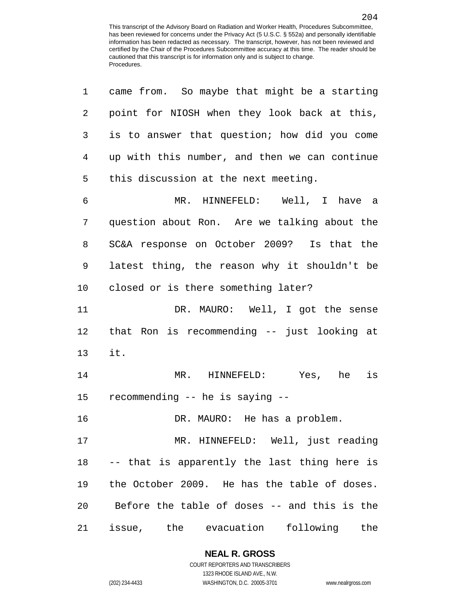| $\mathbf 1$     | came from. So maybe that might be a starting    |
|-----------------|-------------------------------------------------|
| 2               | point for NIOSH when they look back at this,    |
| 3               | is to answer that question; how did you come    |
| 4               | up with this number, and then we can continue   |
| 5               | this discussion at the next meeting.            |
| 6               | MR. HINNEFELD: Well, I have a                   |
| 7               | question about Ron. Are we talking about the    |
| 8               | SC&A response on October 2009? Is that the      |
| 9               | latest thing, the reason why it shouldn't be    |
| 10              | closed or is there something later?             |
| 11              | DR. MAURO: Well, I got the sense                |
| 12              | that Ron is recommending -- just looking at     |
| 13              | it.                                             |
| 14              | MR. HINNEFELD: Yes, he<br>is                    |
| 15 <sub>1</sub> | recommending -- he is saying --                 |
| 16              | DR. MAURO: He has a problem.                    |
| 17              | MR. HINNEFELD: Well, just reading               |
| 18              | -- that is apparently the last thing here is    |
| 19              | the October 2009. He has the table of doses.    |
|                 | 20 Before the table of doses -- and this is the |
| 21              | issue, the evacuation following<br>the          |

**NEAL R. GROSS** COURT REPORTERS AND TRANSCRIBERS

1323 RHODE ISLAND AVE., N.W. (202) 234-4433 WASHINGTON, D.C. 20005-3701 www.nealrgross.com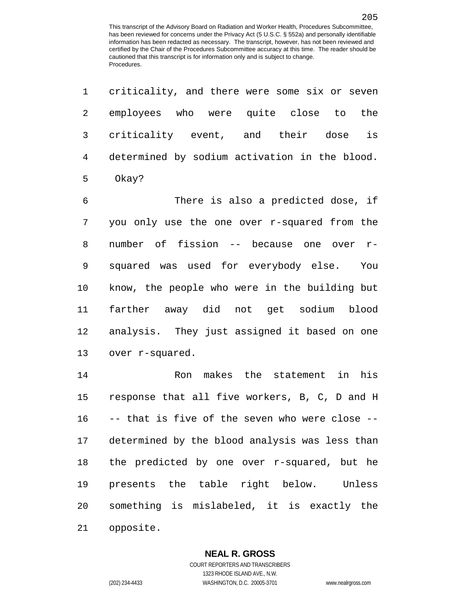| $\mathbf 1$    | criticality, and there were some six or seven  |
|----------------|------------------------------------------------|
| $\overline{2}$ | employees who were quite close to<br>the       |
| 3              | criticality event, and their dose is           |
| $\overline{4}$ | determined by sodium activation in the blood.  |
| 5              | Okay?                                          |
| 6              | There is also a predicted dose, if             |
| 7              | you only use the one over r-squared from the   |
| 8              | number of fission -- because one over r-       |
| 9              | squared was used for everybody else. You       |
| 10             | know, the people who were in the building but  |
| 11             | farther away did not get sodium blood          |
| 12             | analysis. They just assigned it based on one   |
| 13             | over r-squared.                                |
| 14             | Ron makes the statement<br>in<br>his           |
| 15             | response that all five workers, B, C, D and H  |
| 16             | -- that is five of the seven who were close -- |
| 17             | determined by the blood analysis was less than |
| 18             | the predicted by one over r-squared, but he    |
| 19             | presents the table right below. Unless         |
| 20             | something is mislabeled, it is exactly the     |
| 21             | opposite.                                      |

## **NEAL R. GROSS**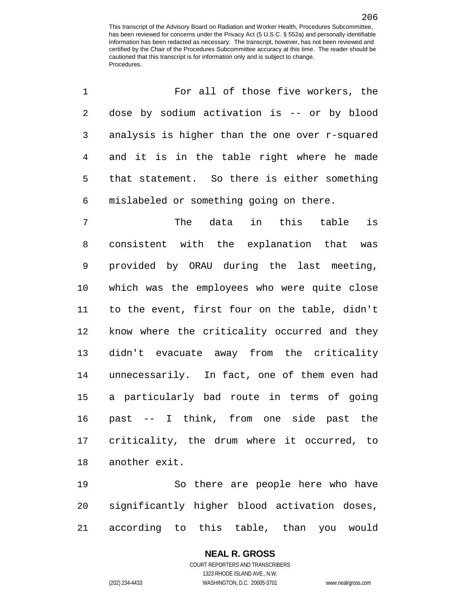| 1              | For all of those five workers, the             |
|----------------|------------------------------------------------|
| $\overline{2}$ | dose by sodium activation is -- or by blood    |
| 3              | analysis is higher than the one over r-squared |
| $\overline{4}$ | and it is in the table right where he made     |
| 5              | that statement. So there is either something   |
| 6              | mislabeled or something going on there.        |
| 7              | The data in this table<br>is                   |
| 8              | consistent with the explanation that was       |
| $\mathsf 9$    | provided by ORAU during the last meeting,      |
| 10             | which was the employees who were quite close   |
| 11             | to the event, first four on the table, didn't  |
| 12             | know where the criticality occurred and they   |
| 13             | didn't evacuate away from the criticality      |
| 14             | unnecessarily. In fact, one of them even had   |
| 15             | a particularly bad route in terms of going     |
| 16             | past -- I think, from one side past the        |
| 17             | criticality, the drum where it occurred, to    |
| 18             | another exit.                                  |
|                |                                                |

 So there are people here who have significantly higher blood activation doses, according to this table, than you would

## **NEAL R. GROSS**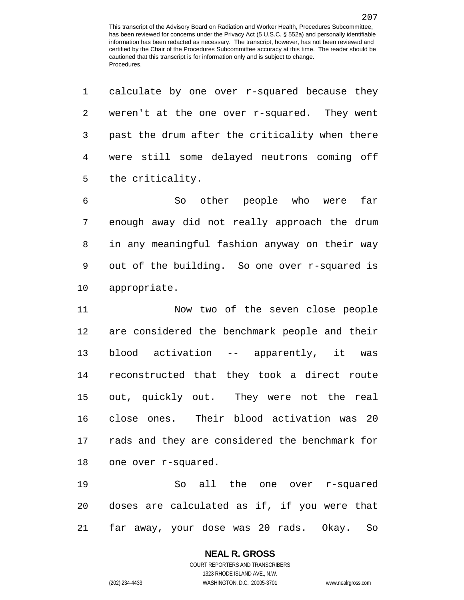|                | 1 calculate by one over r-squared because they |
|----------------|------------------------------------------------|
| 2              | weren't at the one over r-squared. They went   |
| 3 <sup>7</sup> | past the drum after the criticality when there |
| 4              | were still some delayed neutrons coming off    |
|                | 5 the criticality.                             |

 So other people who were far enough away did not really approach the drum in any meaningful fashion anyway on their way out of the building. So one over r-squared is appropriate.

 Now two of the seven close people are considered the benchmark people and their blood activation -- apparently, it was reconstructed that they took a direct route out, quickly out. They were not the real close ones. Their blood activation was 20 rads and they are considered the benchmark for one over r-squared.

 So all the one over r-squared doses are calculated as if, if you were that far away, your dose was 20 rads. Okay. So

## **NEAL R. GROSS**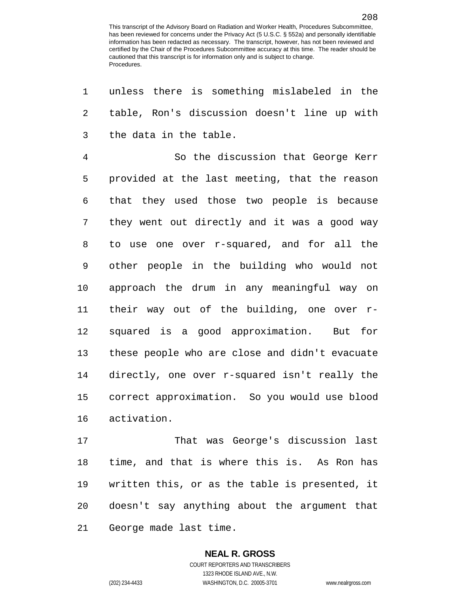unless there is something mislabeled in the table, Ron's discussion doesn't line up with the data in the table. So the discussion that George Kerr provided at the last meeting, that the reason that they used those two people is because they went out directly and it was a good way to use one over r-squared, and for all the other people in the building who would not approach the drum in any meaningful way on their way out of the building, one over r- squared is a good approximation. But for these people who are close and didn't evacuate directly, one over r-squared isn't really the correct approximation. So you would use blood activation.

 That was George's discussion last time, and that is where this is. As Ron has written this, or as the table is presented, it doesn't say anything about the argument that George made last time.

## **NEAL R. GROSS**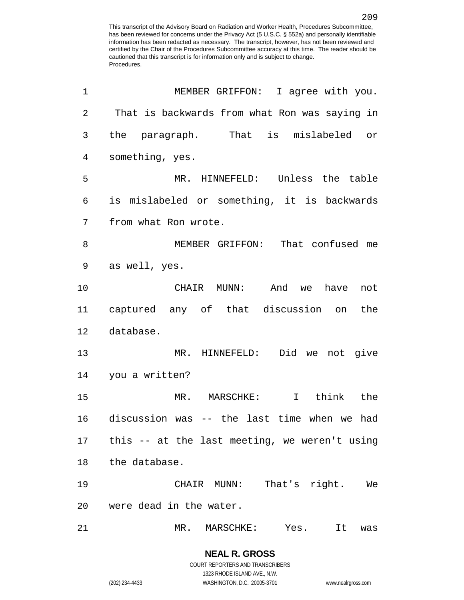| $\mathbf 1$    | MEMBER GRIFFON: I agree with you.                |
|----------------|--------------------------------------------------|
| $\overline{2}$ | That is backwards from what Ron was saying in    |
| 3              | the paragraph. That is mislabeled or             |
| 4              | something, yes.                                  |
| 5              | MR. HINNEFELD: Unless the table                  |
| 6              | is mislabeled or something, it is backwards      |
| 7              | from what Ron wrote.                             |
| 8              | MEMBER GRIFFON: That confused me                 |
| 9              | as well, yes.                                    |
| 10             | CHAIR MUNN: And we<br>have<br>not                |
| 11             | captured any of that discussion on the           |
| 12             | database.                                        |
| 13             | MR. HINNEFELD: Did we not give                   |
| 14             | you a written?                                   |
| 15             | MR. MARSCHKE: I<br>think the                     |
| 16             | discussion was -- the last time when we had      |
|                | 17 this -- at the last meeting, we weren't using |
| 18             | the database.                                    |
| 19             | That's right. We<br>CHAIR MUNN:                  |
| 20             | were dead in the water.                          |
| 21             | MR. MARSCHKE: Yes. It was                        |

(202) 234-4433 WASHINGTON, D.C. 20005-3701 www.nealrgross.com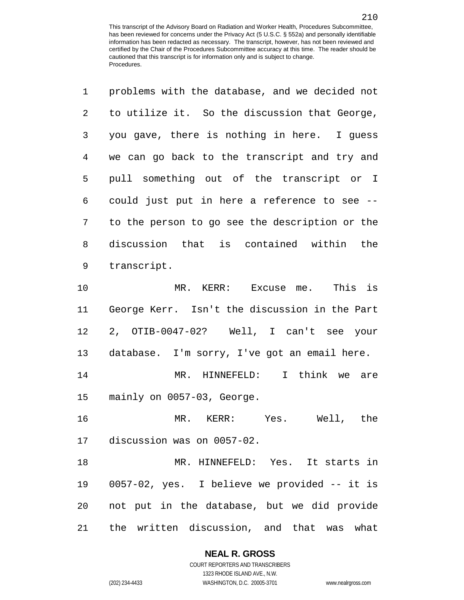| $\mathbf 1$    | problems with the database, and we decided not |
|----------------|------------------------------------------------|
| $\overline{2}$ | to utilize it. So the discussion that George,  |
| 3              | you gave, there is nothing in here. I guess    |
| 4              | we can go back to the transcript and try and   |
| 5              | pull something out of the transcript or I      |
| 6              | could just put in here a reference to see --   |
| 7              | to the person to go see the description or the |
| 8              | discussion that is contained within the        |
| 9              | transcript.                                    |
| 10             | MR. KERR: Excuse me. This is                   |
| 11             | George Kerr. Isn't the discussion in the Part  |
| 12             | 2, OTIB-0047-02? Well, I can't see your        |
|                |                                                |

database. I'm sorry, I've got an email here.

 MR. HINNEFELD: I think we are mainly on 0057-03, George.

 MR. KERR: Yes. Well, the discussion was on 0057-02.

 MR. HINNEFELD: Yes. It starts in 0057-02, yes. I believe we provided -- it is not put in the database, but we did provide the written discussion, and that was what

## **NEAL R. GROSS**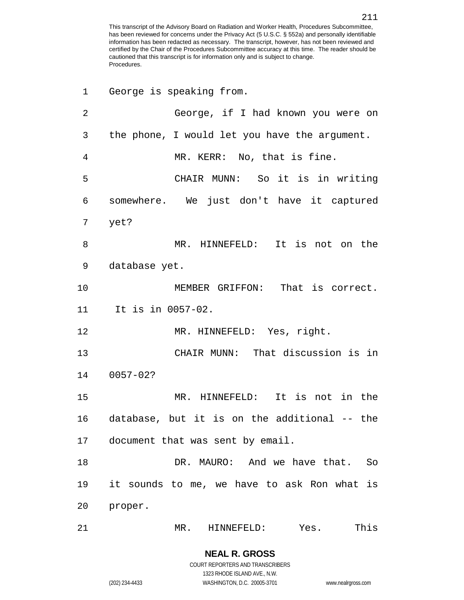| 1  | George is speaking from.                      |
|----|-----------------------------------------------|
| 2  | George, if I had known you were on            |
| 3  | the phone, I would let you have the argument. |
| 4  | MR. KERR: No, that is fine.                   |
| 5  | CHAIR MUNN: So it is in writing               |
| 6  | somewhere. We just don't have it captured     |
| 7  | yet?                                          |
| 8  | MR. HINNEFELD: It is not on the               |
| 9  | database yet.                                 |
| 10 | MEMBER GRIFFON: That is correct.              |
| 11 | It is in 0057-02.                             |
| 12 | MR. HINNEFELD: Yes, right.                    |
| 13 | CHAIR MUNN: That discussion is in             |
| 14 | $0057 - 02?$                                  |
| 15 | MR. HINNEFELD: It is not in the               |
| 16 | database, but it is on the additional -- the  |
| 17 | document that was sent by email.              |
| 18 | DR. MAURO: And we have that. So               |
| 19 | it sounds to me, we have to ask Ron what is   |
| 20 | proper.                                       |
| 21 | This<br>MR.<br>HINNEFELD: Yes.                |

COURT REPORTERS AND TRANSCRIBERS 1323 RHODE ISLAND AVE., N.W. (202) 234-4433 WASHINGTON, D.C. 20005-3701 www.nealrgross.com

**NEAL R. GROSS**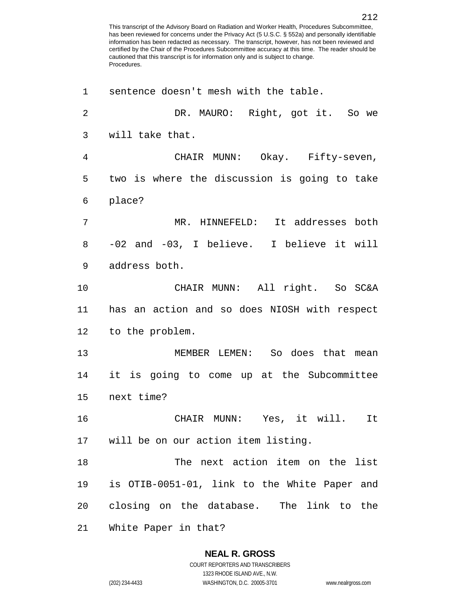sentence doesn't mesh with the table. DR. MAURO: Right, got it. So we will take that. CHAIR MUNN: Okay. Fifty-seven, two is where the discussion is going to take place? MR. HINNEFELD: It addresses both -02 and -03, I believe. I believe it will address both. CHAIR MUNN: All right. So SC&A has an action and so does NIOSH with respect to the problem. MEMBER LEMEN: So does that mean it is going to come up at the Subcommittee next time? CHAIR MUNN: Yes, it will. It will be on our action item listing. The next action item on the list is OTIB-0051-01, link to the White Paper and closing on the database. The link to the White Paper in that?

## **NEAL R. GROSS**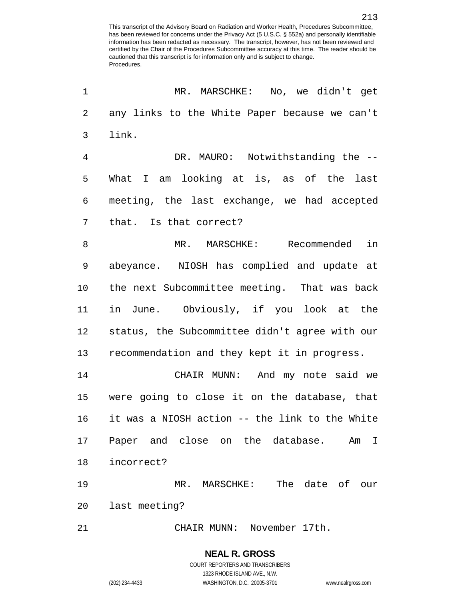| 1              | MR. MARSCHKE: No, we didn't get                |
|----------------|------------------------------------------------|
| 2              | any links to the White Paper because we can't  |
| 3              | link.                                          |
| $\overline{4}$ | DR. MAURO: Notwithstanding the --              |
| 5              | What I am looking at is, as of the last        |
| 6              | meeting, the last exchange, we had accepted    |
| 7              | that. Is that correct?                         |
| 8              | MR. MARSCHKE: Recommended<br>in                |
| 9              | abeyance. NIOSH has complied and update at     |
| 10             | the next Subcommittee meeting. That was back   |
| 11             | in June. Obviously, if you look at the         |
| 12             | status, the Subcommittee didn't agree with our |
| 13             | recommendation and they kept it in progress.   |
| 14             | CHAIR MUNN: And my note said we                |
| 15             | were going to close it on the database, that   |
| 16             | it was a NIOSH action -- the link to the White |
| 17             | Paper and close on the database.<br>Am<br>I    |
| 18             | incorrect?                                     |
| 19             | The date of<br>MR. MARSCHKE:<br>our            |
| 20             | last meeting?                                  |
| 21             | November 17th.<br>CHAIR MUNN:                  |

(202) 234-4433 WASHINGTON, D.C. 20005-3701 www.nealrgross.com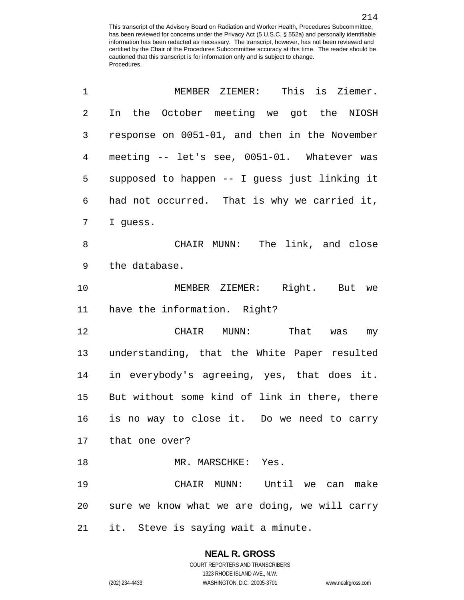| 1  | MEMBER ZIEMER:<br>This is Ziemer.             |
|----|-----------------------------------------------|
| 2  | In the October meeting we got the NIOSH       |
| 3  | response on 0051-01, and then in the November |
| 4  | meeting -- let's see, 0051-01. Whatever was   |
| 5  | supposed to happen -- I guess just linking it |
| 6  | had not occurred. That is why we carried it,  |
| 7  | I guess.                                      |
| 8  | CHAIR MUNN: The link, and close               |
| 9  | the database.                                 |
| 10 | MEMBER ZIEMER: Right. But we                  |
| 11 | have the information. Right?                  |
| 12 | CHAIR MUNN: That was my                       |
| 13 | understanding, that the White Paper resulted  |
| 14 | in everybody's agreeing, yes, that does it.   |
| 15 | But without some kind of link in there, there |
| 16 | is no way to close it. Do we need to carry    |
|    | 17 that one over?                             |
| 18 | MR. MARSCHKE: Yes.                            |
| 19 | CHAIR MUNN: Until we can make                 |
| 20 | sure we know what we are doing, we will carry |
| 21 | it. Steve is saying wait a minute.            |

## **NEAL R. GROSS** COURT REPORTERS AND TRANSCRIBERS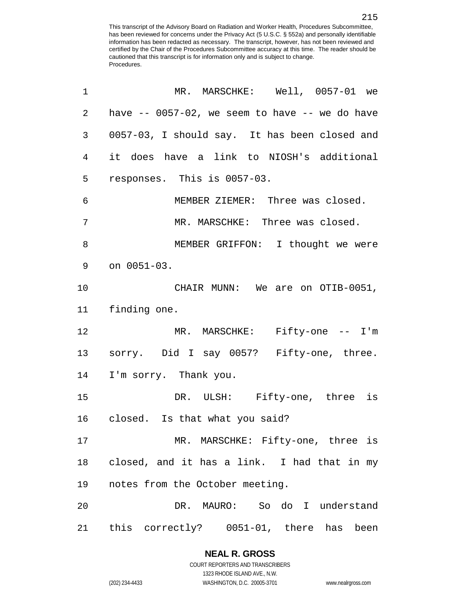| 1              | MR. MARSCHKE: Well, 0057-01 we                     |
|----------------|----------------------------------------------------|
| $\overline{a}$ | have $--$ 0057-02, we seem to have $--$ we do have |
| 3              | 0057-03, I should say. It has been closed and      |
| $\overline{4}$ | it does have a link to NIOSH's additional          |
| 5              | responses. This is 0057-03.                        |
| 6              | MEMBER ZIEMER: Three was closed.                   |
| 7              | MR. MARSCHKE: Three was closed.                    |
| 8              | MEMBER GRIFFON: I thought we were                  |
| 9              | on 0051-03.                                        |
| 10             | CHAIR MUNN: We are on OTIB-0051,                   |
| 11             | finding one.                                       |
| 12             | MR. MARSCHKE: Fifty-one -- I'm                     |
| 13             | sorry. Did I say 0057? Fifty-one, three.           |
| 14             | I'm sorry. Thank you.                              |
| 15             | DR. ULSH: Fifty-one, three is                      |
|                | 16 closed. Is that what you said?                  |
| 17             | MR. MARSCHKE: Fifty-one, three is                  |
| 18             | closed, and it has a link. I had that in my        |
| 19             | notes from the October meeting.                    |
| 20             | DR. MAURO: So do I understand                      |
| 21             | this correctly? 0051-01, there has been            |

# **NEAL R. GROSS**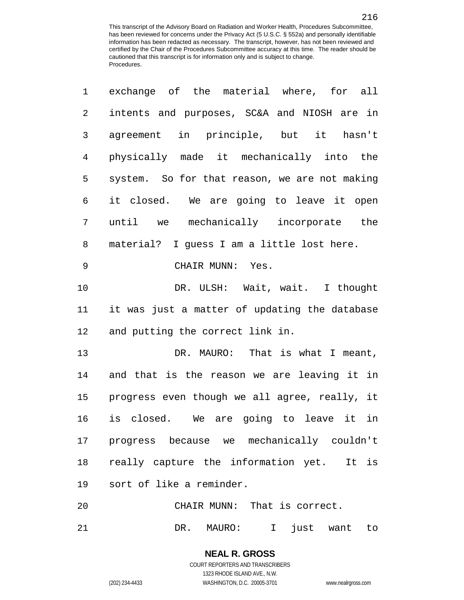| exchange of the material where, for all       |
|-----------------------------------------------|
| intents and purposes, SC&A and NIOSH are in   |
| agreement in principle, but it hasn't         |
| physically made it mechanically into the      |
| system. So for that reason, we are not making |
| it closed. We are going to leave it open      |
| until we mechanically incorporate the         |
| material? I guess I am a little lost here.    |
| CHAIR MUNN: Yes.                              |
| DR. ULSH: Wait, wait. I thought               |
| it was just a matter of updating the database |
| and putting the correct link in.              |
| DR. MAURO: That is what I meant,              |
| and that is the reason we are leaving it in   |
| progress even though we all agree, really, it |
| is closed. We are going to leave it in        |
| progress because we mechanically couldn't     |
| really capture the information yet. It is     |
| sort of like a reminder.                      |
| CHAIR MUNN: That is correct.                  |
|                                               |

DR. MAURO: I just want to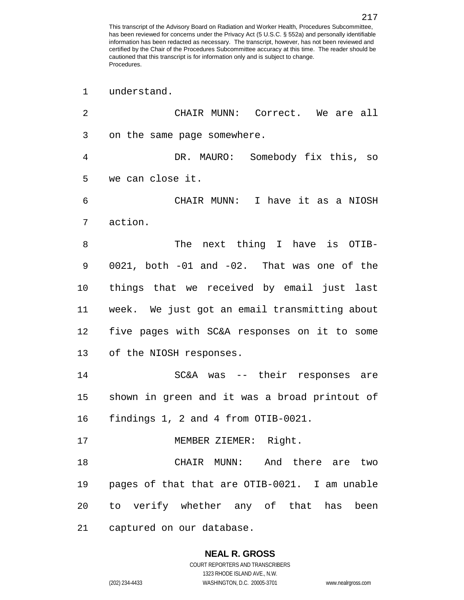understand.

| 2  | CHAIR MUNN: Correct. We are all               |
|----|-----------------------------------------------|
| 3  | on the same page somewhere.                   |
| 4  | DR. MAURO: Somebody fix this, so              |
| 5  | we can close it.                              |
| 6  | CHAIR MUNN: I have it as a NIOSH              |
| 7  | action.                                       |
| 8  | The next thing I have is OTIB-                |
| 9  | 0021, both -01 and -02. That was one of the   |
| 10 | things that we received by email just last    |
| 11 | week. We just got an email transmitting about |
| 12 | five pages with SC&A responses on it to some  |
| 13 | of the NIOSH responses.                       |
| 14 | SC&A was -- their responses are               |
| 15 | shown in green and it was a broad printout of |
| 16 | findings 1, 2 and 4 from OTIB-0021.           |
| 17 | MEMBER ZIEMER: Right.                         |
| 18 | CHAIR MUNN: And there are two                 |
| 19 | pages of that that are OTIB-0021. I am unable |
| 20 | to verify whether any of that has been        |
| 21 | captured on our database.                     |

1323 RHODE ISLAND AVE., N.W.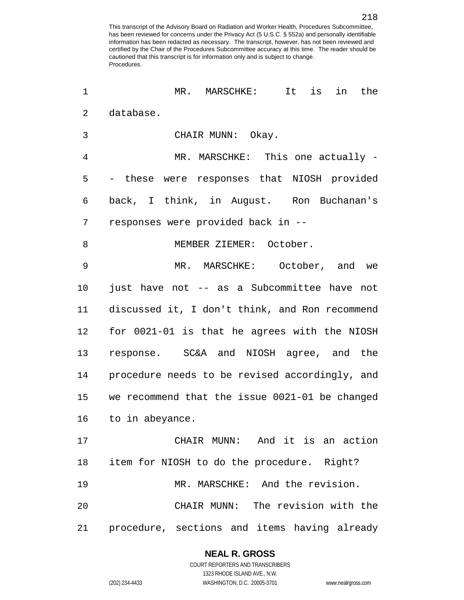| 1              | MR. MARSCHKE: It<br>is<br>the<br>in            |
|----------------|------------------------------------------------|
| $\overline{2}$ | database.                                      |
| 3              | CHAIR MUNN: Okay.                              |
| 4              | MR. MARSCHKE: This one actually -              |
| 5              | - these were responses that NIOSH provided     |
| 6              | back, I think, in August. Ron Buchanan's       |
| 7              | responses were provided back in --             |
| 8              | MEMBER ZIEMER: October.                        |
| 9              | MR. MARSCHKE: October, and we                  |
| 10             | just have not -- as a Subcommittee have not    |
| 11             | discussed it, I don't think, and Ron recommend |
| 12             | for 0021-01 is that he agrees with the NIOSH   |
| 13             | response. SC&A and NIOSH agree, and the        |
| 14             | procedure needs to be revised accordingly, and |
| 15             | we recommend that the issue 0021-01 be changed |
| 16             | to in abeyance.                                |
| 17             | CHAIR MUNN: And it is an action                |
| 18             | item for NIOSH to do the procedure. Right?     |
| 19             | MR. MARSCHKE: And the revision.                |
| 20             | CHAIR MUNN: The revision with the              |
| 21             | procedure, sections and items having already   |

**NEAL R. GROSS** COURT REPORTERS AND TRANSCRIBERS

1323 RHODE ISLAND AVE., N.W.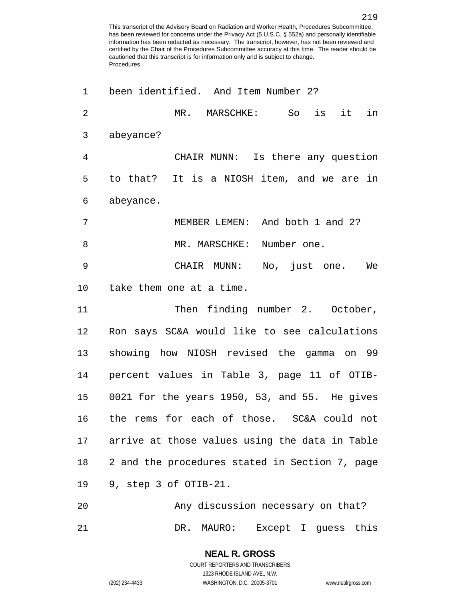| 1              | been identified. And Item Number 2?            |
|----------------|------------------------------------------------|
| $\overline{2}$ | is<br>it in<br>MR. MARSCHKE:<br>So             |
| 3              | abeyance?                                      |
| 4              | CHAIR MUNN: Is there any question              |
| 5              | to that? It is a NIOSH item, and we are in     |
| 6              | abeyance.                                      |
| 7              | MEMBER LEMEN: And both 1 and 2?                |
| 8              | MR. MARSCHKE: Number one.                      |
| 9              | CHAIR MUNN: No, just one. We                   |
| 10             | take them one at a time.                       |
| 11             | Then finding number 2. October,                |
| 12             | Ron says SC&A would like to see calculations   |
| 13             | showing how NIOSH revised the gamma on 99      |
| 14             | percent values in Table 3, page 11 of OTIB-    |
| 15             | 0021 for the years 1950, 53, and 55. He gives  |
| 16             | the rems for each of those. SC&A could not     |
| 17             | arrive at those values using the data in Table |
| 18             | 2 and the procedures stated in Section 7, page |
| 19             | 9, step 3 of OTIB-21.                          |
| 20             | Any discussion necessary on that?              |
|                |                                                |

DR. MAURO: Except I guess this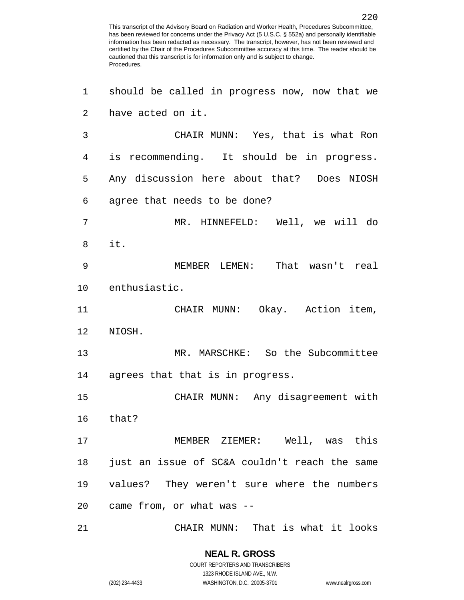| 1              | should be called in progress now, now that we |
|----------------|-----------------------------------------------|
| $\overline{a}$ | have acted on it.                             |
| 3              | CHAIR MUNN: Yes, that is what Ron             |
| 4              | is recommending. It should be in progress.    |
| 5              | Any discussion here about that? Does NIOSH    |
| 6              | agree that needs to be done?                  |
| 7              | MR. HINNEFELD: Well, we will do               |
| 8              | it.                                           |
| 9              | MEMBER LEMEN: That wasn't real                |
| 10             | enthusiastic.                                 |
| 11             | CHAIR MUNN: Okay. Action item,                |
| 12             | NIOSH.                                        |
| 13             | MR. MARSCHKE: So the Subcommittee             |
| 14             | agrees that that is in progress.              |
| 15             | CHAIR MUNN: Any disagreement with             |
|                | 16 that?                                      |
| 17             | MEMBER ZIEMER: Well, was this                 |
| 18             | just an issue of SC&A couldn't reach the same |
| 19             | values? They weren't sure where the numbers   |
|                | 20 came from, or what was --                  |
| 21             | CHAIR MUNN: That is what it looks             |

**NEAL R. GROSS** COURT REPORTERS AND TRANSCRIBERS 1323 RHODE ISLAND AVE., N.W.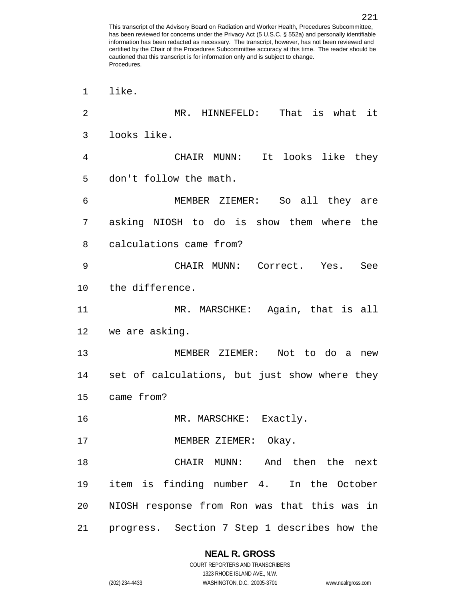like. MR. HINNEFELD: That is what it looks like. CHAIR MUNN: It looks like they don't follow the math. MEMBER ZIEMER: So all they are asking NIOSH to do is show them where the calculations came from? CHAIR MUNN: Correct. Yes. See the difference. MR. MARSCHKE: Again, that is all we are asking. MEMBER ZIEMER: Not to do a new set of calculations, but just show where they came from? 16 MR. MARSCHKE: Exactly. 17 MEMBER ZIEMER: Okay. CHAIR MUNN: And then the next item is finding number 4. In the October NIOSH response from Ron was that this was in progress. Section 7 Step 1 describes how the

> **NEAL R. GROSS** COURT REPORTERS AND TRANSCRIBERS

> > 1323 RHODE ISLAND AVE., N.W.

(202) 234-4433 WASHINGTON, D.C. 20005-3701 www.nealrgross.com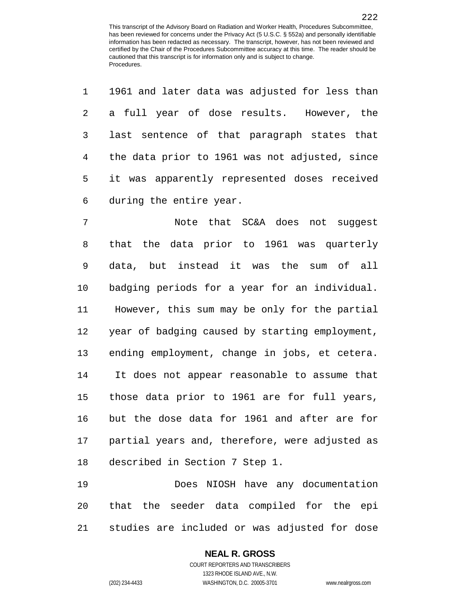|                        | 1 1961 and later data was adjusted for less than |
|------------------------|--------------------------------------------------|
|                        | 2 a full year of dose results. However, the      |
| $3 \quad \blacksquare$ | last sentence of that paragraph states that      |
|                        | 4 the data prior to 1961 was not adjusted, since |
|                        | 5 it was apparently represented doses received   |
|                        | 6 during the entire year.                        |

 Note that SC&A does not suggest that the data prior to 1961 was quarterly data, but instead it was the sum of all badging periods for a year for an individual. However, this sum may be only for the partial year of badging caused by starting employment, ending employment, change in jobs, et cetera. It does not appear reasonable to assume that those data prior to 1961 are for full years, but the dose data for 1961 and after are for partial years and, therefore, were adjusted as described in Section 7 Step 1.

 Does NIOSH have any documentation that the seeder data compiled for the epi studies are included or was adjusted for dose

# **NEAL R. GROSS**

COURT REPORTERS AND TRANSCRIBERS 1323 RHODE ISLAND AVE., N.W. (202) 234-4433 WASHINGTON, D.C. 20005-3701 www.nealrgross.com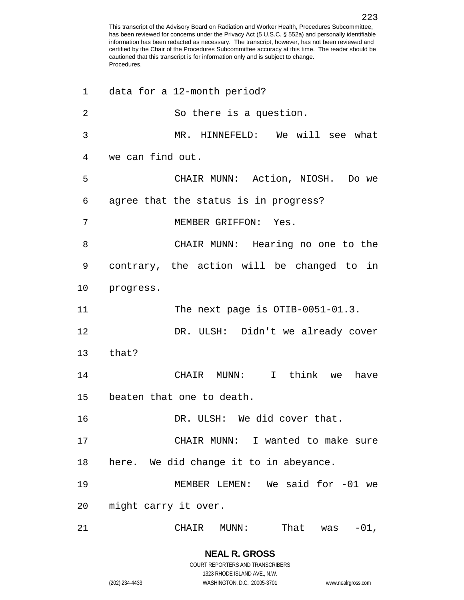| 1              | data for a 12-month period?                |
|----------------|--------------------------------------------|
| $\overline{2}$ | So there is a question.                    |
| 3              | MR. HINNEFELD: We will see what            |
| 4              | we can find out.                           |
| 5              | CHAIR MUNN: Action, NIOSH. Do we           |
| 6              | agree that the status is in progress?      |
| 7              | MEMBER GRIFFON: Yes.                       |
| 8              | CHAIR MUNN: Hearing no one to the          |
| 9              | contrary, the action will be changed to in |
| 10             | progress.                                  |
| 11             | The next page is $OTIB-0051-01.3$ .        |
| 12             | DR. ULSH: Didn't we already cover          |
| 13             | that?                                      |
| 14             | CHAIR MUNN: I think we<br>have             |
| 15             | beaten that one to death.                  |
| 16             | DR. ULSH: We did cover that.               |
| 17             | CHAIR MUNN: I wanted to make sure          |
| 18             | here. We did change it to in abeyance.     |
| 19             | MEMBER LEMEN: We said for -01 we           |
| 20             | might carry it over.                       |
| 21             | That<br>$-01$ ,<br>CHAIR<br>MUNN:<br>was   |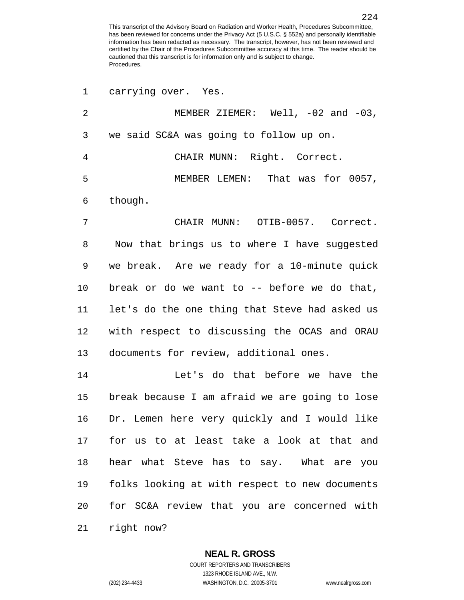| 1              | carrying over. Yes.                            |
|----------------|------------------------------------------------|
| $\overline{2}$ | MEMBER ZIEMER: Well, $-02$ and $-03$ ,         |
| 3              | we said SC&A was going to follow up on.        |
| 4              | CHAIR MUNN: Right. Correct.                    |
| 5              | MEMBER LEMEN: That was for 0057,               |
| 6              | though.                                        |
| 7              | CHAIR MUNN: OTIB-0057. Correct.                |
| 8              | Now that brings us to where I have suggested   |
| 9              | we break. Are we ready for a 10-minute quick   |
| 10             | break or do we want to -- before we do that,   |
| 11             | let's do the one thing that Steve had asked us |
| 12             | with respect to discussing the OCAS and ORAU   |
| 13             | documents for review, additional ones.         |
| 14             | Let's do that before we have the               |
| 15             | break because I am afraid we are going to lose |
| 16             | Dr. Lemen here very quickly and I would like   |
| 17             | for us to at least take a look at that and     |
| 18             | hear what Steve has to say. What are you       |
| 19             | folks looking at with respect to new documents |
| 20             | for SC&A review that you are concerned with    |
| 21             | right now?                                     |

**NEAL R. GROSS** COURT REPORTERS AND TRANSCRIBERS

1323 RHODE ISLAND AVE., N.W. (202) 234-4433 WASHINGTON, D.C. 20005-3701 www.nealrgross.com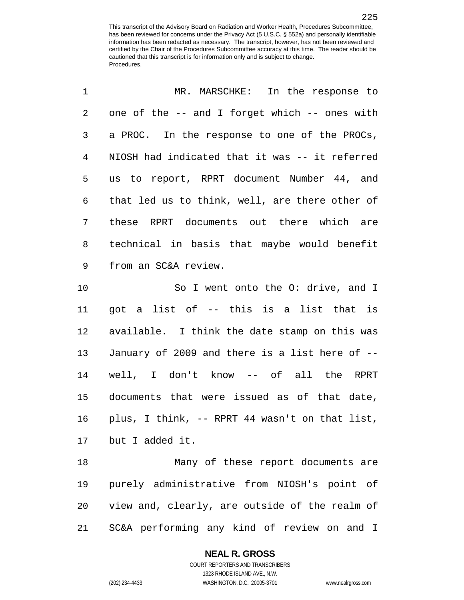| 1              | MR. MARSCHKE: In the response to               |
|----------------|------------------------------------------------|
| $\overline{2}$ | one of the -- and I forget which -- ones with  |
| 3              | a PROC. In the response to one of the PROCs,   |
| 4              | NIOSH had indicated that it was -- it referred |
| 5              | us to report, RPRT document Number 44, and     |
| 6              | that led us to think, well, are there other of |
| 7              | these RPRT documents out there which are       |
| 8              | technical in basis that maybe would benefit    |
| 9              | from an SC&A review.                           |
|                |                                                |
| 10             | So I went onto the O: drive, and I             |
| 11             | got a list of -- this is a list that is        |
| 12             | available. I think the date stamp on this was  |
| 13             | January of 2009 and there is a list here of -- |
| 14             | well, I don't know -- of all the RPRT          |
| 15             | documents that were issued as of that date,    |
| 16             | plus, I think, -- RPRT 44 wasn't on that list, |
| 17             | but I added it.                                |

 Many of these report documents are purely administrative from NIOSH's point of view and, clearly, are outside of the realm of SC&A performing any kind of review on and I

#### **NEAL R. GROSS** COURT REPORTERS AND TRANSCRIBERS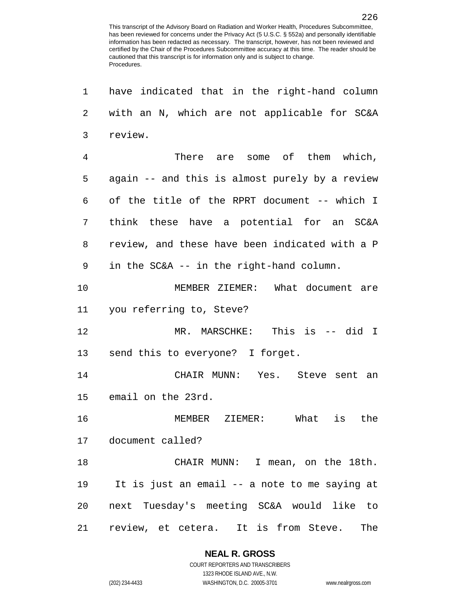| 1  | have indicated that in the right-hand column   |
|----|------------------------------------------------|
| 2  | with an N, which are not applicable for SC&A   |
| 3  | review.                                        |
| 4  | There are some of them which,                  |
| 5  | again -- and this is almost purely by a review |
| 6  | of the title of the RPRT document -- which I   |
| 7  | think these have a potential for an SC&A       |
| 8  | review, and these have been indicated with a P |
| 9  | in the SC&A -- in the right-hand column.       |
| 10 | MEMBER ZIEMER: What document are               |
| 11 | you referring to, Steve?                       |
| 12 | MR. MARSCHKE: This is -- did I                 |
| 13 | send this to everyone? I forget.               |
| 14 | CHAIR MUNN: Yes. Steve sent an                 |
| 15 | email on the 23rd.                             |
| 16 | MEMBER ZIEMER: What is the                     |
|    | 17 document called?                            |
| 18 | CHAIR MUNN: I mean, on the 18th.               |
| 19 | It is just an email -- a note to me saying at  |
| 20 | next Tuesday's meeting SC&A would like to      |
| 21 | review, et cetera. It is from Steve.<br>The    |

**NEAL R. GROSS** COURT REPORTERS AND TRANSCRIBERS

1323 RHODE ISLAND AVE., N.W. (202) 234-4433 WASHINGTON, D.C. 20005-3701 www.nealrgross.com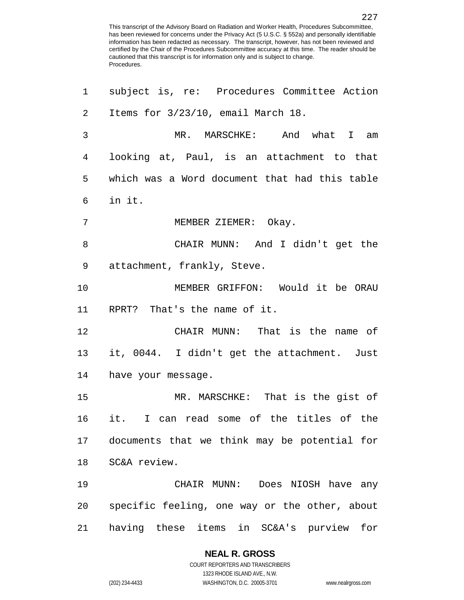| 1              | subject is, re: Procedures Committee Action   |
|----------------|-----------------------------------------------|
| $\overline{2}$ | Items for 3/23/10, email March 18.            |
| 3              | MR. MARSCHKE: And what I am                   |
| 4              | looking at, Paul, is an attachment to that    |
| 5              | which was a Word document that had this table |
| 6              | in it.                                        |
| 7              | MEMBER ZIEMER: Okay.                          |
| 8              | CHAIR MUNN: And I didn't get the              |
| 9              | attachment, frankly, Steve.                   |
| 10             | MEMBER GRIFFON: Would it be ORAU              |
| 11             | RPRT? That's the name of it.                  |
| 12             | CHAIR MUNN: That is the name of               |
| 13             | it, 0044. I didn't get the attachment. Just   |
| 14             | have your message.                            |
| 15             | MR. MARSCHKE: That is the gist of             |
| 16             | it. I can read some of the titles of the      |
| 17             | documents that we think may be potential for  |
| 18             | SC&A review.                                  |
| 19             | CHAIR MUNN: Does NIOSH have any               |
| 20             | specific feeling, one way or the other, about |
| 21             | having these items in SC&A's purview for      |

# **NEAL R. GROSS**

COURT REPORTERS AND TRANSCRIBERS 1323 RHODE ISLAND AVE., N.W. (202) 234-4433 WASHINGTON, D.C. 20005-3701 www.nealrgross.com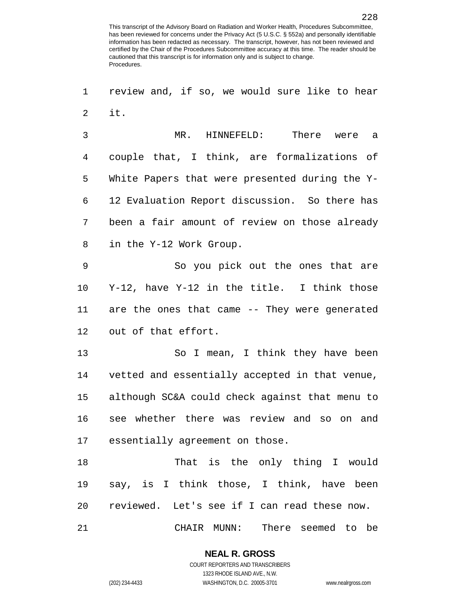review and, if so, we would sure like to hear it.

 MR. HINNEFELD: There were a couple that, I think, are formalizations of White Papers that were presented during the Y- 12 Evaluation Report discussion. So there has been a fair amount of review on those already in the Y-12 Work Group.

 So you pick out the ones that are Y-12, have Y-12 in the title. I think those are the ones that came -- They were generated out of that effort.

 So I mean, I think they have been vetted and essentially accepted in that venue, although SC&A could check against that menu to see whether there was review and so on and essentially agreement on those.

 That is the only thing I would say, is I think those, I think, have been reviewed. Let's see if I can read these now. CHAIR MUNN: There seemed to be

> **NEAL R. GROSS** COURT REPORTERS AND TRANSCRIBERS 1323 RHODE ISLAND AVE., N.W. (202) 234-4433 WASHINGTON, D.C. 20005-3701 www.nealrgross.com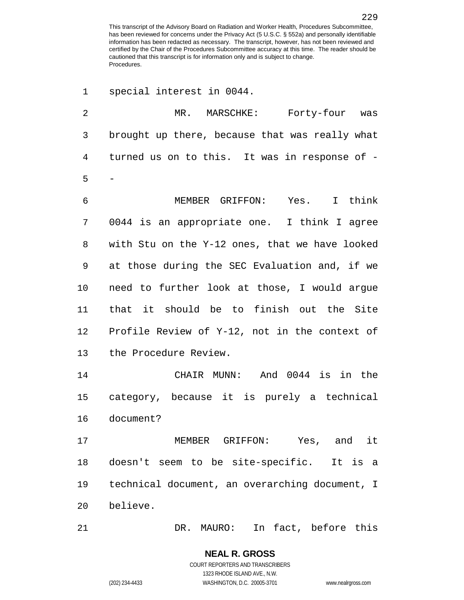special interest in 0044. MR. MARSCHKE: Forty-four was brought up there, because that was really what turned us on to this. It was in response of - - MEMBER GRIFFON: Yes. I think 0044 is an appropriate one. I think I agree with Stu on the Y-12 ones, that we have looked at those during the SEC Evaluation and, if we need to further look at those, I would argue that it should be to finish out the Site Profile Review of Y-12, not in the context of the Procedure Review. CHAIR MUNN: And 0044 is in the category, because it is purely a technical document? MEMBER GRIFFON: Yes, and it doesn't seem to be site-specific. It is a technical document, an overarching document, I believe. DR. MAURO: In fact, before this

COURT REPORTERS AND TRANSCRIBERS 1323 RHODE ISLAND AVE., N.W. (202) 234-4433 WASHINGTON, D.C. 20005-3701 www.nealrgross.com

**NEAL R. GROSS**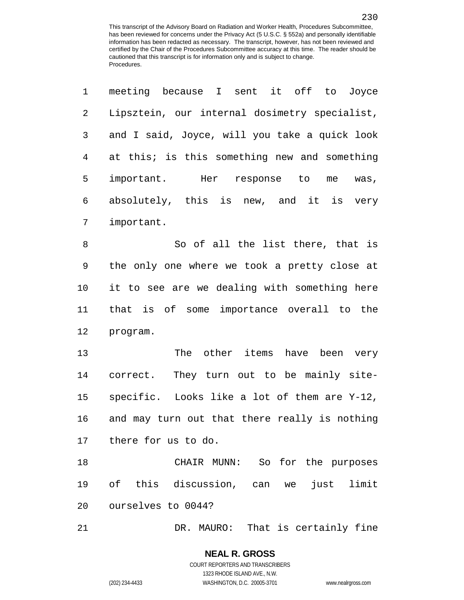| 1  | meeting because I sent it off to Joyce        |
|----|-----------------------------------------------|
| 2  | Lipsztein, our internal dosimetry specialist, |
| 3  | and I said, Joyce, will you take a quick look |
| 4  | at this; is this something new and something  |
| 5  | important. Her response to<br>me<br>was,      |
| 6  | absolutely, this is new, and it is very       |
| 7  | important.                                    |
| 8  | So of all the list there, that is             |
| 9  | the only one where we took a pretty close at  |
| 10 | it to see are we dealing with something here  |
| 11 | that is of some importance overall to the     |
| 12 | program.                                      |
| 13 | The other items have been very                |
| 14 | correct. They turn out to be mainly site-     |
| 15 | specific. Looks like a lot of them are Y-12,  |
| 16 | and may turn out that there really is nothing |
| 17 | there for us to do.                           |
| 18 | CHAIR MUNN: So for the purposes               |
| 19 | of this discussion, can we<br>just limit      |
| 20 | ourselves to 0044?                            |
| 21 | DR. MAURO: That is certainly fine             |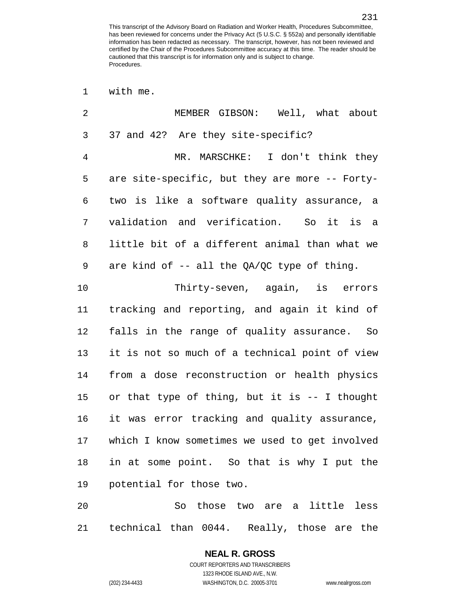MEMBER GIBSON: Well, what about 37 and 42? Are they site-specific? MR. MARSCHKE: I don't think they are site-specific, but they are more -- Forty- two is like a software quality assurance, a validation and verification. So it is a little bit of a different animal than what we are kind of -- all the QA/QC type of thing. Thirty-seven, again, is errors tracking and reporting, and again it kind of falls in the range of quality assurance. So it is not so much of a technical point of view from a dose reconstruction or health physics or that type of thing, but it is -- I thought it was error tracking and quality assurance, which I know sometimes we used to get involved in at some point. So that is why I put the potential for those two. So those two are a little less

technical than 0044. Really, those are the

# **NEAL R. GROSS** COURT REPORTERS AND TRANSCRIBERS

1323 RHODE ISLAND AVE., N.W.

with me.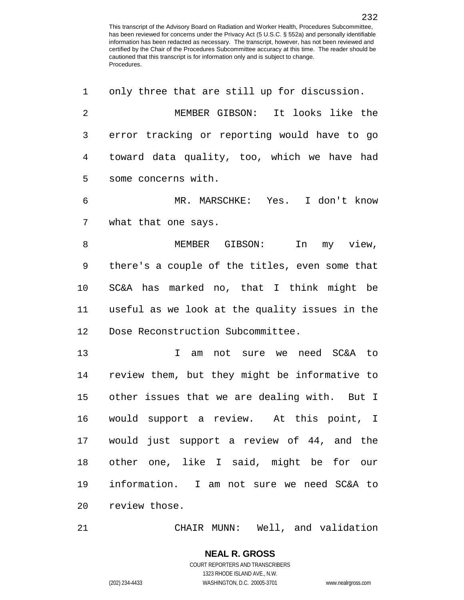only three that are still up for discussion. MEMBER GIBSON: It looks like the error tracking or reporting would have to go toward data quality, too, which we have had some concerns with. MR. MARSCHKE: Yes. I don't know what that one says. 8 MEMBER GIBSON: In my view, there's a couple of the titles, even some that SC&A has marked no, that I think might be useful as we look at the quality issues in the Dose Reconstruction Subcommittee. I am not sure we need SC&A to review them, but they might be informative to other issues that we are dealing with. But I would support a review. At this point, I would just support a review of 44, and the other one, like I said, might be for our information. I am not sure we need SC&A to review those.

CHAIR MUNN: Well, and validation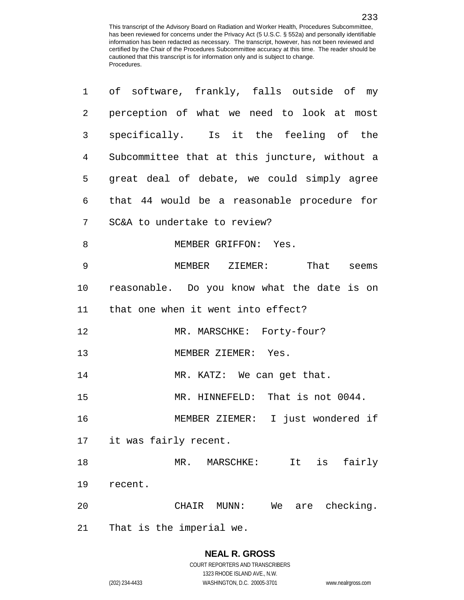| 1              | of software, frankly, falls outside of my     |
|----------------|-----------------------------------------------|
| $\overline{2}$ | perception of what we need to look at most    |
| 3              | specifically. Is it the feeling of the        |
| 4              | Subcommittee that at this juncture, without a |
| 5              | great deal of debate, we could simply agree   |
| 6              | that 44 would be a reasonable procedure for   |
| 7              | SC&A to undertake to review?                  |
| 8              | MEMBER GRIFFON: Yes.                          |
| 9              | MEMBER ZIEMER: That seems                     |
| 10             | reasonable. Do you know what the date is on   |
| 11             | that one when it went into effect?            |
| 12             | MR. MARSCHKE: Forty-four?                     |
| 13             | MEMBER ZIEMER: Yes.                           |
| 14             | MR. KATZ: We can get that.                    |
| 15             | MR. HINNEFELD: That is not 0044.              |
| 16             | MEMBER ZIEMER: I just wondered if             |
| 17             | it was fairly recent.                         |
| 18             | fairly<br>MR.<br>It<br>is<br>MARSCHKE:        |
| 19             | recent.                                       |
| 20             | are checking.<br>CHAIR<br>$MUNN$ :<br>We      |
| 21             | That is the imperial we.                      |

1323 RHODE ISLAND AVE., N.W.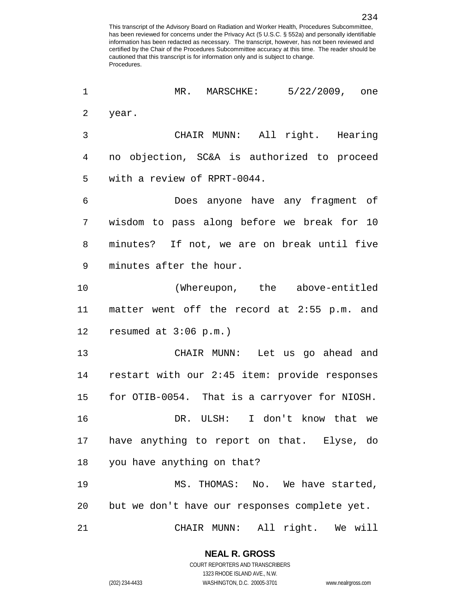MR. MARSCHKE: 5/22/2009, one year. CHAIR MUNN: All right. Hearing no objection, SC&A is authorized to proceed with a review of RPRT-0044. Does anyone have any fragment of wisdom to pass along before we break for 10 minutes? If not, we are on break until five minutes after the hour. (Whereupon, the above-entitled matter went off the record at 2:55 p.m. and resumed at 3:06 p.m.) CHAIR MUNN: Let us go ahead and restart with our 2:45 item: provide responses for OTIB-0054. That is a carryover for NIOSH. DR. ULSH: I don't know that we have anything to report on that. Elyse, do you have anything on that? MS. THOMAS: No. We have started, but we don't have our responses complete yet. CHAIR MUNN: All right. We will

> **NEAL R. GROSS** COURT REPORTERS AND TRANSCRIBERS

> > 1323 RHODE ISLAND AVE., N.W.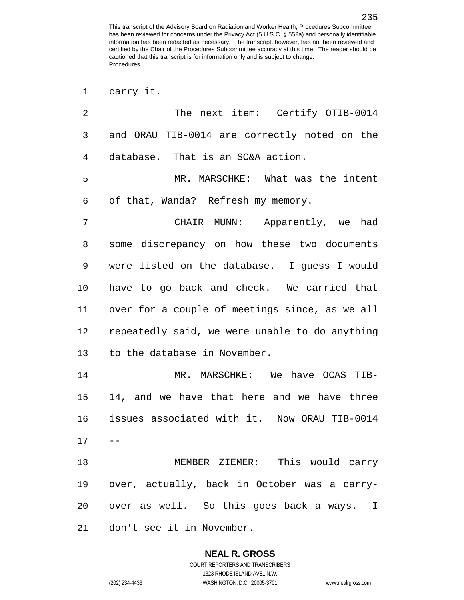| carry | ıt. |
|-------|-----|
|       |     |

| 2  | The next item: Certify OTIB-0014               |
|----|------------------------------------------------|
| 3  | and ORAU TIB-0014 are correctly noted on the   |
| 4  | database. That is an SC&A action.              |
| 5  | MR. MARSCHKE: What was the intent              |
| 6  | of that, Wanda? Refresh my memory.             |
| 7  | CHAIR MUNN: Apparently, we had                 |
| 8  | some discrepancy on how these two documents    |
| 9  | were listed on the database. I guess I would   |
| 10 | have to go back and check. We carried that     |
| 11 | over for a couple of meetings since, as we all |
| 12 | repeatedly said, we were unable to do anything |
| 13 | to the database in November.                   |
| 14 | MR. MARSCHKE: We have OCAS TIB-                |
| 15 | 14, and we have that here and we have three    |
| 16 | issues associated with it. Now ORAU TIB-0014   |
| 17 | $- -$                                          |
| 18 | MEMBER ZIEMER: This would carry                |
| 19 | over, actually, back in October was a carry-   |
| 20 | over as well. So this goes back a ways. I      |
| 21 | don't see it in November.                      |

**NEAL R. GROSS** COURT REPORTERS AND TRANSCRIBERS

1323 RHODE ISLAND AVE., N.W.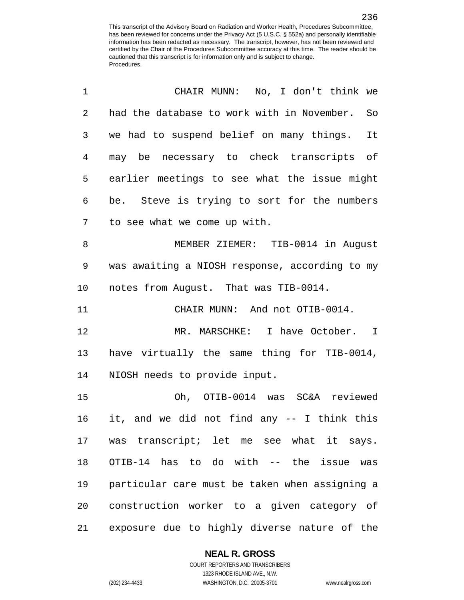| $\mathbf 1$    | CHAIR MUNN: No, I don't think we               |
|----------------|------------------------------------------------|
| $\overline{2}$ | had the database to work with in November. So  |
| 3              | we had to suspend belief on many things. It    |
| 4              | may be necessary to check transcripts of       |
| 5              | earlier meetings to see what the issue might   |
| 6              | be. Steve is trying to sort for the numbers    |
| 7              | to see what we come up with.                   |
| 8              | MEMBER ZIEMER: TIB-0014 in August              |
| 9              | was awaiting a NIOSH response, according to my |
| 10             | notes from August. That was TIB-0014.          |
| 11             | CHAIR MUNN: And not OTIB-0014.                 |
| 12             | MR. MARSCHKE: I have October. I                |
| 13             | have virtually the same thing for TIB-0014,    |
| 14             | NIOSH needs to provide input.                  |
| 15             | Oh, OTIB-0014 was SC&A reviewed                |
| 16             | it, and we did not find any -- I think this    |
| 17             | was transcript; let me see what it says.       |
| 18             | OTIB-14 has to do with -- the issue<br>was     |
| 19             | particular care must be taken when assigning a |
| 20             | construction worker to a given category of     |
| 21             | exposure due to highly diverse nature of the   |

# **NEAL R. GROSS**

COURT REPORTERS AND TRANSCRIBERS 1323 RHODE ISLAND AVE., N.W. (202) 234-4433 WASHINGTON, D.C. 20005-3701 www.nealrgross.com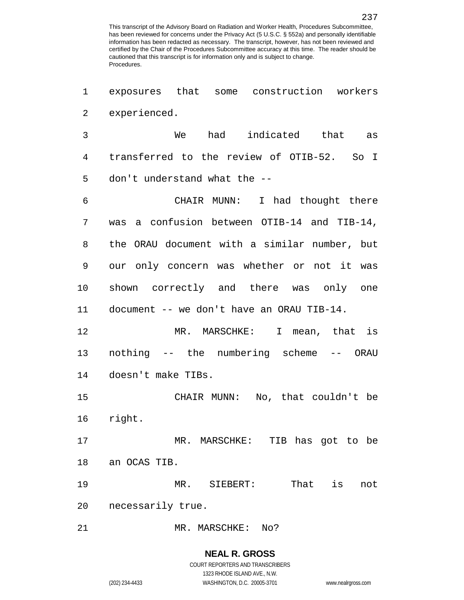exposures that some construction workers experienced.

 We had indicated that as transferred to the review of OTIB-52. So I don't understand what the --

 CHAIR MUNN: I had thought there was a confusion between OTIB-14 and TIB-14, the ORAU document with a similar number, but our only concern was whether or not it was shown correctly and there was only one document -- we don't have an ORAU TIB-14.

 MR. MARSCHKE: I mean, that is nothing -- the numbering scheme -- ORAU doesn't make TIBs.

 CHAIR MUNN: No, that couldn't be right.

 MR. MARSCHKE: TIB has got to be an OCAS TIB.

MR. SIEBERT: That is not

necessarily true.

21 MR. MARSCHKE: No?

#### **NEAL R. GROSS** COURT REPORTERS AND TRANSCRIBERS

1323 RHODE ISLAND AVE., N.W. (202) 234-4433 WASHINGTON, D.C. 20005-3701 www.nealrgross.com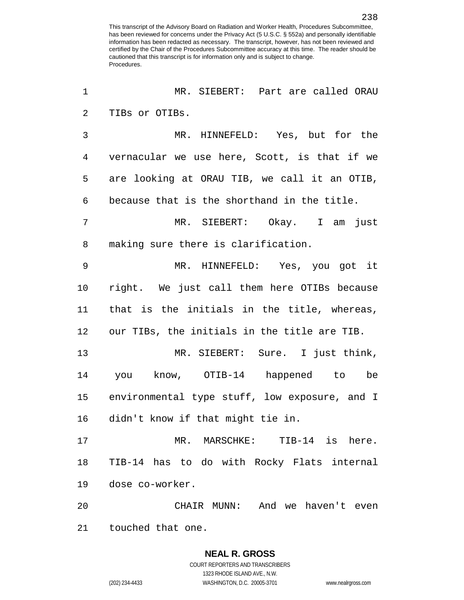MR. SIEBERT: Part are called ORAU TIBs or OTIBs. MR. HINNEFELD: Yes, but for the vernacular we use here, Scott, is that if we are looking at ORAU TIB, we call it an OTIB, because that is the shorthand in the title. MR. SIEBERT: Okay. I am just making sure there is clarification. MR. HINNEFELD: Yes, you got it right. We just call them here OTIBs because that is the initials in the title, whereas, our TIBs, the initials in the title are TIB. MR. SIEBERT: Sure. I just think, you know, OTIB-14 happened to be environmental type stuff, low exposure, and I didn't know if that might tie in. MR. MARSCHKE: TIB-14 is here. TIB-14 has to do with Rocky Flats internal dose co-worker. CHAIR MUNN: And we haven't even touched that one.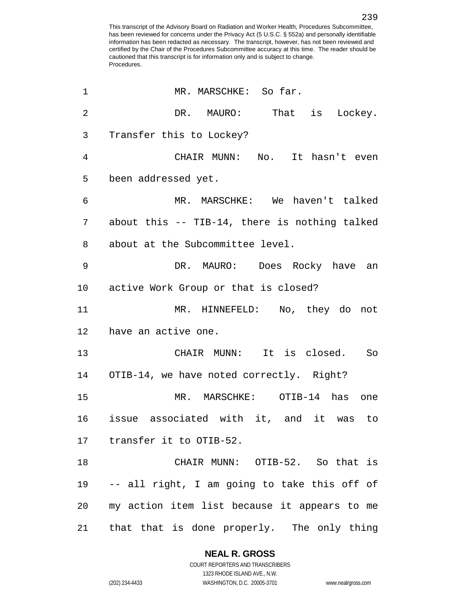1 MR. MARSCHKE: So far. 2 DR. MAURO: That is Lockey. Transfer this to Lockey? CHAIR MUNN: No. It hasn't even been addressed yet. MR. MARSCHKE: We haven't talked about this -- TIB-14, there is nothing talked about at the Subcommittee level. DR. MAURO: Does Rocky have an active Work Group or that is closed? MR. HINNEFELD: No, they do not have an active one. CHAIR MUNN: It is closed. So OTIB-14, we have noted correctly. Right? MR. MARSCHKE: OTIB-14 has one issue associated with it, and it was to transfer it to OTIB-52. CHAIR MUNN: OTIB-52. So that is -- all right, I am going to take this off of my action item list because it appears to me that that is done properly. The only thing

> **NEAL R. GROSS** COURT REPORTERS AND TRANSCRIBERS

1323 RHODE ISLAND AVE., N.W. (202) 234-4433 WASHINGTON, D.C. 20005-3701 www.nealrgross.com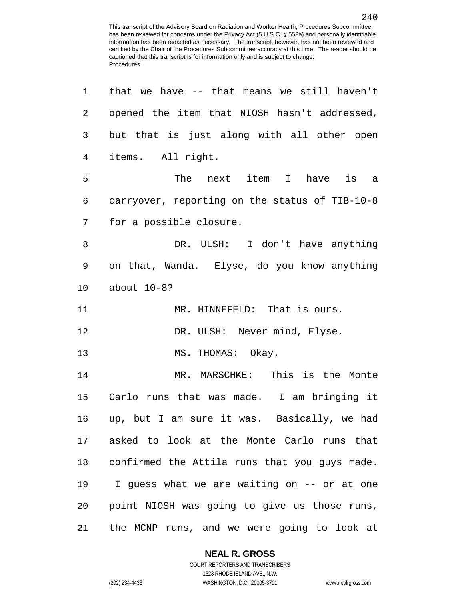| 1  | that we have -- that means we still haven't      |
|----|--------------------------------------------------|
| 2  | opened the item that NIOSH hasn't addressed,     |
| 3  | but that is just along with all other open       |
| 4  | items. All right.                                |
| 5  | The<br>next item I<br>have is a                  |
| 6  | carryover, reporting on the status of TIB-10-8   |
| 7  | for a possible closure.                          |
| 8  | DR. ULSH: I don't have anything                  |
| 9  | on that, Wanda. Elyse, do you know anything      |
| 10 | about 10-8?                                      |
| 11 | MR. HINNEFELD: That is ours.                     |
| 12 | DR. ULSH: Never mind, Elyse.                     |
| 13 | MS. THOMAS: Okay.                                |
| 14 | MR. MARSCHKE: This is the Monte                  |
| 15 | Carlo runs that was made. I am bringing it       |
| 16 | up, but I am sure it was. Basically, we had      |
| 17 | asked to look at the Monte Carlo runs that       |
|    | 18 confirmed the Attila runs that you guys made. |
| 19 | I guess what we are waiting on -- or at one      |
| 20 | point NIOSH was going to give us those runs,     |
| 21 | the MCNP runs, and we were going to look at      |

# **NEAL R. GROSS**

COURT REPORTERS AND TRANSCRIBERS 1323 RHODE ISLAND AVE., N.W. (202) 234-4433 WASHINGTON, D.C. 20005-3701 www.nealrgross.com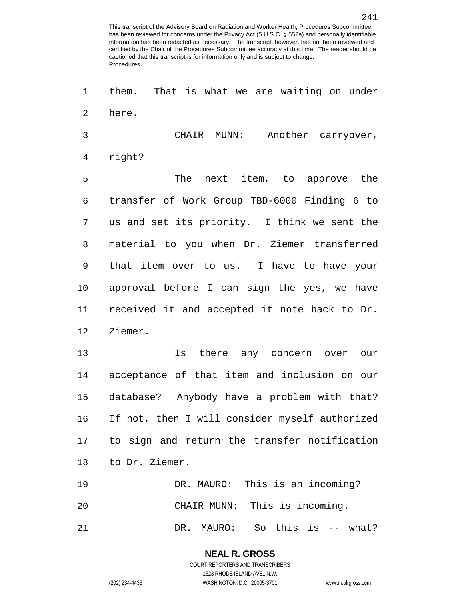them. That is what we are waiting on under here. CHAIR MUNN: Another carryover, right? The next item, to approve the transfer of Work Group TBD-6000 Finding 6 to us and set its priority. I think we sent the material to you when Dr. Ziemer transferred that item over to us. I have to have your approval before I can sign the yes, we have received it and accepted it note back to Dr. Ziemer. Is there any concern over our acceptance of that item and inclusion on our database? Anybody have a problem with that? If not, then I will consider myself authorized to sign and return the transfer notification to Dr. Ziemer. DR. MAURO: This is an incoming? CHAIR MUNN: This is incoming. DR. MAURO: So this is -- what?

> **NEAL R. GROSS** COURT REPORTERS AND TRANSCRIBERS 1323 RHODE ISLAND AVE., N.W. (202) 234-4433 WASHINGTON, D.C. 20005-3701 www.nealrgross.com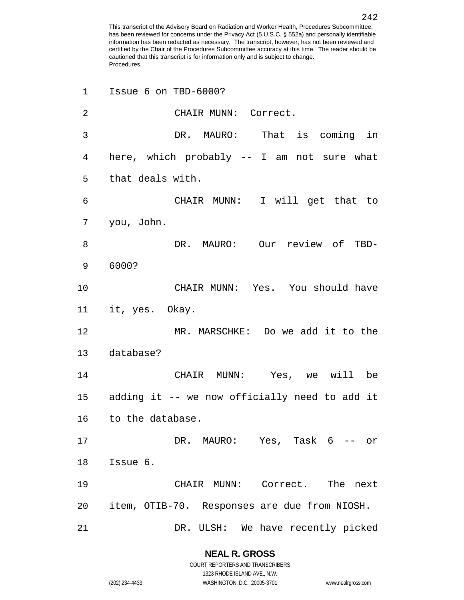| $\mathbf 1$    | Issue 6 on TBD-6000?                             |
|----------------|--------------------------------------------------|
| $\overline{2}$ | CHAIR MUNN: Correct.                             |
| 3              | DR. MAURO: That is coming in                     |
| 4              | here, which probably -- I am not sure what       |
| 5              | that deals with.                                 |
| 6              | CHAIR MUNN: I will get that to                   |
| 7              | you, John.                                       |
| 8              | DR. MAURO: Our review of TBD-                    |
| 9              | 6000?                                            |
| 10             | CHAIR MUNN: Yes. You should have                 |
| 11             | it, yes. Okay.                                   |
| 12             | MR. MARSCHKE: Do we add it to the                |
| 13             | database?                                        |
| 14             | CHAIR MUNN: Yes, we will be                      |
|                | 15 adding it -- we now officially need to add it |
| 16             | to the database.                                 |
| 17             | DR. MAURO: Yes, Task 6 -- or                     |
| 18             | Issue 6.                                         |
| 19             | CHAIR MUNN: Correct. The<br>next                 |
| 20             | item, OTIB-70. Responses are due from NIOSH.     |
| 21             | We have recently picked<br>DR. ULSH:             |

# **NEAL R. GROSS**

COURT REPORTERS AND TRANSCRIBERS 1323 RHODE ISLAND AVE., N.W. (202) 234-4433 WASHINGTON, D.C. 20005-3701 www.nealrgross.com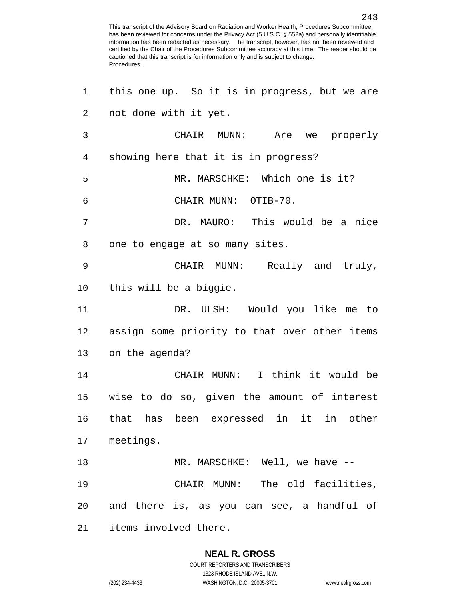| 1  | this one up. So it is in progress, but we are |
|----|-----------------------------------------------|
| 2  | not done with it yet.                         |
| 3  | CHAIR MUNN: Are we properly                   |
| 4  | showing here that it is in progress?          |
| 5  | MR. MARSCHKE: Which one is it?                |
| 6  | CHAIR MUNN: OTIB-70.                          |
| 7  | DR. MAURO: This would be a nice               |
| 8  | one to engage at so many sites.               |
| 9  | CHAIR MUNN: Really and truly,                 |
| 10 | this will be a biggie.                        |
| 11 | DR. ULSH: Would you like me to                |
| 12 | assign some priority to that over other items |
| 13 | on the agenda?                                |
| 14 | CHAIR MUNN: I think it would be               |
| 15 | wise to do so, given the amount of interest   |
|    | 16 that has been expressed in it in other     |
|    | 17 meetings.                                  |
| 18 | MR. MARSCHKE: Well, we have --                |
| 19 | CHAIR MUNN: The old facilities,               |
|    | 20 and there is, as you can see, a handful of |
| 21 | items involved there.                         |

# **NEAL R. GROSS**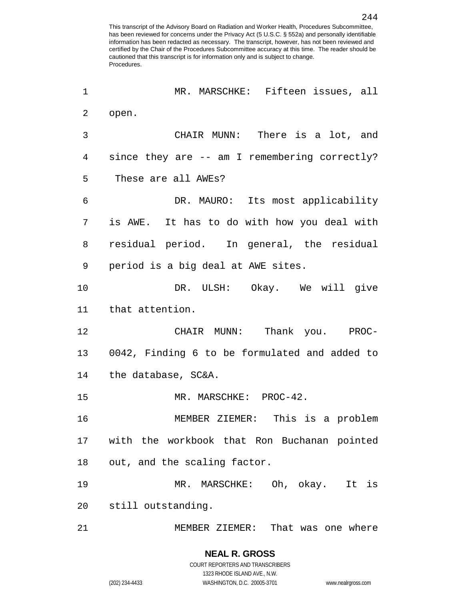| 1  | MR. MARSCHKE: Fifteen issues, all             |
|----|-----------------------------------------------|
| 2  | open.                                         |
| 3  | CHAIR MUNN: There is a lot, and               |
| 4  | since they are -- am I remembering correctly? |
| 5  | These are all AWEs?                           |
| 6  | DR. MAURO: Its most applicability             |
| 7  | is AWE. It has to do with how you deal with   |
| 8  | residual period. In general, the residual     |
| 9  | period is a big deal at AWE sites.            |
| 10 | DR. ULSH: Okay. We will give                  |
| 11 | that attention.                               |
| 12 | CHAIR MUNN: Thank you. PROC-                  |
| 13 | 0042, Finding 6 to be formulated and added to |
| 14 | the database, SC&A.                           |
| 15 | MR. MARSCHKE: PROC-42.                        |
| 16 | MEMBER ZIEMER: This is a problem              |
| 17 | with the workbook that Ron Buchanan pointed   |
| 18 | out, and the scaling factor.                  |
| 19 | MR. MARSCHKE: Oh, okay.<br>It is              |
| 20 | still outstanding.                            |
| 21 | MEMBER ZIEMER: That was one where             |

**NEAL R. GROSS** COURT REPORTERS AND TRANSCRIBERS 1323 RHODE ISLAND AVE., N.W. (202) 234-4433 WASHINGTON, D.C. 20005-3701 www.nealrgross.com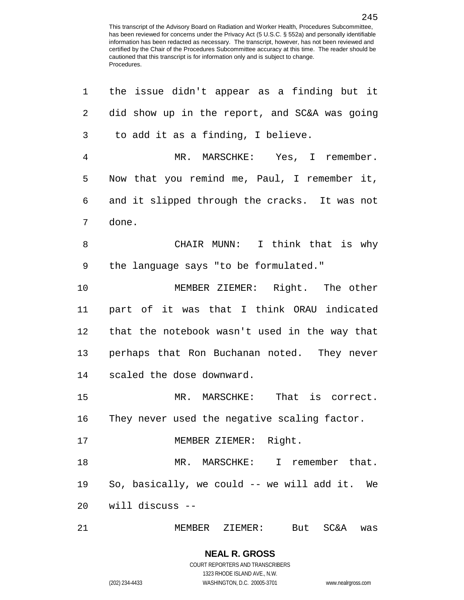| 1              | the issue didn't appear as a finding but it     |
|----------------|-------------------------------------------------|
| 2              | did show up in the report, and SC&A was going   |
| $\mathfrak{Z}$ | to add it as a finding, I believe.              |
| $\overline{4}$ | MR. MARSCHKE: Yes, I remember.                  |
| 5              | Now that you remind me, Paul, I remember it,    |
| 6              | and it slipped through the cracks. It was not   |
| 7              | done.                                           |
| 8              | CHAIR MUNN: I think that is why                 |
| 9              | the language says "to be formulated."           |
| 10             | MEMBER ZIEMER: Right. The other                 |
| 11             | part of it was that I think ORAU indicated      |
| 12             | that the notebook wasn't used in the way that   |
| 13             | perhaps that Ron Buchanan noted. They never     |
| 14             | scaled the dose downward.                       |
| 15             | MR. MARSCHKE: That is correct.                  |
| 16             | They never used the negative scaling factor.    |
| 17             | MEMBER ZIEMER: Right.                           |
| 18             | MR. MARSCHKE: I remember that.                  |
| 19             | So, basically, we could -- we will add it. We   |
| 20             | will discuss --                                 |
| 21             | MEMBER ZIEMER:<br><b>SC&amp;A</b><br>But<br>was |

COURT REPORTERS AND TRANSCRIBERS 1323 RHODE ISLAND AVE., N.W. (202) 234-4433 WASHINGTON, D.C. 20005-3701 www.nealrgross.com

**NEAL R. GROSS**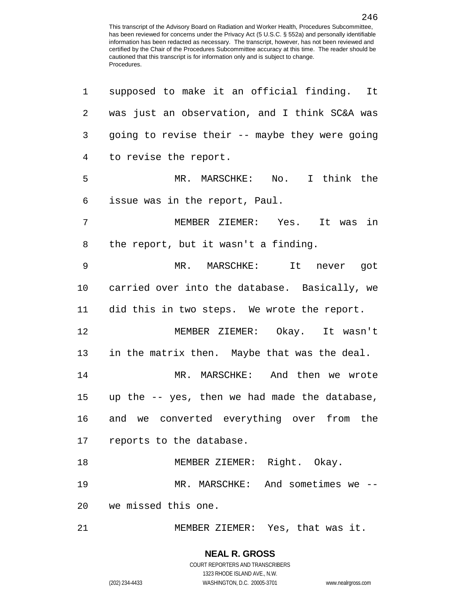| $\mathbf 1$ | supposed to make it an official finding. It    |
|-------------|------------------------------------------------|
| 2           | was just an observation, and I think SC&A was  |
| 3           | going to revise their -- maybe they were going |
| 4           | to revise the report.                          |
| 5           | MR. MARSCHKE: No. I think the                  |
| 6           | issue was in the report, Paul.                 |
| 7           | MEMBER ZIEMER: Yes. It was in                  |
| 8           | the report, but it wasn't a finding.           |
| 9           | MR. MARSCHKE:<br>It never got                  |
| 10          | carried over into the database. Basically, we  |
| 11          | did this in two steps. We wrote the report.    |
| 12          | MEMBER ZIEMER: Okay. It wasn't                 |
| 13          | in the matrix then. Maybe that was the deal.   |
| 14          | MR. MARSCHKE: And then we wrote                |
| 15          | up the -- yes, then we had made the database,  |
| 16          | and we converted everything over from the      |
|             | 17 reports to the database.                    |
| 18          | MEMBER ZIEMER: Right. Okay.                    |
| 19          | MR. MARSCHKE: And sometimes we --              |
|             | 20 we missed this one.                         |
| 21          | MEMBER ZIEMER: Yes, that was it.               |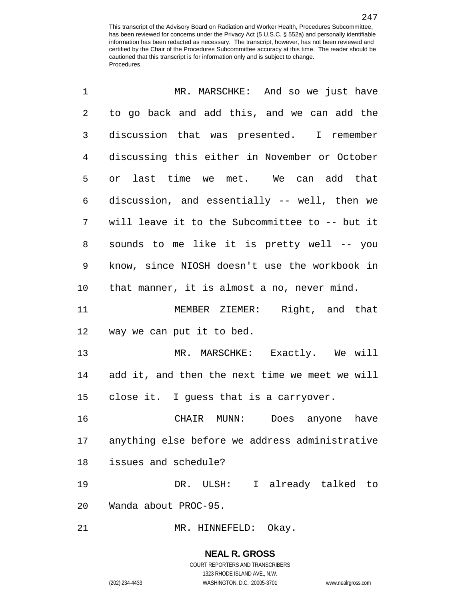| $\mathbf 1$    | MR. MARSCHKE: And so we just have              |
|----------------|------------------------------------------------|
| $\overline{2}$ | to go back and add this, and we can add the    |
| 3              | discussion that was presented. I remember      |
| 4              | discussing this either in November or October  |
| 5              | or last time we met. We can add that           |
| 6              | discussion, and essentially -- well, then we   |
| 7              | will leave it to the Subcommittee to -- but it |
| 8              | sounds to me like it is pretty well -- you     |
| 9              | know, since NIOSH doesn't use the workbook in  |
| 10             | that manner, it is almost a no, never mind.    |
| 11             | MEMBER ZIEMER: Right, and that                 |
| 12             | way we can put it to bed.                      |
| 13             | MR. MARSCHKE: Exactly. We will                 |
| 14             | add it, and then the next time we meet we will |
| 15             | close it. I guess that is a carryover.         |
| 16             | CHAIR MUNN: Does anyone have                   |
| 17             | anything else before we address administrative |
| 18             | issues and schedule?                           |
| 19             | DR. ULSH: I already talked to                  |
| 20             | Wanda about PROC-95.                           |
| 21             | Okay.<br>MR. HINNEFELD:                        |

**NEAL R. GROSS** COURT REPORTERS AND TRANSCRIBERS 1323 RHODE ISLAND AVE., N.W.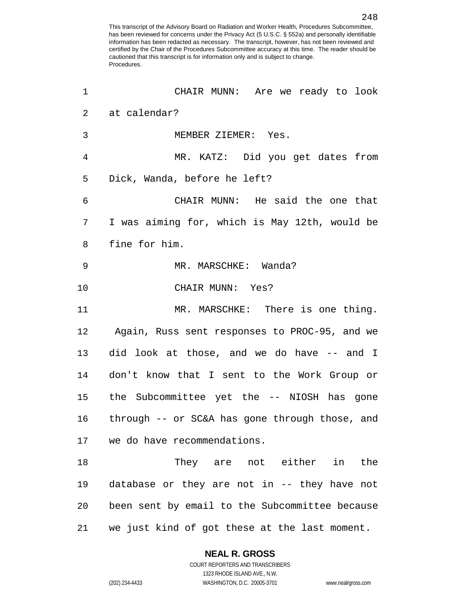| 1              | CHAIR MUNN: Are we ready to look               |
|----------------|------------------------------------------------|
| $\overline{2}$ | at calendar?                                   |
| 3              | MEMBER ZIEMER: Yes.                            |
| 4              | MR. KATZ: Did you get dates from               |
| 5              | Dick, Wanda, before he left?                   |
| 6              | CHAIR MUNN: He said the one that               |
| 7              | I was aiming for, which is May 12th, would be  |
| 8              | fine for him.                                  |
| 9              | MR. MARSCHKE: Wanda?                           |
| 10             | CHAIR MUNN: Yes?                               |
| 11             | MR. MARSCHKE: There is one thing.              |
| 12             | Again, Russ sent responses to PROC-95, and we  |
| 13             | did look at those, and we do have -- and I     |
| 14             | don't know that I sent to the Work Group or    |
| 15             | the Subcommittee yet the -- NIOSH has gone     |
| 16             | through -- or SC&A has gone through those, and |
| 17             | we do have recommendations.                    |
| 18             | They are not either in the                     |
| 19             | database or they are not in -- they have not   |
| 20             | been sent by email to the Subcommittee because |
| 21             | we just kind of got these at the last moment.  |

1323 RHODE ISLAND AVE., N.W.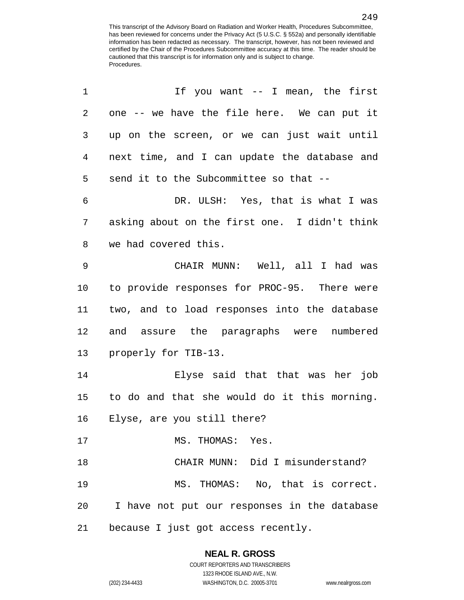| 1           | If you want -- I mean, the first              |
|-------------|-----------------------------------------------|
| 2           | one -- we have the file here. We can put it   |
| 3           | up on the screen, or we can just wait until   |
| 4           | next time, and I can update the database and  |
| 5           | send it to the Subcommittee so that --        |
| 6           | DR. ULSH: Yes, that is what I was             |
| 7           | asking about on the first one. I didn't think |
| 8           | we had covered this.                          |
| $\mathsf 9$ | CHAIR MUNN: Well, all I had was               |
| 10          | to provide responses for PROC-95. There were  |
| 11          | two, and to load responses into the database  |
| 12          | and assure the paragraphs were numbered       |
| 13          | properly for TIB-13.                          |
| 14          | Elyse said that that was her job              |
| 15          | to do and that she would do it this morning.  |
| 16          | Elyse, are you still there?                   |
| 17          | MS. THOMAS: Yes.                              |
| 18          | CHAIR MUNN: Did I misunderstand?              |
| 19          | MS. THOMAS: No, that is correct.              |
| 20          | I have not put our responses in the database  |
| 21          | because I just got access recently.           |

# **NEAL R. GROSS**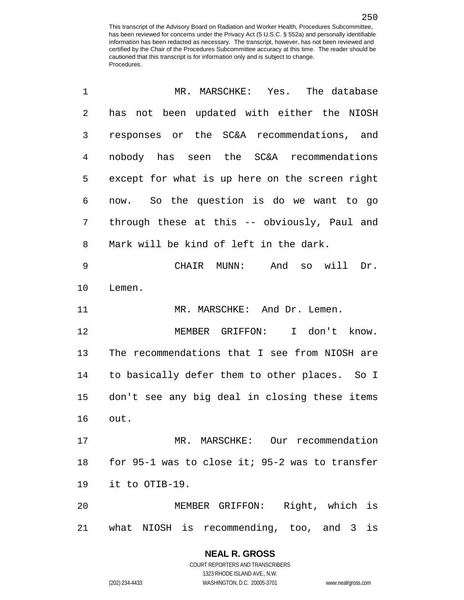| 1              | MR. MARSCHKE: Yes. The database                |
|----------------|------------------------------------------------|
| $\overline{2}$ | has not been updated with either the NIOSH     |
| 3              | responses or the SC&A recommendations, and     |
| 4              | nobody has seen the SC&A recommendations       |
| 5              | except for what is up here on the screen right |
| 6              | now. So the question is do we want to go       |
| 7              | through these at this -- obviously, Paul and   |
| 8              | Mark will be kind of left in the dark.         |
| 9              | CHAIR MUNN: And so will Dr.                    |
| 10             | Lemen.                                         |
| 11             | MR. MARSCHKE: And Dr. Lemen.                   |
| 12             | MEMBER GRIFFON: I don't know.                  |
| 13             | The recommendations that I see from NIOSH are  |
| 14             | to basically defer them to other places. So I  |
| 15             | don't see any big deal in closing these items  |
| 16             | out.                                           |
| 17             | MR. MARSCHKE: Our recommendation               |
| 18             | for 95-1 was to close it; 95-2 was to transfer |
| 19             | it to OTIB-19.                                 |
| 20             | MEMBER GRIFFON: Right, which is                |
| 21             | what NIOSH is recommending, too, and 3 is      |

# **NEAL R. GROSS**

COURT REPORTERS AND TRANSCRIBERS 1323 RHODE ISLAND AVE., N.W. (202) 234-4433 WASHINGTON, D.C. 20005-3701 www.nealrgross.com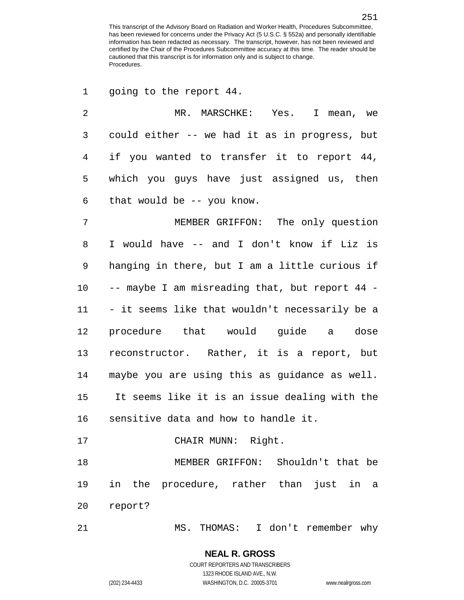1 going to the report 44.

| $\overline{a}$ | MR. MARSCHKE: Yes. I mean, we                  |
|----------------|------------------------------------------------|
| 3              | could either -- we had it as in progress, but  |
| $\overline{4}$ | if you wanted to transfer it to report 44,     |
| 5              | which you guys have just assigned us, then     |
| $\epsilon$     | that would be $-$ - you know.                  |
| $\overline{7}$ | MEMBER GRIFFON: The only question              |
| 8              | I would have -- and I don't know if Liz is     |
| 9              | hanging in there, but I am a little curious if |
| 10             | -- maybe I am misreading that, but report 44 - |
| 11             | - it seems like that wouldn't necessarily be a |
| 12             | procedure that would guide a dose              |
| 13             | reconstructor. Rather, it is a report, but     |
| 14             | maybe you are using this as guidance as well.  |
| 15             | It seems like it is an issue dealing with the  |
| 16             | sensitive data and how to handle it.           |
| 17             | CHAIR MUNN: Right.                             |
| 18             | MEMBER GRIFFON: Shouldn't that be              |
| 19             | just in a<br>in<br>the procedure, rather than  |
| 20             | report?                                        |
|                |                                                |

MS. THOMAS: I don't remember why

#### **NEAL R. GROSS** COURT REPORTERS AND TRANSCRIBERS

1323 RHODE ISLAND AVE., N.W.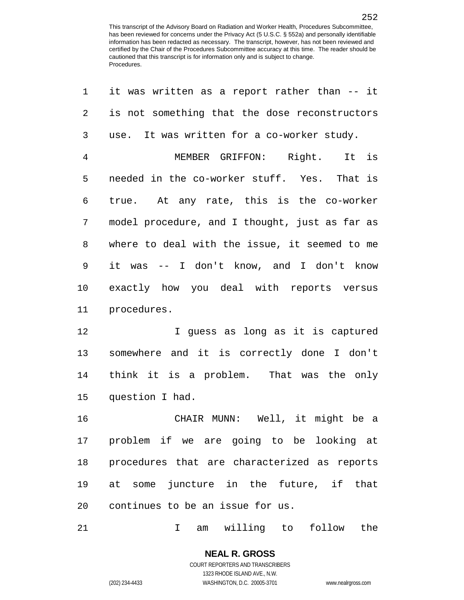| 1              | it was written as a report rather than -- it   |
|----------------|------------------------------------------------|
| $\overline{a}$ | is not something that the dose reconstructors  |
| 3              | use. It was written for a co-worker study.     |
| 4              | MEMBER GRIFFON: Right. It is                   |
| 5              | needed in the co-worker stuff. Yes. That is    |
| 6              | true. At any rate, this is the co-worker       |
| 7              | model procedure, and I thought, just as far as |
| 8              | where to deal with the issue, it seemed to me  |
| 9              | it was -- I don't know, and I don't know       |
| 10             | exactly how you deal with reports versus       |
| 11             | procedures.                                    |
| 12             | I guess as long as it is captured              |
| 13             | somewhere and it is correctly done I don't     |
| 14             | think it is a problem. That was the only       |
| 15             | question I had.                                |
| 16             | CHAIR MUNN: Well, it might be a                |
| 17             | problem if we are going to be looking at       |
| 18             | procedures that are characterized as reports   |
| 19             | at some juncture in the future, if that        |
| 20             | continues to be an issue for us.               |
|                |                                                |

21 1 am willing to follow the

# **NEAL R. GROSS** COURT REPORTERS AND TRANSCRIBERS

1323 RHODE ISLAND AVE., N.W. (202) 234-4433 WASHINGTON, D.C. 20005-3701 www.nealrgross.com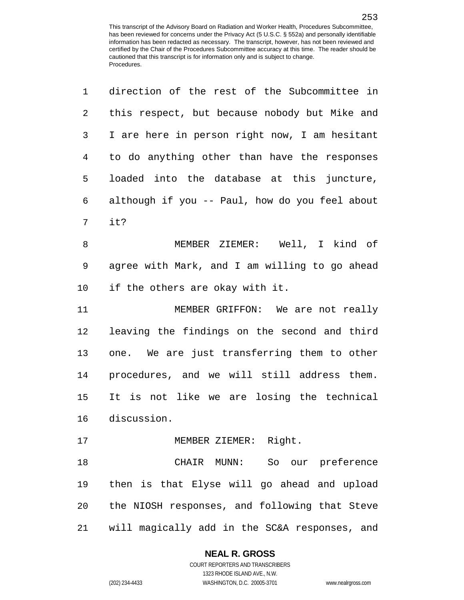| 1              | direction of the rest of the Subcommittee in   |
|----------------|------------------------------------------------|
| $\overline{2}$ | this respect, but because nobody but Mike and  |
| $\mathsf{3}$   | I are here in person right now, I am hesitant  |
| $\overline{4}$ | to do anything other than have the responses   |
| 5              | loaded into the database at this juncture,     |
| 6              | although if you -- Paul, how do you feel about |
| 7              | it?                                            |
| 8              | MEMBER ZIEMER: Well, I kind of                 |
| 9              | agree with Mark, and I am willing to go ahead  |
| 10             | if the others are okay with it.                |
| 11             | MEMBER GRIFFON: We are not really              |
| 12             | leaving the findings on the second and third   |
| 13             | one. We are just transferring them to other    |
| 14             | procedures, and we will still address them.    |
| 15             | It is not like we are losing the technical     |
| 16             | discussion.                                    |
| 17             | MEMBER ZIEMER: Right.                          |
| 18             | CHAIR MUNN: So our preference                  |
| 19             | then is that Elyse will go ahead and upload    |
| 20             | the NIOSH responses, and following that Steve  |
| 21             | will magically add in the SC&A responses, and  |

### **NEAL R. GROSS**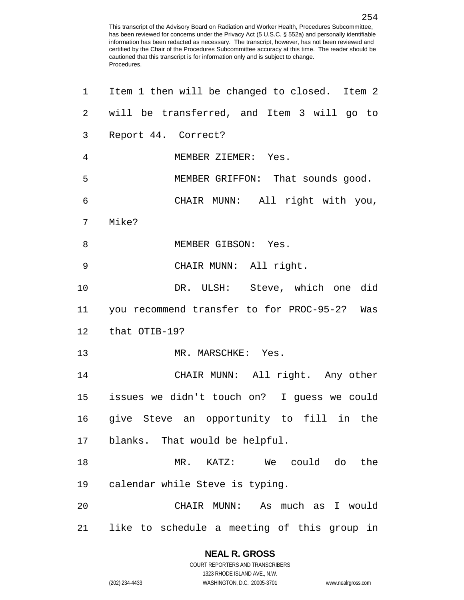| 1              | Item 1 then will be changed to closed. Item 2 |
|----------------|-----------------------------------------------|
| $\overline{a}$ | will be transferred, and Item 3 will go to    |
| 3              | Report 44. Correct?                           |
| 4              | MEMBER ZIEMER: Yes.                           |
| 5              | MEMBER GRIFFON: That sounds good.             |
| 6              | CHAIR MUNN: All right with you,               |
| 7              | Mike?                                         |
| 8              | MEMBER GIBSON: Yes.                           |
| 9              | CHAIR MUNN: All right.                        |
| 10             | DR. ULSH: Steve, which one did                |
| 11             | you recommend transfer to for PROC-95-2? Was  |
| 12             | that OTIB-19?                                 |
| 13             | MR. MARSCHKE: Yes.                            |
| 14             | CHAIR MUNN: All right. Any other              |
| 15             | issues we didn't touch on? I guess we could   |
| 16             | give Steve an opportunity to fill in the      |
| 17             | blanks. That would be helpful.                |
| 18             | MR. KATZ: We could do the                     |
| 19             | calendar while Steve is typing.               |
| 20             | CHAIR MUNN: As much as I would                |
| 21             | like to schedule a meeting of this group in   |

1323 RHODE ISLAND AVE., N.W.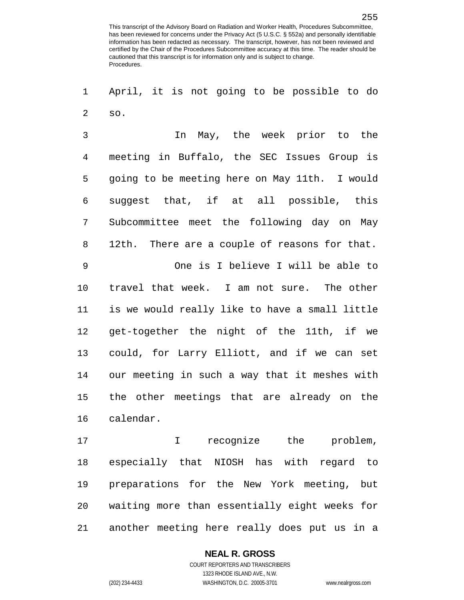April, it is not going to be possible to do so.

 In May, the week prior to the meeting in Buffalo, the SEC Issues Group is going to be meeting here on May 11th. I would suggest that, if at all possible, this Subcommittee meet the following day on May 12th. There are a couple of reasons for that. One is I believe I will be able to travel that week. I am not sure. The other is we would really like to have a small little get-together the night of the 11th, if we could, for Larry Elliott, and if we can set our meeting in such a way that it meshes with the other meetings that are already on the calendar.

 I recognize the problem, especially that NIOSH has with regard to preparations for the New York meeting, but waiting more than essentially eight weeks for another meeting here really does put us in a

#### **NEAL R. GROSS**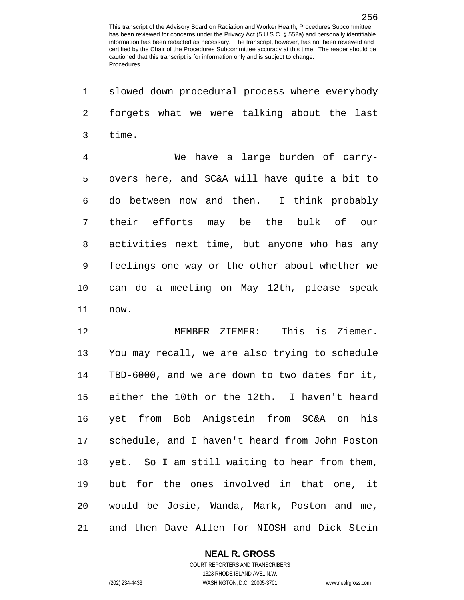slowed down procedural process where everybody forgets what we were talking about the last time. We have a large burden of carry- overs here, and SC&A will have quite a bit to do between now and then. I think probably their efforts may be the bulk of our activities next time, but anyone who has any feelings one way or the other about whether we can do a meeting on May 12th, please speak now. MEMBER ZIEMER: This is Ziemer. You may recall, we are also trying to schedule TBD-6000, and we are down to two dates for it, either the 10th or the 12th. I haven't heard yet from Bob Anigstein from SC&A on his schedule, and I haven't heard from John Poston yet. So I am still waiting to hear from them, but for the ones involved in that one, it would be Josie, Wanda, Mark, Poston and me, and then Dave Allen for NIOSH and Dick Stein

**NEAL R. GROSS**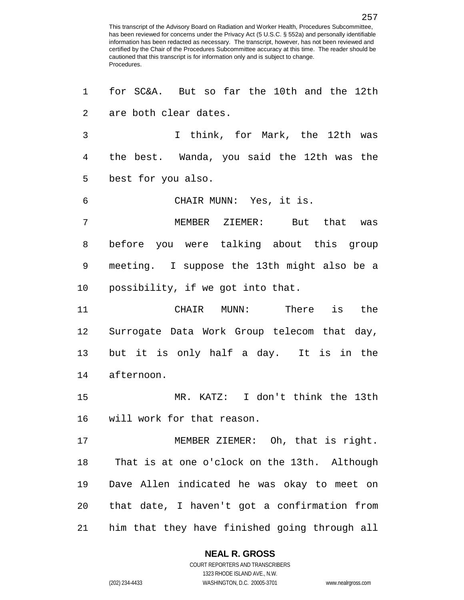for SC&A. But so far the 10th and the 12th are both clear dates. I think, for Mark, the 12th was the best. Wanda, you said the 12th was the best for you also. CHAIR MUNN: Yes, it is. MEMBER ZIEMER: But that was before you were talking about this group meeting. I suppose the 13th might also be a possibility, if we got into that. CHAIR MUNN: There is the Surrogate Data Work Group telecom that day, but it is only half a day. It is in the afternoon. MR. KATZ: I don't think the 13th will work for that reason. MEMBER ZIEMER: Oh, that is right. That is at one o'clock on the 13th. Although Dave Allen indicated he was okay to meet on that date, I haven't got a confirmation from him that they have finished going through all

#### **NEAL R. GROSS**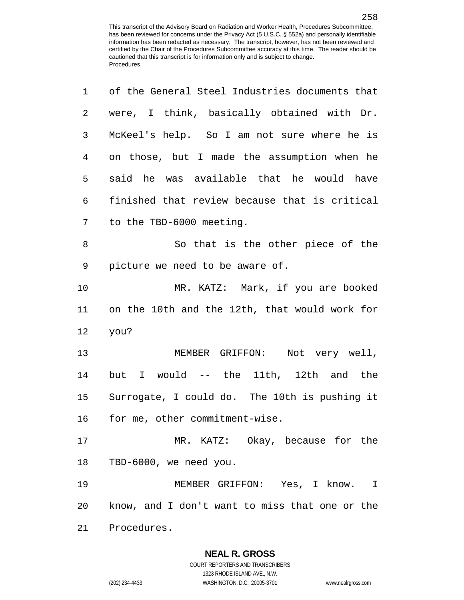| 1  | of the General Steel Industries documents that |
|----|------------------------------------------------|
| 2  | were, I think, basically obtained with Dr.     |
| 3  | McKeel's help. So I am not sure where he is    |
| 4  | on those, but I made the assumption when he    |
| 5  | said he was available that he would have       |
| 6  | finished that review because that is critical  |
| 7  | to the TBD-6000 meeting.                       |
| 8  | So that is the other piece of the              |
| 9  | picture we need to be aware of.                |
| 10 | MR. KATZ: Mark, if you are booked              |
| 11 | on the 10th and the 12th, that would work for  |
| 12 | you?                                           |
| 13 | MEMBER GRIFFON: Not very well,                 |
| 14 | but I would -- the 11th, 12th and the          |
| 15 | Surrogate, I could do. The 10th is pushing it  |
| 16 | for me, other commitment-wise.                 |
| 17 | MR. KATZ: Okay, because for the                |
| 18 | TBD-6000, we need you.                         |
| 19 | MEMBER GRIFFON: Yes, I know. I                 |
| 20 | know, and I don't want to miss that one or the |
| 21 | Procedures.                                    |

1323 RHODE ISLAND AVE., N.W.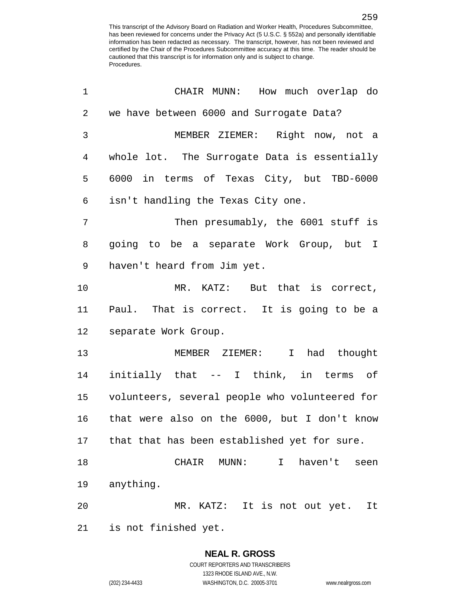| 1              | CHAIR MUNN: How much overlap do                |
|----------------|------------------------------------------------|
| 2              | we have between 6000 and Surrogate Data?       |
| 3              | MEMBER ZIEMER: Right now, not a                |
| $\overline{4}$ | whole lot. The Surrogate Data is essentially   |
| 5              | 6000 in terms of Texas City, but TBD-6000      |
| 6              | isn't handling the Texas City one.             |
| 7              | Then presumably, the 6001 stuff is             |
| 8              | going to be a separate Work Group, but I       |
| 9              | haven't heard from Jim yet.                    |
| 10             | MR. KATZ: But that is correct,                 |
| 11             | Paul. That is correct. It is going to be a     |
| 12             | separate Work Group.                           |
| 13             | MEMBER ZIEMER:<br>I had thought                |
| 14             | initially that -- I think, in terms of         |
| 15             | volunteers, several people who volunteered for |
| 16             | that were also on the 6000, but I don't know   |
| 17             | that that has been established yet for sure.   |
| 18             | haven't<br>CHAIR MUNN:<br>I<br>seen            |
| 19             | anything.                                      |
| 20             | MR. KATZ: It is not out yet. It                |
| 21             | is not finished yet.                           |

1323 RHODE ISLAND AVE., N.W.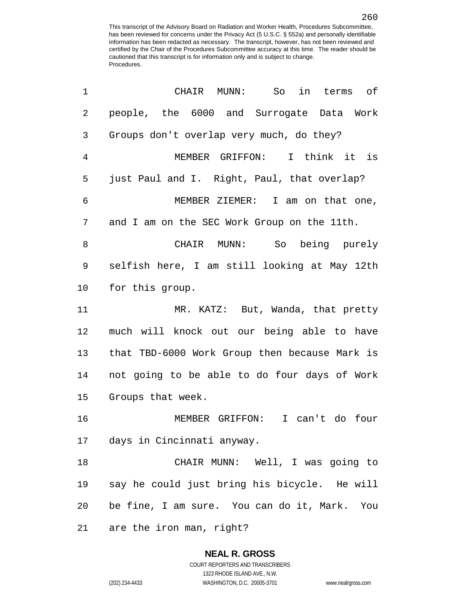| 1              | CHAIR MUNN:<br>So<br>in terms of              |
|----------------|-----------------------------------------------|
| $\overline{2}$ | people, the 6000 and Surrogate Data Work      |
| 3              | Groups don't overlap very much, do they?      |
| $\overline{4}$ | MEMBER GRIFFON: I think it is                 |
| 5              | just Paul and I. Right, Paul, that overlap?   |
| 6              | MEMBER ZIEMER: I am on that one,              |
| 7              | and I am on the SEC Work Group on the 11th.   |
| 8              | CHAIR MUNN: So being purely                   |
| 9              | selfish here, I am still looking at May 12th  |
| 10             | for this group.                               |
| 11             | MR. KATZ: But, Wanda, that pretty             |
| 12             | much will knock out our being able to have    |
| 13             | that TBD-6000 Work Group then because Mark is |
| 14             | not going to be able to do four days of Work  |
| 15             | Groups that week.                             |
| 16             | MEMBER GRIFFON: I can't do four               |
|                | 17 days in Cincinnati anyway.                 |
| 18             | CHAIR MUNN: Well, I was going to              |
| 19             | say he could just bring his bicycle. He will  |
| 20             | be fine, I am sure. You can do it, Mark. You  |
| 21             | are the iron man, right?                      |

(202) 234-4433 WASHINGTON, D.C. 20005-3701 www.nealrgross.com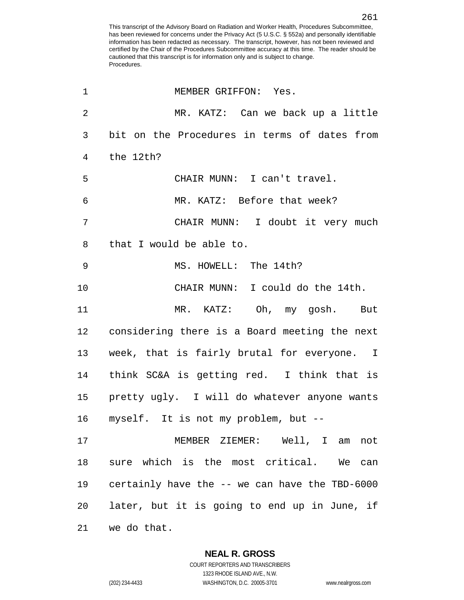| $\mathbf 1$ | MEMBER GRIFFON: Yes.                            |
|-------------|-------------------------------------------------|
| 2           | MR. KATZ: Can we back up a little               |
| 3           | bit on the Procedures in terms of dates from    |
| 4           | the 12th?                                       |
| 5           | CHAIR MUNN: I can't travel.                     |
| 6           | MR. KATZ: Before that week?                     |
| 7           | CHAIR MUNN: I doubt it very much                |
| 8           | that I would be able to.                        |
| 9           | MS. HOWELL: The 14th?                           |
| 10          | CHAIR MUNN: I could do the 14th.                |
| 11          | MR. KATZ: Oh, my gosh. But                      |
| 12          | considering there is a Board meeting the next   |
| 13          | week, that is fairly brutal for everyone. I     |
| 14          | think SC&A is getting red. I think that is      |
|             | 15 pretty ugly. I will do whatever anyone wants |
| 16          | myself. It is not my problem, but --            |
| 17          | MEMBER ZIEMER: Well, I am not                   |
| 18          | sure which is the most critical. We can         |
| 19          | certainly have the -- we can have the TBD-6000  |
| 20          | later, but it is going to end up in June, if    |
| 21          | we do that.                                     |

**NEAL R. GROSS** COURT REPORTERS AND TRANSCRIBERS

1323 RHODE ISLAND AVE., N.W. (202) 234-4433 WASHINGTON, D.C. 20005-3701 www.nealrgross.com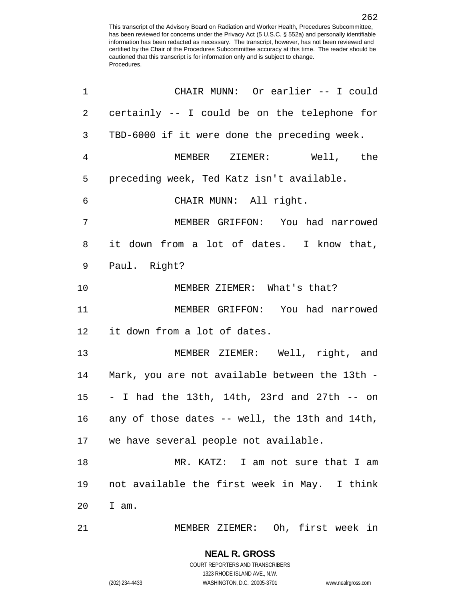| 1              | CHAIR MUNN: Or earlier -- I could                 |
|----------------|---------------------------------------------------|
| $\overline{2}$ | certainly -- I could be on the telephone for      |
| 3              | TBD-6000 if it were done the preceding week.      |
| 4              | MEMBER ZIEMER: Well, the                          |
| 5              | preceding week, Ted Katz isn't available.         |
| 6              | CHAIR MUNN: All right.                            |
| 7              | MEMBER GRIFFON: You had narrowed                  |
| 8              | it down from a lot of dates. I know that,         |
| 9              | Paul. Right?                                      |
| 10             | MEMBER ZIEMER: What's that?                       |
| 11             | MEMBER GRIFFON: You had narrowed                  |
| 12             | it down from a lot of dates.                      |
| 13             | MEMBER ZIEMER: Well, right, and                   |
| 14             | Mark, you are not available between the 13th -    |
| 15             | - I had the 13th, 14th, 23rd and 27th $-$ on      |
|                | 16 any of those dates -- well, the 13th and 14th, |
|                | 17 we have several people not available.          |
| 18             | MR. KATZ: I am not sure that I am                 |
| 19             | not available the first week in May. I think      |
| 20             | I am.                                             |
| 21             | MEMBER ZIEMER: Oh, first week in                  |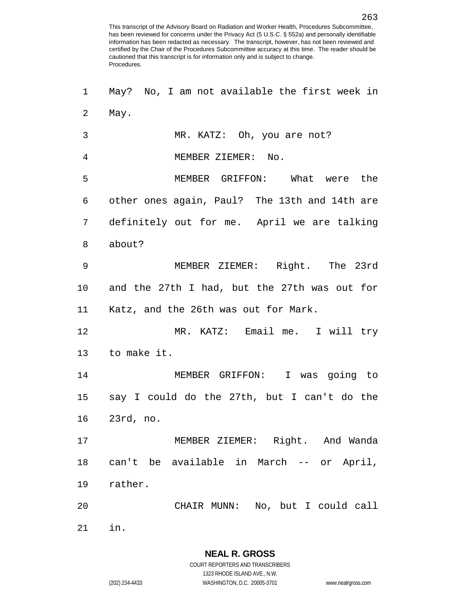May? No, I am not available the first week in May. MR. KATZ: Oh, you are not? MEMBER ZIEMER: No. MEMBER GRIFFON: What were the other ones again, Paul? The 13th and 14th are definitely out for me. April we are talking about? MEMBER ZIEMER: Right. The 23rd and the 27th I had, but the 27th was out for Katz, and the 26th was out for Mark. MR. KATZ: Email me. I will try to make it. MEMBER GRIFFON: I was going to say I could do the 27th, but I can't do the 23rd, no. MEMBER ZIEMER: Right. And Wanda can't be available in March -- or April, rather. CHAIR MUNN: No, but I could call in.

**NEAL R. GROSS**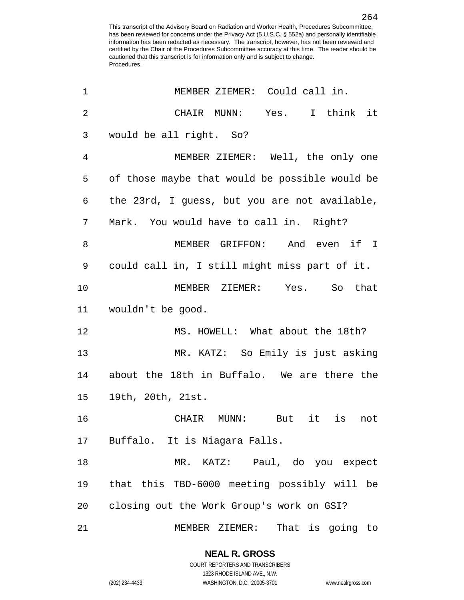| 1              | MEMBER ZIEMER: Could call in.                  |
|----------------|------------------------------------------------|
| $\overline{2}$ | CHAIR MUNN: Yes. I think it                    |
| $\mathsf{3}$   | would be all right. So?                        |
| 4              | MEMBER ZIEMER: Well, the only one              |
| 5              | of those maybe that would be possible would be |
| 6              | the 23rd, I guess, but you are not available,  |
| 7              | Mark. You would have to call in. Right?        |
| 8              | MEMBER GRIFFON: And even if I                  |
| 9              | could call in, I still might miss part of it.  |
| 10             | MEMBER ZIEMER: Yes. So that                    |
| 11             | wouldn't be good.                              |
| 12             | MS. HOWELL: What about the 18th?               |
| 13             | MR. KATZ: So Emily is just asking              |
| 14             | about the 18th in Buffalo. We are there the    |
| 15             | 19th, 20th, 21st.                              |
| 16             | CHAIR MUNN: But it is<br>not                   |
| 17             | Buffalo. It is Niagara Falls.                  |
| 18             | MR. KATZ: Paul, do you expect                  |
| 19             | that this TBD-6000 meeting possibly will be    |
| 20             | closing out the Work Group's work on GSI?      |
| 21             | MEMBER ZIEMER: That is going to                |

1323 RHODE ISLAND AVE., N.W.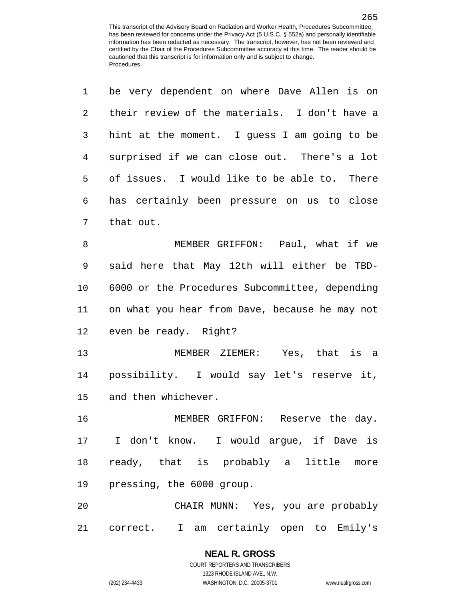| $\mathbf 1$ | be very dependent on where Dave Allen is on    |
|-------------|------------------------------------------------|
| 2           | their review of the materials. I don't have a  |
| 3           | hint at the moment. I guess I am going to be   |
| 4           | surprised if we can close out. There's a lot   |
| 5           | of issues. I would like to be able to. There   |
| 6           | has certainly been pressure on us to close     |
| 7           | that out.                                      |
| 8           | MEMBER GRIFFON: Paul, what if we               |
| 9           | said here that May 12th will either be TBD-    |
| 10          | 6000 or the Procedures Subcommittee, depending |
| 11          | on what you hear from Dave, because he may not |
| 12          | even be ready. Right?                          |
| 13          | MEMBER ZIEMER: Yes, that is a                  |
| 14          | possibility. I would say let's reserve it,     |
| 15          | and then whichever.                            |
| 16          | MEMBER GRIFFON: Reserve the day.               |
|             | 17 I don't know. I would argue, if Dave is     |
| 18          | ready, that is probably a little more          |
| 19          | pressing, the 6000 group.                      |
| 20          | CHAIR MUNN: Yes, you are probably              |
|             | 21 correct. I am certainly open to Emily's     |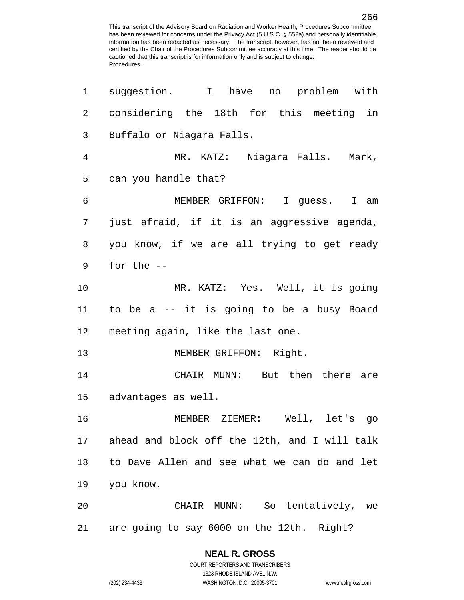| 1  | suggestion. I have no problem with            |
|----|-----------------------------------------------|
| 2  | considering the 18th for this meeting in      |
| 3  | Buffalo or Niagara Falls.                     |
| 4  | MR. KATZ: Niagara Falls. Mark,                |
| 5  | can you handle that?                          |
| 6  | MEMBER GRIFFON: I guess. I am                 |
| 7  | just afraid, if it is an aggressive agenda,   |
| 8  | you know, if we are all trying to get ready   |
| 9  | for the $-$                                   |
| 10 | MR. KATZ: Yes. Well, it is going              |
| 11 | to be a -- it is going to be a busy Board     |
| 12 | meeting again, like the last one.             |
| 13 | MEMBER GRIFFON: Right.                        |
| 14 | CHAIR MUNN: But then there are                |
| 15 | advantages as well.                           |
| 16 | MEMBER ZIEMER: Well, let's go                 |
| 17 | ahead and block off the 12th, and I will talk |
| 18 | to Dave Allen and see what we can do and let  |
| 19 | you know.                                     |
| 20 | CHAIR MUNN: So tentatively, we                |
| 21 | are going to say 6000 on the 12th. Right?     |

1323 RHODE ISLAND AVE., N.W.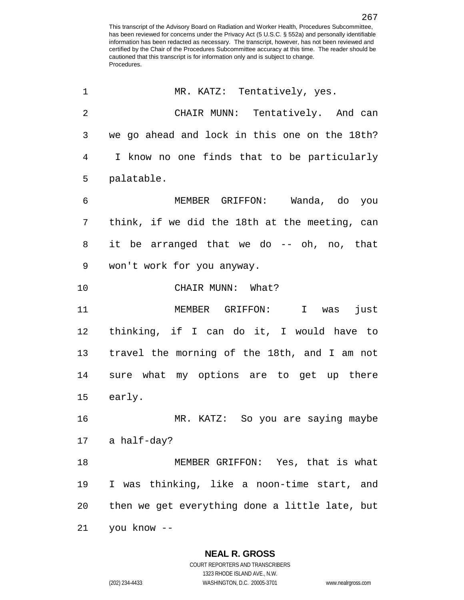| 1              | MR. KATZ: Tentatively, yes.                    |
|----------------|------------------------------------------------|
| $\overline{2}$ | CHAIR MUNN: Tentatively. And can               |
| 3              | we go ahead and lock in this one on the 18th?  |
| $\overline{4}$ | I know no one finds that to be particularly    |
| 5              | palatable.                                     |
| $\epsilon$     | MEMBER GRIFFON: Wanda, do you                  |
| 7              | think, if we did the 18th at the meeting, can  |
| 8              | it be arranged that we do -- oh, no, that      |
| $\mathsf 9$    | won't work for you anyway.                     |
| 10             | CHAIR MUNN: What?                              |
| 11             | MEMBER GRIFFON: I was<br>just                  |
| 12             | thinking, if I can do it, I would have to      |
| 13             | travel the morning of the 18th, and I am not   |
| 14             | sure what my options are to get up there       |
| 15             | early.                                         |
| 16             | MR. KATZ: So you are saying maybe              |
|                | 17 a half-day?                                 |
| 18             | MEMBER GRIFFON: Yes, that is what              |
| 19             | I was thinking, like a noon-time start, and    |
| 20             | then we get everything done a little late, but |
| 21             | you know --                                    |

**NEAL R. GROSS** COURT REPORTERS AND TRANSCRIBERS

1323 RHODE ISLAND AVE., N.W.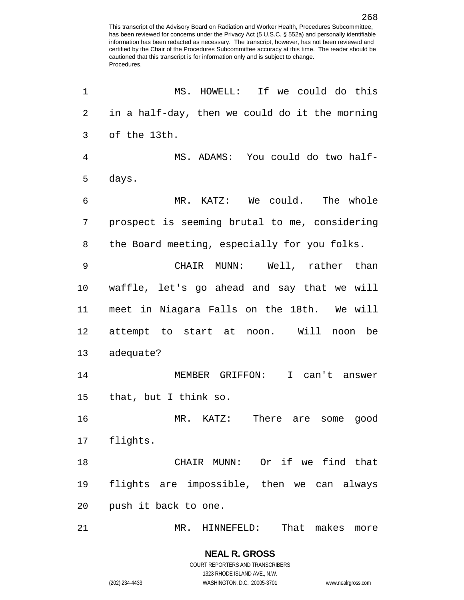| 1              | MS. HOWELL: If we could do this                |
|----------------|------------------------------------------------|
| $\overline{c}$ | in a half-day, then we could do it the morning |
| 3              | of the 13th.                                   |
| 4              | MS. ADAMS: You could do two half-              |
| 5              | days.                                          |
| 6              | MR. KATZ: We could. The whole                  |
| 7              | prospect is seeming brutal to me, considering  |
| 8              | the Board meeting, especially for you folks.   |
| 9              | CHAIR MUNN: Well, rather than                  |
| 10             | waffle, let's go ahead and say that we will    |
| 11             | meet in Niagara Falls on the 18th. We will     |
| 12             | attempt to start at noon. Will<br>noon be      |
| 13             | adequate?                                      |
| 14             | MEMBER GRIFFON:<br>I can't answer              |
| 15             | that, but I think so.                          |
| 16             | MR. KATZ: There are<br>good<br>some            |
| 17             | flights.                                       |
| 18             | CHAIR MUNN: Or if we find that                 |
| 19             | flights are impossible, then we can always     |
| 20             | push it back to one.                           |
| 21             | That makes more<br>MR. HINNEFELD:              |

COURT REPORTERS AND TRANSCRIBERS 1323 RHODE ISLAND AVE., N.W. (202) 234-4433 WASHINGTON, D.C. 20005-3701 www.nealrgross.com

**NEAL R. GROSS**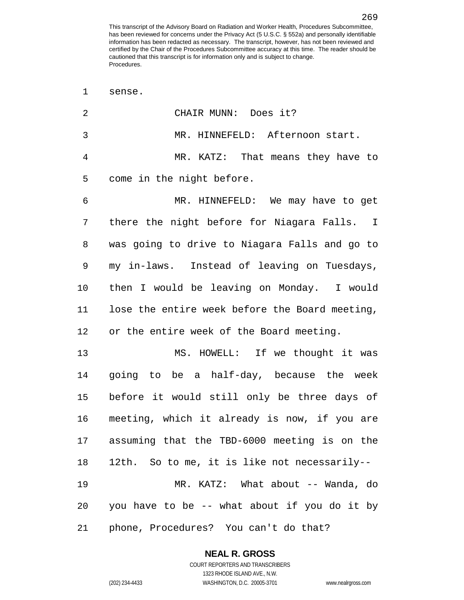sense. CHAIR MUNN: Does it? MR. HINNEFELD: Afternoon start. MR. KATZ: That means they have to come in the night before. MR. HINNEFELD: We may have to get there the night before for Niagara Falls. I was going to drive to Niagara Falls and go to my in-laws. Instead of leaving on Tuesdays, then I would be leaving on Monday. I would lose the entire week before the Board meeting, 12 or the entire week of the Board meeting. MS. HOWELL: If we thought it was going to be a half-day, because the week before it would still only be three days of meeting, which it already is now, if you are assuming that the TBD-6000 meeting is on the 12th. So to me, it is like not necessarily-- MR. KATZ: What about -- Wanda, do you have to be -- what about if you do it by phone, Procedures? You can't do that?

**NEAL R. GROSS**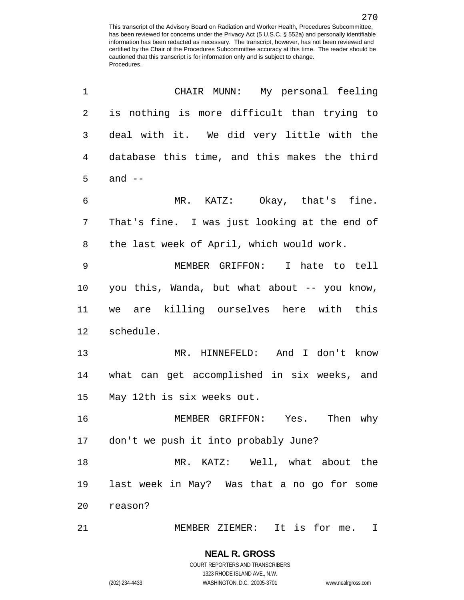| 1              | CHAIR MUNN: My personal feeling               |
|----------------|-----------------------------------------------|
| $\overline{c}$ | is nothing is more difficult than trying to   |
| 3              | deal with it. We did very little with the     |
| $\overline{4}$ | database this time, and this makes the third  |
| 5              | and $--$                                      |
| 6              | MR. KATZ: Okay, that's fine.                  |
| 7              | That's fine. I was just looking at the end of |
| 8              | the last week of April, which would work.     |
| 9              | MEMBER GRIFFON: I hate to tell                |
| 10             | you this, Wanda, but what about -- you know,  |
| 11             | we are killing ourselves here with this       |
| 12             | schedule.                                     |
| 13             | MR. HINNEFELD: And I don't know               |
| 14             | what can get accomplished in six weeks, and   |
| 15             | May 12th is six weeks out.                    |
| 16             | MEMBER GRIFFON: Yes. Then why                 |
|                | 17 don't we push it into probably June?       |
| 18             | MR. KATZ: Well, what about the                |
| 19             | last week in May? Was that a no go for some   |
| 20             | reason?                                       |
| 21             | MEMBER ZIEMER: It is for me.<br>$\mathbf I$   |

1323 RHODE ISLAND AVE., N.W.

(202) 234-4433 WASHINGTON, D.C. 20005-3701 www.nealrgross.com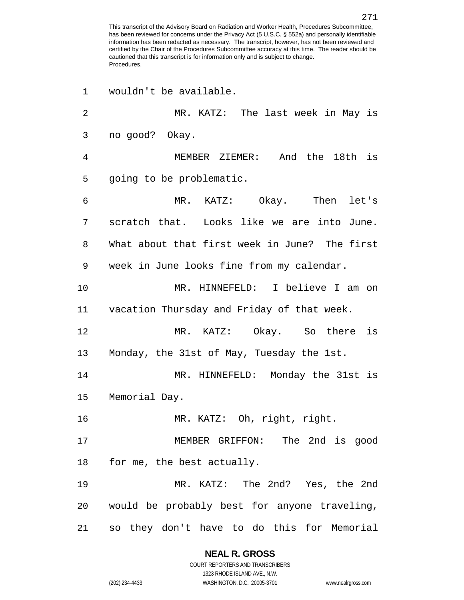wouldn't be available. MR. KATZ: The last week in May is no good? Okay. MEMBER ZIEMER: And the 18th is going to be problematic. MR. KATZ: Okay. Then let's scratch that. Looks like we are into June. What about that first week in June? The first week in June looks fine from my calendar. MR. HINNEFELD: I believe I am on vacation Thursday and Friday of that week. MR. KATZ: Okay. So there is Monday, the 31st of May, Tuesday the 1st. MR. HINNEFELD: Monday the 31st is Memorial Day. MR. KATZ: Oh, right, right. MEMBER GRIFFON: The 2nd is good for me, the best actually. MR. KATZ: The 2nd? Yes, the 2nd would be probably best for anyone traveling, so they don't have to do this for Memorial

**NEAL R. GROSS**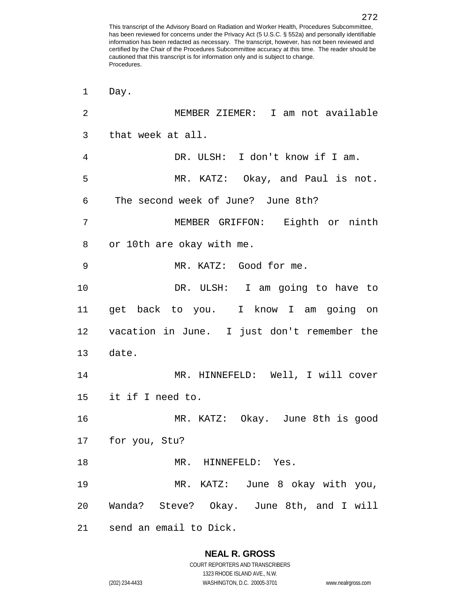Day. MEMBER ZIEMER: I am not available that week at all. DR. ULSH: I don't know if I am. MR. KATZ: Okay, and Paul is not. The second week of June? June 8th? MEMBER GRIFFON: Eighth or ninth or 10th are okay with me. MR. KATZ: Good for me. DR. ULSH: I am going to have to get back to you. I know I am going on vacation in June. I just don't remember the date. MR. HINNEFELD: Well, I will cover it if I need to. MR. KATZ: Okay. June 8th is good for you, Stu? 18 MR. HINNEFELD: Yes. MR. KATZ: June 8 okay with you, Wanda? Steve? Okay. June 8th, and I will send an email to Dick.

# **NEAL R. GROSS**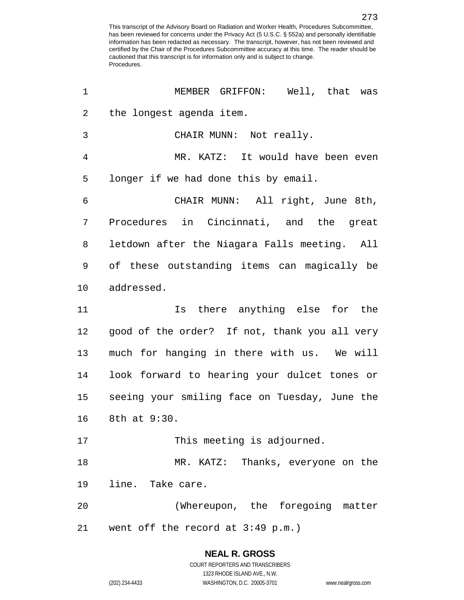| 1              | MEMBER GRIFFON: Well, that was                |
|----------------|-----------------------------------------------|
| $\overline{a}$ | the longest agenda item.                      |
| 3              | CHAIR MUNN: Not really.                       |
| 4              | MR. KATZ: It would have been even             |
| 5              | longer if we had done this by email.          |
| 6              | CHAIR MUNN: All right, June 8th,              |
| 7              | Procedures in Cincinnati, and the great       |
| 8              | letdown after the Niagara Falls meeting. All  |
| 9              | of these outstanding items can magically be   |
| 10             | addressed.                                    |
| 11             | Is there anything else for the                |
| 12             | good of the order? If not, thank you all very |
| 13             | much for hanging in there with us. We will    |
| 14             | look forward to hearing your dulcet tones or  |
| 15             | seeing your smiling face on Tuesday, June the |
| 16             | 8th at 9:30.                                  |
| 17             | This meeting is adjourned.                    |
| 18             | MR. KATZ: Thanks, everyone on the             |
| 19             | line. Take care.                              |
| 20             | (Whereupon, the foregoing matter              |
| 21             | went off the record at 3:49 p.m.)             |